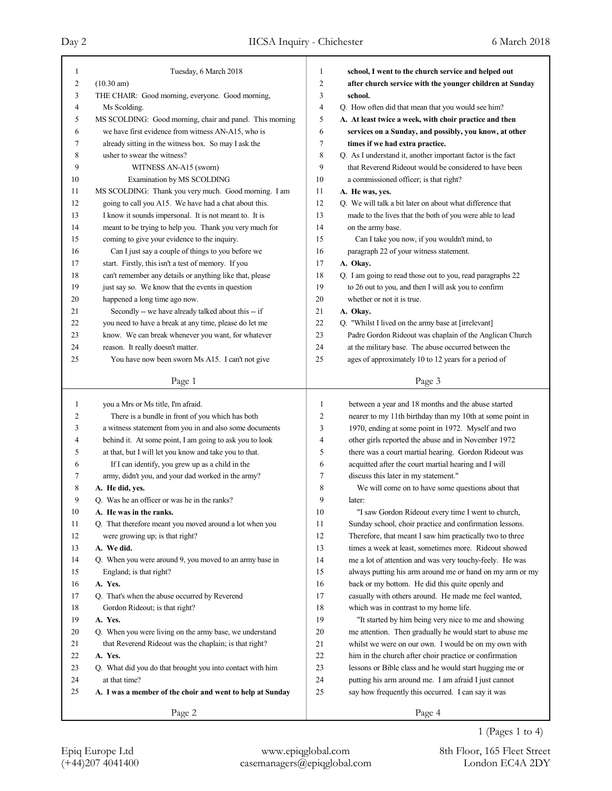# Day 2 IICSA Inquiry - Chichester 6 March 2018

| 1              | Tuesday, 6 March 2018                                     | 1              | school, I went to the church service and helped out         |
|----------------|-----------------------------------------------------------|----------------|-------------------------------------------------------------|
| $\overline{c}$ | $(10.30 \text{ am})$                                      | $\overline{c}$ | after church service with the younger children at Sunday    |
| 3              | THE CHAIR: Good morning, everyone. Good morning,          | 3              | school.                                                     |
| 4              | Ms Scolding.                                              | $\overline{4}$ | Q. How often did that mean that you would see him?          |
| 5              | MS SCOLDING: Good morning, chair and panel. This morning  | 5              | A. At least twice a week, with choir practice and then      |
| 6              | we have first evidence from witness AN-A15, who is        | 6              | services on a Sunday, and possibly, you know, at other      |
| 7              | already sitting in the witness box. So may I ask the      | 7              | times if we had extra practice.                             |
| 8              | usher to swear the witness?                               | 8              | Q. As I understand it, another important factor is the fact |
| 9              | WITNESS AN-A15 (sworn)                                    | 9              | that Reverend Rideout would be considered to have been      |
| 10             | Examination by MS SCOLDING                                | 10             | a commissioned officer; is that right?                      |
| 11             | MS SCOLDING: Thank you very much. Good morning. I am      | 11             | A. He was, yes.                                             |
| 12             | going to call you A15. We have had a chat about this.     | 12             | Q. We will talk a bit later on about what difference that   |
| 13             | I know it sounds impersonal. It is not meant to. It is    | 13             | made to the lives that the both of you were able to lead    |
| 14             | meant to be trying to help you. Thank you very much for   | 14             | on the army base.                                           |
| 15             | coming to give your evidence to the inquiry.              | 15             | Can I take you now, if you wouldn't mind, to                |
| 16             | Can I just say a couple of things to you before we        | 16             | paragraph 22 of your witness statement.                     |
| 17             | start. Firstly, this isn't a test of memory. If you       | 17             | A. Okay.                                                    |
| 18             | can't remember any details or anything like that, please  | 18             |                                                             |
|                |                                                           |                | Q. I am going to read those out to you, read paragraphs 22  |
| 19             | just say so. We know that the events in question          | 19             | to 26 out to you, and then I will ask you to confirm        |
| 20             | happened a long time ago now.                             | 20             | whether or not it is true.                                  |
| 21             | Secondly -- we have already talked about this -- if       | 21             | A. Okay.                                                    |
| 22             | you need to have a break at any time, please do let me    | 22             | Q. "Whilst I lived on the army base at [irrelevant]         |
| 23             | know. We can break whenever you want, for whatever        | 23             | Padre Gordon Rideout was chaplain of the Anglican Church    |
| 24             | reason. It really doesn't matter.                         | 24             | at the military base. The abuse occurred between the        |
| 25             | You have now been sworn Ms A15. I can't not give          | 25             | ages of approximately 10 to 12 years for a period of        |
|                | Page 1                                                    |                | Page 3                                                      |
|                |                                                           |                |                                                             |
|                |                                                           |                |                                                             |
| $\mathbf{1}$   | you a Mrs or Ms title, I'm afraid.                        | 1              | between a year and 18 months and the abuse started          |
| 2              | There is a bundle in front of you which has both          | $\overline{c}$ | nearer to my 11th birthday than my 10th at some point in    |
| 3              | a witness statement from you in and also some documents   | 3              | 1970, ending at some point in 1972. Myself and two          |
| 4              | behind it. At some point, I am going to ask you to look   | 4              | other girls reported the abuse and in November 1972         |
| 5              | at that, but I will let you know and take you to that.    | 5              | there was a court martial hearing. Gordon Rideout was       |
| 6              | If I can identify, you grew up as a child in the          | 6              | acquitted after the court martial hearing and I will        |
| 7              | army, didn't you, and your dad worked in the army?        | 7              | discuss this later in my statement."                        |
| 8              | A. He did, yes.                                           | 8              | We will come on to have some questions about that           |
| 9              | O. Was he an officer or was he in the ranks?              | 9              | later:                                                      |
| 10             | A. He was in the ranks.                                   | 10             | "I saw Gordon Rideout every time I went to church,          |
| 11             | Q. That therefore meant you moved around a lot when you   | 11             | Sunday school, choir practice and confirmation lessons.     |
| 12             | were growing up; is that right?                           | 12             | Therefore, that meant I saw him practically two to three    |
| 13             | A. We did.                                                | 13             | times a week at least, sometimes more. Rideout showed       |
| 14             | Q. When you were around 9, you moved to an army base in   | 14             | me a lot of attention and was very touchy-feely. He was     |
| 15             | England; is that right?                                   | 15             | always putting his arm around me or hand on my arm or my    |
| 16             | A. Yes.                                                   | 16             | back or my bottom. He did this quite openly and             |
| 17             | Q. That's when the abuse occurred by Reverend             | 17             | casually with others around. He made me feel wanted,        |
| 18             | Gordon Rideout; is that right?                            | $18\,$         | which was in contrast to my home life.                      |
| 19             | A. Yes.                                                   | 19             | "It started by him being very nice to me and showing        |
| 20             | Q. When you were living on the army base, we understand   | $20\,$         | me attention. Then gradually he would start to abuse me     |
| 21             | that Reverend Rideout was the chaplain; is that right?    | 21             | whilst we were on our own. I would be on my own with        |
| 22             | A. Yes.                                                   | 22             | him in the church after choir practice or confirmation      |
| 23             | Q. What did you do that brought you into contact with him | 23             | lessons or Bible class and he would start hugging me or     |
| 24             | at that time?                                             | 24             | putting his arm around me. I am afraid I just cannot        |
| 25             | A. I was a member of the choir and went to help at Sunday | 25             | say how frequently this occurred. I can say it was          |

(+44)207 4041400 casemanagers@epiqglobal.com London EC4A 2DY Epiq Europe Ltd www.epiqglobal.com 8th Floor, 165 Fleet Street

1 (Pages 1 to 4)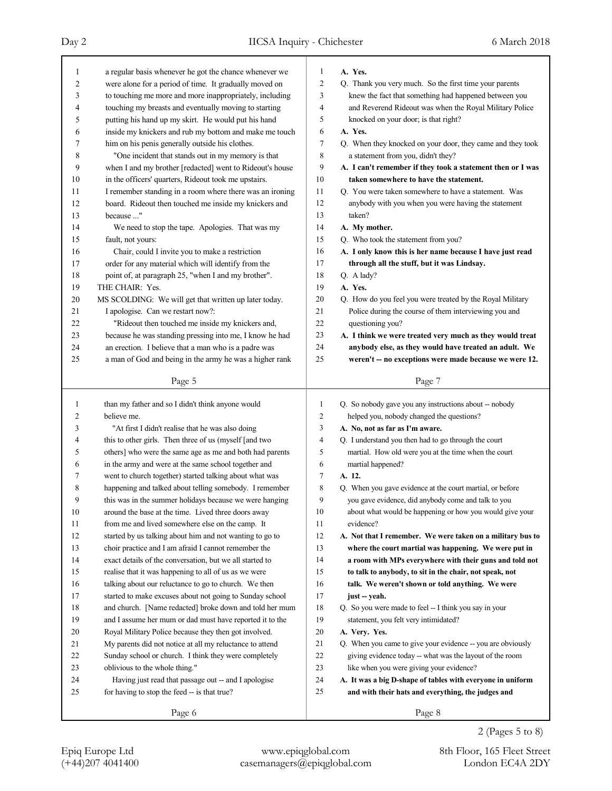| 1  | a regular basis whenever he got the chance whenever we   | 1              | A. Yes.                                                     |
|----|----------------------------------------------------------|----------------|-------------------------------------------------------------|
| 2  | were alone for a period of time. It gradually moved on   | $\overline{2}$ | Q. Thank you very much. So the first time your parents      |
| 3  | to touching me more and more inappropriately, including  | 3              | knew the fact that something had happened between you       |
| 4  | touching my breasts and eventually moving to starting    | 4              | and Reverend Rideout was when the Royal Military Police     |
| 5  | putting his hand up my skirt. He would put his hand      | 5              | knocked on your door; is that right?                        |
| 6  | inside my knickers and rub my bottom and make me touch   | 6              | A. Yes.                                                     |
| 7  | him on his penis generally outside his clothes.          | $\tau$         | Q. When they knocked on your door, they came and they took  |
| 8  | "One incident that stands out in my memory is that       | 8              | a statement from you, didn't they?                          |
| 9  | when I and my brother [redacted] went to Rideout's house | 9              | A. I can't remember if they took a statement then or I was  |
| 10 | in the officers' quarters, Rideout took me upstairs.     | 10             | taken somewhere to have the statement.                      |
| 11 | I remember standing in a room where there was an ironing | 11             | Q. You were taken somewhere to have a statement. Was        |
| 12 | board. Rideout then touched me inside my knickers and    | 12             | anybody with you when you were having the statement         |
| 13 | because "                                                | 13             | taken?                                                      |
| 14 | We need to stop the tape. Apologies. That was my         | 14             | A. My mother.                                               |
| 15 | fault, not yours:                                        | 15             | Q. Who took the statement from you?                         |
| 16 | Chair, could I invite you to make a restriction          | 16             | A. I only know this is her name because I have just read    |
| 17 | order for any material which will identify from the      | 17             | through all the stuff, but it was Lindsay.                  |
| 18 | point of, at paragraph 25, "when I and my brother".      | 18             | Q. A lady?                                                  |
| 19 | THE CHAIR: Yes.                                          | 19             | A. Yes.                                                     |
| 20 | MS SCOLDING: We will get that written up later today.    | 20             | Q. How do you feel you were treated by the Royal Military   |
| 21 | I apologise. Can we restart now?:                        | 21             | Police during the course of them interviewing you and       |
| 22 | "Rideout then touched me inside my knickers and,         | 22             | questioning you?                                            |
| 23 | because he was standing pressing into me, I know he had  | 23             | A. I think we were treated very much as they would treat    |
| 24 | an erection. I believe that a man who is a padre was     | 24             | anybody else, as they would have treated an adult. We       |
| 25 | a man of God and being in the army he was a higher rank  | 25             | weren't -- no exceptions were made because we were 12.      |
|    |                                                          |                |                                                             |
|    | Page 5                                                   |                | Page 7                                                      |
|    |                                                          |                |                                                             |
|    |                                                          |                |                                                             |
| 1  | than my father and so I didn't think anyone would        | 1              | Q. So nobody gave you any instructions about -- nobody      |
| 2  | believe me.                                              | $\overline{c}$ | helped you, nobody changed the questions?                   |
| 3  | "At first I didn't realise that he was also doing        | 3              | A. No, not as far as I'm aware.                             |
| 4  | this to other girls. Then three of us (myself [and two   | $\overline{4}$ | Q. I understand you then had to go through the court        |
| 5  | others] who were the same age as me and both had parents | 5              | martial. How old were you at the time when the court        |
| 6  | in the army and were at the same school together and     | 6              | martial happened?                                           |
| 7  | went to church together) started talking about what was  | 7              | A. 12.                                                      |
| 8  | happening and talked about telling somebody. I remember  | 8              | Q. When you gave evidence at the court martial, or before   |
| 9  | this was in the summer holidays because we were hanging  | 9              | you gave evidence, did anybody come and talk to you         |
| 10 | around the base at the time. Lived three doors away      | 10             | about what would be happening or how you would give your    |
| 11 | from me and lived somewhere else on the camp. It         | 11             | evidence?                                                   |
| 12 | started by us talking about him and not wanting to go to | 12             | A. Not that I remember. We were taken on a military bus to  |
| 13 | choir practice and I am afraid I cannot remember the     | 13             | where the court martial was happening. We were put in       |
| 14 | exact details of the conversation, but we all started to | 14             | a room with MPs everywhere with their guns and told not     |
| 15 | realise that it was happening to all of us as we were    | 15             | to talk to anybody, to sit in the chair, not speak, not     |
| 16 | talking about our reluctance to go to church. We then    | 16             | talk. We weren't shown or told anything. We were            |
| 17 | started to make excuses about not going to Sunday school | 17             | just -- yeah.                                               |
| 18 | and church. [Name redacted] broke down and told her mum  | 18             | Q. So you were made to feel -- I think you say in your      |
| 19 | and I assume her mum or dad must have reported it to the | 19             | statement, you felt very intimidated?                       |
| 20 | Royal Military Police because they then got involved.    | 20             | A. Very. Yes.                                               |
| 21 | My parents did not notice at all my reluctance to attend | 21             | Q. When you came to give your evidence -- you are obviously |
| 22 | Sunday school or church. I think they were completely    | 22             | giving evidence today -- what was the layout of the room    |
| 23 | oblivious to the whole thing."                           | 23             | like when you were giving your evidence?                    |
| 24 | Having just read that passage out -- and I apologise     | 24             | A. It was a big D-shape of tables with everyone in uniform  |
| 25 | for having to stop the feed -- is that true?             | 25             | and with their hats and everything, the judges and          |
|    | Page 6                                                   |                | Page 8                                                      |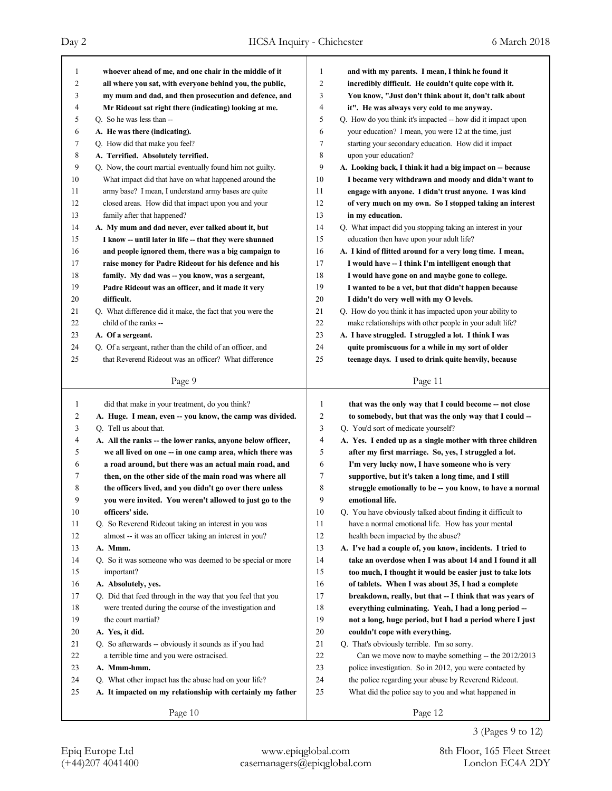| 1              | whoever ahead of me, and one chair in the middle of it                                                                 | 1            | and with my parents. I mean, I think he found it                                                                  |
|----------------|------------------------------------------------------------------------------------------------------------------------|--------------|-------------------------------------------------------------------------------------------------------------------|
| $\overline{c}$ | all where you sat, with everyone behind you, the public,                                                               | 2            | incredibly difficult. He couldn't quite cope with it.                                                             |
| 3              | my mum and dad, and then prosecution and defence, and                                                                  | 3            | You know, "Just don't think about it, don't talk about                                                            |
| 4              | Mr Rideout sat right there (indicating) looking at me.                                                                 | 4            | it". He was always very cold to me anyway.                                                                        |
| 5              | Q. So he was less than --                                                                                              | 5            | Q. How do you think it's impacted -- how did it impact upon                                                       |
| 6              | A. He was there (indicating).                                                                                          | 6            | your education? I mean, you were 12 at the time, just                                                             |
| 7              | Q. How did that make you feel?                                                                                         | 7            | starting your secondary education. How did it impact                                                              |
| 8              | A. Terrified. Absolutely terrified.                                                                                    | 8            | upon your education?                                                                                              |
| 9              | Q. Now, the court martial eventually found him not guilty.                                                             | 9            | A. Looking back, I think it had a big impact on -- because                                                        |
| 10             | What impact did that have on what happened around the                                                                  | 10           | I became very withdrawn and moody and didn't want to                                                              |
| 11             | army base? I mean, I understand army bases are quite                                                                   | 11           | engage with anyone. I didn't trust anyone. I was kind                                                             |
| 12<br>13       | closed areas. How did that impact upon you and your                                                                    | 12<br>13     | of very much on my own. So I stopped taking an interest                                                           |
| 14             | family after that happened?                                                                                            | 14           | in my education.                                                                                                  |
| 15             | A. My mum and dad never, ever talked about it, but                                                                     | 15           | Q. What impact did you stopping taking an interest in your                                                        |
|                | I know -- until later in life -- that they were shunned                                                                | 16           | education then have upon your adult life?                                                                         |
| 16<br>17       | and people ignored them, there was a big campaign to<br>raise money for Padre Rideout for his defence and his          | 17           | A. I kind of flitted around for a very long time. I mean,<br>I would have -- I think I'm intelligent enough that  |
| 18             |                                                                                                                        | 18           | I would have gone on and maybe gone to college.                                                                   |
| 19             | family. My dad was -- you know, was a sergeant,                                                                        | 19           | I wanted to be a vet, but that didn't happen because                                                              |
| 20             | Padre Rideout was an officer, and it made it very<br>difficult.                                                        | 20           | I didn't do very well with my O levels.                                                                           |
| 21             | Q. What difference did it make, the fact that you were the                                                             | 21           | Q. How do you think it has impacted upon your ability to                                                          |
| 22             | child of the ranks --                                                                                                  | 22           | make relationships with other people in your adult life?                                                          |
| 23             | A. Of a sergeant.                                                                                                      | 23           | A. I have struggled. I struggled a lot. I think I was                                                             |
| 24             | Q. Of a sergeant, rather than the child of an officer, and                                                             | 24           | quite promiscuous for a while in my sort of older                                                                 |
| 25             | that Reverend Rideout was an officer? What difference                                                                  | 25           | teenage days. I used to drink quite heavily, because                                                              |
|                |                                                                                                                        |              |                                                                                                                   |
|                | Page 9                                                                                                                 |              | Page 11                                                                                                           |
|                |                                                                                                                        |              |                                                                                                                   |
| 1              |                                                                                                                        | $\mathbf{1}$ |                                                                                                                   |
|                | did that make in your treatment, do you think?                                                                         | 2            | that was the only way that I could become -- not close                                                            |
| 2<br>3         | A. Huge. I mean, even -- you know, the camp was divided.<br>Q. Tell us about that.                                     | 3            | to somebody, but that was the only way that I could --                                                            |
| 4              |                                                                                                                        | 4            | Q. You'd sort of medicate yourself?                                                                               |
| 5              | A. All the ranks -- the lower ranks, anyone below officer,<br>we all lived on one -- in one camp area, which there was | 5            | A. Yes. I ended up as a single mother with three children<br>after my first marriage. So, yes, I struggled a lot. |
| 6              | a road around, but there was an actual main road, and                                                                  | 6            | I'm very lucky now, I have someone who is very                                                                    |
| 7              | then, on the other side of the main road was where all                                                                 | 7            | supportive, but it's taken a long time, and I still                                                               |
| 8              | the officers lived, and you didn't go over there unless                                                                | 8            | struggle emotionally to be -- you know, to have a normal                                                          |
| 9              | you were invited. You weren't allowed to just go to the                                                                | 9            | emotional life.                                                                                                   |
| $10\,$         | officers' side.                                                                                                        | $10\,$       | Q. You have obviously talked about finding it difficult to                                                        |
| 11             | Q. So Reverend Rideout taking an interest in you was                                                                   | 11           | have a normal emotional life. How has your mental                                                                 |
| 12             | almost -- it was an officer taking an interest in you?                                                                 | 12           | health been impacted by the abuse?                                                                                |
| 13             | A. Mmm.                                                                                                                | 13           | A. I've had a couple of, you know, incidents. I tried to                                                          |
| 14             | Q. So it was someone who was deemed to be special or more                                                              | 14           | take an overdose when I was about 14 and I found it all                                                           |
| 15             | important?                                                                                                             | 15           | too much, I thought it would be easier just to take lots                                                          |
| 16             | A. Absolutely, yes.                                                                                                    | 16           | of tablets. When I was about 35, I had a complete                                                                 |
| 17             | Q. Did that feed through in the way that you feel that you                                                             | 17           | breakdown, really, but that -- I think that was years of                                                          |
| 18             | were treated during the course of the investigation and                                                                | $18\,$       | everything culminating. Yeah, I had a long period --                                                              |
| 19             | the court martial?                                                                                                     | 19           | not a long, huge period, but I had a period where I just                                                          |
| $20\,$         | A. Yes, it did.                                                                                                        | $20\,$       | couldn't cope with everything.                                                                                    |
| 21             | Q. So afterwards -- obviously it sounds as if you had                                                                  | $21\,$       | Q. That's obviously terrible. I'm so sorry.                                                                       |
| $22\,$         | a terrible time and you were ostracised.                                                                               | $22\,$       | Can we move now to maybe something -- the 2012/2013                                                               |
| 23             | A. Mmm-hmm.                                                                                                            | $23\,$       | police investigation. So in 2012, you were contacted by                                                           |
| 24             | Q. What other impact has the abuse had on your life?                                                                   | 24           | the police regarding your abuse by Reverend Rideout.                                                              |
| 25             | A. It impacted on my relationship with certainly my father                                                             | $25\,$       | What did the police say to you and what happened in                                                               |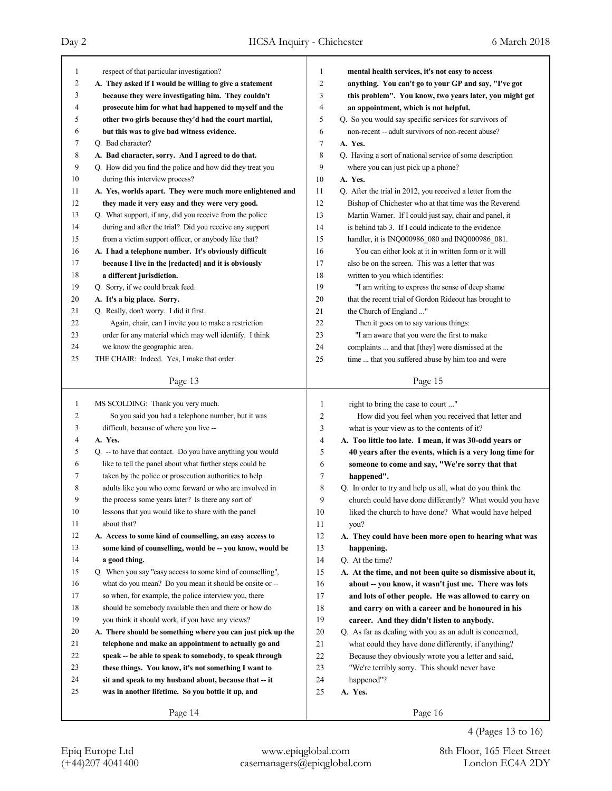Page 13 1 respect of that particular investigation? 2 **A. They asked if I would be willing to give a statement** 3 **because they were investigating him. They couldn't** 4 **prosecute him for what had happened to myself and the** 5 **other two girls because they'd had the court martial,** 6 **but this was to give bad witness evidence.** 7 Q. Bad character? 8 **A. Bad character, sorry. And I agreed to do that.** 9 Q. How did you find the police and how did they treat you 10 during this interview process? 11 **A. Yes, worlds apart. They were much more enlightened and** 12 **they made it very easy and they were very good.** 13 Q. What support, if any, did you receive from the police 14 during and after the trial? Did you receive any support 15 from a victim support officer, or anybody like that? 16 **A. I had a telephone number. It's obviously difficult** 17 **because I live in the [redacted] and it is obviously** 18 **a different jurisdiction.** 19 Q. Sorry, if we could break feed. 20 **A. It's a big place. Sorry.** 21 Q. Really, don't worry. I did it first. 22 Again, chair, can I invite you to make a restriction 23 order for any material which may well identify. I think 24 we know the geographic area. 25 THE CHAIR: Indeed. Yes, I make that order. Page 14 1 MS SCOLDING: Thank you very much. 2 So you said you had a telephone number, but it was 3 difficult, because of where you live -- 4 **A. Yes.** 5 Q. -- to have that contact. Do you have anything you would 6 like to tell the panel about what further steps could be 7 taken by the police or prosecution authorities to help 8 adults like you who come forward or who are involved in 9 the process some years later? Is there any sort of 10 lessons that you would like to share with the panel 11 about that? 12 **A. Access to some kind of counselling, an easy access to** 13 **some kind of counselling, would be -- you know, would be** 14 **a good thing.** 15 Q. When you say "easy access to some kind of counselling", 16 what do you mean? Do you mean it should be onsite or -- 17 so when, for example, the police interview you, there 18 should be somebody available then and there or how do 19 you think it should work, if you have any views? 20 **A. There should be something where you can just pick up the** 21 **telephone and make an appointment to actually go and** 22 **speak -- be able to speak to somebody, to speak through** 23 **these things. You know, it's not something I want to** 24 **sit and speak to my husband about, because that -- it** 25 **was in another lifetime. So you bottle it up, and** Page 15 1 **mental health services, it's not easy to access** 2 **anything. You can't go to your GP and say, "I've got** 3 **this problem". You know, two years later, you might get** 4 **an appointment, which is not helpful.** 5 Q. So you would say specific services for survivors of 6 non-recent -- adult survivors of non-recent abuse? 7 **A. Yes.** 8 Q. Having a sort of national service of some description 9 where you can just pick up a phone? 10 **A. Yes.** 11 Q. After the trial in 2012, you received a letter from the 12 Bishop of Chichester who at that time was the Reverend 13 Martin Warner. If I could just say, chair and panel, it 14 is behind tab 3. If I could indicate to the evidence 15 handler, it is INQ000986\_080 and INQ000986\_081. 16 You can either look at it in written form or it will 17 also be on the screen. This was a letter that was 18 written to you which identifies: 19 "I am writing to express the sense of deep shame 20 that the recent trial of Gordon Rideout has brought to 21 the Church of England ..." 22 Then it goes on to say various things: 23 "I am aware that you were the first to make 24 complaints ... and that [they] were dismissed at the 25 time ... that you suffered abuse by him too and were Page 16 1 right to bring the case to court ..." 2 How did you feel when you received that letter and 3 what is your view as to the contents of it? 4 **A. Too little too late. I mean, it was 30-odd years or** 5 **40 years after the events, which is a very long time for** 6 **someone to come and say, "We're sorry that that** 7 **happened".** 8 Q. In order to try and help us all, what do you think the 9 church could have done differently? What would you have 10 liked the church to have done? What would have helped 11 you? 12 **A. They could have been more open to hearing what was** 13 **happening.** 14 Q. At the time? 15 **A. At the time, and not been quite so dismissive about it,** 16 **about -- you know, it wasn't just me. There was lots** 17 **and lots of other people. He was allowed to carry on** 18 **and carry on with a career and be honoured in his** 19 **career. And they didn't listen to anybody.** 20 Q. As far as dealing with you as an adult is concerned, 21 what could they have done differently, if anything? 22 Because they obviously wrote you a letter and said, 23 "We're terribly sorry. This should never have 24 happened"? 25 **A. Yes.**

4 (Pages 13 to 16)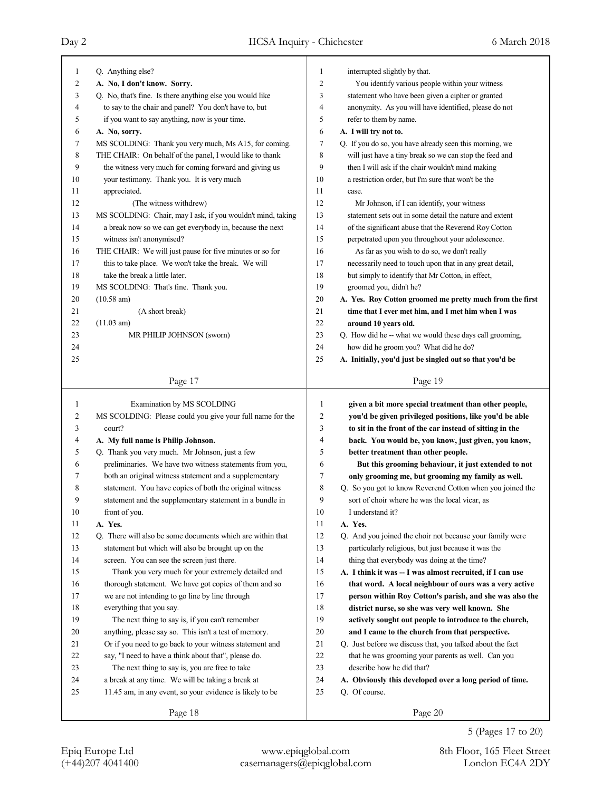| 1              | Q. Anything else?                                           | 1                       | interrupted slightly by that.                             |
|----------------|-------------------------------------------------------------|-------------------------|-----------------------------------------------------------|
| 2              | A. No, I don't know. Sorry.                                 | $\overline{2}$          | You identify various people within your witness           |
| 3              | Q. No, that's fine. Is there anything else you would like   | 3                       | statement who have been given a cipher or granted         |
| 4              | to say to the chair and panel? You don't have to, but       | $\overline{4}$          | anonymity. As you will have identified, please do not     |
| 5              | if you want to say anything, now is your time.              | 5                       | refer to them by name.                                    |
| 6              | A. No, sorry.                                               | 6                       | A. I will try not to.                                     |
| 7              | MS SCOLDING: Thank you very much, Ms A15, for coming.       | 7                       | Q. If you do so, you have already seen this morning, we   |
| 8              | THE CHAIR: On behalf of the panel, I would like to thank    | 8                       | will just have a tiny break so we can stop the feed and   |
| 9              | the witness very much for coming forward and giving us      | 9                       | then I will ask if the chair wouldn't mind making         |
| 10             | your testimony. Thank you. It is very much                  | 10                      | a restriction order, but I'm sure that won't be the       |
| 11             | appreciated.                                                | 11                      | case.                                                     |
| 12             | (The witness withdrew)                                      | 12                      | Mr Johnson, if I can identify, your witness               |
| 13             | MS SCOLDING: Chair, may I ask, if you wouldn't mind, taking | 13                      | statement sets out in some detail the nature and extent   |
| 14             | a break now so we can get everybody in, because the next    | 14                      | of the significant abuse that the Reverend Roy Cotton     |
| 15             | witness isn't anonymised?                                   | 15                      | perpetrated upon you throughout your adolescence.         |
| 16             | THE CHAIR: We will just pause for five minutes or so for    | 16                      | As far as you wish to do so, we don't really              |
| 17             | this to take place. We won't take the break. We will        | 17                      | necessarily need to touch upon that in any great detail,  |
| 18             | take the break a little later.                              | 18                      | but simply to identify that Mr Cotton, in effect,         |
| 19             | MS SCOLDING: That's fine. Thank you.                        | 19                      | groomed you, didn't he?                                   |
| 20             | $(10.58 \text{ am})$                                        | 20                      | A. Yes. Roy Cotton groomed me pretty much from the first  |
| 21             | (A short break)                                             | 21                      | time that I ever met him, and I met him when I was        |
| 22             | (11.03 am)                                                  | 22                      | around 10 years old.                                      |
| 23             | MR PHILIP JOHNSON (sworn)                                   | 23                      | Q. How did he -- what we would these days call grooming,  |
| 24             |                                                             | 24                      | how did he groom you? What did he do?                     |
| 25             |                                                             | 25                      | A. Initially, you'd just be singled out so that you'd be  |
|                |                                                             |                         |                                                           |
|                | Page 17                                                     |                         | Page 19                                                   |
|                |                                                             |                         |                                                           |
|                |                                                             |                         |                                                           |
| 1              | Examination by MS SCOLDING                                  | $\mathbf{1}$            | given a bit more special treatment than other people,     |
| $\overline{c}$ | MS SCOLDING: Please could you give your full name for the   | $\overline{\mathbf{c}}$ | you'd be given privileged positions, like you'd be able   |
| 3              | court?                                                      | 3                       | to sit in the front of the car instead of sitting in the  |
| 4              | A. My full name is Philip Johnson.                          | 4                       | back. You would be, you know, just given, you know,       |
| 5              | Q. Thank you very much. Mr Johnson, just a few              | 5                       | better treatment than other people.                       |
| 6              | preliminaries. We have two witness statements from you,     | 6                       | But this grooming behaviour, it just extended to not      |
| 7              | both an original witness statement and a supplementary      | 7                       | only grooming me, but grooming my family as well.         |
| 8              | statement. You have copies of both the original witness     | 8                       | Q. So you got to know Reverend Cotton when you joined the |
| 9              | statement and the supplementary statement in a bundle in    | 9                       | sort of choir where he was the local vicar, as            |
| 10             | front of you.                                               | 10                      | I understand it?                                          |
| 11             | A. Yes.                                                     | 11                      | A. Yes.                                                   |
| 12             | Q. There will also be some documents which are within that  | 12                      | Q. And you joined the choir not because your family were  |
| 13             | statement but which will also be brought up on the          | 13                      | particularly religious, but just because it was the       |
| 14             | screen. You can see the screen just there.                  | 14                      | thing that everybody was doing at the time?               |
| 15             | Thank you very much for your extremely detailed and         | 15                      | A. I think it was -- I was almost recruited, if I can use |
| 16             | thorough statement. We have got copies of them and so       | 16                      | that word. A local neighbour of ours was a very active    |
| 17             | we are not intending to go line by line through             | 17                      | person within Roy Cotton's parish, and she was also the   |
| 18             | everything that you say.                                    | 18                      | district nurse, so she was very well known. She           |
| 19             | The next thing to say is, if you can't remember             | 19                      | actively sought out people to introduce to the church,    |
| 20             | anything, please say so. This isn't a test of memory.       | 20                      | and I came to the church from that perspective.           |
| 21             | Or if you need to go back to your witness statement and     | 21                      | Q. Just before we discuss that, you talked about the fact |
| 22             | say, "I need to have a think about that", please do.        | 22                      | that he was grooming your parents as well. Can you        |
| 23             | The next thing to say is, you are free to take              | 23                      | describe how he did that?                                 |
| 24             | a break at any time. We will be taking a break at           | 24                      | A. Obviously this developed over a long period of time.   |
| 25             | 11.45 am, in any event, so your evidence is likely to be    | 25                      | Q. Of course.                                             |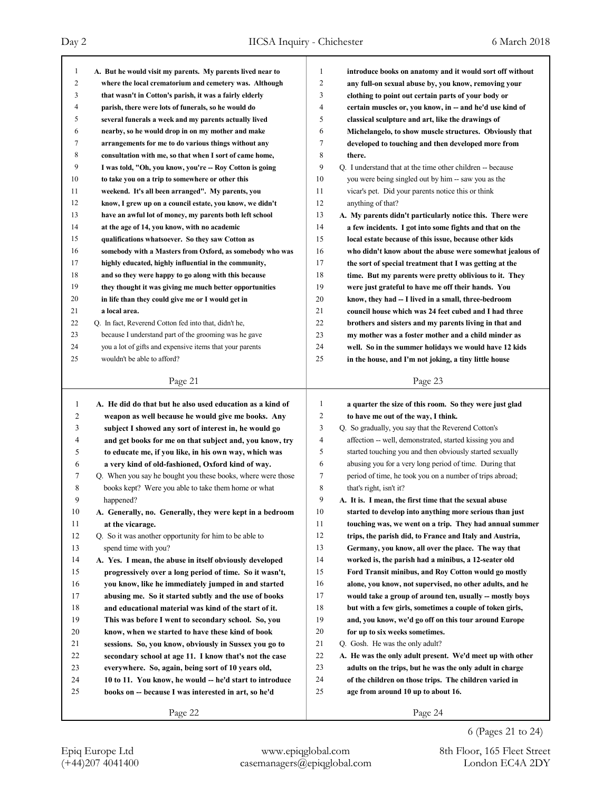|                                                             | 1                                                                                                                                                                                                                                                                                                                                                                                                                                                                                                                                                                                                                                                                                                                                                                                                                                                                                                                                                                                                                                                                                                                                                                                                                                                                                                                                                                                 | introduce books on anatomy and it would sort off without   |
|-------------------------------------------------------------|-----------------------------------------------------------------------------------------------------------------------------------------------------------------------------------------------------------------------------------------------------------------------------------------------------------------------------------------------------------------------------------------------------------------------------------------------------------------------------------------------------------------------------------------------------------------------------------------------------------------------------------------------------------------------------------------------------------------------------------------------------------------------------------------------------------------------------------------------------------------------------------------------------------------------------------------------------------------------------------------------------------------------------------------------------------------------------------------------------------------------------------------------------------------------------------------------------------------------------------------------------------------------------------------------------------------------------------------------------------------------------------|------------------------------------------------------------|
|                                                             | 2                                                                                                                                                                                                                                                                                                                                                                                                                                                                                                                                                                                                                                                                                                                                                                                                                                                                                                                                                                                                                                                                                                                                                                                                                                                                                                                                                                                 | any full-on sexual abuse by, you know, removing your       |
|                                                             | 3                                                                                                                                                                                                                                                                                                                                                                                                                                                                                                                                                                                                                                                                                                                                                                                                                                                                                                                                                                                                                                                                                                                                                                                                                                                                                                                                                                                 | clothing to point out certain parts of your body or        |
|                                                             | 4                                                                                                                                                                                                                                                                                                                                                                                                                                                                                                                                                                                                                                                                                                                                                                                                                                                                                                                                                                                                                                                                                                                                                                                                                                                                                                                                                                                 | certain muscles or, you know, in -- and he'd use kind of   |
|                                                             | 5                                                                                                                                                                                                                                                                                                                                                                                                                                                                                                                                                                                                                                                                                                                                                                                                                                                                                                                                                                                                                                                                                                                                                                                                                                                                                                                                                                                 | classical sculpture and art, like the drawings of          |
|                                                             | 6                                                                                                                                                                                                                                                                                                                                                                                                                                                                                                                                                                                                                                                                                                                                                                                                                                                                                                                                                                                                                                                                                                                                                                                                                                                                                                                                                                                 | Michelangelo, to show muscle structures. Obviously that    |
|                                                             | 7                                                                                                                                                                                                                                                                                                                                                                                                                                                                                                                                                                                                                                                                                                                                                                                                                                                                                                                                                                                                                                                                                                                                                                                                                                                                                                                                                                                 | developed to touching and then developed more from         |
|                                                             | 8                                                                                                                                                                                                                                                                                                                                                                                                                                                                                                                                                                                                                                                                                                                                                                                                                                                                                                                                                                                                                                                                                                                                                                                                                                                                                                                                                                                 | there.                                                     |
|                                                             | 9                                                                                                                                                                                                                                                                                                                                                                                                                                                                                                                                                                                                                                                                                                                                                                                                                                                                                                                                                                                                                                                                                                                                                                                                                                                                                                                                                                                 | Q. I understand that at the time other children -- because |
|                                                             | 10                                                                                                                                                                                                                                                                                                                                                                                                                                                                                                                                                                                                                                                                                                                                                                                                                                                                                                                                                                                                                                                                                                                                                                                                                                                                                                                                                                                | you were being singled out by him -- saw you as the        |
|                                                             | 11                                                                                                                                                                                                                                                                                                                                                                                                                                                                                                                                                                                                                                                                                                                                                                                                                                                                                                                                                                                                                                                                                                                                                                                                                                                                                                                                                                                | vicar's pet. Did your parents notice this or think         |
|                                                             | 12                                                                                                                                                                                                                                                                                                                                                                                                                                                                                                                                                                                                                                                                                                                                                                                                                                                                                                                                                                                                                                                                                                                                                                                                                                                                                                                                                                                | anything of that?                                          |
|                                                             | 13                                                                                                                                                                                                                                                                                                                                                                                                                                                                                                                                                                                                                                                                                                                                                                                                                                                                                                                                                                                                                                                                                                                                                                                                                                                                                                                                                                                | A. My parents didn't particularly notice this. There were  |
|                                                             | 14                                                                                                                                                                                                                                                                                                                                                                                                                                                                                                                                                                                                                                                                                                                                                                                                                                                                                                                                                                                                                                                                                                                                                                                                                                                                                                                                                                                | a few incidents. I got into some fights and that on the    |
|                                                             | 15                                                                                                                                                                                                                                                                                                                                                                                                                                                                                                                                                                                                                                                                                                                                                                                                                                                                                                                                                                                                                                                                                                                                                                                                                                                                                                                                                                                | local estate because of this issue, because other kids     |
|                                                             | 16                                                                                                                                                                                                                                                                                                                                                                                                                                                                                                                                                                                                                                                                                                                                                                                                                                                                                                                                                                                                                                                                                                                                                                                                                                                                                                                                                                                | who didn't know about the abuse were somewhat jealous of   |
|                                                             | 17                                                                                                                                                                                                                                                                                                                                                                                                                                                                                                                                                                                                                                                                                                                                                                                                                                                                                                                                                                                                                                                                                                                                                                                                                                                                                                                                                                                | the sort of special treatment that I was getting at the    |
|                                                             | 18                                                                                                                                                                                                                                                                                                                                                                                                                                                                                                                                                                                                                                                                                                                                                                                                                                                                                                                                                                                                                                                                                                                                                                                                                                                                                                                                                                                | time. But my parents were pretty oblivious to it. They     |
|                                                             | 19                                                                                                                                                                                                                                                                                                                                                                                                                                                                                                                                                                                                                                                                                                                                                                                                                                                                                                                                                                                                                                                                                                                                                                                                                                                                                                                                                                                | were just grateful to have me off their hands. You         |
|                                                             | 20                                                                                                                                                                                                                                                                                                                                                                                                                                                                                                                                                                                                                                                                                                                                                                                                                                                                                                                                                                                                                                                                                                                                                                                                                                                                                                                                                                                | know, they had -- I lived in a small, three-bedroom        |
|                                                             | 21                                                                                                                                                                                                                                                                                                                                                                                                                                                                                                                                                                                                                                                                                                                                                                                                                                                                                                                                                                                                                                                                                                                                                                                                                                                                                                                                                                                | council house which was 24 feet cubed and I had three      |
|                                                             | 22                                                                                                                                                                                                                                                                                                                                                                                                                                                                                                                                                                                                                                                                                                                                                                                                                                                                                                                                                                                                                                                                                                                                                                                                                                                                                                                                                                                | brothers and sisters and my parents living in that and     |
|                                                             | 23                                                                                                                                                                                                                                                                                                                                                                                                                                                                                                                                                                                                                                                                                                                                                                                                                                                                                                                                                                                                                                                                                                                                                                                                                                                                                                                                                                                | my mother was a foster mother and a child minder as        |
|                                                             | 24                                                                                                                                                                                                                                                                                                                                                                                                                                                                                                                                                                                                                                                                                                                                                                                                                                                                                                                                                                                                                                                                                                                                                                                                                                                                                                                                                                                | well. So in the summer holidays we would have 12 kids      |
|                                                             | 25                                                                                                                                                                                                                                                                                                                                                                                                                                                                                                                                                                                                                                                                                                                                                                                                                                                                                                                                                                                                                                                                                                                                                                                                                                                                                                                                                                                | in the house, and I'm not joking, a tiny little house      |
|                                                             |                                                                                                                                                                                                                                                                                                                                                                                                                                                                                                                                                                                                                                                                                                                                                                                                                                                                                                                                                                                                                                                                                                                                                                                                                                                                                                                                                                                   |                                                            |
| Page 21                                                     |                                                                                                                                                                                                                                                                                                                                                                                                                                                                                                                                                                                                                                                                                                                                                                                                                                                                                                                                                                                                                                                                                                                                                                                                                                                                                                                                                                                   | Page 23                                                    |
|                                                             |                                                                                                                                                                                                                                                                                                                                                                                                                                                                                                                                                                                                                                                                                                                                                                                                                                                                                                                                                                                                                                                                                                                                                                                                                                                                                                                                                                                   |                                                            |
|                                                             |                                                                                                                                                                                                                                                                                                                                                                                                                                                                                                                                                                                                                                                                                                                                                                                                                                                                                                                                                                                                                                                                                                                                                                                                                                                                                                                                                                                   |                                                            |
| A. He did do that but he also used education as a kind of   | 1                                                                                                                                                                                                                                                                                                                                                                                                                                                                                                                                                                                                                                                                                                                                                                                                                                                                                                                                                                                                                                                                                                                                                                                                                                                                                                                                                                                 | a quarter the size of this room. So they were just glad    |
| weapon as well because he would give me books. Any          | 2                                                                                                                                                                                                                                                                                                                                                                                                                                                                                                                                                                                                                                                                                                                                                                                                                                                                                                                                                                                                                                                                                                                                                                                                                                                                                                                                                                                 | to have me out of the way, I think.                        |
| subject I showed any sort of interest in, he would go       | 3                                                                                                                                                                                                                                                                                                                                                                                                                                                                                                                                                                                                                                                                                                                                                                                                                                                                                                                                                                                                                                                                                                                                                                                                                                                                                                                                                                                 | Q. So gradually, you say that the Reverend Cotton's        |
| and get books for me on that subject and, you know, try     | 4                                                                                                                                                                                                                                                                                                                                                                                                                                                                                                                                                                                                                                                                                                                                                                                                                                                                                                                                                                                                                                                                                                                                                                                                                                                                                                                                                                                 | affection -- well, demonstrated, started kissing you and   |
| to educate me, if you like, in his own way, which was       | 5                                                                                                                                                                                                                                                                                                                                                                                                                                                                                                                                                                                                                                                                                                                                                                                                                                                                                                                                                                                                                                                                                                                                                                                                                                                                                                                                                                                 | started touching you and then obviously started sexually   |
| a very kind of old-fashioned, Oxford kind of way.           | 6                                                                                                                                                                                                                                                                                                                                                                                                                                                                                                                                                                                                                                                                                                                                                                                                                                                                                                                                                                                                                                                                                                                                                                                                                                                                                                                                                                                 | abusing you for a very long period of time. During that    |
| Q. When you say he bought you these books, where were those | 7                                                                                                                                                                                                                                                                                                                                                                                                                                                                                                                                                                                                                                                                                                                                                                                                                                                                                                                                                                                                                                                                                                                                                                                                                                                                                                                                                                                 | period of time, he took you on a number of trips abroad;   |
| books kept? Were you able to take them home or what         | 8                                                                                                                                                                                                                                                                                                                                                                                                                                                                                                                                                                                                                                                                                                                                                                                                                                                                                                                                                                                                                                                                                                                                                                                                                                                                                                                                                                                 | that's right, isn't it?                                    |
|                                                             | 9                                                                                                                                                                                                                                                                                                                                                                                                                                                                                                                                                                                                                                                                                                                                                                                                                                                                                                                                                                                                                                                                                                                                                                                                                                                                                                                                                                                 | A. It is. I mean, the first time that the sexual abuse     |
| A. Generally, no. Generally, they were kept in a bedroom    | 10                                                                                                                                                                                                                                                                                                                                                                                                                                                                                                                                                                                                                                                                                                                                                                                                                                                                                                                                                                                                                                                                                                                                                                                                                                                                                                                                                                                | started to develop into anything more serious than just    |
| at the vicarage.                                            | 11                                                                                                                                                                                                                                                                                                                                                                                                                                                                                                                                                                                                                                                                                                                                                                                                                                                                                                                                                                                                                                                                                                                                                                                                                                                                                                                                                                                | touching was, we went on a trip. They had annual summer    |
| Q. So it was another opportunity for him to be able to      | 12                                                                                                                                                                                                                                                                                                                                                                                                                                                                                                                                                                                                                                                                                                                                                                                                                                                                                                                                                                                                                                                                                                                                                                                                                                                                                                                                                                                | trips, the parish did, to France and Italy and Austria,    |
| spend time with you?                                        | 13                                                                                                                                                                                                                                                                                                                                                                                                                                                                                                                                                                                                                                                                                                                                                                                                                                                                                                                                                                                                                                                                                                                                                                                                                                                                                                                                                                                | Germany, you know, all over the place. The way that        |
| A. Yes. I mean, the abuse in itself obviously developed     | 14                                                                                                                                                                                                                                                                                                                                                                                                                                                                                                                                                                                                                                                                                                                                                                                                                                                                                                                                                                                                                                                                                                                                                                                                                                                                                                                                                                                | worked is, the parish had a minibus, a 12-seater old       |
| progressively over a long period of time. So it wasn't,     | 15                                                                                                                                                                                                                                                                                                                                                                                                                                                                                                                                                                                                                                                                                                                                                                                                                                                                                                                                                                                                                                                                                                                                                                                                                                                                                                                                                                                | Ford Transit minibus, and Roy Cotton would go mostly       |
| you know, like he immediately jumped in and started         | 16                                                                                                                                                                                                                                                                                                                                                                                                                                                                                                                                                                                                                                                                                                                                                                                                                                                                                                                                                                                                                                                                                                                                                                                                                                                                                                                                                                                | alone, you know, not supervised, no other adults, and he   |
| abusing me. So it started subtly and the use of books       | 17                                                                                                                                                                                                                                                                                                                                                                                                                                                                                                                                                                                                                                                                                                                                                                                                                                                                                                                                                                                                                                                                                                                                                                                                                                                                                                                                                                                | would take a group of around ten, usually -- mostly boys   |
| and educational material was kind of the start of it.       | $18\,$                                                                                                                                                                                                                                                                                                                                                                                                                                                                                                                                                                                                                                                                                                                                                                                                                                                                                                                                                                                                                                                                                                                                                                                                                                                                                                                                                                            | but with a few girls, sometimes a couple of token girls,   |
| This was before I went to secondary school. So, you         | 19                                                                                                                                                                                                                                                                                                                                                                                                                                                                                                                                                                                                                                                                                                                                                                                                                                                                                                                                                                                                                                                                                                                                                                                                                                                                                                                                                                                | and, you know, we'd go off on this tour around Europe      |
| know, when we started to have these kind of book            | 20                                                                                                                                                                                                                                                                                                                                                                                                                                                                                                                                                                                                                                                                                                                                                                                                                                                                                                                                                                                                                                                                                                                                                                                                                                                                                                                                                                                | for up to six weeks sometimes.                             |
| sessions. So, you know, obviously in Sussex you go to       | 21                                                                                                                                                                                                                                                                                                                                                                                                                                                                                                                                                                                                                                                                                                                                                                                                                                                                                                                                                                                                                                                                                                                                                                                                                                                                                                                                                                                | Q. Gosh. He was the only adult?                            |
| secondary school at age 11. I know that's not the case      | $22\,$                                                                                                                                                                                                                                                                                                                                                                                                                                                                                                                                                                                                                                                                                                                                                                                                                                                                                                                                                                                                                                                                                                                                                                                                                                                                                                                                                                            | A. He was the only adult present. We'd meet up with other  |
| everywhere. So, again, being sort of 10 years old,          | 23                                                                                                                                                                                                                                                                                                                                                                                                                                                                                                                                                                                                                                                                                                                                                                                                                                                                                                                                                                                                                                                                                                                                                                                                                                                                                                                                                                                | adults on the trips, but he was the only adult in charge   |
| 10 to 11. You know, he would -- he'd start to introduce     | 24                                                                                                                                                                                                                                                                                                                                                                                                                                                                                                                                                                                                                                                                                                                                                                                                                                                                                                                                                                                                                                                                                                                                                                                                                                                                                                                                                                                | of the children on those trips. The children varied in     |
| books on -- because I was interested in art, so he'd        | 25                                                                                                                                                                                                                                                                                                                                                                                                                                                                                                                                                                                                                                                                                                                                                                                                                                                                                                                                                                                                                                                                                                                                                                                                                                                                                                                                                                                | age from around 10 up to about 16.                         |
|                                                             | A. But he would visit my parents. My parents lived near to<br>where the local crematorium and cemetery was. Although<br>that wasn't in Cotton's parish, it was a fairly elderly<br>parish, there were lots of funerals, so he would do<br>several funerals a week and my parents actually lived<br>nearby, so he would drop in on my mother and make<br>arrangements for me to do various things without any<br>consultation with me, so that when I sort of came home,<br>I was told, "Oh, you know, you're -- Roy Cotton is going<br>to take you on a trip to somewhere or other this<br>weekend. It's all been arranged". My parents, you<br>know, I grew up on a council estate, you know, we didn't<br>have an awful lot of money, my parents both left school<br>at the age of 14, you know, with no academic<br>qualifications whatsoever. So they saw Cotton as<br>somebody with a Masters from Oxford, as somebody who was<br>highly educated, highly influential in the community,<br>and so they were happy to go along with this because<br>they thought it was giving me much better opportunities<br>in life than they could give me or I would get in<br>Q. In fact, Reverend Cotton fed into that, didn't he,<br>because I understand part of the grooming was he gave<br>you a lot of gifts and expensive items that your parents<br>wouldn't be able to afford? |                                                            |

(+44)207 4041400 casemanagers@epiqglobal.com London EC4A 2DY Epiq Europe Ltd www.epiqglobal.com 8th Floor, 165 Fleet Street

6 (Pages 21 to 24)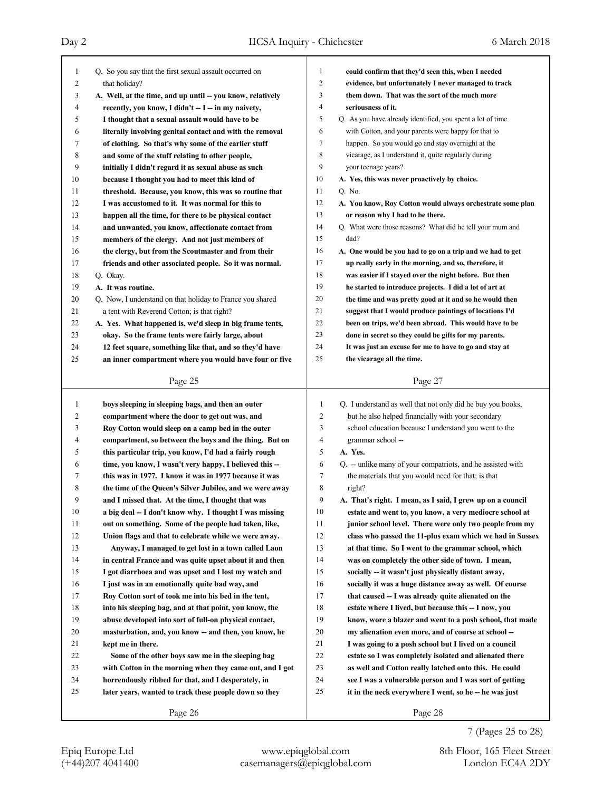| $\mathbf{1}$   | Q. So you say that the first sexual assault occurred on    | 1<br>could confirm that they'd seen this, when I needed                     |
|----------------|------------------------------------------------------------|-----------------------------------------------------------------------------|
| 2              | that holiday?                                              | 2<br>evidence, but unfortunately I never managed to track                   |
| 3              | A. Well, at the time, and up until -- you know, relatively | 3<br>them down. That was the sort of the much more                          |
| 4              | recently, you know, I didn't -- I -- in my naivety,        | 4<br>seriousness of it.                                                     |
| 5              | I thought that a sexual assault would have to be           | 5<br>Q. As you have already identified, you spent a lot of time             |
| 6              | literally involving genital contact and with the removal   | 6<br>with Cotton, and your parents were happy for that to                   |
| 7              | of clothing. So that's why some of the earlier stuff       | 7<br>happen. So you would go and stay overnight at the                      |
| 8              | and some of the stuff relating to other people,            | 8<br>vicarage, as I understand it, quite regularly during                   |
| 9              | initially I didn't regard it as sexual abuse as such       | 9<br>your teenage years?                                                    |
| 10             | because I thought you had to meet this kind of             | 10<br>A. Yes, this was never proactively by choice.                         |
| 11             | threshold. Because, you know, this was so routine that     | 11<br>Q. No.                                                                |
| 12             | I was accustomed to it. It was normal for this to          | 12<br>A. You know, Roy Cotton would always orchestrate some plan            |
| 13             | happen all the time, for there to be physical contact      | 13<br>or reason why I had to be there.                                      |
| 14             | and unwanted, you know, affectionate contact from          | 14<br>Q. What were those reasons? What did he tell your mum and             |
| 15             | members of the clergy. And not just members of             | 15<br>dad?                                                                  |
| 16             | the clergy, but from the Scoutmaster and from their        | 16<br>A. One would be you had to go on a trip and we had to get             |
| 17             | friends and other associated people. So it was normal.     | 17<br>up really early in the morning, and so, therefore, it                 |
| 18             | Q. Okay.                                                   | 18<br>was easier if I stayed over the night before. But then                |
| 19             | A. It was routine.                                         | 19<br>he started to introduce projects. I did a lot of art at               |
| 20             | Q. Now, I understand on that holiday to France you shared  | 20<br>the time and was pretty good at it and so he would then               |
| 21             | a tent with Reverend Cotton; is that right?                | 21<br>suggest that I would produce paintings of locations I'd               |
| 22             | A. Yes. What happened is, we'd sleep in big frame tents,   | 22<br>been on trips, we'd been abroad. This would have to be                |
| 23             | okay. So the frame tents were fairly large, about          | 23<br>done in secret so they could be gifts for my parents.                 |
| 24             | 12 feet square, something like that, and so they'd have    | 24<br>It was just an excuse for me to have to go and stay at                |
| 25             | an inner compartment where you would have four or five     | 25<br>the vicarage all the time.                                            |
|                |                                                            |                                                                             |
|                | Page 25                                                    | Page 27                                                                     |
|                |                                                            |                                                                             |
|                |                                                            |                                                                             |
| $\mathbf{1}$   | boys sleeping in sleeping bags, and then an outer          | $\mathbf{1}$<br>Q. I understand as well that not only did he buy you books, |
| $\overline{c}$ | compartment where the door to get out was, and             | $\overline{c}$<br>but he also helped financially with your secondary        |
| 3              | Roy Cotton would sleep on a camp bed in the outer          | 3<br>school education because I understand you went to the                  |
| 4              | compartment, so between the boys and the thing. But on     | $\overline{4}$<br>grammar school --                                         |
| 5              | this particular trip, you know, I'd had a fairly rough     | 5<br>A. Yes.                                                                |
| 6              | time, you know, I wasn't very happy, I believed this --    | Q. -- unlike many of your compatriots, and he assisted with<br>6            |
| 7              | this was in 1977. I know it was in 1977 because it was     | 7<br>the materials that you would need for that; is that                    |
| 8              | the time of the Queen's Silver Jubilee, and we were away   | 8<br>right?                                                                 |
| 9              | and I missed that. At the time, I thought that was         | 9<br>A. That's right. I mean, as I said, I grew up on a council             |
| 10             | a big deal -- I don't know why. I thought I was missing    | 10<br>estate and went to, you know, a very mediocre school at               |
| 11             | out on something. Some of the people had taken, like,      | 11<br>junior school level. There were only two people from my               |
| 12             | Union flags and that to celebrate while we were away.      | 12<br>class who passed the 11-plus exam which we had in Sussex              |
| 13             | Anyway, I managed to get lost in a town called Laon        | 13<br>at that time. So I went to the grammar school, which                  |
| 14             | in central France and was quite upset about it and then    | 14<br>was on completely the other side of town. I mean,                     |
| 15             | I got diarrhoea and was upset and I lost my watch and      | 15<br>socially -- it wasn't just physically distant away,                   |
| 16             | I just was in an emotionally quite bad way, and            | 16<br>socially it was a huge distance away as well. Of course               |
| 17             | Roy Cotton sort of took me into his bed in the tent,       | 17<br>that caused -- I was already quite alienated on the                   |
| 18             | into his sleeping bag, and at that point, you know, the    | 18<br>estate where I lived, but because this -- I now, you                  |
| 19             | abuse developed into sort of full-on physical contact,     | 19<br>know, wore a blazer and went to a posh school, that made              |
| 20             | masturbation, and, you know -- and then, you know, he      | 20<br>my alienation even more, and of course at school --                   |
| 21             | kept me in there.                                          | 21<br>I was going to a posh school but I lived on a council                 |
| 22             | Some of the other boys saw me in the sleeping bag          | 22<br>estate so I was completely isolated and alienated there               |
| 23             | with Cotton in the morning when they came out, and I got   | 23<br>as well and Cotton really latched onto this. He could                 |
| 24             | horrendously ribbed for that, and I desperately, in        | 24<br>see I was a vulnerable person and I was sort of getting               |
| 25             | later years, wanted to track these people down so they     | 25<br>it in the neck everywhere I went, so he -- he was just                |
|                | Page 26                                                    | Page 28                                                                     |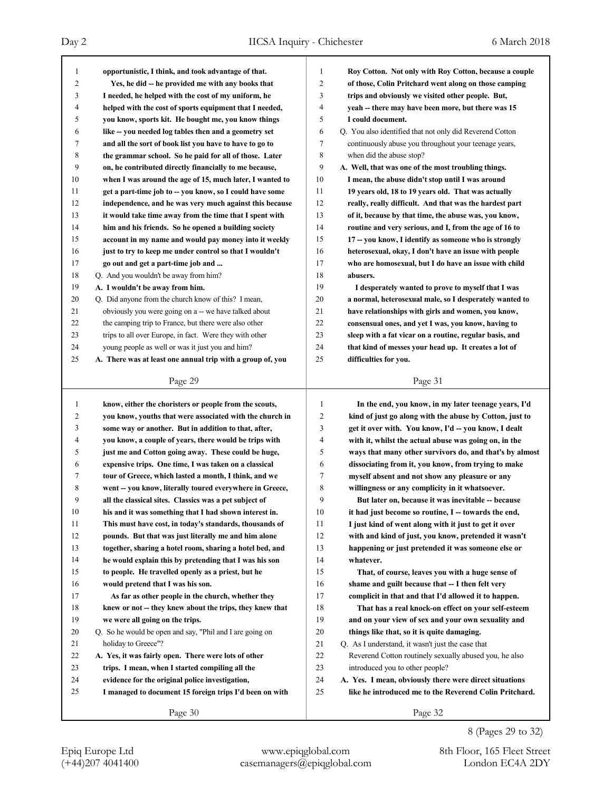| $\mathbf{1}$ | opportunistic, I think, and took advantage of that.        | $\mathbf{1}$   | Roy Cotton. Not only with Roy Cotton, because a couple   |
|--------------|------------------------------------------------------------|----------------|----------------------------------------------------------|
| 2            | Yes, he did -- he provided me with any books that          | $\overline{2}$ | of those, Colin Pritchard went along on those camping    |
| 3            | I needed, he helped with the cost of my uniform, he        | 3              | trips and obviously we visited other people. But,        |
| 4            | helped with the cost of sports equipment that I needed,    | 4              | yeah -- there may have been more, but there was 15       |
| 5            | you know, sports kit. He bought me, you know things        | 5              | I could document.                                        |
| 6            | like – you needed log tables then and a geometry set       | 6              | Q. You also identified that not only did Reverend Cotton |
| 7            | and all the sort of book list you have to have to go to    | 7              | continuously abuse you throughout your teenage years,    |
| 8            | the grammar school. So he paid for all of those. Later     | 8              | when did the abuse stop?                                 |
| 9            | on, he contributed directly financially to me because,     | 9              | A. Well, that was one of the most troubling things.      |
| 10           | when I was around the age of 15, much later, I wanted to   | 10             | I mean, the abuse didn't stop until I was around         |
| 11           | get a part-time job to -- you know, so I could have some   | 11             | 19 years old, 18 to 19 years old. That was actually      |
| 12           | independence, and he was very much against this because    | 12             | really, really difficult. And that was the hardest part  |
| 13           | it would take time away from the time that I spent with    | 13             | of it, because by that time, the abuse was, you know,    |
| 14           | him and his friends. So he opened a building society       | 14             | routine and very serious, and I, from the age of 16 to   |
| 15           | account in my name and would pay money into it weekly      | 15             | 17 -- you know, I identify as someone who is strongly    |
| 16           | just to try to keep me under control so that I wouldn't    | 16             | heterosexual, okay, I don't have an issue with people    |
| 17           | go out and get a part-time job and                         | 17             | who are homosexual, but I do have an issue with child    |
| 18           | Q. And you wouldn't be away from him?                      | 18             | abusers.                                                 |
| 19           | A. I wouldn't be away from him.                            | 19             | I desperately wanted to prove to myself that I was       |
| 20           | Q. Did anyone from the church know of this? I mean,        | 20             | a normal, heterosexual male, so I desperately wanted to  |
| 21           | obviously you were going on a -- we have talked about      | 21             | have relationships with girls and women, you know,       |
| 22           | the camping trip to France, but there were also other      | 22             | consensual ones, and yet I was, you know, having to      |
| 23           | trips to all over Europe, in fact. Were they with other    | 23             | sleep with a fat vicar on a routine, regular basis, and  |
| 24           | young people as well or was it just you and him?           | 24             | that kind of messes your head up. It creates a lot of    |
| 25           | A. There was at least one annual trip with a group of, you | 25             | difficulties for you.                                    |
|              |                                                            |                |                                                          |
|              | Page 29                                                    |                | Page 31                                                  |
|              |                                                            |                |                                                          |
|              |                                                            |                |                                                          |
| $\mathbf{1}$ | know, either the choristers or people from the scouts,     | 1              | In the end, you know, in my later teenage years, I'd     |
| 2            | you know, youths that were associated with the church in   | $\overline{c}$ | kind of just go along with the abuse by Cotton, just to  |
| 3            | some way or another. But in addition to that, after,       | 3              | get it over with. You know, I'd -- you know, I dealt     |
| 4            | you know, a couple of years, there would be trips with     | 4              | with it, whilst the actual abuse was going on, in the    |
| 5            | just me and Cotton going away. These could be huge,        | 5              | ways that many other survivors do, and that's by almost  |
| 6            | expensive trips. One time, I was taken on a classical      | 6              | dissociating from it, you know, from trying to make      |
| 7            | tour of Greece, which lasted a month, I think, and we      | 7              | myself absent and not show any pleasure or any           |
| 8            | went -- you know, literally toured everywhere in Greece,   | 8              | willingness or any complicity in it whatsoever.          |
| 9            | all the classical sites. Classics was a pet subject of     | 9              | But later on, because it was inevitable -- because       |
| 10           | his and it was something that I had shown interest in.     | 10             | it had just become so routine, I -- towards the end,     |
| 11           | This must have cost, in today's standards, thousands of    | 11             | I just kind of went along with it just to get it over    |
| 12           | pounds. But that was just literally me and him alone       | 12             | with and kind of just, you know, pretended it wasn't     |
| 13           | together, sharing a hotel room, sharing a hotel bed, and   | 13             | happening or just pretended it was someone else or       |
| 14           | he would explain this by pretending that I was his son     | 14             | whatever.                                                |
| 15           | to people. He travelled openly as a priest, but he         | 15             | That, of course, leaves you with a huge sense of         |
| 16           | would pretend that I was his son.                          | 16             | shame and guilt because that -- I then felt very         |
| 17           | As far as other people in the church, whether they         | 17             | complicit in that and that I'd allowed it to happen.     |
| 18           | knew or not -- they knew about the trips, they knew that   | $1\,8$         | That has a real knock-on effect on your self-esteem      |
| 19           | we were all going on the trips.                            | 19             | and on your view of sex and your own sexuality and       |
| 20           | Q. So he would be open and say, "Phil and I are going on   | 20             | things like that, so it is quite damaging.               |
| 21           | holiday to Greece"?                                        | 21             | Q. As I understand, it wasn't just the case that         |
| 22           | A. Yes, it was fairly open. There were lots of other       | 22             | Reverend Cotton routinely sexually abused you, he also   |
| 23           | trips. I mean, when I started compiling all the            | 23             | introduced you to other people?                          |
| 24           | evidence for the original police investigation,            | 24             | A. Yes. I mean, obviously there were direct situations   |
| 25           | I managed to document 15 foreign trips I'd been on with    | 25             | like he introduced me to the Reverend Colin Pritchard.   |

8 (Pages 29 to 32)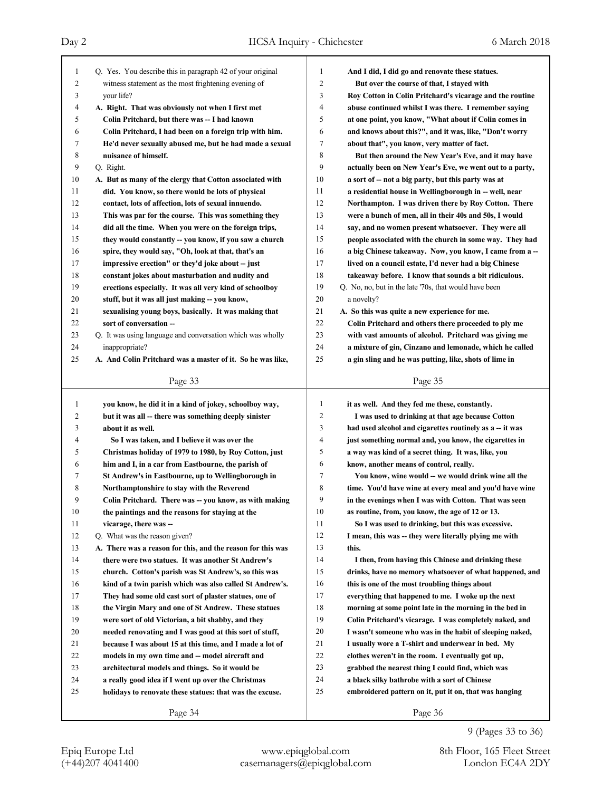| $\mathbf{1}$ | Q. Yes. You describe this in paragraph 42 of your original  | 1              | And I did, I did go and renovate these statues.          |
|--------------|-------------------------------------------------------------|----------------|----------------------------------------------------------|
| 2            | witness statement as the most frightening evening of        | 2              | But over the course of that, I stayed with               |
| 3            | your life?                                                  | 3              | Roy Cotton in Colin Pritchard's vicarage and the routine |
| 4            | A. Right. That was obviously not when I first met           | 4              | abuse continued whilst I was there. I remember saying    |
| 5            | Colin Pritchard, but there was -- I had known               | 5              | at one point, you know, "What about if Colin comes in    |
| 6            | Colin Pritchard, I had been on a foreign trip with him.     | 6              | and knows about this?", and it was, like, "Don't worry   |
| 7            | He'd never sexually abused me, but he had made a sexual     | 7              | about that", you know, very matter of fact.              |
| 8            | nuisance of himself.                                        | 8              | But then around the New Year's Eve, and it may have      |
| 9            | Q. Right.                                                   | 9              | actually been on New Year's Eve, we went out to a party, |
| 10           | A. But as many of the clergy that Cotton associated with    | 10             | a sort of -- not a big party, but this party was at      |
| 11           | did. You know, so there would be lots of physical           | 11             | a residential house in Wellingborough in -- well, near   |
| 12           | contact, lots of affection, lots of sexual innuendo.        | 12             | Northampton. I was driven there by Roy Cotton. There     |
| 13           | This was par for the course. This was something they        | 13             | were a bunch of men, all in their 40s and 50s, I would   |
| 14           | did all the time. When you were on the foreign trips,       | 14             | say, and no women present whatsoever. They were all      |
| 15           | they would constantly -- you know, if you saw a church      | 15             | people associated with the church in some way. They had  |
| 16           | spire, they would say, "Oh, look at that, that's an         | 16             | a big Chinese takeaway. Now, you know, I came from a --  |
| 17           | impressive erection" or they'd joke about -- just           | 17             | lived on a council estate, I'd never had a big Chinese   |
| 18           | constant jokes about masturbation and nudity and            | 18             | takeaway before. I know that sounds a bit ridiculous.    |
| 19           | erections especially. It was all very kind of schoolboy     | 19             | Q. No, no, but in the late '70s, that would have been    |
| 20           | stuff, but it was all just making -- you know,              | 20             | a novelty?                                               |
| 21           | sexualising young boys, basically. It was making that       | 21             | A. So this was quite a new experience for me.            |
| 22           | sort of conversation --                                     | 22             | Colin Pritchard and others there proceeded to ply me     |
| 23           | Q. It was using language and conversation which was wholly  | 23             | with vast amounts of alcohol. Pritchard was giving me    |
| 24           | inappropriate?                                              | 24             | a mixture of gin, Cinzano and lemonade, which he called  |
| 25           | A. And Colin Pritchard was a master of it. So he was like,  | 25             | a gin sling and he was putting, like, shots of lime in   |
|              |                                                             |                |                                                          |
|              | Page 33                                                     |                | Page 35                                                  |
|              |                                                             |                |                                                          |
|              |                                                             |                |                                                          |
| 1            | you know, he did it in a kind of jokey, schoolboy way,      | 1              | it as well. And they fed me these, constantly.           |
| 2            | but it was all -- there was something deeply sinister       | $\overline{c}$ | I was used to drinking at that age because Cotton        |
| 3            | about it as well.                                           | 3              | had used alcohol and cigarettes routinely as a -- it was |
| 4            | So I was taken, and I believe it was over the               | 4              | just something normal and, you know, the cigarettes in   |
| 5            | Christmas holiday of 1979 to 1980, by Roy Cotton, just      | 5              | a way was kind of a secret thing. It was, like, you      |
| 6            | him and I, in a car from Eastbourne, the parish of          | 6              | know, another means of control, really.                  |
| 7            | St Andrew's in Eastbourne, up to Wellingborough in          | 7              | You know, wine would -- we would drink wine all the      |
| 8            | Northamptonshire to stay with the Reverend                  | 8              | time. You'd have wine at every meal and you'd have wine  |
| 9            | Colin Pritchard. There was -- you know, as with making      | 9              | in the evenings when I was with Cotton. That was seen    |
| 10           | the paintings and the reasons for staying at the            | 10             | as routine, from, you know, the age of 12 or 13.         |
| 11           | vicarage, there was --                                      | 11             | So I was used to drinking, but this was excessive.       |
| 12           | Q. What was the reason given?                               | 12             | I mean, this was -- they were literally plying me with   |
| 13           | A. There was a reason for this, and the reason for this was | 13             | this.                                                    |
| 14           | there were two statues. It was another St Andrew's          | 14             | I then, from having this Chinese and drinking these      |
| 15           | church. Cotton's parish was St Andrew's, so this was        | 15             | drinks, have no memory whatsoever of what happened, and  |
| 16           | kind of a twin parish which was also called St Andrew's.    | 16             | this is one of the most troubling things about           |
| 17           | They had some old cast sort of plaster statues, one of      | 17             | everything that happened to me. I woke up the next       |
| 18           | the Virgin Mary and one of St Andrew. These statues         | 18             | morning at some point late in the morning in the bed in  |
| 19           | were sort of old Victorian, a bit shabby, and they          | 19             | Colin Pritchard's vicarage. I was completely naked, and  |
| 20           | needed renovating and I was good at this sort of stuff,     | $20\,$         | I wasn't someone who was in the habit of sleeping naked, |
| 21           | because I was about 15 at this time, and I made a lot of    | 21             | I usually wore a T-shirt and underwear in bed. My        |
| 22           | models in my own time and -- model aircraft and             | $22\,$         | clothes weren't in the room. I eventually got up,        |
| 23           | architectural models and things. So it would be             | 23             | grabbed the nearest thing I could find, which was        |
| 24           | a really good idea if I went up over the Christmas          | 24             | a black silky bathrobe with a sort of Chinese            |
| 25           | holidays to renovate these statues: that was the excuse.    | 25             | embroidered pattern on it, put it on, that was hanging   |
|              | Page 34                                                     |                | Page 36                                                  |

(+44)207 4041400 casemanagers@epiqglobal.com London EC4A 2DY Epiq Europe Ltd www.epiqglobal.com 8th Floor, 165 Fleet Street

9 (Pages 33 to 36)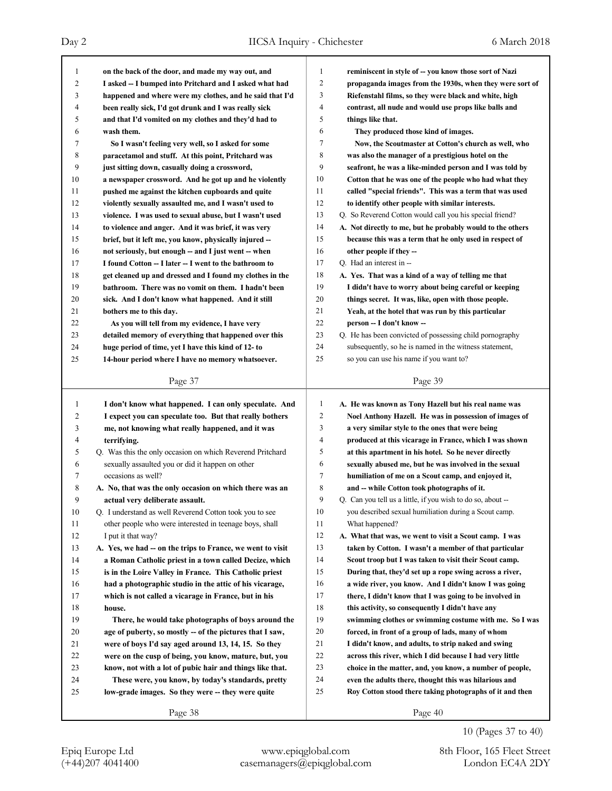| 1            | on the back of the door, and made my way out, and          | 1      | reminiscent in style of -- you know those sort of Nazi      |
|--------------|------------------------------------------------------------|--------|-------------------------------------------------------------|
| 2            | I asked -- I bumped into Pritchard and I asked what had    | 2      | propaganda images from the 1930s, when they were sort of    |
| 3            | happened and where were my clothes, and he said that I'd   | 3      | Riefenstahl films, so they were black and white, high       |
| 4            | been really sick, I'd got drunk and I was really sick      | 4      | contrast, all nude and would use props like balls and       |
| 5            | and that I'd vomited on my clothes and they'd had to       | 5      | things like that.                                           |
| 6            | wash them.                                                 | 6      | They produced those kind of images.                         |
| 7            | So I wasn't feeling very well, so I asked for some         | 7      | Now, the Scoutmaster at Cotton's church as well, who        |
| 8            | paracetamol and stuff. At this point, Pritchard was        | 8      | was also the manager of a prestigious hotel on the          |
| 9            | just sitting down, casually doing a crossword,             | 9      | seafront, he was a like-minded person and I was told by     |
| 10           | a newspaper crossword. And he got up and he violently      | 10     | Cotton that he was one of the people who had what they      |
| 11           | pushed me against the kitchen cupboards and quite          | 11     | called "special friends". This was a term that was used     |
| 12           | violently sexually assaulted me, and I wasn't used to      | 12     | to identify other people with similar interests.            |
| 13           | violence. I was used to sexual abuse, but I wasn't used    | 13     | Q. So Reverend Cotton would call you his special friend?    |
| 14           | to violence and anger. And it was brief, it was very       | 14     | A. Not directly to me, but he probably would to the others  |
| 15           | brief, but it left me, you know, physically injured -      | 15     | because this was a term that he only used in respect of     |
| 16           | not seriously, but enough – and I just went – when         | 16     | other people if they --                                     |
| 17           | I found Cotton -- I later -- I went to the bathroom to     | 17     | Q. Had an interest in --                                    |
| 18           | get cleaned up and dressed and I found my clothes in the   | 18     | A. Yes. That was a kind of a way of telling me that         |
| 19           | bathroom. There was no vomit on them. I hadn't been        | 19     | I didn't have to worry about being careful or keeping       |
| 20           | sick. And I don't know what happened. And it still         | 20     | things secret. It was, like, open with those people.        |
| 21           | bothers me to this day.                                    | 21     | Yeah, at the hotel that was run by this particular          |
| 22           | As you will tell from my evidence, I have very             | 22     | person -- I don't know --                                   |
| 23           | detailed memory of everything that happened over this      | 23     | Q. He has been convicted of possessing child pornography    |
| 24           | huge period of time, yet I have this kind of 12- to        | 24     | subsequently, so he is named in the witness statement,      |
| 25           | 14-hour period where I have no memory whatsoever.          | 25     | so you can use his name if you want to?                     |
|              |                                                            |        |                                                             |
|              | Page 37                                                    |        | Page 39                                                     |
|              |                                                            |        |                                                             |
|              |                                                            |        |                                                             |
| $\mathbf{1}$ | I don't know what happened. I can only speculate. And      | 1      | A. He was known as Tony Hazell but his real name was        |
| 2            | I expect you can speculate too. But that really bothers    | 2      | Noel Anthony Hazell. He was in possession of images of      |
| 3            | me, not knowing what really happened, and it was           | 3      | a very similar style to the ones that were being            |
| 4            | terrifying.                                                | 4      | produced at this vicarage in France, which I was shown      |
| 5            | Q. Was this the only occasion on which Reverend Pritchard  | 5      | at this apartment in his hotel. So he never directly        |
| 6            | sexually assaulted you or did it happen on other           | 6      | sexually abused me, but he was involved in the sexual       |
| 7            | occasions as well?                                         | 7      | humiliation of me on a Scout camp, and enjoyed it,          |
| 8            | A. No, that was the only occasion on which there was an    | 8      | and -- while Cotton took photographs of it.                 |
| 9            | actual very deliberate assault.                            | 9      | Q. Can you tell us a little, if you wish to do so, about -- |
| 10           | Q. I understand as well Reverend Cotton took you to see    | 10     | you described sexual humiliation during a Scout camp.       |
| 11           | other people who were interested in teenage boys, shall    | 11     | What happened?                                              |
| 12           | I put it that way?                                         | 12     | A. What that was, we went to visit a Scout camp. I was      |
| 13           | A. Yes, we had -- on the trips to France, we went to visit | 13     | taken by Cotton. I wasn't a member of that particular       |
| 14           | a Roman Catholic priest in a town called Decize, which     | 14     | Scout troop but I was taken to visit their Scout camp.      |
| 15           | is in the Loire Valley in France. This Catholic priest     | 15     | During that, they'd set up a rope swing across a river,     |
| 16           | had a photographic studio in the attic of his vicarage,    | 16     | a wide river, you know. And I didn't know I was going       |
| 17           | which is not called a vicarage in France, but in his       | 17     | there, I didn't know that I was going to be involved in     |
| $18\,$       | house.                                                     | 18     | this activity, so consequently I didn't have any            |
| 19           | There, he would take photographs of boys around the        | 19     | swimming clothes or swimming costume with me. So I was      |
| 20           | age of puberty, so mostly -- of the pictures that I saw,   | $20\,$ | forced, in front of a group of lads, many of whom           |
| 21           | were of boys I'd say aged around 13, 14, 15. So they       | 21     | I didn't know, and adults, to strip naked and swing         |
| 22           | were on the cusp of being, you know, mature, but, you      | 22     | across this river, which I did because I had very little    |
| 23           | know, not with a lot of pubic hair and things like that.   | 23     | choice in the matter, and, you know, a number of people,    |
| 24           | These were, you know, by today's standards, pretty         | 24     | even the adults there, thought this was hilarious and       |
| 25           | low-grade images. So they were -- they were quite          | 25     | Roy Cotton stood there taking photographs of it and then    |
|              | Page 38                                                    |        | Page 40                                                     |

10 (Pages 37 to 40)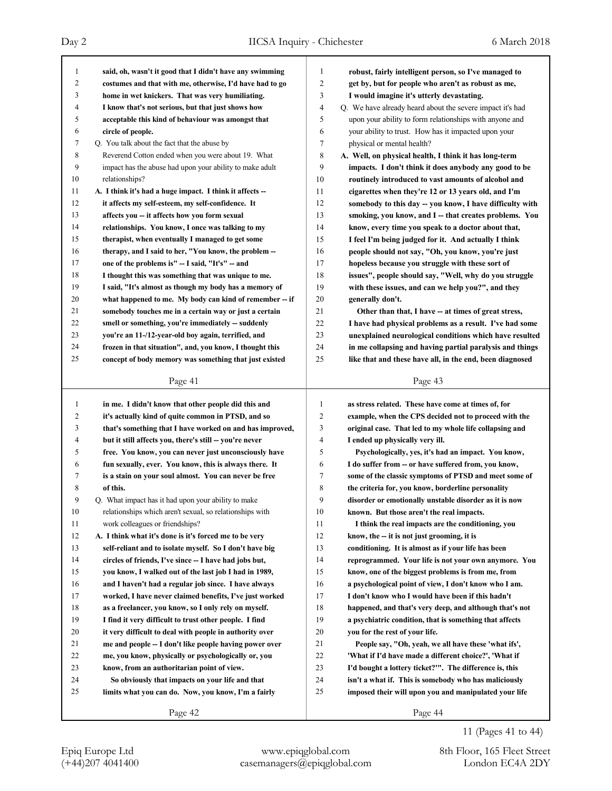## Day 2 IICSA Inquiry - Chichester 6 March 2018

Page 41  **said, oh, wasn't it good that I didn't have any swimming costumes and that with me, otherwise, I'd have had to go home in wet knickers. That was very humiliating. I know that's not serious, but that just shows how acceptable this kind of behaviour was amongst that circle of people.** 7 Q. You talk about the fact that the abuse by 8 Reverend Cotton ended when you were about 19. What 9 impact has the abuse had upon your ability to make adult 10 relationships? **A. I think it's had a huge impact. I think it affects -- it affects my self-esteem, my self-confidence. It affects you -- it affects how you form sexual relationships. You know, I once was talking to my therapist, when eventually I managed to get some therapy, and I said to her, "You know, the problem -- one of the problems is" -- I said, "It's" -- and I thought this was something that was unique to me. I said, "It's almost as though my body has a memory of what happened to me. My body can kind of remember -- if somebody touches me in a certain way or just a certain smell or something, you're immediately -- suddenly you're an 11-/12-year-old boy again, terrified, and frozen in that situation", and, you know, I thought this concept of body memory was something that just existed in me. I didn't know that other people did this and it's actually kind of quite common in PTSD, and so that's something that I have worked on and has improved, but it still affects you, there's still -- you're never free. You know, you can never just unconsciously have fun sexually, ever. You know, this is always there. It is a stain on your soul almost. You can never be free of this.** 9 Q. What impact has it had upon your ability to make 10 relationships which aren't sexual, so relationships with 11 work colleagues or friendships? **A. I think what it's done is it's forced me to be very self-reliant and to isolate myself. So I don't have big circles of friends, I've since -- I have had jobs but, you know, I walked out of the last job I had in 1989, and I haven't had a regular job since. I have always worked, I have never claimed benefits, I've just worked as a freelancer, you know, so I only rely on myself. I find it very difficult to trust other people. I find it very difficult to deal with people in authority over me and people -- I don't like people having power over me, you know, physically or psychologically or, you know, from an authoritarian point of view. So obviously that impacts on your life and that limits what you can do. Now, you know, I'm a fairly** Page 43  **robust, fairly intelligent person, so I've managed to get by, but for people who aren't as robust as me, I would imagine it's utterly devastating.** 4 Q. We have already heard about the severe impact it's had 5 upon your ability to form relationships with anyone and 6 your ability to trust. How has it impacted upon your 7 physical or mental health? **A. Well, on physical health, I think it has long-term impacts. I don't think it does anybody any good to be routinely introduced to vast amounts of alcohol and cigarettes when they're 12 or 13 years old, and I'm somebody to this day -- you know, I have difficulty with smoking, you know, and I -- that creates problems. You know, every time you speak to a doctor about that, I feel I'm being judged for it. And actually I think people should not say, "Oh, you know, you're just hopeless because you struggle with these sort of issues", people should say, "Well, why do you struggle with these issues, and can we help you?", and they generally don't. Other than that, I have -- at times of great stress, I have had physical problems as a result. I've had some unexplained neurological conditions which have resulted in me collapsing and having partial paralysis and things like that and these have all, in the end, been diagnosed** Page 44  **as stress related. These have come at times of, for example, when the CPS decided not to proceed with the original case. That led to my whole life collapsing and I ended up physically very ill. Psychologically, yes, it's had an impact. You know, I do suffer from -- or have suffered from, you know, some of the classic symptoms of PTSD and meet some of the criteria for, you know, borderline personality disorder or emotionally unstable disorder as it is now known. But those aren't the real impacts. I think the real impacts are the conditioning, you know, the -- it is not just grooming, it is conditioning. It is almost as if your life has been reprogrammed. Your life is not your own anymore. You know, one of the biggest problems is from me, from a psychological point of view, I don't know who I am. I don't know who I would have been if this hadn't happened, and that's very deep, and although that's not a psychiatric condition, that is something that affects you for the rest of your life. People say, "Oh, yeah, we all have these 'what ifs', 'What if I'd have made a different choice?', 'What if I'd bought a lottery ticket?'". The difference is, this isn't a what if. This is somebody who has maliciously imposed their will upon you and manipulated your life**

Page 42

(+44)207 4041400 casemanagers@epiqglobal.com London EC4A 2DY Epiq Europe Ltd www.epiqglobal.com 8th Floor, 165 Fleet Street

11 (Pages 41 to 44)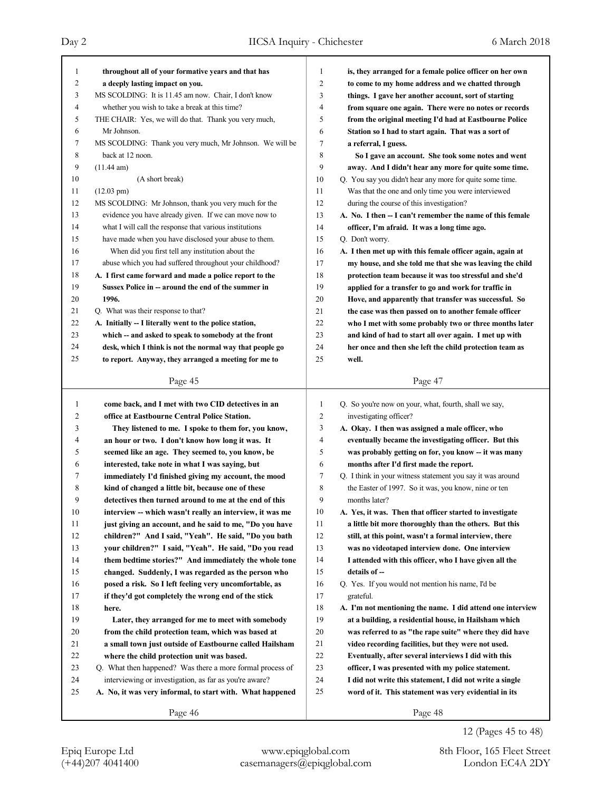| 1              | throughout all of your formative years and that has       | $\mathbf{1}$   | is, they arranged for a female police officer on her own   |
|----------------|-----------------------------------------------------------|----------------|------------------------------------------------------------|
| 2              | a deeply lasting impact on you.                           | $\overline{2}$ | to come to my home address and we chatted through          |
| 3              | MS SCOLDING: It is 11.45 am now. Chair, I don't know      | 3              | things. I gave her another account, sort of starting       |
| 4              | whether you wish to take a break at this time?            | $\overline{4}$ | from square one again. There were no notes or records      |
| 5              | THE CHAIR: Yes, we will do that. Thank you very much,     | 5              | from the original meeting I'd had at Eastbourne Police     |
| 6              | Mr Johnson.                                               | 6              | Station so I had to start again. That was a sort of        |
| 7              | MS SCOLDING: Thank you very much, Mr Johnson. We will be  | 7              | a referral, I guess.                                       |
| 8              | back at 12 noon.                                          | 8              | So I gave an account. She took some notes and went         |
| 9              | (11.44 am)                                                | 9              | away. And I didn't hear any more for quite some time.      |
| 10             | (A short break)                                           | 10             | Q. You say you didn't hear any more for quite some time.   |
| 11             | $(12.03 \text{ pm})$                                      | 11             | Was that the one and only time you were interviewed        |
| 12             | MS SCOLDING: Mr Johnson, thank you very much for the      | 12             | during the course of this investigation?                   |
| 13             | evidence you have already given. If we can move now to    | 13             | A. No. I then -- I can't remember the name of this female  |
| 14             | what I will call the response that various institutions   | 14             | officer, I'm afraid. It was a long time ago.               |
| 15             | have made when you have disclosed your abuse to them.     | 15             | Q. Don't worry.                                            |
| 16             | When did you first tell any institution about the         | 16             | A. I then met up with this female officer again, again at  |
| 17             | abuse which you had suffered throughout your childhood?   | 17             | my house, and she told me that she was leaving the child   |
| 18             | A. I first came forward and made a police report to the   | 18             | protection team because it was too stressful and she'd     |
| 19             | Sussex Police in -- around the end of the summer in       | 19             | applied for a transfer to go and work for traffic in       |
| 20             | 1996.                                                     | 20             | Hove, and apparently that transfer was successful. So      |
| 21             | Q. What was their response to that?                       | 21             | the case was then passed on to another female officer      |
| 22             | A. Initially -- I literally went to the police station,   | 22             | who I met with some probably two or three months later     |
| 23             | which -- and asked to speak to somebody at the front      | 23             | and kind of had to start all over again. I met up with     |
| 24             | desk, which I think is not the normal way that people go  | 24             | her once and then she left the child protection team as    |
| 25             | to report. Anyway, they arranged a meeting for me to      | 25             | well.                                                      |
|                |                                                           |                |                                                            |
|                | Page 45                                                   |                | Page 47                                                    |
|                |                                                           |                |                                                            |
|                |                                                           |                |                                                            |
| $\mathbf{1}$   | come back, and I met with two CID detectives in an        | $\mathbf{1}$   | Q. So you're now on your, what, fourth, shall we say,      |
| 2              | office at Eastbourne Central Police Station.              | $\overline{2}$ | investigating officer?                                     |
| 3              | They listened to me. I spoke to them for, you know,       | 3              | A. Okay. I then was assigned a male officer, who           |
| $\overline{4}$ | an hour or two. I don't know how long it was. It          | $\overline{4}$ | eventually became the investigating officer. But this      |
| 5              | seemed like an age. They seemed to, you know, be          | 5              | was probably getting on for, you know -- it was many       |
| 6              | interested, take note in what I was saying, but           | 6              | months after I'd first made the report.                    |
| 7              | immediately I'd finished giving my account, the mood      | 7              | Q. I think in your witness statement you say it was around |
| 8              | kind of changed a little bit, because one of these        | 8              | the Easter of 1997. So it was, you know, nine or ten       |
| 9              | detectives then turned around to me at the end of this    | 9              | months later?                                              |
| 10             | interview -- which wasn't really an interview, it was me  | 10             | A. Yes, it was. Then that officer started to investigate   |
| 11             | just giving an account, and he said to me, "Do you have   | 11             | a little bit more thoroughly than the others. But this     |
| 12             | children?" And I said, "Yeah". He said, "Do you bath      | 12             | still, at this point, wasn't a formal interview, there     |
| 13             | your children?" I said, "Yeah". He said, "Do you read     | 13             | was no videotaped interview done. One interview            |
| 14             | them bedtime stories?" And immediately the whole tone     | 14             | I attended with this officer, who I have given all the     |
| 15             | changed. Suddenly, I was regarded as the person who       | 15             | details of --                                              |
| 16             | posed a risk. So I left feeling very uncomfortable, as    | 16             | Q. Yes. If you would not mention his name, I'd be          |
| 17             | if they'd got completely the wrong end of the stick       | 17             | grateful.                                                  |
| 18             | here.                                                     | 18             | A. I'm not mentioning the name. I did attend one interview |
| 19             | Later, they arranged for me to meet with somebody         | 19             | at a building, a residential house, in Hailsham which      |
| 20             | from the child protection team, which was based at        | 20             | was referred to as "the rape suite" where they did have    |
| 21             | a small town just outside of Eastbourne called Hailsham   | 21             | video recording facilities, but they were not used.        |
| 22             | where the child protection unit was based.                | 22             | Eventually, after several interviews I did with this       |
| 23             | Q. What then happened? Was there a more formal process of | 23             | officer, I was presented with my police statement.         |
| 24             | interviewing or investigation, as far as you're aware?    | 24             | I did not write this statement, I did not write a single   |
| 25             | A. No, it was very informal, to start with. What happened | 25             | word of it. This statement was very evidential in its      |
|                | Page 46                                                   |                | Page 48                                                    |

12 (Pages 45 to 48)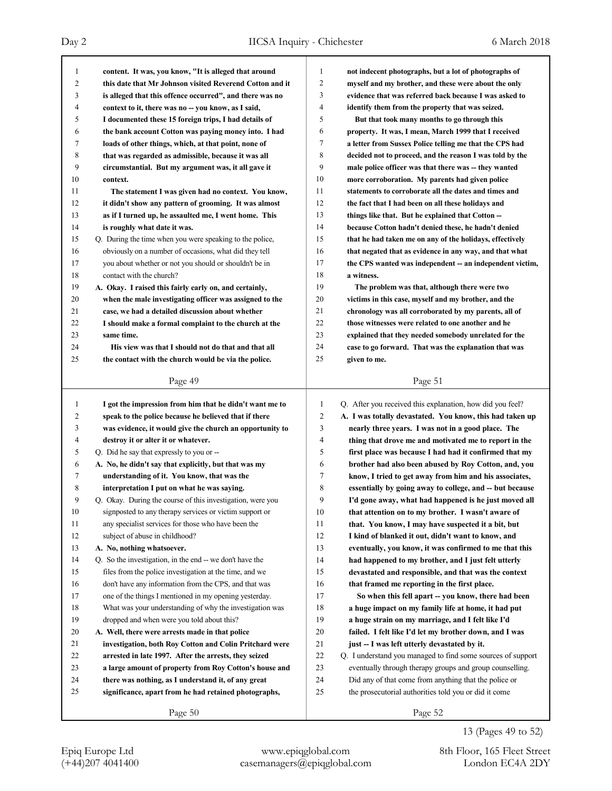| 1              | content. It was, you know, "It is alleged that around      | $\mathbf{1}$   | not indecent photographs, but a lot of photographs of       |
|----------------|------------------------------------------------------------|----------------|-------------------------------------------------------------|
| $\overline{c}$ | this date that Mr Johnson visited Reverend Cotton and it   | $\overline{c}$ | myself and my brother, and these were about the only        |
| 3              | is alleged that this offence occurred", and there was no   | 3              | evidence that was referred back because I was asked to      |
| 4              | context to it, there was no -- you know, as I said,        | 4              | identify them from the property that was seized.            |
| 5              | I documented these 15 foreign trips, I had details of      | 5              | But that took many months to go through this                |
| 6              | the bank account Cotton was paying money into. I had       | 6              | property. It was, I mean, March 1999 that I received        |
| 7              | loads of other things, which, at that point, none of       | 7              | a letter from Sussex Police telling me that the CPS had     |
| 8              | that was regarded as admissible, because it was all        | 8              | decided not to proceed, and the reason I was told by the    |
| 9              | circumstantial. But my argument was, it all gave it        | 9              | male police officer was that there was -- they wanted       |
| 10             | context.                                                   | 10             | more corroboration. My parents had given police             |
| 11             | The statement I was given had no context. You know,        | 11             | statements to corroborate all the dates and times and       |
| 12             | it didn't show any pattern of grooming. It was almost      | 12             | the fact that I had been on all these holidays and          |
| 13             | as if I turned up, he assaulted me, I went home. This      | 13             | things like that. But he explained that Cotton --           |
| 14             | is roughly what date it was.                               | 14             | because Cotton hadn't denied these, he hadn't denied        |
| 15             | Q. During the time when you were speaking to the police,   | 15             | that he had taken me on any of the holidays, effectively    |
| 16             | obviously on a number of occasions, what did they tell     | 16             | that negated that as evidence in any way, and that what     |
| 17             | you about whether or not you should or shouldn't be in     | 17             | the CPS wanted was independent -- an independent victim,    |
| 18             | contact with the church?                                   | 18             | a witness.                                                  |
| 19             | A. Okay. I raised this fairly early on, and certainly,     | 19             | The problem was that, although there were two               |
| 20             | when the male investigating officer was assigned to the    | 20             | victims in this case, myself and my brother, and the        |
| 21             | case, we had a detailed discussion about whether           | 21             | chronology was all corroborated by my parents, all of       |
| 22             | I should make a formal complaint to the church at the      | 22             | those witnesses were related to one another and he          |
| 23             | same time.                                                 | 23             | explained that they needed somebody unrelated for the       |
| 24             | His view was that I should not do that and that all        | 24             | case to go forward. That was the explanation that was       |
| 25             | the contact with the church would be via the police.       | 25             | given to me.                                                |
|                |                                                            |                |                                                             |
|                | Page 49                                                    |                | Page 51                                                     |
|                |                                                            |                |                                                             |
|                |                                                            |                |                                                             |
| 1              | I got the impression from him that he didn't want me to    | 1              | Q. After you received this explanation, how did you feel?   |
| 2              | speak to the police because he believed that if there      | $\overline{2}$ | A. I was totally devastated. You know, this had taken up    |
| 3              | was evidence, it would give the church an opportunity to   | 3              | nearly three years. I was not in a good place. The          |
| 4              | destroy it or alter it or whatever.                        | 4              | thing that drove me and motivated me to report in the       |
| 5              | Q. Did he say that expressly to you or --                  | 5              | first place was because I had had it confirmed that my      |
| 6              | A. No, he didn't say that explicitly, but that was my      | 6              | brother had also been abused by Roy Cotton, and, you        |
| 7              | understanding of it. You know, that was the                | 7              | know, I tried to get away from him and his associates,      |
| 8              | interpretation I put on what he was saying.                | 8              | essentially by going away to college, and -- but because    |
| 9              | Q. Okay. During the course of this investigation, were you | 9              | I'd gone away, what had happened is he just moved all       |
| $10\,$         | signposted to any therapy services or victim support or    | $10\,$         | that attention on to my brother. I wasn't aware of          |
| 11             | any specialist services for those who have been the        | 11             | that. You know, I may have suspected it a bit, but          |
| 12             | subject of abuse in childhood?                             | 12             | I kind of blanked it out, didn't want to know, and          |
| 13             | A. No, nothing whatsoever.                                 | 13             | eventually, you know, it was confirmed to me that this      |
| 14             | Q. So the investigation, in the end -- we don't have the   | 14             | had happened to my brother, and I just felt utterly         |
| 15             | files from the police investigation at the time, and we    | 15             | devastated and responsible, and that was the context        |
| 16             | don't have any information from the CPS, and that was      | 16             | that framed me reporting in the first place.                |
| 17             | one of the things I mentioned in my opening yesterday.     | 17             | So when this fell apart -- you know, there had been         |
| 18             | What was your understanding of why the investigation was   | 18             | a huge impact on my family life at home, it had put         |
| 19             | dropped and when were you told about this?                 | 19             | a huge strain on my marriage, and I felt like I'd           |
| 20             | A. Well, there were arrests made in that police            | 20             | failed. I felt like I'd let my brother down, and I was      |
| 21             | investigation, both Roy Cotton and Colin Pritchard were    | 21             | just -- I was left utterly devastated by it.                |
| 22             | arrested in late 1997. After the arrests, they seized      | 22             | Q. I understand you managed to find some sources of support |
| 23             | a large amount of property from Roy Cotton's house and     | 23             | eventually through therapy groups and group counselling.    |
| 24             | there was nothing, as I understand it, of any great        | 24             | Did any of that come from anything that the police or       |
| 25             | significance, apart from he had retained photographs,      | 25             | the prosecutorial authorities told you or did it come       |
|                | Page 50                                                    |                | Page 52                                                     |

13 (Pages 49 to 52)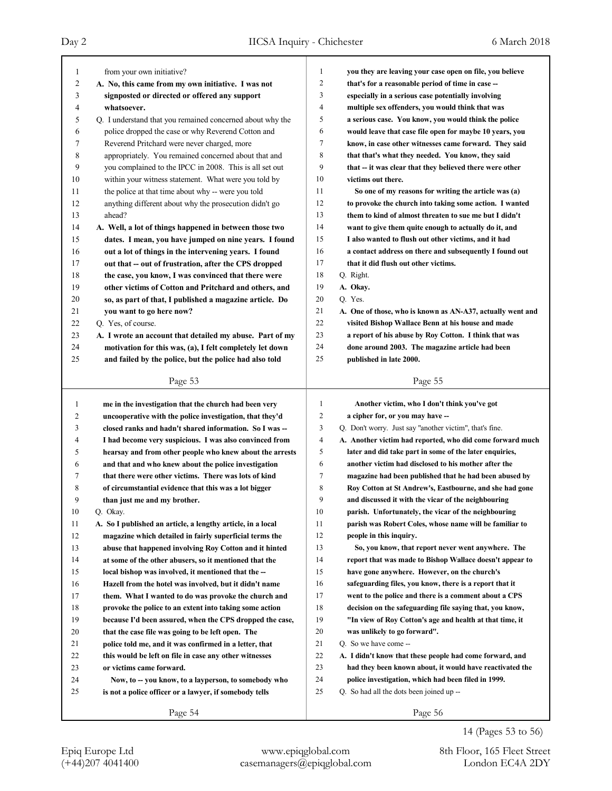| 1                       | from your own initiative?                                   | 1              | you they are leaving your case open on file, you believe   |
|-------------------------|-------------------------------------------------------------|----------------|------------------------------------------------------------|
| 2                       | A. No, this came from my own initiative. I was not          | $\overline{2}$ | that's for a reasonable period of time in case --          |
| 3                       | signposted or directed or offered any support               | 3              | especially in a serious case potentially involving         |
| 4                       | whatsoever.                                                 | $\overline{4}$ | multiple sex offenders, you would think that was           |
| 5                       | Q. I understand that you remained concerned about why the   | 5              | a serious case. You know, you would think the police       |
| 6                       | police dropped the case or why Reverend Cotton and          | 6              | would leave that case file open for maybe 10 years, you    |
| 7                       | Reverend Pritchard were never charged, more                 | 7              | know, in case other witnesses came forward. They said      |
| 8                       | appropriately. You remained concerned about that and        | 8              | that that's what they needed. You know, they said          |
| 9                       | you complained to the IPCC in 2008. This is all set out     | 9              | that -- it was clear that they believed there were other   |
| 10                      | within your witness statement. What were you told by        | 10             | victims out there.                                         |
| 11                      | the police at that time about why -- were you told          | 11             | So one of my reasons for writing the article was (a)       |
| 12                      | anything different about why the prosecution didn't go      | 12             | to provoke the church into taking some action. I wanted    |
| 13                      | ahead?                                                      | 13             | them to kind of almost threaten to sue me but I didn't     |
| 14                      | A. Well, a lot of things happened in between those two      | 14             | want to give them quite enough to actually do it, and      |
| 15                      | dates. I mean, you have jumped on nine years. I found       | 15             | I also wanted to flush out other victims, and it had       |
| 16                      | out a lot of things in the intervening years. I found       | 16             | a contact address on there and subsequently I found out    |
| 17                      | out that -- out of frustration, after the CPS dropped       | 17             | that it did flush out other victims.                       |
| 18                      | the case, you know, I was convinced that there were         | 18             | Q. Right.                                                  |
| 19                      | other victims of Cotton and Pritchard and others, and       | 19             | A. Okay.                                                   |
| 20                      | so, as part of that, I published a magazine article. Do     | 20             | Q. Yes.                                                    |
| 21                      | you want to go here now?                                    | 21             | A. One of those, who is known as AN-A37, actually went and |
| 22                      | Q. Yes, of course.                                          | 22             | visited Bishop Wallace Benn at his house and made          |
| 23                      | A. I wrote an account that detailed my abuse. Part of my    | 23             | a report of his abuse by Roy Cotton. I think that was      |
| 24                      | motivation for this was, (a), I felt completely let down    | 24             | done around 2003. The magazine article had been            |
| 25                      | and failed by the police, but the police had also told      | 25             | published in late 2000.                                    |
|                         |                                                             |                |                                                            |
|                         | Page 53                                                     |                | Page 55                                                    |
|                         |                                                             |                |                                                            |
|                         |                                                             |                |                                                            |
| $\mathbf{1}$            | me in the investigation that the church had been very       | 1              | Another victim, who I don't think you've got               |
| $\overline{\mathbf{c}}$ | uncooperative with the police investigation, that they'd    | 2              | a cipher for, or you may have --                           |
| 3                       | closed ranks and hadn't shared information. So I was --     | 3              | Q. Don't worry. Just say "another victim", that's fine.    |
| 4                       | I had become very suspicious. I was also convinced from     | $\overline{4}$ | A. Another victim had reported, who did come forward much  |
| 5                       | hearsay and from other people who knew about the arrests    | 5              | later and did take part in some of the later enquiries,    |
| 6                       | and that and who knew about the police investigation        | 6              | another victim had disclosed to his mother after the       |
| 7                       | that there were other victims. There was lots of kind       | 7              | magazine had been published that he had been abused by     |
| 8                       | of circumstantial evidence that this was a lot bigger       | 8              | Roy Cotton at St Andrew's, Eastbourne, and she had gone    |
| 9                       | than just me and my brother.                                | 9              | and discussed it with the vicar of the neighbouring        |
| 10                      | Q. Okay.                                                    | 10             | parish. Unfortunately, the vicar of the neighbouring       |
| 11                      | A. So I published an article, a lengthy article, in a local | 11             | parish was Robert Coles, whose name will be familiar to    |
| 12                      | magazine which detailed in fairly superficial terms the     | 12             | people in this inquiry.                                    |
| 13                      | abuse that happened involving Roy Cotton and it hinted      | 13             | So, you know, that report never went anywhere. The         |
| 14                      | at some of the other abusers, so it mentioned that the      | 14             | report that was made to Bishop Wallace doesn't appear to   |
| 15                      | local bishop was involved, it mentioned that the --         | 15             | have gone anywhere. However, on the church's               |
| 16                      | Hazell from the hotel was involved, but it didn't name      | 16             | safeguarding files, you know, there is a report that it    |
| 17                      | them. What I wanted to do was provoke the church and        | 17             | went to the police and there is a comment about a CPS      |
| 18                      | provoke the police to an extent into taking some action     | 18             | decision on the safeguarding file saying that, you know,   |
| 19                      | because I'd been assured, when the CPS dropped the case,    | 19             | "In view of Roy Cotton's age and health at that time, it   |
| 20                      | that the case file was going to be left open. The           | 20             | was unlikely to go forward".                               |
| 21                      | police told me, and it was confirmed in a letter, that      | 21             | Q. So we have come --                                      |
| 22                      | this would be left on file in case any other witnesses      | 22             | A. I didn't know that these people had come forward, and   |
| 23                      | or victims came forward.                                    | 23             | had they been known about, it would have reactivated the   |
| 24                      | Now, to -- you know, to a layperson, to somebody who        | 24             | police investigation, which had been filed in 1999.        |
| 25                      | is not a police officer or a lawyer, if somebody tells      | 25             | Q. So had all the dots been joined up --                   |

14 (Pages 53 to 56)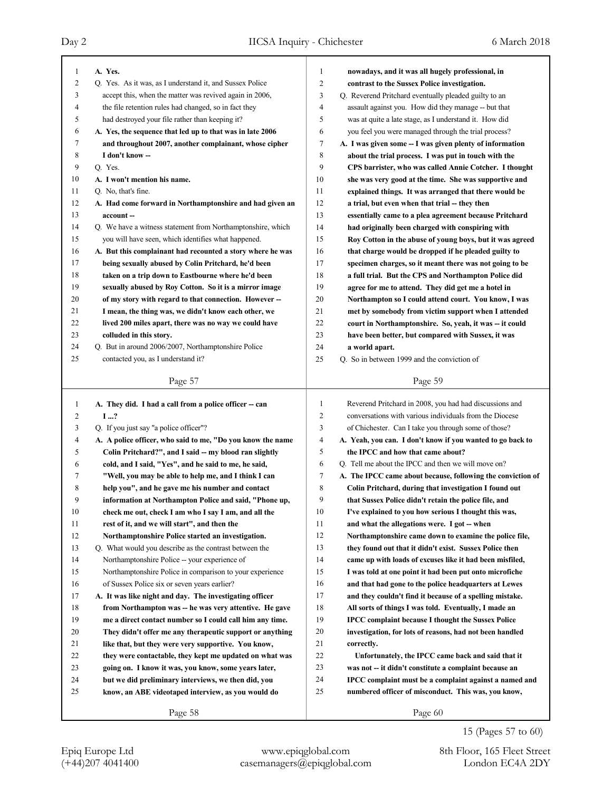| 1<br>2 | A. Yes.                                                     | $\mathbf{1}$        | nowadays, and it was all hugely professional, in            |
|--------|-------------------------------------------------------------|---------------------|-------------------------------------------------------------|
|        | Q. Yes. As it was, as I understand it, and Sussex Police    | $\overline{c}$      | contrast to the Sussex Police investigation.                |
| 3      | accept this, when the matter was revived again in 2006,     | 3                   | Q. Reverend Pritchard eventually pleaded guilty to an       |
| 4      | the file retention rules had changed, so in fact they       | 4                   | assault against you. How did they manage -- but that        |
| 5      | had destroyed your file rather than keeping it?             | 5                   | was at quite a late stage, as I understand it. How did      |
| 6      | A. Yes, the sequence that led up to that was in late 2006   | 6                   | you feel you were managed through the trial process?        |
| 7      | and throughout 2007, another complainant, whose cipher      | 7                   | A. I was given some -- I was given plenty of information    |
| 8      | I don't know --                                             | 8                   | about the trial process. I was put in touch with the        |
| 9      | Q. Yes.                                                     | 9                   | CPS barrister, who was called Annie Cotcher. I thought      |
| 10     | A. I won't mention his name.                                | 10                  | she was very good at the time. She was supportive and       |
| 11     | Q. No, that's fine.                                         | 11                  | explained things. It was arranged that there would be       |
| 12     | A. Had come forward in Northamptonshire and had given an    | 12                  | a trial, but even when that trial -- they then              |
| 13     | account-                                                    | 13                  | essentially came to a plea agreement because Pritchard      |
| 14     | Q. We have a witness statement from Northamptonshire, which | 14                  | had originally been charged with conspiring with            |
| 15     | you will have seen, which identifies what happened.         | 15                  | Roy Cotton in the abuse of young boys, but it was agreed    |
| 16     | A. But this complainant had recounted a story where he was  | 16                  | that charge would be dropped if he pleaded guilty to        |
| 17     | being sexually abused by Colin Pritchard, he'd been         | 17                  | specimen charges, so it meant there was not going to be     |
| 18     | taken on a trip down to Eastbourne where he'd been          | 18                  | a full trial. But the CPS and Northampton Police did        |
| 19     | sexually abused by Roy Cotton. So it is a mirror image      | 19                  | agree for me to attend. They did get me a hotel in          |
| 20     | of my story with regard to that connection. However --      | 20                  | Northampton so I could attend court. You know, I was        |
| 21     | I mean, the thing was, we didn't know each other, we        | 21                  | met by somebody from victim support when I attended         |
| 22     | lived 200 miles apart, there was no way we could have       | 22                  | court in Northamptonshire. So, yeah, it was -- it could     |
| 23     | colluded in this story.                                     | 23                  | have been better, but compared with Sussex, it was          |
| 24     | Q. But in around 2006/2007, Northamptonshire Police         | 24                  | a world apart.                                              |
| 25     | contacted you, as I understand it?                          | 25                  | Q. So in between 1999 and the conviction of                 |
|        |                                                             |                     |                                                             |
|        | Page 57                                                     |                     | Page 59                                                     |
|        |                                                             |                     |                                                             |
|        |                                                             |                     |                                                             |
| 1      | A. They did. I had a call from a police officer -- can      | $\mathbf{1}$        | Reverend Pritchard in 2008, you had had discussions and     |
| 2      | 1?                                                          | $\overline{c}$<br>3 | conversations with various individuals from the Diocese     |
| 3      | Q. If you just say "a police officer"?                      |                     | of Chichester. Can I take you through some of those?        |
| 4      | A. A police officer, who said to me, "Do you know the name  | 4                   | A. Yeah, you can. I don't know if you wanted to go back to  |
| 5      | Colin Pritchard?", and I said -- my blood ran slightly      | 5<br>6              | the IPCC and how that came about?                           |
| 6      | cold, and I said, "Yes", and he said to me, he said,        |                     | Q. Tell me about the IPCC and then we will move on?         |
| 7      | "Well, you may be able to help me, and I think I can        | 7                   | A. The IPCC came about because, following the conviction of |
| 8      | help you", and he gave me his number and contact            | 8                   | Colin Pritchard, during that investigation I found out      |
| 9      | information at Northampton Police and said, "Phone up,      | 9                   | that Sussex Police didn't retain the police file, and       |
| 10     | check me out, check I am who I say I am, and all the        | $10\,$              | I've explained to you how serious I thought this was,       |
| 11     | rest of it, and we will start", and then the                | 11                  | and what the allegations were. I got -- when                |
| 12     | Northamptonshire Police started an investigation.           | 12                  | Northamptonshire came down to examine the police file,      |
| 13     | Q. What would you describe as the contrast between the      | 13                  | they found out that it didn't exist. Sussex Police then     |
| 14     | Northamptonshire Police -- your experience of               | 14                  | came up with loads of excuses like it had been misfiled,    |
| 15     | Northamptonshire Police in comparison to your experience    | 15                  | I was told at one point it had been put onto microfiche     |
| 16     | of Sussex Police six or seven years earlier?                | 16                  | and that had gone to the police headquarters at Lewes       |
| 17     | A. It was like night and day. The investigating officer     | 17                  | and they couldn't find it because of a spelling mistake.    |
| 18     | from Northampton was -- he was very attentive. He gave      | 18                  | All sorts of things I was told. Eventually, I made an       |
| 19     | me a direct contact number so I could call him any time.    | 19                  | <b>IPCC</b> complaint because I thought the Sussex Police   |
| 20     | They didn't offer me any therapeutic support or anything    | $20\,$              | investigation, for lots of reasons, had not been handled    |
| 21     | like that, but they were very supportive. You know,         | 21                  | correctly.                                                  |
| 22     | they were contactable, they kept me updated on what was     | 22                  | Unfortunately, the IPCC came back and said that it          |
| 23     | going on. I know it was, you know, some years later,        | 23                  | was not -- it didn't constitute a complaint because an      |
| 24     | but we did preliminary interviews, we then did, you         | 24                  | IPCC complaint must be a complaint against a named and      |
| 25     | know, an ABE videotaped interview, as you would do          | 25                  | numbered officer of misconduct. This was, you know,         |

15 (Pages 57 to 60)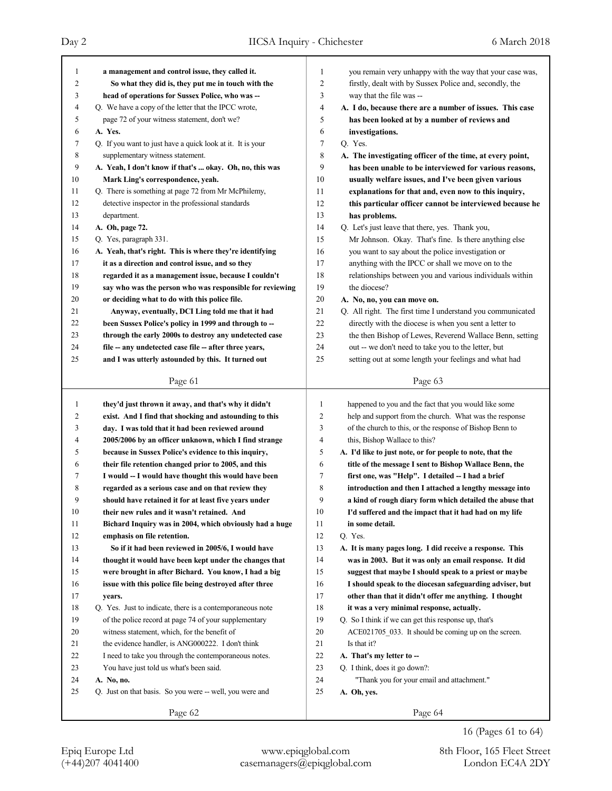# Day 2 IICSA Inquiry - Chichester 6 March 2018

| 1      | a management and control issue, they called it.            | 1  | you remain very unhappy with the way that your case was,   |
|--------|------------------------------------------------------------|----|------------------------------------------------------------|
| 2      | So what they did is, they put me in touch with the         | 2  | firstly, dealt with by Sussex Police and, secondly, the    |
| 3      | head of operations for Sussex Police, who was --           | 3  | way that the file was --                                   |
| 4      | Q. We have a copy of the letter that the IPCC wrote,       | 4  | A. I do, because there are a number of issues. This case   |
| 5      | page 72 of your witness statement, don't we?               | 5  | has been looked at by a number of reviews and              |
| 6      | A. Yes.                                                    | 6  | investigations.                                            |
| 7      | Q. If you want to just have a quick look at it. It is your | 7  | Q. Yes.                                                    |
| 8      | supplementary witness statement.                           | 8  | A. The investigating officer of the time, at every point,  |
| 9      | A. Yeah, I don't know if that's  okay. Oh, no, this was    | 9  | has been unable to be interviewed for various reasons,     |
| $10\,$ | Mark Ling's correspondence, yeah.                          | 10 | usually welfare issues, and I've been given various        |
| 11     | Q. There is something at page 72 from Mr McPhilemy,        | 11 | explanations for that and, even now to this inquiry,       |
| 12     | detective inspector in the professional standards          | 12 | this particular officer cannot be interviewed because he   |
| 13     | department.                                                | 13 | has problems.                                              |
| 14     | A. Oh, page 72.                                            | 14 | Q. Let's just leave that there, yes. Thank you,            |
| 15     | Q. Yes, paragraph 331.                                     | 15 | Mr Johnson. Okay. That's fine. Is there anything else      |
| 16     | A. Yeah, that's right. This is where they're identifying   | 16 | you want to say about the police investigation or          |
| 17     | it as a direction and control issue, and so they           | 17 | anything with the IPCC or shall we move on to the          |
| 18     | regarded it as a management issue, because I couldn't      | 18 | relationships between you and various individuals within   |
| 19     | say who was the person who was responsible for reviewing   | 19 | the diocese?                                               |
| 20     | or deciding what to do with this police file.              | 20 |                                                            |
| 21     |                                                            |    | A. No, no, you can move on.                                |
|        | Anyway, eventually, DCI Ling told me that it had           | 21 | Q. All right. The first time I understand you communicated |
| 22     | been Sussex Police's policy in 1999 and through to --      | 22 | directly with the diocese is when you sent a letter to     |
| 23     | through the early 2000s to destroy any undetected case     | 23 | the then Bishop of Lewes, Reverend Wallace Benn, setting   |
| 24     | file -- any undetected case file -- after three years,     | 24 | out -- we don't need to take you to the letter, but        |
| 25     | and I was utterly astounded by this. It turned out         | 25 | setting out at some length your feelings and what had      |
|        | Page 61                                                    |    | Page 63                                                    |
|        |                                                            |    |                                                            |
|        |                                                            |    |                                                            |
| 1      | they'd just thrown it away, and that's why it didn't       | 1  | happened to you and the fact that you would like some      |
| 2      | exist. And I find that shocking and astounding to this     | 2  | help and support from the church. What was the response    |
| 3      | day. I was told that it had been reviewed around           | 3  | of the church to this, or the response of Bishop Benn to   |
| 4      | 2005/2006 by an officer unknown, which I find strange      | 4  | this, Bishop Wallace to this?                              |
| 5      | because in Sussex Police's evidence to this inquiry,       | 5  | A. I'd like to just note, or for people to note, that the  |
| 6      | their file retention changed prior to 2005, and this       | 6  | title of the message I sent to Bishop Wallace Benn, the    |
| 7      | I would -- I would have thought this would have been       | 7  | first one, was "Help". I detailed -- I had a brief         |
| 8      | regarded as a serious case and on that review they         | 8  | introduction and then I attached a lengthy message into    |
| 9      | should have retained it for at least five years under      | 9  | a kind of rough diary form which detailed the abuse that   |
| 10     | their new rules and it wasn't retained. And                | 10 | I'd suffered and the impact that it had had on my life     |
| 11     | Bichard Inquiry was in 2004, which obviously had a huge    | 11 | in some detail.                                            |
| 12     | emphasis on file retention.                                | 12 | Q. Yes.                                                    |
| 13     | So if it had been reviewed in 2005/6, I would have         | 13 | A. It is many pages long. I did receive a response. This   |
| 14     | thought it would have been kept under the changes that     | 14 | was in 2003. But it was only an email response. It did     |
| 15     | were brought in after Bichard. You know, I had a big       | 15 | suggest that maybe I should speak to a priest or maybe     |
| 16     | issue with this police file being destroyed after three    | 16 | I should speak to the diocesan safeguarding adviser, but   |
| 17     | years.                                                     | 17 | other than that it didn't offer me anything. I thought     |
| 18     | Q. Yes. Just to indicate, there is a contemporaneous note  | 18 | it was a very minimal response, actually.                  |
| 19     | of the police record at page 74 of your supplementary      | 19 | Q. So I think if we can get this response up, that's       |
| 20     | witness statement, which, for the benefit of               | 20 | ACE021705_033. It should be coming up on the screen.       |
| 21     | the evidence handler, is ANG000222. I don't think          | 21 | Is that it?                                                |
| 22     | I need to take you through the contemporaneous notes.      | 22 | A. That's my letter to --                                  |
| 23     | You have just told us what's been said.                    | 23 | Q. I think, does it go down?:                              |
| 24     | A. No, no.                                                 | 24 | "Thank you for your email and attachment."                 |
| 25     | Q. Just on that basis. So you were -- well, you were and   | 25 | A. Oh, yes.                                                |
|        | Page 62                                                    |    | Page 64                                                    |

16 (Pages 61 to 64)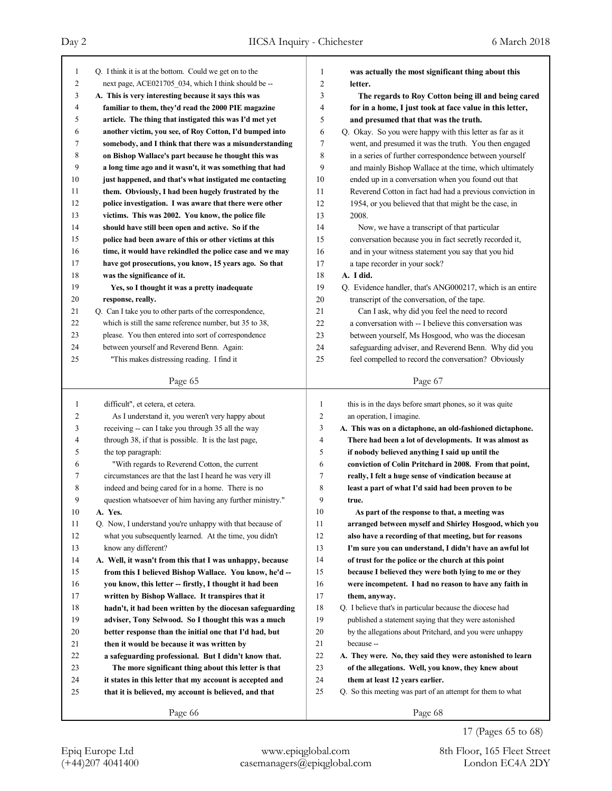| 1              | Q. I think it is at the bottom. Could we get on to the   | $\mathbf{1}$   | was actually the most significant thing about this           |
|----------------|----------------------------------------------------------|----------------|--------------------------------------------------------------|
| $\overline{c}$ |                                                          | $\overline{2}$ |                                                              |
|                | next page, ACE021705 034, which I think should be --     |                | letter.                                                      |
| 3              | A. This is very interesting because it says this was     | 3              | The regards to Roy Cotton being ill and being cared          |
| 4              | familiar to them, they'd read the 2000 PIE magazine      | 4              | for in a home, I just took at face value in this letter,     |
| 5              | article. The thing that instigated this was I'd met yet  | 5              | and presumed that that was the truth.                        |
| 6              | another victim, you see, of Roy Cotton, I'd bumped into  | 6              | Q. Okay. So you were happy with this letter as far as it     |
| 7              | somebody, and I think that there was a misunderstanding  | 7              | went, and presumed it was the truth. You then engaged        |
| 8              | on Bishop Wallace's part because he thought this was     | 8              | in a series of further correspondence between yourself       |
| 9              | a long time ago and it wasn't, it was something that had | 9              | and mainly Bishop Wallace at the time, which ultimately      |
| 10             | just happened, and that's what instigated me contacting  | 10             | ended up in a conversation when you found out that           |
| 11             | them. Obviously, I had been hugely frustrated by the     | 11             | Reverend Cotton in fact had had a previous conviction in     |
| 12             | police investigation. I was aware that there were other  | 12             | 1954, or you believed that that might be the case, in        |
| 13             | victims. This was 2002. You know, the police file        | 13             | 2008.                                                        |
| 14             | should have still been open and active. So if the        | 14             | Now, we have a transcript of that particular                 |
| 15             | police had been aware of this or other victims at this   | 15             | conversation because you in fact secretly recorded it,       |
| 16             | time, it would have rekindled the police case and we may | 16             | and in your witness statement you say that you hid           |
| 17             | have got prosecutions, you know, 15 years ago. So that   | 17             | a tape recorder in your sock?                                |
| 18             | was the significance of it.                              | 18             | A. I did.                                                    |
| 19             | Yes, so I thought it was a pretty inadequate             | 19             | Q. Evidence handler, that's ANG000217, which is an entire    |
| 20             | response, really.                                        | 20             | transcript of the conversation, of the tape.                 |
| 21             | Q. Can I take you to other parts of the correspondence,  | 21             | Can I ask, why did you feel the need to record               |
| 22             | which is still the same reference number, but 35 to 38,  | 22             | a conversation with -- I believe this conversation was       |
| 23             | please. You then entered into sort of correspondence     | 23             | between yourself, Ms Hosgood, who was the diocesan           |
| 24             | between yourself and Reverend Benn. Again:               | 24             | safeguarding adviser, and Reverend Benn. Why did you         |
| 25             | "This makes distressing reading. I find it               | 25             | feel compelled to record the conversation? Obviously         |
|                | Page 65                                                  |                | Page 67                                                      |
|                |                                                          |                |                                                              |
|                |                                                          |                |                                                              |
| 1              |                                                          | 1              |                                                              |
| 2              | difficult", et cetera, et cetera.                        | $\overline{c}$ | this is in the days before smart phones, so it was quite     |
| 3              | As I understand it, you weren't very happy about         | 3              | an operation, I imagine.                                     |
| 4              | receiving -- can I take you through 35 all the way       | 4              | A. This was on a dictaphone, an old-fashioned dictaphone.    |
| 5              | through 38, if that is possible. It is the last page,    | 5              | There had been a lot of developments. It was almost as       |
| 6              | the top paragraph:                                       | 6              | if nobody believed anything I said up until the              |
| 7              | "With regards to Reverend Cotton, the current            | 7              | conviction of Colin Pritchard in 2008. From that point,      |
|                | circumstances are that the last I heard he was very ill  |                | really, I felt a huge sense of vindication because at        |
| 8<br>9         | indeed and being cared for in a home. There is no        | 8<br>9         | least a part of what I'd said had been proven to be<br>true. |
|                | question whatsoever of him having any further ministry." |                |                                                              |
| 10             | A. Yes.                                                  | 10             | As part of the response to that, a meeting was               |
| 11             | Q. Now, I understand you're unhappy with that because of | 11             | arranged between myself and Shirley Hosgood, which you       |
| 12             | what you subsequently learned. At the time, you didn't   | 12             | also have a recording of that meeting, but for reasons       |
| 13             | know any different?                                      | 13             | I'm sure you can understand, I didn't have an awful lot      |
| 14             | A. Well, it wasn't from this that I was unhappy, because | 14             | of trust for the police or the church at this point          |
| 15             | from this I believed Bishop Wallace. You know, he'd --   | 15             | because I believed they were both lying to me or they        |
| 16             | you know, this letter -- firstly, I thought it had been  | 16             | were incompetent. I had no reason to have any faith in       |
| 17             | written by Bishop Wallace. It transpires that it         | 17             | them, anyway.                                                |
| 18             | hadn't, it had been written by the diocesan safeguarding | 18             | Q. I believe that's in particular because the diocese had    |
| 19             | adviser, Tony Selwood. So I thought this was a much      | 19             | published a statement saying that they were astonished       |
| 20             | better response than the initial one that I'd had, but   | 20             | by the allegations about Pritchard, and you were unhappy     |
| 21             | then it would be because it was written by               | 21             | because --                                                   |
| 22             | a safeguarding professional. But I didn't know that.     | 22             | A. They were. No, they said they were astonished to learn    |
| 23             | The more significant thing about this letter is that     | 23             | of the allegations. Well, you know, they knew about          |
| 24             | it states in this letter that my account is accepted and | 24             | them at least 12 years earlier.                              |
| 25             | that it is believed, my account is believed, and that    | 25             | Q. So this meeting was part of an attempt for them to what   |

17 (Pages 65 to 68)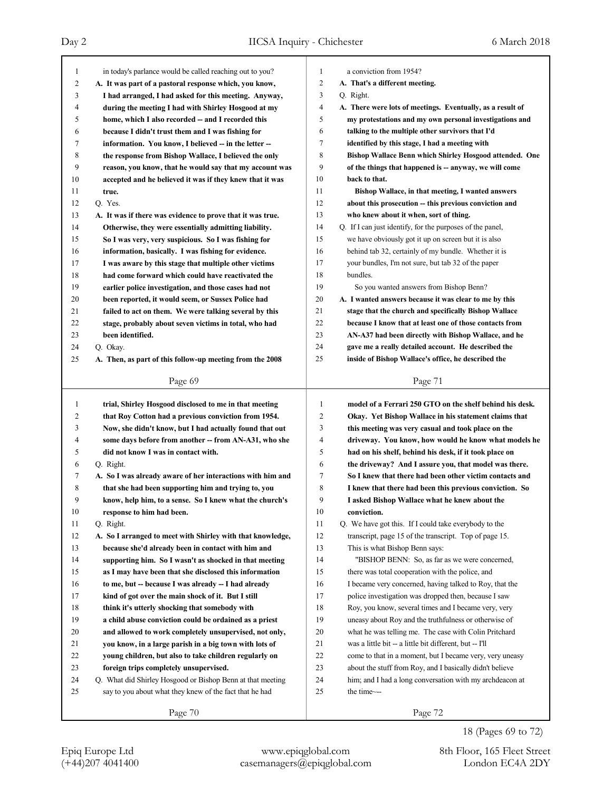| $\mathbf{1}$   | in today's parlance would be called reaching out to you?   | $\mathbf{1}$   | a conviction from 1954?                                    |
|----------------|------------------------------------------------------------|----------------|------------------------------------------------------------|
| $\overline{c}$ | A. It was part of a pastoral response which, you know,     | 2              | A. That's a different meeting.                             |
| 3              |                                                            | 3              | Q. Right.                                                  |
| 4              | I had arranged, I had asked for this meeting. Anyway,      | 4              |                                                            |
|                | during the meeting I had with Shirley Hosgood at my        | 5              | A. There were lots of meetings. Eventually, as a result of |
| 5              | home, which I also recorded -- and I recorded this         |                | my protestations and my own personal investigations and    |
| 6              | because I didn't trust them and I was fishing for          | 6              | talking to the multiple other survivors that I'd           |
| 7              | information. You know, I believed -- in the letter --      | $\tau$         | identified by this stage, I had a meeting with             |
| 8              | the response from Bishop Wallace, I believed the only      | 8              | Bishop Wallace Benn which Shirley Hosgood attended. One    |
| 9              | reason, you know, that he would say that my account was    | 9              | of the things that happened is -- anyway, we will come     |
| 10             | accepted and he believed it was if they knew that it was   | 10             | back to that.                                              |
| 11             | true.                                                      | 11             | Bishop Wallace, in that meeting, I wanted answers          |
| 12             | Q. Yes.                                                    | 12             | about this prosecution -- this previous conviction and     |
| 13             | A. It was if there was evidence to prove that it was true. | 13             | who knew about it when, sort of thing.                     |
| 14             | Otherwise, they were essentially admitting liability.      | 14             | Q. If I can just identify, for the purposes of the panel,  |
| 15             | So I was very, very suspicious. So I was fishing for       | 15             | we have obviously got it up on screen but it is also       |
| 16             | information, basically. I was fishing for evidence.        | 16             | behind tab 32, certainly of my bundle. Whether it is       |
| 17             | I was aware by this stage that multiple other victims      | 17             | your bundles, I'm not sure, but tab 32 of the paper        |
| 18             | had come forward which could have reactivated the          | 18             | bundles.                                                   |
| 19             | earlier police investigation, and those cases had not      | 19             | So you wanted answers from Bishop Benn?                    |
| 20             | been reported, it would seem, or Sussex Police had         | 20             | A. I wanted answers because it was clear to me by this     |
| 21             | failed to act on them. We were talking several by this     | 21             | stage that the church and specifically Bishop Wallace      |
| 22             | stage, probably about seven victims in total, who had      | 22             | because I know that at least one of those contacts from    |
| 23             | been identified.                                           | 23             | AN-A37 had been directly with Bishop Wallace, and he       |
| 24             | Q. Okay.                                                   | 24             | gave me a really detailed account. He described the        |
| 25             | A. Then, as part of this follow-up meeting from the 2008   | 25             | inside of Bishop Wallace's office, he described the        |
|                |                                                            |                |                                                            |
|                | Page 69                                                    |                | Page 71                                                    |
|                |                                                            |                |                                                            |
|                |                                                            |                |                                                            |
| $\mathbf{1}$   | trial, Shirley Hosgood disclosed to me in that meeting     | $\mathbf{1}$   | model of a Ferrari 250 GTO on the shelf behind his desk.   |
| 2              | that Roy Cotton had a previous conviction from 1954.       | $\overline{2}$ | Okay. Yet Bishop Wallace in his statement claims that      |
| 3              | Now, she didn't know, but I had actually found that out    | 3              | this meeting was very casual and took place on the         |
| 4              | some days before from another -- from AN-A31, who she      | $\overline{4}$ | driveway. You know, how would he know what models he       |
| 5              | did not know I was in contact with.                        | 5              | had on his shelf, behind his desk, if it took place on     |
| 6              | Q. Right.                                                  | 6              | the driveway? And I assure you, that model was there.      |
| 7              | A. So I was already aware of her interactions with him and | 7              | So I knew that there had been other victim contacts and    |
| 8              | that she had been supporting him and trying to, you        | $\,$ 8 $\,$    | I knew that there had been this previous conviction. So    |
| 9              | know, help him, to a sense. So I knew what the church's    | 9              | I asked Bishop Wallace what he knew about the              |
| $10\,$         | response to him had been.                                  | $10\,$         | conviction.                                                |
| 11             | Q. Right.                                                  | 11             | Q. We have got this. If I could take everybody to the      |
| 12             | A. So I arranged to meet with Shirley with that knowledge, | 12             | transcript, page 15 of the transcript. Top of page 15.     |
| 13             | because she'd already been in contact with him and         | 13             | This is what Bishop Benn says:                             |
| 14             | supporting him. So I wasn't as shocked in that meeting     | 14             | "BISHOP BENN: So, as far as we were concerned,             |
| 15             | as I may have been that she disclosed this information     | 15             | there was total cooperation with the police, and           |
| 16             | to me, but -- because I was already -- I had already       | 16             | I became very concerned, having talked to Roy, that the    |
| 17             | kind of got over the main shock of it. But I still         | 17             | police investigation was dropped then, because I saw       |
| 18             | think it's utterly shocking that somebody with             | 18             | Roy, you know, several times and I became very, very       |
| 19             | a child abuse conviction could be ordained as a priest     | 19             | uneasy about Roy and the truthfulness or otherwise of      |
| 20             | and allowed to work completely unsupervised, not only,     | 20             | what he was telling me. The case with Colin Pritchard      |
| 21             | you know, in a large parish in a big town with lots of     | 21             | was a little bit -- a little bit different, but -- I'll    |
| 22             | young children, but also to take children regularly on     | 22             | come to that in a moment, but I became very, very uneasy   |
| 23             | foreign trips completely unsupervised.                     | 23             | about the stuff from Roy, and I basically didn't believe   |
| 24             | Q. What did Shirley Hosgood or Bishop Benn at that meeting | 24             | him; and I had a long conversation with my archdeacon at   |
| 25             | say to you about what they knew of the fact that he had    | 25             | the time~--                                                |
|                | Page 70                                                    |                | Page 72                                                    |

18 (Pages 69 to 72)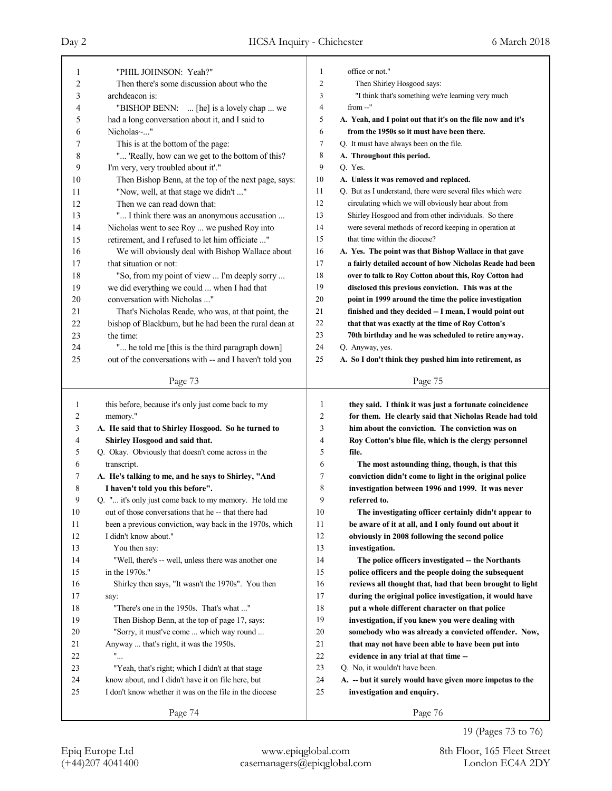| 1  | "PHIL JOHNSON: Yeah?"                                             | 1              | office or not."                                             |
|----|-------------------------------------------------------------------|----------------|-------------------------------------------------------------|
| 2  | Then there's some discussion about who the                        | $\overline{2}$ | Then Shirley Hosgood says:                                  |
| 3  | archdeacon is:                                                    | 3              | "I think that's something we're learning very much          |
| 4  | "BISHOP BENN:  [he] is a lovely chap  we                          | $\overline{4}$ | from --"                                                    |
| 5  | had a long conversation about it, and I said to                   | 5              | A. Yeah, and I point out that it's on the file now and it's |
| 6  | Nicholas~"                                                        | 6              | from the 1950s so it must have been there.                  |
| 7  | This is at the bottom of the page:                                | $\tau$         | Q. It must have always been on the file.                    |
| 8  | " 'Really, how can we get to the bottom of this?                  | 8              | A. Throughout this period.                                  |
| 9  | I'm very, very troubled about it'."                               | 9              | Q. Yes.                                                     |
| 10 | Then Bishop Benn, at the top of the next page, says:              | 10             | A. Unless it was removed and replaced.                      |
| 11 | "Now, well, at that stage we didn't "                             | 11             | Q. But as I understand, there were several files which were |
| 12 | Then we can read down that:                                       | 12             | circulating which we will obviously hear about from         |
| 13 | " I think there was an anonymous accusation                       | 13             | Shirley Hosgood and from other individuals. So there        |
| 14 | Nicholas went to see Roy  we pushed Roy into                      | 14             | were several methods of record keeping in operation at      |
| 15 | retirement, and I refused to let him officiate "                  | 15             | that time within the diocese?                               |
| 16 | We will obviously deal with Bishop Wallace about                  | 16             | A. Yes. The point was that Bishop Wallace in that gave      |
| 17 | that situation or not:                                            | 17             | a fairly detailed account of how Nicholas Reade had been    |
| 18 | "So, from my point of view  I'm deeply sorry                      | 18             | over to talk to Roy Cotton about this, Roy Cotton had       |
| 19 | we did everything we could  when I had that                       | 19             | disclosed this previous conviction. This was at the         |
| 20 | conversation with Nicholas "                                      | 20             | point in 1999 around the time the police investigation      |
| 21 | That's Nicholas Reade, who was, at that point, the                | 21             | finished and they decided -- I mean, I would point out      |
| 22 | bishop of Blackburn, but he had been the rural dean at            | 22             | that that was exactly at the time of Roy Cotton's           |
| 23 | the time:                                                         | 23             | 70th birthday and he was scheduled to retire anyway.        |
| 24 | " he told me [this is the third paragraph down]                   | 24             | Q. Anyway, yes.                                             |
| 25 | out of the conversations with -- and I haven't told you           | 25             | A. So I don't think they pushed him into retirement, as     |
|    |                                                                   |                |                                                             |
|    | Page 73                                                           |                | Page 75                                                     |
|    |                                                                   |                |                                                             |
|    |                                                                   |                |                                                             |
| 1  | this before, because it's only just come back to my               | $\mathbf{1}$   | they said. I think it was just a fortunate coincidence      |
| 2  | memory."                                                          | 2              | for them. He clearly said that Nicholas Reade had told      |
| 3  | A. He said that to Shirley Hosgood. So he turned to               | 3              | him about the conviction. The conviction was on             |
| 4  | Shirley Hosgood and said that.                                    | 4              | Roy Cotton's blue file, which is the clergy personnel       |
| 5  | Q. Okay. Obviously that doesn't come across in the                | 5              | file.                                                       |
| 6  | transcript.                                                       | 6              | The most astounding thing, though, is that this             |
| 7  | A. He's talking to me, and he says to Shirley, "And               | 7              | conviction didn't come to light in the original police      |
| 8  | I haven't told you this before".                                  | 8              | investigation between 1996 and 1999. It was never           |
| 9  | Q. " it's only just come back to my memory. He told me            | 9              | referred to.                                                |
| 10 | out of those conversations that he -- that there had              | 10             | The investigating officer certainly didn't appear to        |
| 11 | been a previous conviction, way back in the 1970s, which          | 11             | be aware of it at all, and I only found out about it        |
| 12 | I didn't know about."                                             | 12             | obviously in 2008 following the second police               |
| 13 | You then say:                                                     | 13             | investigation.                                              |
| 14 | "Well, there's -- well, unless there was another one              | 14             | The police officers investigated -- the Northants           |
| 15 | in the 1970s."                                                    | 15             | police officers and the people doing the subsequent         |
| 16 | Shirley then says, "It wasn't the 1970s". You then                | 16             | reviews all thought that, had that been brought to light    |
| 17 | say:                                                              | 17             | during the original police investigation, it would have     |
| 18 | "There's one in the 1950s. That's what "                          | 18             | put a whole different character on that police              |
| 19 | Then Bishop Benn, at the top of page 17, says:                    | 19             | investigation, if you knew you were dealing with            |
| 20 | "Sorry, it must've come  which way round                          | 20             | somebody who was already a convicted offender. Now,         |
| 21 | Anyway  that's right, it was the 1950s.                           | 21             | that may not have been able to have been put into           |
| 22 | $"$                                                               | $22\,$         | evidence in any trial at that time --                       |
| 23 | "Yeah, that's right; which I didn't at that stage                 | 23             | Q. No, it wouldn't have been.                               |
| 24 |                                                                   | 24             |                                                             |
| 25 | know about, and I didn't have it on file here, but                | 25             | A. -- but it surely would have given more impetus to the    |
|    | I don't know whether it was on the file in the diocese<br>Page 74 |                | investigation and enquiry.<br>Page 76                       |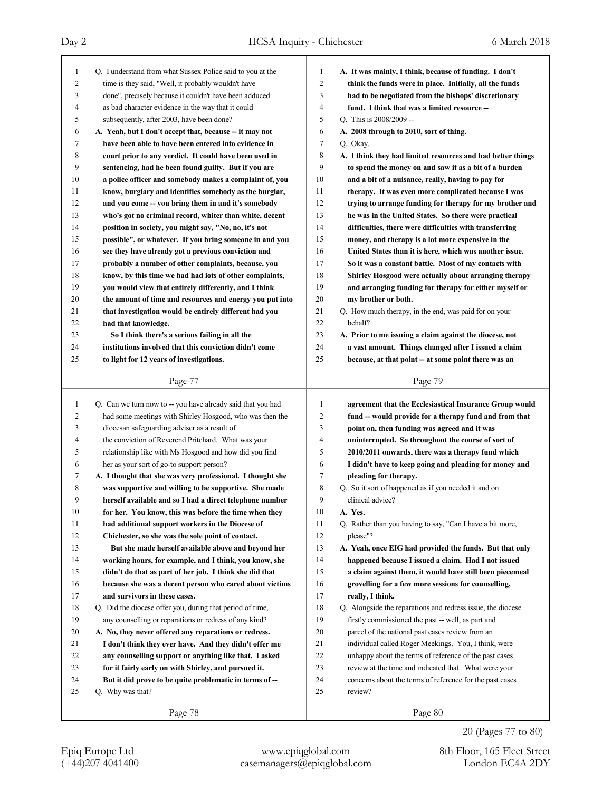| 1              | Q. I understand from what Sussex Police said to you at the  | 1              | A. It was mainly, I think, because of funding. I don't      |
|----------------|-------------------------------------------------------------|----------------|-------------------------------------------------------------|
| $\overline{c}$ | time is they said, "Well, it probably wouldn't have         | $\overline{2}$ | think the funds were in place. Initially, all the funds     |
| 3              | done", precisely because it couldn't have been adduced      | 3              | had to be negotiated from the bishops' discretionary        |
| 4              | as bad character evidence in the way that it could          | $\overline{4}$ | fund. I think that was a limited resource --                |
| 5              | subsequently, after 2003, have been done?                   | 5              | O. This is 2008/2009 --                                     |
| 6              | A. Yeah, but I don't accept that, because -- it may not     | 6              | A. 2008 through to 2010, sort of thing.                     |
| 7              | have been able to have been entered into evidence in        | $\tau$         | Q. Okay.                                                    |
| 8              | court prior to any verdict. It could have been used in      | 8              | A. I think they had limited resources and had better things |
| 9              | sentencing, had he been found guilty. But if you are        | 9              | to spend the money on and saw it as a bit of a burden       |
| 10             | a police officer and somebody makes a complaint of, you     | 10             | and a bit of a nuisance, really, having to pay for          |
| 11             | know, burglary and identifies somebody as the burglar,      | 11             | therapy. It was even more complicated because I was         |
| 12             | and you come -- you bring them in and it's somebody         | 12             | trying to arrange funding for therapy for my brother and    |
| 13             | who's got no criminal record, whiter than white, decent     | 13             | he was in the United States. So there were practical        |
| 14             | position in society, you might say, "No, no, it's not       | 14             | difficulties, there were difficulties with transferring     |
| 15             | possible", or whatever. If you bring someone in and you     | 15             | money, and therapy is a lot more expensive in the           |
| 16             | see they have already got a previous conviction and         | 16             | United States than it is here, which was another issue.     |
| 17             | probably a number of other complaints, because, you         | 17             | So it was a constant battle. Most of my contacts with       |
| 18             | know, by this time we had had lots of other complaints,     | 18             | Shirley Hosgood were actually about arranging therapy       |
| 19             | you would view that entirely differently, and I think       | 19             | and arranging funding for therapy for either myself or      |
| 20             | the amount of time and resources and energy you put into    | 20             | my brother or both.                                         |
| 21             | that investigation would be entirely different had you      | 21             | Q. How much therapy, in the end, was paid for on your       |
| 22             |                                                             | 22             | behalf?                                                     |
| 23             | had that knowledge.                                         | 23             |                                                             |
|                | So I think there's a serious failing in all the             |                | A. Prior to me issuing a claim against the diocese, not     |
| 24             | institutions involved that this conviction didn't come      | 24             | a vast amount. Things changed after I issued a claim        |
| 25             | to light for 12 years of investigations.                    | 25             | because, at that point - at some point there was an         |
|                | Page 77                                                     |                | Page 79                                                     |
|                |                                                             |                |                                                             |
|                |                                                             |                |                                                             |
| 1              | Q. Can we turn now to -- you have already said that you had | 1              | agreement that the Ecclesiastical Insurance Group would     |
| 2              | had some meetings with Shirley Hosgood, who was then the    | $\overline{2}$ | fund – would provide for a therapy fund and from that       |
| 3              | diocesan safeguarding adviser as a result of                | 3              | point on, then funding was agreed and it was                |
| 4              | the conviction of Reverend Pritchard. What was your         | $\overline{4}$ | uninterrupted. So throughout the course of sort of          |
| 5              | relationship like with Ms Hosgood and how did you find      | 5              | 2010/2011 onwards, there was a therapy fund which           |
| 6              | her as your sort of go-to support person?                   | 6              | I didn't have to keep going and pleading for money and      |
| 7              | A. I thought that she was very professional. I thought she  | 7              | pleading for therapy.                                       |
| 8              | was supportive and willing to be supportive. She made       | 8              | Q. So it sort of happened as if you needed it and on        |
| 9              | herself available and so I had a direct telephone number    | 9              | clinical advice?                                            |
| $10\,$         | for her. You know, this was before the time when they       | 10             | A. Yes.                                                     |
| 11             | had additional support workers in the Diocese of            | 11             | Q. Rather than you having to say, "Can I have a bit more,   |
| 12             | Chichester, so she was the sole point of contact.           | 12             | please"?                                                    |
| 13             | But she made herself available above and beyond her         | 13             | A. Yeah, once EIG had provided the funds. But that only     |
| 14             | working hours, for example, and I think, you know, she      | 14             | happened because I issued a claim. Had I not issued         |
| 15             | didn't do that as part of her job. I think she did that     | 15             | a claim against them, it would have still been piecemeal    |
| 16             | because she was a decent person who cared about victims     | 16             | grovelling for a few more sessions for counselling,         |
| 17             | and survivors in these cases.                               | 17             | really, I think.                                            |
| 18             | Q. Did the diocese offer you, during that period of time,   | 18             | Q. Alongside the reparations and redress issue, the diocese |
| 19             | any counselling or reparations or redress of any kind?      | 19             | firstly commissioned the past -- well, as part and          |
| 20             | A. No, they never offered any reparations or redress.       | 20             | parcel of the national past cases review from an            |
| 21             | I don't think they ever have. And they didn't offer me      | 21             | individual called Roger Meekings. You, I think, were        |
| 22             | any counselling support or anything like that. I asked      | 22             | unhappy about the terms of reference of the past cases      |
| 23             | for it fairly early on with Shirley, and pursued it.        | 23             | review at the time and indicated that. What were your       |
| 24             | But it did prove to be quite problematic in terms of --     | 24             | concerns about the terms of reference for the past cases    |
| 25             | Q. Why was that?                                            | 25             | review?                                                     |
|                | Page 78                                                     |                | Page 80                                                     |

20 (Pages 77 to 80)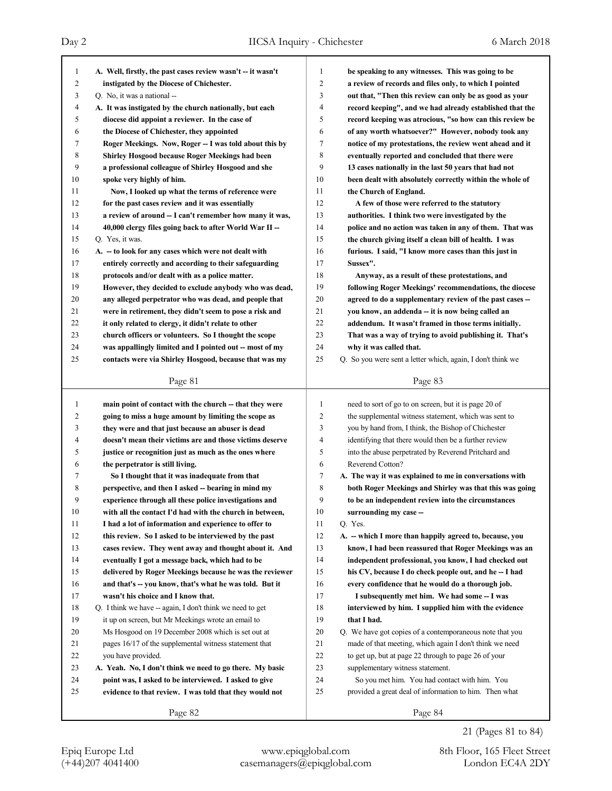| $\mathbf{1}$   | A. Well, firstly, the past cases review wasn't -- it wasn't | 1              | be speaking to any witnesses. This was going to be          |
|----------------|-------------------------------------------------------------|----------------|-------------------------------------------------------------|
| $\overline{c}$ | instigated by the Diocese of Chichester.                    | $\overline{c}$ | a review of records and files only, to which I pointed      |
| 3              | Q. No, it was a national --                                 | 3              | out that, "Then this review can only be as good as your     |
| 4              | A. It was instigated by the church nationally, but each     | 4              | record keeping", and we had already established that the    |
| 5              | diocese did appoint a reviewer. In the case of              | 5              | record keeping was atrocious, "so how can this review be    |
| 6              | the Diocese of Chichester, they appointed                   | 6              | of any worth whatsoever?" However, nobody took any          |
| 7              | Roger Meekings. Now, Roger -- I was told about this by      | 7              | notice of my protestations, the review went ahead and it    |
| 8              | <b>Shirley Hosgood because Roger Meekings had been</b>      | 8              | eventually reported and concluded that there were           |
| 9              | a professional colleague of Shirley Hosgood and she         | 9              | 13 cases nationally in the last 50 years that had not       |
| 10             | spoke very highly of him.                                   | 10             | been dealt with absolutely correctly within the whole of    |
| 11             | Now, I looked up what the terms of reference were           | 11             | the Church of England.                                      |
| 12             | for the past cases review and it was essentially            | 12             | A few of those were referred to the statutory               |
| 13             | a review of around -- I can't remember how many it was,     | 13             | authorities. I think two were investigated by the           |
| 14             | 40,000 clergy files going back to after World War II -      | 14             | police and no action was taken in any of them. That was     |
| 15             | Q. Yes, it was.                                             | 15             | the church giving itself a clean bill of health. I was      |
| 16             | A. - to look for any cases which were not dealt with        | 16             | furious. I said, "I know more cases than this just in       |
| 17             | entirely correctly and according to their safeguarding      | 17             | Sussex".                                                    |
| 18             | protocols and/or dealt with as a police matter.             | 18             | Anyway, as a result of these protestations, and             |
| 19             | However, they decided to exclude anybody who was dead,      | 19             | following Roger Meekings' recommendations, the diocese      |
| 20             | any alleged perpetrator who was dead, and people that       | 20             | agreed to do a supplementary review of the past cases --    |
| 21             | were in retirement, they didn't seem to pose a risk and     | 21             | you know, an addenda -- it is now being called an           |
| 22             | it only related to clergy, it didn't relate to other        | 22             | addendum. It wasn't framed in those terms initially.        |
| 23             | church officers or volunteers. So I thought the scope       | 23             | That was a way of trying to avoid publishing it. That's     |
| 24             | was appallingly limited and I pointed out -- most of my     | 24             | why it was called that.                                     |
| 25             | contacts were via Shirley Hosgood, because that was my      | 25             | Q. So you were sent a letter which, again, I don't think we |
|                |                                                             |                |                                                             |
|                | Page 81                                                     |                | Page 83                                                     |
|                |                                                             |                |                                                             |
|                |                                                             |                |                                                             |
| $\mathbf{1}$   | main point of contact with the church - that they were      | 1              | need to sort of go to on screen, but it is page 20 of       |
| $\overline{c}$ | going to miss a huge amount by limiting the scope as        | $\overline{c}$ | the supplemental witness statement, which was sent to       |
| 3              | they were and that just because an abuser is dead           | 3              | you by hand from, I think, the Bishop of Chichester         |
| 4              | doesn't mean their victims are and those victims deserve    | 4              | identifying that there would then be a further review       |
| 5              | justice or recognition just as much as the ones where       | 5              | into the abuse perpetrated by Reverend Pritchard and        |
| 6              | the perpetrator is still living.                            | 6              | Reverend Cotton?                                            |
| 7              | So I thought that it was inadequate from that               | 7              | A. The way it was explained to me in conversations with     |
| 8              | perspective, and then I asked -- bearing in mind my         | 8              | both Roger Meekings and Shirley was that this was going     |
| 9              | experience through all these police investigations and      | 9              | to be an independent review into the circumstances          |
| $10\,$         | with all the contact I'd had with the church in between,    | $10\,$         | surrounding my case --                                      |
| 11             | I had a lot of information and experience to offer to       | 11             | O. Yes.                                                     |
| 12             | this review. So I asked to be interviewed by the past       | 12             | A. - which I more than happily agreed to, because, you      |
| 13             | cases review. They went away and thought about it. And      | 13             | know, I had been reassured that Roger Meekings was an       |
| 14             | eventually I got a message back, which had to be            | 14             | independent professional, you know, I had checked out       |
| 15             | delivered by Roger Meekings because he was the reviewer     | 15             | his CV, because I do check people out, and he - I had       |
| 16             | and that's -- you know, that's what he was told. But it     | 16             | every confidence that he would do a thorough job.           |
| 17             | wasn't his choice and I know that.                          | 17             | I subsequently met him. We had some -- I was                |
| 18             | Q. I think we have -- again, I don't think we need to get   | 18             | interviewed by him. I supplied him with the evidence        |
| 19             | it up on screen, but Mr Meekings wrote an email to          | 19             | that I had.                                                 |
| 20             | Ms Hosgood on 19 December 2008 which is set out at          | 20             | Q. We have got copies of a contemporaneous note that you    |
| 21             | pages 16/17 of the supplemental witness statement that      | 21             | made of that meeting, which again I don't think we need     |
| 22             | you have provided.                                          | 22             | to get up, but at page 22 through to page 26 of your        |
| 23             | A. Yeah. No, I don't think we need to go there. My basic    | 23             | supplementary witness statement.                            |
| 24             | point was, I asked to be interviewed. I asked to give       | 24             | So you met him. You had contact with him. You               |
| 25             | evidence to that review. I was told that they would not     | 25             | provided a great deal of information to him. Then what      |

21 (Pages 81 to 84)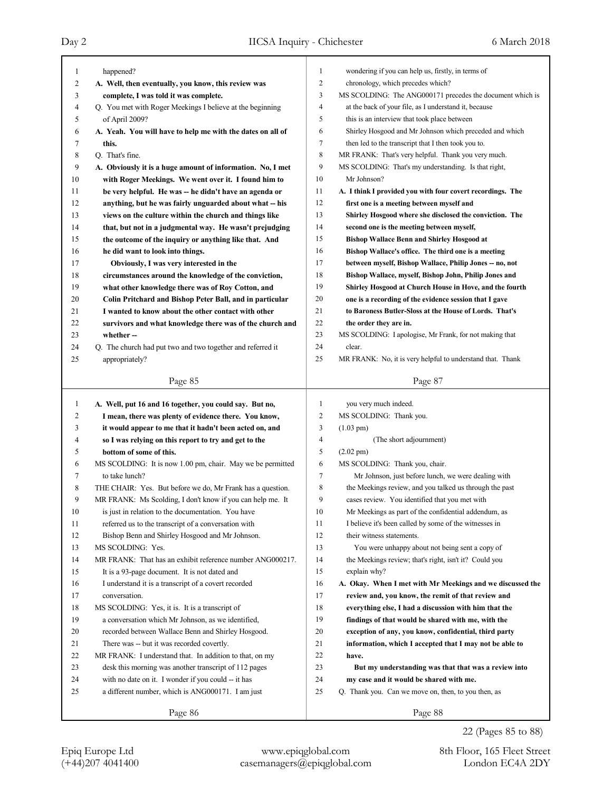| 1  | happened?                                                  | 1            | wondering if you can help us, firstly, in terms of         |
|----|------------------------------------------------------------|--------------|------------------------------------------------------------|
| 2  | A. Well, then eventually, you know, this review was        | 2            | chronology, which precedes which?                          |
| 3  | complete, I was told it was complete.                      | 3            | MS SCOLDING: The ANG000171 precedes the document which is  |
| 4  | Q. You met with Roger Meekings I believe at the beginning  | 4            | at the back of your file, as I understand it, because      |
| 5  | of April 2009?                                             | 5            | this is an interview that took place between               |
| 6  | A. Yeah. You will have to help me with the dates on all of | 6            | Shirley Hosgood and Mr Johnson which preceded and which    |
| 7  | this.                                                      | 7            | then led to the transcript that I then took you to.        |
| 8  | Q. That's fine.                                            | 8            | MR FRANK: That's very helpful. Thank you very much.        |
| 9  | A. Obviously it is a huge amount of information. No, I met | 9            | MS SCOLDING: That's my understanding. Is that right,       |
| 10 | with Roger Meekings. We went over it. I found him to       | 10           | Mr Johnson?                                                |
| 11 | be very helpful. He was -- he didn't have an agenda or     | 11           | A. I think I provided you with four covert recordings. The |
| 12 | anything, but he was fairly unguarded about what -- his    | 12           | first one is a meeting between myself and                  |
| 13 | views on the culture within the church and things like     | 13           | Shirley Hosgood where she disclosed the conviction. The    |
| 14 | that, but not in a judgmental way. He wasn't prejudging    | 14           | second one is the meeting between myself,                  |
| 15 | the outcome of the inquiry or anything like that. And      | 15           | <b>Bishop Wallace Benn and Shirley Hosgood at</b>          |
| 16 | he did want to look into things.                           | 16           | Bishop Wallace's office. The third one is a meeting        |
| 17 | Obviously, I was very interested in the                    | 17           | between myself, Bishop Wallace, Philip Jones -- no, not    |
| 18 | circumstances around the knowledge of the conviction,      | 18           | Bishop Wallace, myself, Bishop John, Philip Jones and      |
| 19 | what other knowledge there was of Roy Cotton, and          | 19           | Shirley Hosgood at Church House in Hove, and the fourth    |
| 20 | Colin Pritchard and Bishop Peter Ball, and in particular   | 20           | one is a recording of the evidence session that I gave     |
| 21 | I wanted to know about the other contact with other        | 21           | to Baroness Butler-Sloss at the House of Lords. That's     |
| 22 | survivors and what knowledge there was of the church and   | 22           | the order they are in.                                     |
| 23 | whether --                                                 | 23           | MS SCOLDING: I apologise, Mr Frank, for not making that    |
| 24 | Q. The church had put two and two together and referred it | 24           | clear.                                                     |
| 25 | appropriately?                                             | 25           | MR FRANK: No, it is very helpful to understand that. Thank |
|    |                                                            |              |                                                            |
|    | Page 85                                                    |              | Page 87                                                    |
|    |                                                            |              |                                                            |
| 1  | A. Well, put 16 and 16 together, you could say. But no,    | $\mathbf{1}$ | you very much indeed.                                      |
| 2  | I mean, there was plenty of evidence there. You know,      | 2            | MS SCOLDING: Thank you.                                    |
| 3  | it would appear to me that it hadn't been acted on, and    | 3            | $(1.03 \text{ pm})$                                        |
| 4  | so I was relying on this report to try and get to the      | 4            | (The short adjournment)                                    |
| 5  | bottom of some of this.                                    | 5            | $(2.02 \text{ pm})$                                        |
| 6  | MS SCOLDING: It is now 1.00 pm, chair. May we be permitted | 6            | MS SCOLDING: Thank you, chair.                             |
| 7  | to take lunch?                                             | 7            | Mr Johnson, just before lunch, we were dealing with        |
| 8  | THE CHAIR: Yes. But before we do, Mr Frank has a question. | 8            | the Meekings review, and you talked us through the past    |
| 9  | MR FRANK: Ms Scolding, I don't know if you can help me. It | 9            | cases review. You identified that you met with             |
| 10 | is just in relation to the documentation. You have         | 10           | Mr Meekings as part of the confidential addendum, as       |
| 11 | referred us to the transcript of a conversation with       | 11           | I believe it's been called by some of the witnesses in     |
| 12 | Bishop Benn and Shirley Hosgood and Mr Johnson.            | 12           | their witness statements.                                  |
| 13 | MS SCOLDING: Yes.                                          | 13           | You were unhappy about not being sent a copy of            |
| 14 | MR FRANK: That has an exhibit reference number ANG000217.  | 14           | the Meekings review; that's right, isn't it? Could you     |
| 15 | It is a 93-page document. It is not dated and              | 15           | explain why?                                               |
| 16 | I understand it is a transcript of a covert recorded       | 16           | A. Okay. When I met with Mr Meekings and we discussed the  |
| 17 | conversation.                                              | 17           | review and, you know, the remit of that review and         |
| 18 | MS SCOLDING: Yes, it is. It is a transcript of             | 18           | everything else, I had a discussion with him that the      |
| 19 | a conversation which Mr Johnson, as we identified,         | 19           | findings of that would be shared with me, with the         |
| 20 | recorded between Wallace Benn and Shirley Hosgood.         | 20           | exception of any, you know, confidential, third party      |
| 21 | There was -- but it was recorded covertly.                 | 21           | information, which I accepted that I may not be able to    |
| 22 | MR FRANK: I understand that. In addition to that, on my    | 22           | have.                                                      |
| 23 | desk this morning was another transcript of 112 pages      | 23           | But my understanding was that that was a review into       |
| 24 | with no date on it. I wonder if you could -- it has        | 24           | my case and it would be shared with me.                    |
| 25 | a different number, which is ANG000171. I am just          | 25           | Q. Thank you. Can we move on, then, to you then, as        |

22 (Pages 85 to 88)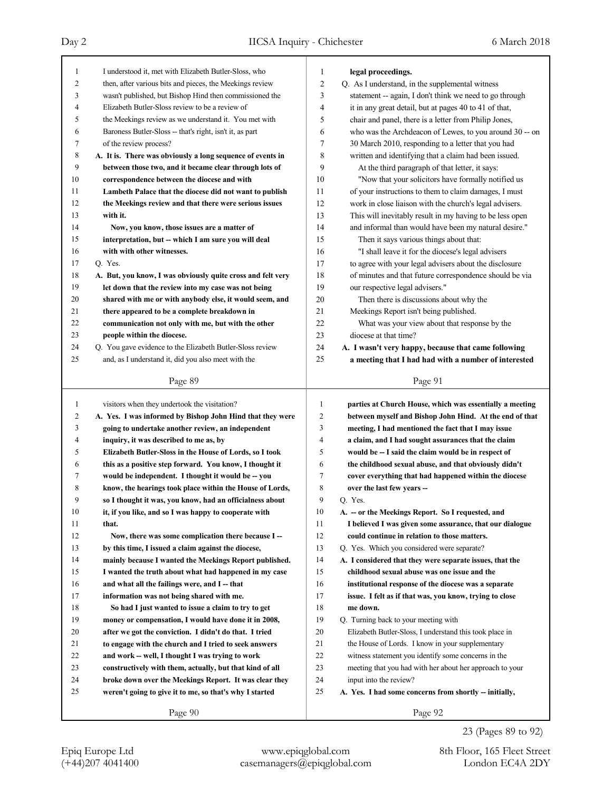Page 89 1 I understood it, met with Elizabeth Butler-Sloss, who 2 then, after various bits and pieces, the Meekings review 3 wasn't published, but Bishop Hind then commissioned the 4 Elizabeth Butler-Sloss review to be a review of 5 the Meekings review as we understand it. You met with 6 Baroness Butler-Sloss -- that's right, isn't it, as part 7 of the review process? 8 **A. It is. There was obviously a long sequence of events in** 9 **between those two, and it became clear through lots of** 10 **correspondence between the diocese and with** 11 **Lambeth Palace that the diocese did not want to publish** 12 **the Meekings review and that there were serious issues** 13 **with it.** 14 **Now, you know, those issues are a matter of** 15 **interpretation, but -- which I am sure you will deal** 16 **with with other witnesses.** 17 Q. Yes. 18 **A. But, you know, I was obviously quite cross and felt very** 19 **let down that the review into my case was not being** 20 **shared with me or with anybody else, it would seem, and** 21 **there appeared to be a complete breakdown in** 22 **communication not only with me, but with the other** 23 **people within the diocese.** 24 Q. You gave evidence to the Elizabeth Butler-Sloss review 25 and, as I understand it, did you also meet with the Page 90 1 visitors when they undertook the visitation? 2 **A. Yes. I was informed by Bishop John Hind that they were** 3 **going to undertake another review, an independent** 4 **inquiry, it was described to me as, by** 5 **Elizabeth Butler-Sloss in the House of Lords, so I took** 6 **this as a positive step forward. You know, I thought it** 7 **would be independent. I thought it would be -- you** 8 **know, the hearings took place within the House of Lords,** 9 **so I thought it was, you know, had an officialness about** 10 **it, if you like, and so I was happy to cooperate with** 11 **that.** 12 **Now, there was some complication there because I --** 13 **by this time, I issued a claim against the diocese,** 14 **mainly because I wanted the Meekings Report published.** 15 **I wanted the truth about what had happened in my case** 16 and what all the failings were, and I -- that 17 **information was not being shared with me.** 18 **So had I just wanted to issue a claim to try to get** 19 **money or compensation, I would have done it in 2008,** 20 **after we got the conviction. I didn't do that. I tried** 21 **to engage with the church and I tried to seek answers** 22 **and work -- well, I thought I was trying to work** 23 **constructively with them, actually, but that kind of all** 24 **broke down over the Meekings Report. It was clear they** 25 **weren't going to give it to me, so that's why I started** Page 91 1 **legal proceedings.** 2 Q. As I understand, in the supplemental witness 3 statement -- again, I don't think we need to go through 4 it in any great detail, but at pages 40 to 41 of that, 5 chair and panel, there is a letter from Philip Jones, 6 who was the Archdeacon of Lewes, to you around 30 -- on 7 30 March 2010, responding to a letter that you had 8 written and identifying that a claim had been issued. 9 At the third paragraph of that letter, it says: 10 "Now that your solicitors have formally notified us 11 of your instructions to them to claim damages, I must 12 work in close liaison with the church's legal advisers. 13 This will inevitably result in my having to be less open 14 and informal than would have been my natural desire." 15 Then it says various things about that: 16 "I shall leave it for the diocese's legal advisers 17 to agree with your legal advisers about the disclosure 18 of minutes and that future correspondence should be via 19 our respective legal advisers." 20 Then there is discussions about why the 21 Meekings Report isn't being published. 22 What was your view about that response by the 23 diocese at that time? 24 **A. I wasn't very happy, because that came following** 25 **a meeting that I had had with a number of interested** Page 92 1 **parties at Church House, which was essentially a meeting** 2 **between myself and Bishop John Hind. At the end of that** 3 **meeting, I had mentioned the fact that I may issue** 4 **a claim, and I had sought assurances that the claim** 5 **would be -- I said the claim would be in respect of** 6 **the childhood sexual abuse, and that obviously didn't** 7 **cover everything that had happened within the diocese** 8 **over the last few years --** 9 Q. Yes. 10 **A. -- or the Meekings Report. So I requested, and** 11 **I believed I was given some assurance, that our dialogue** 12 **could continue in relation to those matters.** 13 Q. Yes. Which you considered were separate? 14 **A. I considered that they were separate issues, that the** 15 **childhood sexual abuse was one issue and the** 16 **institutional response of the diocese was a separate** 17 **issue. I felt as if that was, you know, trying to close** 18 **me down.** 19 Q. Turning back to your meeting with 20 Elizabeth Butler-Sloss, I understand this took place in 21 the House of Lords. I know in your supplementary 22 witness statement you identify some concerns in the 23 meeting that you had with her about her approach to your 24 input into the review? 25 **A. Yes. I had some concerns from shortly -- initially,**

(+44)207 4041400 casemanagers@epiqglobal.com London EC4A 2DY Epiq Europe Ltd www.epiqglobal.com 8th Floor, 165 Fleet Street

23 (Pages 89 to 92)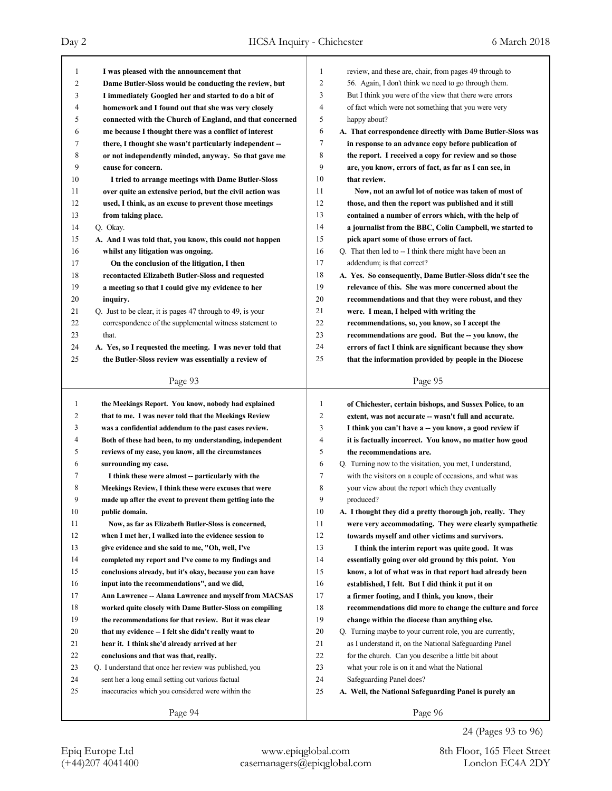| 1  | I was pleased with the announcement that                   | 1  | review, and these are, chair, from pages 49 through to     |
|----|------------------------------------------------------------|----|------------------------------------------------------------|
| 2  | Dame Butler-Sloss would be conducting the review, but      | 2  | 56. Again, I don't think we need to go through them.       |
| 3  | I immediately Googled her and started to do a bit of       | 3  | But I think you were of the view that there were errors    |
| 4  | homework and I found out that she was very closely         | 4  | of fact which were not something that you were very        |
| 5  | connected with the Church of England, and that concerned   | 5  | happy about?                                               |
| 6  | me because I thought there was a conflict of interest      | 6  | A. That correspondence directly with Dame Butler-Sloss was |
| 7  | there, I thought she wasn't particularly independent --    | 7  | in response to an advance copy before publication of       |
| 8  | or not independently minded, anyway. So that gave me       | 8  | the report. I received a copy for review and so those      |
| 9  | cause for concern.                                         | 9  | are, you know, errors of fact, as far as I can see, in     |
| 10 | I tried to arrange meetings with Dame Butler-Sloss         | 10 | that review.                                               |
| 11 | over quite an extensive period, but the civil action was   | 11 | Now, not an awful lot of notice was taken of most of       |
| 12 | used, I think, as an excuse to prevent those meetings      | 12 | those, and then the report was published and it still      |
| 13 | from taking place.                                         | 13 | contained a number of errors which, with the help of       |
| 14 | Q. Okay.                                                   | 14 | a journalist from the BBC, Colin Campbell, we started to   |
| 15 | A. And I was told that, you know, this could not happen    | 15 | pick apart some of those errors of fact.                   |
| 16 | whilst any litigation was ongoing.                         | 16 | Q. That then led to -- I think there might have been an    |
| 17 | On the conclusion of the litigation, I then                | 17 | addendum; is that correct?                                 |
| 18 | recontacted Elizabeth Butler-Sloss and requested           | 18 | A. Yes. So consequently, Dame Butler-Sloss didn't see the  |
| 19 | a meeting so that I could give my evidence to her          | 19 | relevance of this. She was more concerned about the        |
| 20 | inquiry.                                                   | 20 | recommendations and that they were robust, and they        |
| 21 | Q. Just to be clear, it is pages 47 through to 49, is your | 21 | were. I mean, I helped with writing the                    |
| 22 | correspondence of the supplemental witness statement to    | 22 | recommendations, so, you know, so I accept the             |
| 23 | that.                                                      | 23 | recommendations are good. But the -- you know, the         |
| 24 | A. Yes, so I requested the meeting. I was never told that  | 24 | errors of fact I think are significant because they show   |
| 25 | the Butler-Sloss review was essentially a review of        | 25 | that the information provided by people in the Diocese     |
|    |                                                            |    |                                                            |
|    | Page 93                                                    |    | Page 95                                                    |
|    |                                                            |    |                                                            |
|    |                                                            |    |                                                            |
| 1  | the Meekings Report. You know, nobody had explained        | 1  | of Chichester, certain bishops, and Sussex Police, to an   |
| 2  | that to me. I was never told that the Meekings Review      | 2  | extent, was not accurate -- wasn't full and accurate.      |
| 3  | was a confidential addendum to the past cases review.      | 3  | I think you can't have a -- you know, a good review if     |
| 4  | Both of these had been, to my understanding, independent   | 4  | it is factually incorrect. You know, no matter how good    |
| 5  | reviews of my case, you know, all the circumstances        | 5  | the recommendations are.                                   |
| 6  | surrounding my case.                                       | 6  | Q. Turning now to the visitation, you met, I understand,   |
| 7  | I think these were almost -- particularly with the         | 7  | with the visitors on a couple of occasions, and what was   |
| 8  | Meekings Review, I think these were excuses that were      | 8  | your view about the report which they eventually           |
| 9  | made up after the event to prevent them getting into the   | 9  | produced?                                                  |
| 10 | public domain.                                             | 10 | A. I thought they did a pretty thorough job, really. They  |
| 11 | Now, as far as Elizabeth Butler-Sloss is concerned,        | 11 | were very accommodating. They were clearly sympathetic     |
| 12 | when I met her, I walked into the evidence session to      | 12 | towards myself and other victims and survivors.            |
| 13 | give evidence and she said to me, "Oh, well, I've          | 13 | I think the interim report was quite good. It was          |
| 14 | completed my report and I've come to my findings and       | 14 | essentially going over old ground by this point. You       |
| 15 | conclusions already, but it's okay, because you can have   | 15 | know, a lot of what was in that report had already been    |
| 16 | input into the recommendations", and we did,               | 16 | established, I felt. But I did think it put it on          |
| 17 | Ann Lawrence -- Alana Lawrence and myself from MACSAS      | 17 | a firmer footing, and I think, you know, their             |
| 18 | worked quite closely with Dame Butler-Sloss on compiling   | 18 | recommendations did more to change the culture and force   |
| 19 | the recommendations for that review. But it was clear      | 19 | change within the diocese than anything else.              |
| 20 | that my evidence -- I felt she didn't really want to       | 20 | Q. Turning maybe to your current role, you are currently,  |
| 21 | hear it. I think she'd already arrived at her              | 21 | as I understand it, on the National Safeguarding Panel     |
| 22 | conclusions and that was that, really.                     | 22 | for the church. Can you describe a little bit about        |
| 23 | Q. I understand that once her review was published, you    | 23 | what your role is on it and what the National              |
| 24 | sent her a long email setting out various factual          | 24 | Safeguarding Panel does?                                   |
| 25 | inaccuracies which you considered were within the          | 25 | A. Well, the National Safeguarding Panel is purely an      |
|    | Page 94                                                    |    | Page 96                                                    |

24 (Pages 93 to 96)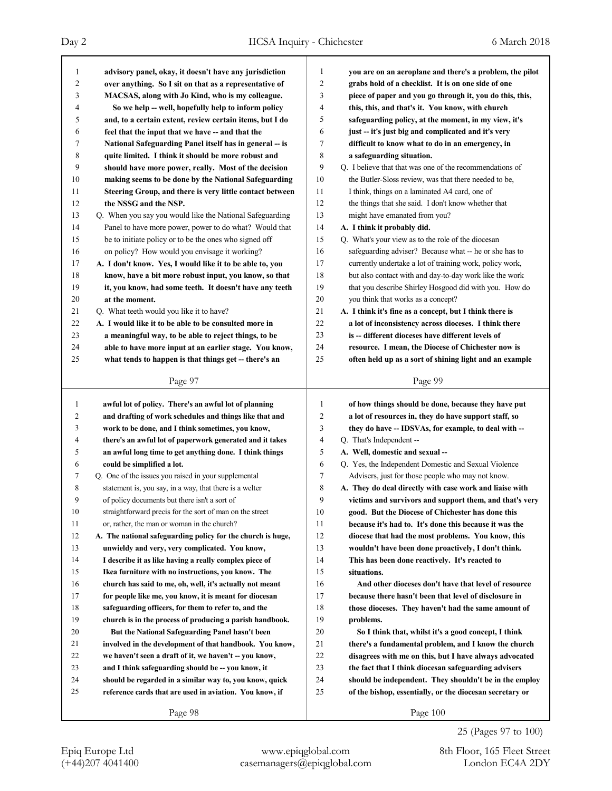| 1              | advisory panel, okay, it doesn't have any jurisdiction      | 1              | you are on an aeroplane and there's a problem, the pilot |
|----------------|-------------------------------------------------------------|----------------|----------------------------------------------------------|
| $\overline{c}$ | over anything. So I sit on that as a representative of      | $\overline{2}$ | grabs hold of a checklist. It is on one side of one      |
| 3              | MACSAS, along with Jo Kind, who is my colleague.            | 3              | piece of paper and you go through it, you do this, this, |
| 4              | So we help -- well, hopefully help to inform policy         | $\overline{4}$ | this, this, and that's it. You know, with church         |
| 5              | and, to a certain extent, review certain items, but I do    | 5              | safeguarding policy, at the moment, in my view, it's     |
| 6              | feel that the input that we have -- and that the            | 6              | just -- it's just big and complicated and it's very      |
| 7              | National Safeguarding Panel itself has in general -- is     | 7              | difficult to know what to do in an emergency, in         |
| 8              | quite limited. I think it should be more robust and         | 8              | a safeguarding situation.                                |
| 9              | should have more power, really. Most of the decision        | 9              | Q. I believe that that was one of the recommendations of |
| 10             | making seems to be done by the National Safeguarding        | 10             | the Butler-Sloss review, was that there needed to be,    |
| 11             | Steering Group, and there is very little contact between    | 11             | I think, things on a laminated A4 card, one of           |
| 12             | the NSSG and the NSP.                                       | 12             | the things that she said. I don't know whether that      |
| 13             | Q. When you say you would like the National Safeguarding    | 13             | might have emanated from you?                            |
| 14             | Panel to have more power, power to do what? Would that      | 14             | A. I think it probably did.                              |
| 15             | be to initiate policy or to be the ones who signed off      | 15             | Q. What's your view as to the role of the diocesan       |
| 16             | on policy? How would you envisage it working?               | 16             | safeguarding adviser? Because what -- he or she has to   |
| 17             | A. I don't know. Yes, I would like it to be able to, you    | 17             | currently undertake a lot of training work, policy work, |
| 18             | know, have a bit more robust input, you know, so that       | 18             | but also contact with and day-to-day work like the work  |
| 19             | it, you know, had some teeth. It doesn't have any teeth     | 19             | that you describe Shirley Hosgood did with you. How do   |
| 20             | at the moment.                                              | 20             | you think that works as a concept?                       |
| 21             | Q. What teeth would you like it to have?                    | 21             | A. I think it's fine as a concept, but I think there is  |
| 22             | A. I would like it to be able to be consulted more in       | 22             | a lot of inconsistency across dioceses. I think there    |
| 23             | a meaningful way, to be able to reject things, to be        | 23             | is -- different dioceses have different levels of        |
| 24             | able to have more input at an earlier stage. You know,      | 24             | resource. I mean, the Diocese of Chichester now is       |
| 25             | what tends to happen is that things get -- there's an       | 25             | often held up as a sort of shining light and an example  |
|                |                                                             |                |                                                          |
|                | Page 97                                                     |                | Page 99                                                  |
|                |                                                             |                |                                                          |
|                |                                                             |                |                                                          |
| $\mathbf{1}$   | awful lot of policy. There's an awful lot of planning       | 1              | of how things should be done, because they have put      |
| 2              | and drafting of work schedules and things like that and     | $\overline{2}$ | a lot of resources in, they do have support staff, so    |
| 3              | work to be done, and I think sometimes, you know,           | 3              | they do have -- IDSVAs, for example, to deal with --     |
| 4              | there's an awful lot of paperwork generated and it takes    | $\overline{4}$ | Q. That's Independent --                                 |
| 5              | an awful long time to get anything done. I think things     | 5              | A. Well, domestic and sexual --                          |
| 6              | could be simplified a lot.                                  | 6              | Q. Yes, the Independent Domestic and Sexual Violence     |
| 7              | Q. One of the issues you raised in your supplemental        | 7              | Advisers, just for those people who may not know.        |
| 8              | statement is, you say, in a way, that there is a welter     | 8              | A. They do deal directly with case work and liaise with  |
| 9              | of policy documents but there isn't a sort of               | 9              | victims and survivors and support them, and that's very  |
| 10             | straightforward precis for the sort of man on the street    | 10             | good. But the Diocese of Chichester has done this        |
| 11             | or, rather, the man or woman in the church?                 | 11             | because it's had to. It's done this because it was the   |
| 12             | A. The national safeguarding policy for the church is huge, | 12             | diocese that had the most problems. You know, this       |
| 13             | unwieldy and very, very complicated. You know,              | 13             | wouldn't have been done proactively, I don't think.      |
| 14             | I describe it as like having a really complex piece of      | 14             | This has been done reactively. It's reacted to           |
| 15             | Ikea furniture with no instructions, you know. The          | 15             | situations.                                              |
| 16             | church has said to me, oh, well, it's actually not meant    | 16             | And other dioceses don't have that level of resource     |
| 17             | for people like me, you know, it is meant for diocesan      | 17             | because there hasn't been that level of disclosure in    |
| 18             | safeguarding officers, for them to refer to, and the        | 18             | those dioceses. They haven't had the same amount of      |
| 19             | church is in the process of producing a parish handbook.    | 19             | problems.                                                |
| 20             | But the National Safeguarding Panel hasn't been             | 20             | So I think that, whilst it's a good concept, I think     |
| 21             | involved in the development of that handbook. You know,     | 21             | there's a fundamental problem, and I know the church     |
| 22             | we haven't seen a draft of it, we haven't -- you know,      | 22             | disagrees with me on this, but I have always advocated   |
| 23             | and I think safeguarding should be -- you know, it          | 23             | the fact that I think diocesan safeguarding advisers     |
| 24             | should be regarded in a similar way to, you know, quick     | 24             | should be independent. They shouldn't be in the employ   |
| 25             | reference cards that are used in aviation. You know, if     | 25             | of the bishop, essentially, or the diocesan secretary or |

25 (Pages 97 to 100)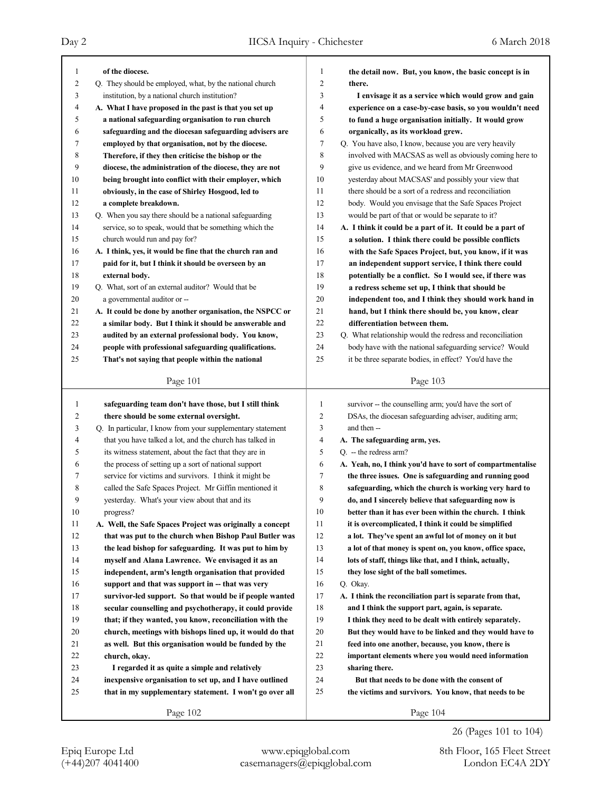| 1      | of the diocese.                                            | 1              | the detail now. But, you know, the basic concept is in      |
|--------|------------------------------------------------------------|----------------|-------------------------------------------------------------|
| 2      | Q. They should be employed, what, by the national church   | 2              | there.                                                      |
| 3      | institution, by a national church institution?             | 3              | I envisage it as a service which would grow and gain        |
| 4      | A. What I have proposed in the past is that you set up     | 4              | experience on a case-by-case basis, so you wouldn't need    |
| 5      | a national safeguarding organisation to run church         | 5              | to fund a huge organisation initially. It would grow        |
| 6      | safeguarding and the diocesan safeguarding advisers are    | 6              | organically, as its workload grew.                          |
| 7      | employed by that organisation, not by the diocese.         | 7              | Q. You have also, I know, because you are very heavily      |
| 8      | Therefore, if they then criticise the bishop or the        | 8              | involved with MACSAS as well as obviously coming here to    |
| 9      | diocese, the administration of the diocese, they are not   | 9              | give us evidence, and we heard from Mr Greenwood            |
| 10     | being brought into conflict with their employer, which     | 10             | yesterday about MACSAS' and possibly your view that         |
| 11     | obviously, in the case of Shirley Hosgood, led to          | 11             | there should be a sort of a redress and reconciliation      |
| 12     | a complete breakdown.                                      | 12             | body. Would you envisage that the Safe Spaces Project       |
| 13     | Q. When you say there should be a national safeguarding    | 13             | would be part of that or would be separate to it?           |
| 14     | service, so to speak, would that be something which the    | 14             | A. I think it could be a part of it. It could be a part of  |
| 15     | church would run and pay for?                              | 15             | a solution. I think there could be possible conflicts       |
| 16     | A. I think, yes, it would be fine that the church ran and  | 16             | with the Safe Spaces Project, but, you know, if it was      |
| 17     | paid for it, but I think it should be overseen by an       | 17             | an independent support service, I think there could         |
| 18     | external body.                                             | 18             | potentially be a conflict. So I would see, if there was     |
| 19     | Q. What, sort of an external auditor? Would that be        | 19             | a redress scheme set up, I think that should be             |
| 20     | a governmental auditor or --                               | 20             | independent too, and I think they should work hand in       |
| 21     | A. It could be done by another organisation, the NSPCC or  | 21             | hand, but I think there should be, you know, clear          |
| 22     | a similar body. But I think it should be answerable and    | 22             | differentiation between them.                               |
| 23     | audited by an external professional body. You know,        | 23             | Q. What relationship would the redress and reconciliation   |
| 24     | people with professional safeguarding qualifications.      | 24             | body have with the national safeguarding service? Would     |
| 25     | That's not saying that people within the national          | 25             | it be three separate bodies, in effect? You'd have the      |
|        |                                                            |                |                                                             |
|        | Page 101                                                   |                | Page 103                                                    |
|        |                                                            |                |                                                             |
| 1      | safeguarding team don't have those, but I still think      | $\mathbf{1}$   | survivor -- the counselling arm; you'd have the sort of     |
| 2      | there should be some external oversight.                   | $\overline{c}$ | DSAs, the diocesan safeguarding adviser, auditing arm;      |
| 3      | Q. In particular, I know from your supplementary statement | 3              | and then --                                                 |
| 4      | that you have talked a lot, and the church has talked in   | 4              | A. The safeguarding arm, yes.                               |
| 5      | its witness statement, about the fact that they are in     | 5              | Q. -- the redress arm?                                      |
| 6      | the process of setting up a sort of national support       | 6              | A. Yeah, no, I think you'd have to sort of compartmentalise |
| 7      | service for victims and survivors. I think it might be     | 7              | the three issues. One is safeguarding and running good      |
| 8      | called the Safe Spaces Project. Mr Giffin mentioned it     | 8              | safeguarding, which the church is working very hard to      |
| 9      | yesterday. What's your view about that and its             | 9              | do, and I sincerely believe that safeguarding now is        |
| $10\,$ | progress?                                                  | $10\,$         | better than it has ever been within the church. I think     |
| 11     | A. Well, the Safe Spaces Project was originally a concept  | 11             | it is overcomplicated, I think it could be simplified       |
| 12     | that was put to the church when Bishop Paul Butler was     | 12             | a lot. They've spent an awful lot of money on it but        |
| 13     | the lead bishop for safeguarding. It was put to him by     | 13             | a lot of that money is spent on, you know, office space,    |
| 14     | myself and Alana Lawrence. We envisaged it as an           | 14             | lots of staff, things like that, and I think, actually,     |
| 15     | independent, arm's length organisation that provided       | 15             | they lose sight of the ball sometimes.                      |
| 16     | support and that was support in -- that was very           | 16             | Q. Okay.                                                    |
| 17     | survivor-led support. So that would be if people wanted    | 17             | A. I think the reconciliation part is separate from that,   |
| 18     | secular counselling and psychotherapy, it could provide    | 18             | and I think the support part, again, is separate.           |
| 19     | that; if they wanted, you know, reconciliation with the    | 19             | I think they need to be dealt with entirely separately.     |
| 20     | church, meetings with bishops lined up, it would do that   | 20             | But they would have to be linked and they would have to     |
| 21     | as well. But this organisation would be funded by the      | 21             | feed into one another, because, you know, there is          |
| 22     | church, okay.                                              | $22\,$         | important elements where you would need information         |
| 23     | I regarded it as quite a simple and relatively             | 23             | sharing there.                                              |
| 24     | inexpensive organisation to set up, and I have outlined    | 24             | But that needs to be done with the consent of               |
| 25     | that in my supplementary statement. I won't go over all    | 25             | the victims and survivors. You know, that needs to be       |

26 (Pages 101 to 104)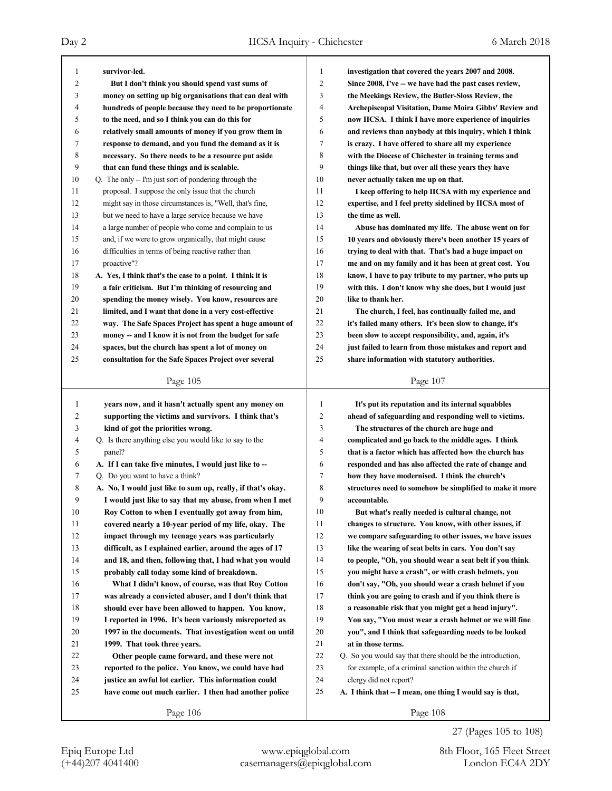| 1            | survivor-led.                                                                                               | 1              | investigation that covered the years 2007 and 2008.                                                             |
|--------------|-------------------------------------------------------------------------------------------------------------|----------------|-----------------------------------------------------------------------------------------------------------------|
| 2            | But I don't think you should spend vast sums of                                                             | $\overline{c}$ | Since 2008, I've -- we have had the past cases review,                                                          |
| 3            | money on setting up big organisations that can deal with                                                    | 3              | the Meekings Review, the Butler-Sloss Review, the                                                               |
| 4            | hundreds of people because they need to be proportionate                                                    | 4              | Archepiscopal Visitation, Dame Moira Gibbs' Review and                                                          |
| 5            | to the need, and so I think you can do this for                                                             | 5              | now IICSA. I think I have more experience of inquiries                                                          |
| 6            | relatively small amounts of money if you grow them in                                                       | 6              | and reviews than anybody at this inquiry, which I think                                                         |
| 7            | response to demand, and you fund the demand as it is                                                        | 7              | is crazy. I have offered to share all my experience                                                             |
| 8            | necessary. So there needs to be a resource put aside                                                        | 8              | with the Diocese of Chichester in training terms and                                                            |
| 9            | that can fund these things and is scalable.                                                                 | 9              | things like that, but over all these years they have                                                            |
| 10           | Q. The only -- I'm just sort of pondering through the                                                       | 10             | never actually taken me up on that.                                                                             |
| 11           | proposal. I suppose the only issue that the church                                                          | 11             | I keep offering to help IICSA with my experience and                                                            |
| 12           | might say in those circumstances is, "Well, that's fine,                                                    | 12             | expertise, and I feel pretty sidelined by IICSA most of                                                         |
| 13           | but we need to have a large service because we have                                                         | 13             | the time as well.                                                                                               |
| 14           | a large number of people who come and complain to us                                                        | 14             | Abuse has dominated my life. The abuse went on for                                                              |
| 15           | and, if we were to grow organically, that might cause                                                       | 15             | 10 years and obviously there's been another 15 years of                                                         |
| 16           | difficulties in terms of being reactive rather than                                                         | 16             | trying to deal with that. That's had a huge impact on                                                           |
| 17           | proactive"?                                                                                                 | 17             | me and on my family and it has been at great cost. You                                                          |
| 18           | A. Yes, I think that's the case to a point. I think it is                                                   | 18             | know, I have to pay tribute to my partner, who puts up                                                          |
| 19           | a fair criticism. But I'm thinking of resourcing and                                                        | 19             | with this. I don't know why she does, but I would just                                                          |
| 20           | spending the money wisely. You know, resources are                                                          | 20             | like to thank her.                                                                                              |
| 21           | limited, and I want that done in a very cost-effective                                                      | 21             | The church, I feel, has continually failed me, and                                                              |
| 22           | way. The Safe Spaces Project has spent a huge amount of                                                     | 22             | it's failed many others. It's been slow to change, it's                                                         |
| 23           |                                                                                                             | 23             |                                                                                                                 |
| 24           | money -- and I know it is not from the budget for safe                                                      | 24             | been slow to accept responsibility, and, again, it's<br>just failed to learn from those mistakes and report and |
| 25           | spaces, but the church has spent a lot of money on<br>consultation for the Safe Spaces Project over several | 25             | share information with statutory authorities.                                                                   |
|              |                                                                                                             |                |                                                                                                                 |
|              | Page 105                                                                                                    |                | Page 107                                                                                                        |
|              |                                                                                                             |                |                                                                                                                 |
|              |                                                                                                             |                |                                                                                                                 |
| $\mathbf{1}$ | years now, and it hasn't actually spent any money on                                                        | 1              | It's put its reputation and its internal squabbles                                                              |
| 2            | supporting the victims and survivors. I think that's                                                        | $\overline{c}$ | ahead of safeguarding and responding well to victims.                                                           |
| 3            | kind of got the priorities wrong.                                                                           | 3              | The structures of the church are huge and                                                                       |
| 4            | Q. Is there anything else you would like to say to the                                                      | 4              | complicated and go back to the middle ages. I think                                                             |
| 5            | panel?                                                                                                      | 5              | that is a factor which has affected how the church has                                                          |
| 6            | A. If I can take five minutes, I would just like to --                                                      | 6              | responded and has also affected the rate of change and                                                          |
| 7            | Q. Do you want to have a think?                                                                             | 7              | how they have modernised. I think the church's                                                                  |
| 8            | A. No, I would just like to sum up, really, if that's okay.                                                 | 8              | structures need to somehow be simplified to make it more                                                        |
| 9            | I would just like to say that my abuse, from when I met                                                     | 9              | accountable.                                                                                                    |
| 10           | Roy Cotton to when I eventually got away from him,                                                          | 10             | But what's really needed is cultural change, not                                                                |
| 11           | covered nearly a 10-year period of my life, okay. The                                                       | 11             | changes to structure. You know, with other issues, if                                                           |
| 12           | impact through my teenage years was particularly                                                            | 12             | we compare safeguarding to other issues, we have issues                                                         |
| 13           | difficult, as I explained earlier, around the ages of 17                                                    | 13             | like the wearing of seat belts in cars. You don't say                                                           |
| 14           | and 18, and then, following that, I had what you would                                                      | 14             | to people, "Oh, you should wear a seat belt if you think                                                        |
| 15           | probably call today some kind of breakdown.                                                                 | 15             | you might have a crash", or with crash helmets, you                                                             |
| 16           | What I didn't know, of course, was that Roy Cotton                                                          | 16             | don't say, "Oh, you should wear a crash helmet if you                                                           |
| 17           | was already a convicted abuser, and I don't think that                                                      | 17             | think you are going to crash and if you think there is                                                          |
| 18           | should ever have been allowed to happen. You know,                                                          | 18             | a reasonable risk that you might get a head injury".                                                            |
| 19           | I reported in 1996. It's been variously misreported as                                                      | 19             | You say, "You must wear a crash helmet or we will fine                                                          |
| 20           | 1997 in the documents. That investigation went on until                                                     | 20             | you", and I think that safeguarding needs to be looked                                                          |
| 21           | 1999. That took three years.                                                                                | 21             | at in those terms.                                                                                              |
| 22           | Other people came forward, and these were not                                                               | 22             | Q. So you would say that there should be the introduction,                                                      |
| 23           | reported to the police. You know, we could have had                                                         | 23             | for example, of a criminal sanction within the church if                                                        |
| 24<br>25     | justice an awful lot earlier. This information could                                                        | 24<br>25       | clergy did not report?                                                                                          |
|              | have come out much earlier. I then had another police                                                       |                | A. I think that -- I mean, one thing I would say is that,<br>Page 108                                           |

27 (Pages 105 to 108)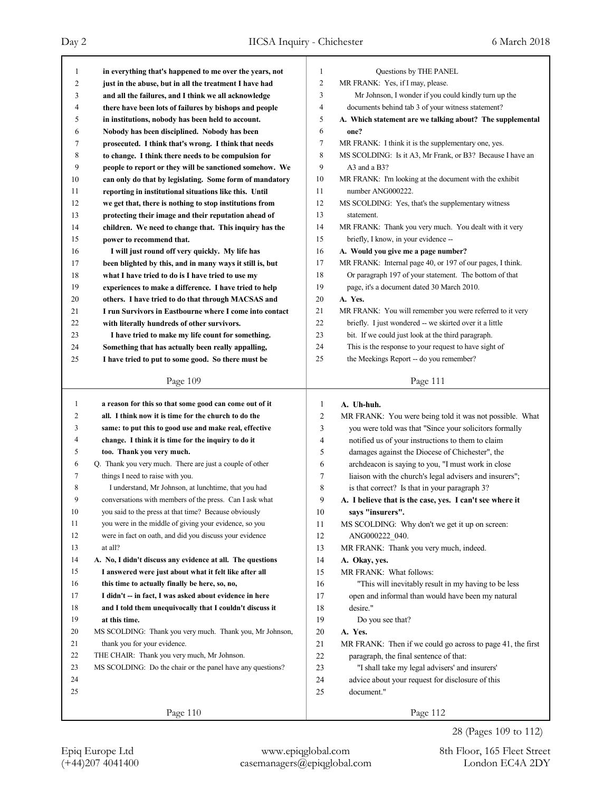| 1            | in everything that's happened to me over the years, not    | 1              | Questions by THE PANEL                                     |
|--------------|------------------------------------------------------------|----------------|------------------------------------------------------------|
| 2            | just in the abuse, but in all the treatment I have had     | $\overline{c}$ | MR FRANK: Yes, if I may, please.                           |
| 3            | and all the failures, and I think we all acknowledge       | 3              | Mr Johnson, I wonder if you could kindly turn up the       |
| 4            | there have been lots of failures by bishops and people     | $\overline{4}$ | documents behind tab 3 of your witness statement?          |
| 5            | in institutions, nobody has been held to account.          | 5              | A. Which statement are we talking about? The supplemental  |
| 6            | Nobody has been disciplined. Nobody has been               | 6              | one?                                                       |
| 7            | prosecuted. I think that's wrong. I think that needs       | 7              | MR FRANK: I think it is the supplementary one, yes.        |
| 8            | to change. I think there needs to be compulsion for        | $\,$ 8 $\,$    | MS SCOLDING: Is it A3, Mr Frank, or B3? Because I have an  |
| 9            | people to report or they will be sanctioned somehow. We    | 9              | A3 and a B3?                                               |
| 10           | can only do that by legislating. Some form of mandatory    | 10             | MR FRANK: I'm looking at the document with the exhibit     |
| 11           | reporting in institutional situations like this. Until     | 11             | number ANG000222.                                          |
| 12           | we get that, there is nothing to stop institutions from    | 12             | MS SCOLDING: Yes, that's the supplementary witness         |
| 13           | protecting their image and their reputation ahead of       | 13             | statement.                                                 |
| 14           | children. We need to change that. This inquiry has the     | 14             | MR FRANK: Thank you very much. You dealt with it very      |
| 15           | power to recommend that.                                   | 15             | briefly, I know, in your evidence --                       |
| 16           | I will just round off very quickly. My life has            | 16             | A. Would you give me a page number?                        |
| 17           | been blighted by this, and in many ways it still is, but   | 17             | MR FRANK: Internal page 40, or 197 of our pages, I think.  |
| 18           | what I have tried to do is I have tried to use my          | 18             | Or paragraph 197 of your statement. The bottom of that     |
| 19           | experiences to make a difference. I have tried to help     | 19             | page, it's a document dated 30 March 2010.                 |
| 20           | others. I have tried to do that through MACSAS and         | 20             | A. Yes.                                                    |
| 21           | I run Survivors in Eastbourne where I come into contact    | 21             | MR FRANK: You will remember you were referred to it very   |
| 22           | with literally hundreds of other survivors.                | 22             | briefly. I just wondered -- we skirted over it a little    |
| 23           | I have tried to make my life count for something.          | 23             | bit. If we could just look at the third paragraph.         |
| 24           | Something that has actually been really appalling,         | 24             | This is the response to your request to have sight of      |
| 25           | I have tried to put to some good. So there must be         | 25             | the Meekings Report -- do you remember?                    |
|              |                                                            |                |                                                            |
|              | Page 109                                                   |                | Page 111                                                   |
|              |                                                            |                |                                                            |
|              |                                                            |                |                                                            |
| $\mathbf{1}$ | a reason for this so that some good can come out of it     | 1              | A. Uh-huh.                                                 |
| 2            | all. I think now it is time for the church to do the       | 2              | MR FRANK: You were being told it was not possible. What    |
| 3            | same: to put this to good use and make real, effective     | 3              | you were told was that "Since your solicitors formally     |
| 4            | change. I think it is time for the inquiry to do it        | 4              | notified us of your instructions to them to claim          |
| 5            | too. Thank you very much.                                  | 5              | damages against the Diocese of Chichester", the            |
| 6            | Q. Thank you very much. There are just a couple of other   | 6              | archdeacon is saying to you, "I must work in close         |
| 7            | things I need to raise with you.                           | 7              | liaison with the church's legal advisers and insurers";    |
| 8            | I understand, Mr Johnson, at lunchtime, that you had       | 8              | is that correct? Is that in your paragraph 3?              |
| 9            | conversations with members of the press. Can I ask what    | 9              | A. I believe that is the case, yes. I can't see where it   |
| 10           | you said to the press at that time? Because obviously      | 10             | says "insurers".                                           |
| 11           | you were in the middle of giving your evidence, so you     | 11             | MS SCOLDING: Why don't we get it up on screen:             |
| 12           | were in fact on oath, and did you discuss your evidence    | 12             | ANG000222 040.                                             |
| 13           | at all?                                                    | 13             | MR FRANK: Thank you very much, indeed.                     |
| 14           | A. No, I didn't discuss any evidence at all. The questions | 14             | A. Okay, yes.                                              |
| 15           | I answered were just about what it felt like after all     | 15             | MR FRANK: What follows:                                    |
| 16           | this time to actually finally be here, so, no,             | 16             | "This will inevitably result in my having to be less       |
| 17           | I didn't -- in fact, I was asked about evidence in here    | 17             | open and informal than would have been my natural          |
| 18           | and I told them unequivocally that I couldn't discuss it   | 18             | desire."                                                   |
| 19           | at this time.                                              | 19             | Do you see that?                                           |
| 20           | MS SCOLDING: Thank you very much. Thank you, Mr Johnson,   | 20             | A. Yes.                                                    |
| 21           | thank you for your evidence.                               | 21             | MR FRANK: Then if we could go across to page 41, the first |
| 22           | THE CHAIR: Thank you very much, Mr Johnson.                | 22             | paragraph, the final sentence of that:                     |
| 23           | MS SCOLDING: Do the chair or the panel have any questions? | 23             | "I shall take my legal advisers' and insurers'             |
| 24           |                                                            | 24             | advice about your request for disclosure of this           |
| 25           |                                                            | 25             | document."                                                 |
|              | Page 110                                                   |                | Page 112                                                   |

28 (Pages 109 to 112)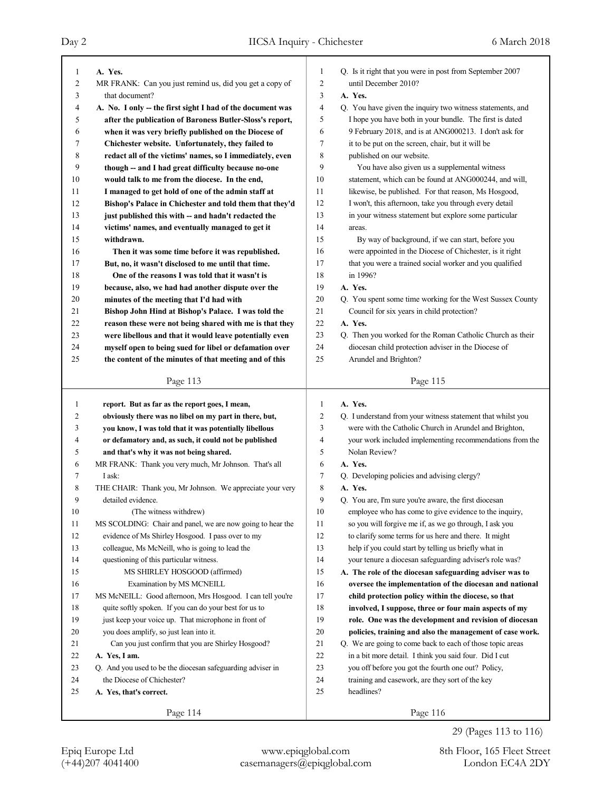| 1                       | A. Yes.                                                                                                       | 1              | Q. Is it right that you were in post from September 2007                  |
|-------------------------|---------------------------------------------------------------------------------------------------------------|----------------|---------------------------------------------------------------------------|
| 2                       | MR FRANK: Can you just remind us, did you get a copy of                                                       | $\overline{2}$ | until December 2010?                                                      |
| 3                       | that document?                                                                                                | 3              | A. Yes.                                                                   |
| 4                       | A. No. I only – the first sight I had of the document was                                                     | 4              | Q. You have given the inquiry two witness statements, and                 |
| 5                       | after the publication of Baroness Butler-Sloss's report,                                                      | 5              | I hope you have both in your bundle. The first is dated                   |
| 6                       | when it was very briefly published on the Diocese of                                                          | 6              | 9 February 2018, and is at ANG000213. I don't ask for                     |
| 7                       |                                                                                                               | 7              | it to be put on the screen, chair, but it will be                         |
| 8                       | Chichester website. Unfortunately, they failed to<br>redact all of the victims' names, so I immediately, even | 8              | published on our website.                                                 |
| 9                       |                                                                                                               | 9              | You have also given us a supplemental witness                             |
|                         | though -- and I had great difficulty because no-one                                                           | 10             | statement, which can be found at ANG000244, and will,                     |
| 10                      | would talk to me from the diocese. In the end,                                                                | 11             |                                                                           |
| 11                      | I managed to get hold of one of the admin staff at                                                            |                | likewise, be published. For that reason, Ms Hosgood,                      |
| 12                      | Bishop's Palace in Chichester and told them that they'd                                                       | 12             | I won't, this afternoon, take you through every detail                    |
| 13                      | just published this with -- and hadn't redacted the                                                           | 13             | in your witness statement but explore some particular                     |
| 14                      | victims' names, and eventually managed to get it                                                              | 14             | areas.                                                                    |
| 15                      | withdrawn.                                                                                                    | 15             | By way of background, if we can start, before you                         |
| 16                      | Then it was some time before it was republished.                                                              | 16             | were appointed in the Diocese of Chichester, is it right                  |
| 17                      | But, no, it wasn't disclosed to me until that time.                                                           | 17             | that you were a trained social worker and you qualified                   |
| 18                      | One of the reasons I was told that it wasn't is                                                               | 18             | in 1996?                                                                  |
| 19                      | because, also, we had had another dispute over the                                                            | 19             | A. Yes.                                                                   |
| 20                      | minutes of the meeting that I'd had with                                                                      | 20             | Q. You spent some time working for the West Sussex County                 |
| 21                      | Bishop John Hind at Bishop's Palace. I was told the                                                           | 21             | Council for six years in child protection?                                |
| 22                      | reason these were not being shared with me is that they                                                       | 22             | A. Yes.                                                                   |
| 23                      | were libellous and that it would leave potentially even                                                       | 23             | Q. Then you worked for the Roman Catholic Church as their                 |
| 24                      | myself open to being sued for libel or defamation over                                                        | 24             | diocesan child protection adviser in the Diocese of                       |
| 25                      | the content of the minutes of that meeting and of this                                                        | 25             | Arundel and Brighton?                                                     |
|                         |                                                                                                               |                |                                                                           |
|                         | Page 113                                                                                                      |                | Page 115                                                                  |
|                         |                                                                                                               |                |                                                                           |
| 1                       |                                                                                                               | $\mathbf{1}$   | A. Yes.                                                                   |
| $\overline{\mathbf{c}}$ | report. But as far as the report goes, I mean,                                                                | $\overline{c}$ |                                                                           |
| 3                       | obviously there was no libel on my part in there, but,                                                        | 3              | Q. I understand from your witness statement that whilst you               |
| 4                       | you know, I was told that it was potentially libellous                                                        | 4              | were with the Catholic Church in Arundel and Brighton,                    |
| 5                       | or defamatory and, as such, it could not be published                                                         | 5              | your work included implementing recommendations from the<br>Nolan Review? |
| 6                       | and that's why it was not being shared.                                                                       | 6              | A. Yes.                                                                   |
|                         | MR FRANK: Thank you very much, Mr Johnson. That's all                                                         |                |                                                                           |
| 7                       | I ask:                                                                                                        | 7              | Q. Developing policies and advising clergy?                               |
| 8<br>9                  | THE CHAIR: Thank you, Mr Johnson. We appreciate your very<br>detailed evidence.                               | 8<br>9         | A. Yes.                                                                   |
|                         |                                                                                                               |                | Q. You are, I'm sure you're aware, the first diocesan                     |
| $10\,$                  | (The witness withdrew)                                                                                        | $10\,$         | employee who has come to give evidence to the inquiry,                    |
| 11                      | MS SCOLDING: Chair and panel, we are now going to hear the                                                    | 11             | so you will forgive me if, as we go through, I ask you                    |
| 12                      | evidence of Ms Shirley Hosgood. I pass over to my                                                             | 12             | to clarify some terms for us here and there. It might                     |
| 13                      | colleague, Ms McNeill, who is going to lead the                                                               | 13             | help if you could start by telling us briefly what in                     |
| 14                      | questioning of this particular witness.                                                                       | 14             | your tenure a diocesan safeguarding adviser's role was?                   |
| 15                      | MS SHIRLEY HOSGOOD (affirmed)                                                                                 | 15             | A. The role of the diocesan safeguarding adviser was to                   |
| 16                      | Examination by MS MCNEILL                                                                                     | 16             | oversee the implementation of the diocesan and national                   |
| 17                      | MS McNEILL: Good afternoon, Mrs Hosgood. I can tell you're                                                    | 17             | child protection policy within the diocese, so that                       |
| 18                      | quite softly spoken. If you can do your best for us to                                                        | 18             | involved, I suppose, three or four main aspects of my                     |
| 19                      | just keep your voice up. That microphone in front of                                                          | 19             | role. One was the development and revision of diocesan                    |
| 20                      | you does amplify, so just lean into it.                                                                       | 20             | policies, training and also the management of case work.                  |
| 21                      | Can you just confirm that you are Shirley Hosgood?                                                            | 21             | Q. We are going to come back to each of those topic areas                 |
| 22                      | A. Yes, I am.                                                                                                 | 22             | in a bit more detail. I think you said four. Did I cut                    |
| 23                      | Q. And you used to be the diocesan safeguarding adviser in                                                    | 23             | you off before you got the fourth one out? Policy,                        |
| 24                      | the Diocese of Chichester?                                                                                    | 24             | training and casework, are they sort of the key                           |
| 25                      | A. Yes, that's correct.                                                                                       | 25             | headlines?                                                                |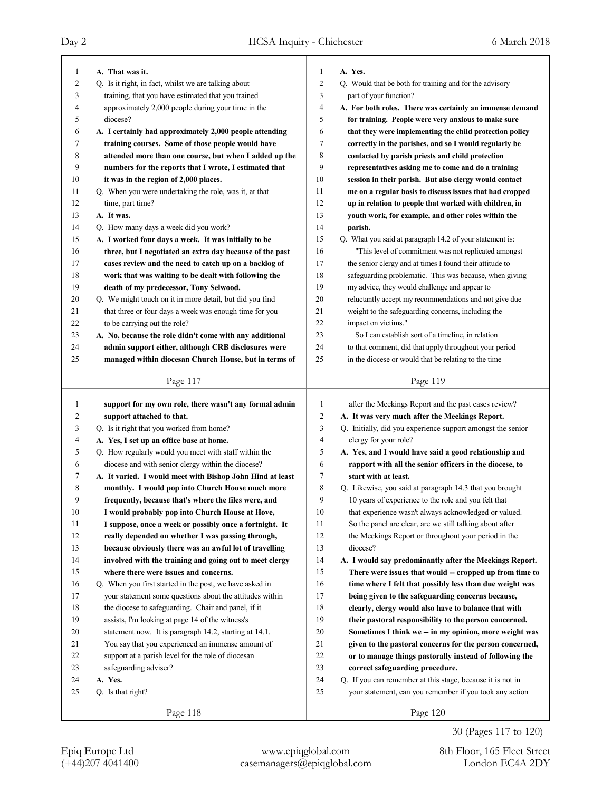| 1  | A. That was it.                                           | $\mathbf{1}$   | A. Yes.                                                     |
|----|-----------------------------------------------------------|----------------|-------------------------------------------------------------|
| 2  | Q. Is it right, in fact, whilst we are talking about      | $\overline{2}$ | Q. Would that be both for training and for the advisory     |
| 3  | training, that you have estimated that you trained        | 3              | part of your function?                                      |
| 4  | approximately 2,000 people during your time in the        | $\overline{4}$ | A. For both roles. There was certainly an immense demand    |
| 5  | diocese?                                                  | 5              | for training. People were very anxious to make sure         |
| 6  | A. I certainly had approximately 2,000 people attending   | 6              | that they were implementing the child protection policy     |
| 7  | training courses. Some of those people would have         | $\overline{7}$ | correctly in the parishes, and so I would regularly be      |
| 8  | attended more than one course, but when I added up the    | 8              | contacted by parish priests and child protection            |
| 9  | numbers for the reports that I wrote, I estimated that    | 9              | representatives asking me to come and do a training         |
| 10 | it was in the region of 2,000 places.                     | 10             | session in their parish. But also clergy would contact      |
| 11 | Q. When you were undertaking the role, was it, at that    | 11             | me on a regular basis to discuss issues that had cropped    |
| 12 | time, part time?                                          | 12             | up in relation to people that worked with children, in      |
| 13 | A. It was.                                                | 13             | youth work, for example, and other roles within the         |
| 14 | Q. How many days a week did you work?                     | 14             | parish.                                                     |
| 15 | A. I worked four days a week. It was initially to be      | 15             | Q. What you said at paragraph 14.2 of your statement is:    |
| 16 | three, but I negotiated an extra day because of the past  | 16             | "This level of commitment was not replicated amongst        |
| 17 | cases review and the need to catch up on a backlog of     | 17             | the senior clergy and at times I found their attitude to    |
| 18 | work that was waiting to be dealt with following the      | 18             | safeguarding problematic. This was because, when giving     |
| 19 | death of my predecessor, Tony Selwood.                    | 19             | my advice, they would challenge and appear to               |
| 20 | Q. We might touch on it in more detail, but did you find  | 20             | reluctantly accept my recommendations and not give due      |
| 21 | that three or four days a week was enough time for you    | 21             | weight to the safeguarding concerns, including the          |
| 22 | to be carrying out the role?                              | 22             | impact on victims."                                         |
| 23 | A. No, because the role didn't come with any additional   | 23             | So I can establish sort of a timeline, in relation          |
| 24 | admin support either, although CRB disclosures were       | 24             | to that comment, did that apply throughout your period      |
| 25 | managed within diocesan Church House, but in terms of     | 25             | in the diocese or would that be relating to the time        |
|    |                                                           |                |                                                             |
|    | Page 117                                                  |                | Page 119                                                    |
| 1  | support for my own role, there wasn't any formal admin    | 1              | after the Meekings Report and the past cases review?        |
| 2  | support attached to that.                                 | $\overline{c}$ | A. It was very much after the Meekings Report.              |
| 3  | Q. Is it right that you worked from home?                 | 3              | Q. Initially, did you experience support amongst the senior |
| 4  | A. Yes, I set up an office base at home.                  | 4              | clergy for your role?                                       |
| 5  | Q. How regularly would you meet with staff within the     | 5              | A. Yes, and I would have said a good relationship and       |
| 6  | diocese and with senior clergy within the diocese?        | 6              | rapport with all the senior officers in the diocese, to     |
| 7  | A. It varied. I would meet with Bishop John Hind at least | 7              | start with at least.                                        |
| 8  | monthly. I would pop into Church House much more          | 8              | Q. Likewise, you said at paragraph 14.3 that you brought    |
| 9  | frequently, because that's where the files were, and      | 9              | 10 years of experience to the role and you felt that        |
| 10 | I would probably pop into Church House at Hove,           | 10             | that experience wasn't always acknowledged or valued.       |
| 11 | I suppose, once a week or possibly once a fortnight. It   | 11             | So the panel are clear, are we still talking about after    |
| 12 | really depended on whether I was passing through,         | 12             | the Meekings Report or throughout your period in the        |
| 13 | because obviously there was an awful lot of travelling    | 13             | diocese?                                                    |
| 14 | involved with the training and going out to meet clergy   | 14             | A. I would say predominantly after the Meekings Report.     |
| 15 |                                                           | 15             |                                                             |
| 16 |                                                           |                |                                                             |
|    | where there were issues and concerns.                     |                | There were issues that would -- cropped up from time to     |
|    | Q. When you first started in the post, we have asked in   | 16             | time where I felt that possibly less than due weight was    |
| 17 | your statement some questions about the attitudes within  | 17             | being given to the safeguarding concerns because,           |
| 18 | the diocese to safeguarding. Chair and panel, if it       | 18             | clearly, clergy would also have to balance that with        |
| 19 | assists, I'm looking at page 14 of the witness's          | 19             | their pastoral responsibility to the person concerned.      |
| 20 | statement now. It is paragraph 14.2, starting at 14.1.    | 20             | Sometimes I think we -- in my opinion, more weight was      |
| 21 | You say that you experienced an immense amount of         | 21             | given to the pastoral concerns for the person concerned,    |
| 22 | support at a parish level for the role of diocesan        | $22\,$         | or to manage things pastorally instead of following the     |
| 23 | safeguarding adviser?                                     | 23             | correct safeguarding procedure.                             |
| 24 | A. Yes.                                                   | $24\,$         | Q. If you can remember at this stage, because it is not in  |
| 25 | Q. Is that right?                                         | 25             | your statement, can you remember if you took any action     |
|    | Page 118                                                  |                | Page 120                                                    |

30 (Pages 117 to 120)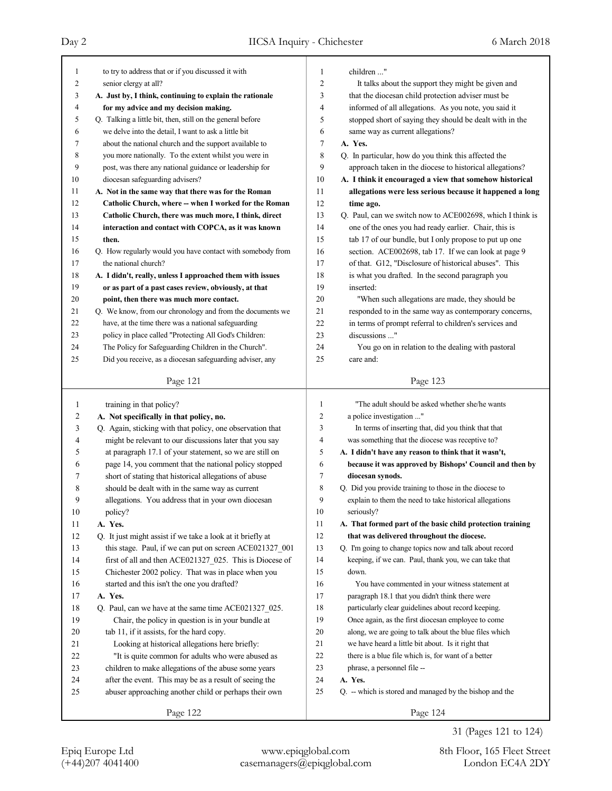| $\mathbf{1}$   | to try to address that or if you discussed it with                                                             | 1              | children "                                                                                                        |
|----------------|----------------------------------------------------------------------------------------------------------------|----------------|-------------------------------------------------------------------------------------------------------------------|
| $\overline{c}$ | senior clergy at all?                                                                                          | $\overline{c}$ | It talks about the support they might be given and                                                                |
| 3              | A. Just by, I think, continuing to explain the rationale                                                       | 3              | that the diocesan child protection adviser must be                                                                |
| 4              | for my advice and my decision making.                                                                          | 4              | informed of all allegations. As you note, you said it                                                             |
| 5              | Q. Talking a little bit, then, still on the general before                                                     | 5              | stopped short of saying they should be dealt with in the                                                          |
| 6              | we delve into the detail, I want to ask a little bit                                                           | 6              | same way as current allegations?                                                                                  |
| 7              | about the national church and the support available to                                                         | $\tau$         | A. Yes.                                                                                                           |
| 8              | you more nationally. To the extent whilst you were in                                                          | 8              | Q. In particular, how do you think this affected the                                                              |
| 9              | post, was there any national guidance or leadership for                                                        | 9              | approach taken in the diocese to historical allegations?                                                          |
| 10             | diocesan safeguarding advisers?                                                                                | 10             | A. I think it encouraged a view that somehow historical                                                           |
| 11             | A. Not in the same way that there was for the Roman                                                            | 11             | allegations were less serious because it happened a long                                                          |
| 12             | Catholic Church, where -- when I worked for the Roman                                                          | 12             | time ago.                                                                                                         |
| 13             | Catholic Church, there was much more, I think, direct                                                          | 13             | Q. Paul, can we switch now to ACE002698, which I think is                                                         |
| 14             | interaction and contact with COPCA, as it was known                                                            | 14             | one of the ones you had ready earlier. Chair, this is                                                             |
| 15             | then.                                                                                                          | 15             | tab 17 of our bundle, but I only propose to put up one                                                            |
| 16             | Q. How regularly would you have contact with somebody from                                                     | 16             | section. ACE002698, tab 17. If we can look at page 9                                                              |
| 17             | the national church?                                                                                           | 17             | of that. G12, "Disclosure of historical abuses". This                                                             |
| 18             | A. I didn't, really, unless I approached them with issues                                                      | 18             | is what you drafted. In the second paragraph you                                                                  |
| 19             | or as part of a past cases review, obviously, at that                                                          | 19             | inserted:                                                                                                         |
| 20             | point, then there was much more contact.                                                                       | 20             | "When such allegations are made, they should be                                                                   |
| 21             | Q. We know, from our chronology and from the documents we                                                      | 21             | responded to in the same way as contemporary concerns,                                                            |
| 22             | have, at the time there was a national safeguarding                                                            | 22             | in terms of prompt referral to children's services and                                                            |
| 23             | policy in place called "Protecting All God's Children:                                                         | 23             | discussions "                                                                                                     |
| 24             | The Policy for Safeguarding Children in the Church".                                                           | 24             | You go on in relation to the dealing with pastoral                                                                |
| 25             | Did you receive, as a diocesan safeguarding adviser, any                                                       | 25             | care and:                                                                                                         |
|                |                                                                                                                |                |                                                                                                                   |
|                | Page 121                                                                                                       |                | Page 123                                                                                                          |
|                |                                                                                                                |                |                                                                                                                   |
| 1              |                                                                                                                | $\mathbf{1}$   | "The adult should be asked whether she/he wants                                                                   |
|                | training in that policy?                                                                                       | $\overline{c}$ | a police investigation "                                                                                          |
| 2<br>3         | A. Not specifically in that policy, no.                                                                        | 3              |                                                                                                                   |
| 4              | Q. Again, sticking with that policy, one observation that                                                      | $\overline{4}$ | In terms of inserting that, did you think that that<br>was something that the diocese was receptive to?           |
| 5              | might be relevant to our discussions later that you say                                                        | 5              |                                                                                                                   |
| 6              | at paragraph 17.1 of your statement, so we are still on                                                        | 6              | A. I didn't have any reason to think that it wasn't,                                                              |
| 7              | page 14, you comment that the national policy stopped                                                          | $\tau$         | because it was approved by Bishops' Council and then by<br>diocesan synods.                                       |
| 8              | short of stating that historical allegations of abuse                                                          | 8              |                                                                                                                   |
| 9              | should be dealt with in the same way as current                                                                | 9              | Q. Did you provide training to those in the diocese to<br>explain to them the need to take historical allegations |
| $10\,$         | allegations. You address that in your own diocesan                                                             | $10\,$         | seriously?                                                                                                        |
| 11             | policy?<br>A. Yes.                                                                                             | 11             | A. That formed part of the basic child protection training                                                        |
|                | Q. It just might assist if we take a look at it briefly at                                                     | 12             | that was delivered throughout the diocese.                                                                        |
| 12             |                                                                                                                | 13             |                                                                                                                   |
| 13             | this stage. Paul, if we can put on screen ACE021327_001                                                        | 14             | Q. I'm going to change topics now and talk about record<br>keeping, if we can. Paul, thank you, we can take that  |
| 14             | first of all and then ACE021327_025. This is Diocese of                                                        | 15             | down.                                                                                                             |
| 15             | Chichester 2002 policy. That was in place when you                                                             | 16             |                                                                                                                   |
| 16<br>17       | started and this isn't the one you drafted?<br>A. Yes.                                                         | 17             | You have commented in your witness statement at                                                                   |
|                | Q. Paul, can we have at the same time ACE021327 025.                                                           | 18             | paragraph 18.1 that you didn't think there were                                                                   |
| 18<br>19       | Chair, the policy in question is in your bundle at                                                             | 19             | particularly clear guidelines about record keeping.<br>Once again, as the first diocesan employee to come         |
| 20             | tab 11, if it assists, for the hard copy.                                                                      | 20             | along, we are going to talk about the blue files which                                                            |
| 21             |                                                                                                                | 21             | we have heard a little bit about. Is it right that                                                                |
| 22             | Looking at historical allegations here briefly:<br>"It is quite common for adults who were abused as           | 22             |                                                                                                                   |
| 23             |                                                                                                                | 23             | there is a blue file which is, for want of a better<br>phrase, a personnel file --                                |
| 24             | children to make allegations of the abuse some years<br>after the event. This may be as a result of seeing the | 24             | A. Yes.                                                                                                           |
| 25             | abuser approaching another child or perhaps their own                                                          | 25             | Q. -- which is stored and managed by the bishop and the                                                           |
|                | Page 122                                                                                                       |                | Page 124                                                                                                          |

31 (Pages 121 to 124)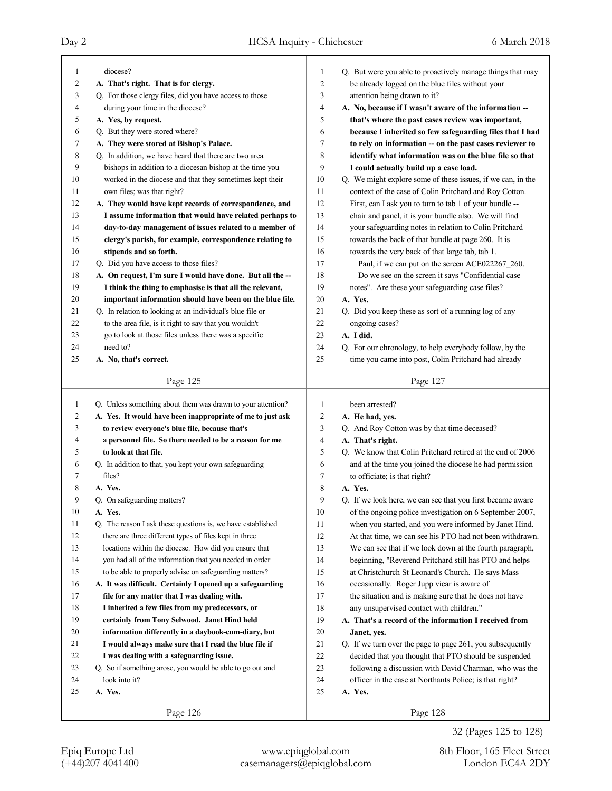| 1                | diocese?                                                    | 1              | Q. But were you able to proactively manage things that may                                        |
|------------------|-------------------------------------------------------------|----------------|---------------------------------------------------------------------------------------------------|
| $\boldsymbol{2}$ | A. That's right. That is for clergy.                        | $\overline{c}$ | be already logged on the blue files without your                                                  |
| 3                | Q. For those clergy files, did you have access to those     | 3              | attention being drawn to it?                                                                      |
| 4                | during your time in the diocese?                            | $\overline{4}$ | A. No, because if I wasn't aware of the information --                                            |
| 5                | A. Yes, by request.                                         | 5              | that's where the past cases review was important,                                                 |
| 6                | Q. But they were stored where?                              | 6              | because I inherited so few safeguarding files that I had                                          |
| 7                | A. They were stored at Bishop's Palace.                     | 7              | to rely on information -- on the past cases reviewer to                                           |
| 8                | Q. In addition, we have heard that there are two area       | 8              | identify what information was on the blue file so that                                            |
| 9                | bishops in addition to a diocesan bishop at the time you    | 9              | I could actually build up a case load.                                                            |
| 10               | worked in the diocese and that they sometimes kept their    | 10             | Q. We might explore some of these issues, if we can, in the                                       |
| 11               | own files; was that right?                                  | 11             | context of the case of Colin Pritchard and Roy Cotton.                                            |
| 12               | A. They would have kept records of correspondence, and      | 12             | First, can I ask you to turn to tab 1 of your bundle --                                           |
| 13               | I assume information that would have related perhaps to     | 13             | chair and panel, it is your bundle also. We will find                                             |
| 14               | day-to-day management of issues related to a member of      | 14             | your safeguarding notes in relation to Colin Pritchard                                            |
| 15               | clergy's parish, for example, correspondence relating to    | 15             | towards the back of that bundle at page 260. It is                                                |
| 16               | stipends and so forth.                                      | 16             | towards the very back of that large tab, tab 1.                                                   |
| 17               | Q. Did you have access to those files?                      | 17             | Paul, if we can put on the screen ACE022267_260.                                                  |
| 18               | A. On request, I'm sure I would have done. But all the --   | 18             | Do we see on the screen it says "Confidential case                                                |
| 19               | I think the thing to emphasise is that all the relevant,    | 19             | notes". Are these your safeguarding case files?                                                   |
| 20               | important information should have been on the blue file.    | 20             | A. Yes.                                                                                           |
| 21               | Q. In relation to looking at an individual's blue file or   | 21             | Q. Did you keep these as sort of a running log of any                                             |
| 22               | to the area file, is it right to say that you wouldn't      | 22             | ongoing cases?                                                                                    |
| 23               | go to look at those files unless there was a specific       | 23             | A. I did.                                                                                         |
| 24               | need to?                                                    | 24             | Q. For our chronology, to help everybody follow, by the                                           |
| 25               | A. No, that's correct.                                      | 25             | time you came into post, Colin Pritchard had already                                              |
|                  | Page 125                                                    |                | Page 127                                                                                          |
|                  |                                                             |                |                                                                                                   |
| 1                | Q. Unless something about them was drawn to your attention? | 1              | been arrested?                                                                                    |
| $\overline{c}$   | A. Yes. It would have been inappropriate of me to just ask  | $\overline{c}$ | A. He had, yes.                                                                                   |
| 3                | to review everyone's blue file, because that's              | 3              | Q. And Roy Cotton was by that time deceased?                                                      |
| 4                | a personnel file. So there needed to be a reason for me     | 4              | A. That's right.                                                                                  |
| 5                | to look at that file.                                       | 5              | Q. We know that Colin Pritchard retired at the end of 2006                                        |
| 6                | Q. In addition to that, you kept your own safeguarding      | 6              | and at the time you joined the diocese he had permission                                          |
| 7                | files?                                                      | 7              | to officiate; is that right?                                                                      |
| 8                | A. Yes.                                                     | 8              | A. Yes.                                                                                           |
| 9                | Q. On safeguarding matters?                                 | 9              | Q. If we look here, we can see that you first became aware                                        |
| $10\,$           | A. Yes.                                                     | 10             | of the ongoing police investigation on 6 September 2007,                                          |
| 11               | Q. The reason I ask these questions is, we have established | 11             | when you started, and you were informed by Janet Hind.                                            |
| 12               | there are three different types of files kept in three      | 12             | At that time, we can see his PTO had not been withdrawn.                                          |
| 13               | locations within the diocese. How did you ensure that       | 13             | We can see that if we look down at the fourth paragraph,                                          |
| 14               | you had all of the information that you needed in order     | 14             | beginning, "Reverend Pritchard still has PTO and helps                                            |
| 15               | to be able to properly advise on safeguarding matters?      | 15             | at Christchurch St Leonard's Church. He says Mass                                                 |
| 16               | A. It was difficult. Certainly I opened up a safeguarding   | 16             | occasionally. Roger Jupp vicar is aware of                                                        |
| 17               | file for any matter that I was dealing with.                | 17             |                                                                                                   |
| 18               |                                                             | 18             | the situation and is making sure that he does not have                                            |
| 19               | I inherited a few files from my predecessors, or            |                | any unsupervised contact with children."<br>A. That's a record of the information I received from |
|                  | certainly from Tony Selwood. Janet Hind held                | 19             |                                                                                                   |
| $20\,$           | information differently in a daybook-cum-diary, but         | 20             | Janet, yes.                                                                                       |
| 21               | I would always make sure that I read the blue file if       | 21             | Q. If we turn over the page to page 261, you subsequently                                         |
| 22               | I was dealing with a safeguarding issue.                    | $22\,$         | decided that you thought that PTO should be suspended                                             |
| 23               | Q. So if something arose, you would be able to go out and   | 23             | following a discussion with David Charman, who was the                                            |
| 24               | look into it?                                               | 24             | officer in the case at Northants Police; is that right?                                           |
| 25               | A. Yes.                                                     | 25             | A. Yes.                                                                                           |
|                  | Page 126                                                    |                | Page 128                                                                                          |

32 (Pages 125 to 128)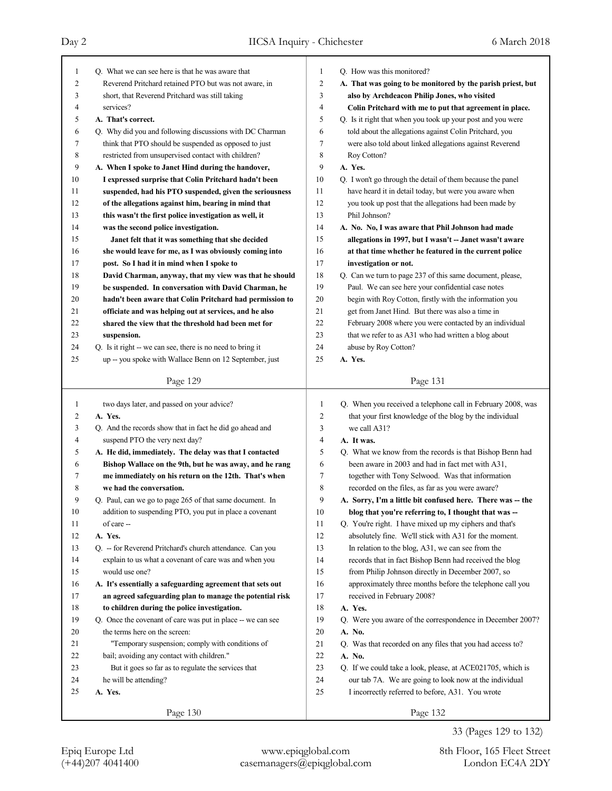| $\mathbf{1}$   | Q. What we can see here is that he was aware that           | 1              | Q. How was this monitored?                                  |
|----------------|-------------------------------------------------------------|----------------|-------------------------------------------------------------|
| $\overline{2}$ | Reverend Pritchard retained PTO but was not aware, in       | $\overline{c}$ | A. That was going to be monitored by the parish priest, but |
| 3              | short, that Reverend Pritchard was still taking             | 3              | also by Archdeacon Philip Jones, who visited                |
| $\overline{4}$ | services?                                                   | $\overline{4}$ | Colin Pritchard with me to put that agreement in place.     |
| 5              | A. That's correct.                                          | 5              | Q. Is it right that when you took up your post and you were |
| 6              | Q. Why did you and following discussions with DC Charman    | 6              | told about the allegations against Colin Pritchard, you     |
| 7              | think that PTO should be suspended as opposed to just       | 7              | were also told about linked allegations against Reverend    |
| 8              | restricted from unsupervised contact with children?         | 8              | Roy Cotton?                                                 |
| 9              | A. When I spoke to Janet Hind during the handover,          | 9              | A. Yes.                                                     |
| 10             | I expressed surprise that Colin Pritchard hadn't been       | 10             | Q. I won't go through the detail of them because the panel  |
| 11             | suspended, had his PTO suspended, given the seriousness     | 11             | have heard it in detail today, but were you aware when      |
| 12             | of the allegations against him, bearing in mind that        | 12             | you took up post that the allegations had been made by      |
| 13             | this wasn't the first police investigation as well, it      | 13             | Phil Johnson?                                               |
| 14             | was the second police investigation.                        | 14             | A. No. No, I was aware that Phil Johnson had made           |
| 15             | Janet felt that it was something that she decided           | 15             | allegations in 1997, but I wasn't -- Janet wasn't aware     |
| 16             | she would leave for me, as I was obviously coming into      | 16             | at that time whether he featured in the current police      |
| 17             | post. So I had it in mind when I spoke to                   | 17             | investigation or not.                                       |
| 18             | David Charman, anyway, that my view was that he should      | 18             | Q. Can we turn to page 237 of this same document, please,   |
| 19             | be suspended. In conversation with David Charman, he        | 19             | Paul. We can see here your confidential case notes          |
| 20             | hadn't been aware that Colin Pritchard had permission to    | 20             | begin with Roy Cotton, firstly with the information you     |
| 21             | officiate and was helping out at services, and he also      | 21             | get from Janet Hind. But there was also a time in           |
| 22             | shared the view that the threshold had been met for         | 22             | February 2008 where you were contacted by an individual     |
| 23             | suspension.                                                 | 23             | that we refer to as A31 who had written a blog about        |
| 24             | Q. Is it right -- we can see, there is no need to bring it  | 24             | abuse by Roy Cotton?                                        |
| 25             | up -- you spoke with Wallace Benn on 12 September, just     | 25             | A. Yes.                                                     |
|                |                                                             |                |                                                             |
|                | Page 129                                                    |                | Page 131                                                    |
|                |                                                             |                |                                                             |
|                |                                                             |                |                                                             |
| $\mathbf{1}$   | two days later, and passed on your advice?                  | $\mathbf{1}$   | Q. When you received a telephone call in February 2008, was |
| 2              | A. Yes.                                                     | 2              | that your first knowledge of the blog by the individual     |
| 3              | Q. And the records show that in fact he did go ahead and    | 3              | we call A31?                                                |
| $\overline{4}$ | suspend PTO the very next day?                              | 4              | A. It was.                                                  |
| 5              | A. He did, immediately. The delay was that I contacted      | 5              | Q. What we know from the records is that Bishop Benn had    |
| 6              | Bishop Wallace on the 9th, but he was away, and he rang     | 6              | been aware in 2003 and had in fact met with A31.            |
| 7              | me immediately on his return on the 12th. That's when       | 7              | together with Tony Selwood. Was that information            |
| 8              | we had the conversation.                                    | 8              | recorded on the files, as far as you were aware?            |
| 9              | Q. Paul, can we go to page 265 of that same document. In    | 9              | A. Sorry, I'm a little bit confused here. There was -- the  |
| 10             | addition to suspending PTO, you put in place a covenant     | 10             | blog that you're referring to, I thought that was --        |
| 11             | of care --                                                  | 11             | Q. You're right. I have mixed up my ciphers and that's      |
| 12             | A. Yes.                                                     | 12             | absolutely fine. We'll stick with A31 for the moment.       |
| 13             | Q. - for Reverend Pritchard's church attendance. Can you    | 13             | In relation to the blog, A31, we can see from the           |
| 14             | explain to us what a covenant of care was and when you      | 14             | records that in fact Bishop Benn had received the blog      |
| 15             | would use one?                                              | 15             | from Philip Johnson directly in December 2007, so           |
| 16             | A. It's essentially a safeguarding agreement that sets out  | 16             | approximately three months before the telephone call you    |
| 17             | an agreed safeguarding plan to manage the potential risk    | 17             | received in February 2008?                                  |
| 18             | to children during the police investigation.                | 18             | A. Yes.                                                     |
| 19             | Q. Once the covenant of care was put in place -- we can see | 19             | Q. Were you aware of the correspondence in December 2007?   |
| 20             | the terms here on the screen:                               | 20             | A. No.                                                      |
| 21             | "Temporary suspension; comply with conditions of            | 21             | Q. Was that recorded on any files that you had access to?   |
| 22             | bail; avoiding any contact with children."                  | 22             | A. No.                                                      |
| 23             | But it goes so far as to regulate the services that         | 23             | Q. If we could take a look, please, at ACE021705, which is  |
| 24             | he will be attending?                                       | 24             | our tab 7A. We are going to look now at the individual      |
| 25             | A. Yes.                                                     | 25             | I incorrectly referred to before, A31. You wrote            |
|                | Page 130                                                    |                | Page 132                                                    |

33 (Pages 129 to 132)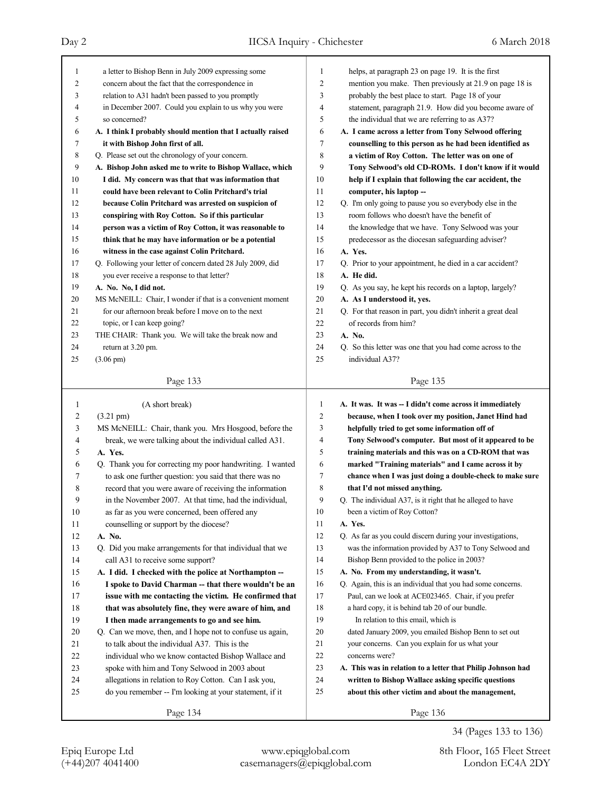| $\mathbf{1}$   | a letter to Bishop Benn in July 2009 expressing some        | 1              | helps, at paragraph 23 on page 19. It is the first          |
|----------------|-------------------------------------------------------------|----------------|-------------------------------------------------------------|
| $\overline{2}$ | concern about the fact that the correspondence in           | $\overline{2}$ | mention you make. Then previously at 21.9 on page 18 is     |
| 3              | relation to A31 hadn't been passed to you promptly          | 3              | probably the best place to start. Page 18 of your           |
| $\overline{4}$ | in December 2007. Could you explain to us why you were      | $\overline{4}$ | statement, paragraph 21.9. How did you become aware of      |
| 5              | so concerned?                                               | 5              | the individual that we are referring to as A37?             |
| 6              | A. I think I probably should mention that I actually raised | 6              | A. I came across a letter from Tony Selwood offering        |
| 7              | it with Bishop John first of all.                           | $\tau$         | counselling to this person as he had been identified as     |
| 8              | Q. Please set out the chronology of your concern.           | 8              | a victim of Roy Cotton. The letter was on one of            |
| 9              | A. Bishop John asked me to write to Bishop Wallace, which   | 9              | Tony Selwood's old CD-ROMs. I don't know if it would        |
| 10             | I did. My concern was that that was information that        | 10             | help if I explain that following the car accident, the      |
| 11             | could have been relevant to Colin Pritchard's trial         | 11             | computer, his laptop --                                     |
| 12             | because Colin Pritchard was arrested on suspicion of        | 12             | Q. I'm only going to pause you so everybody else in the     |
| 13             | conspiring with Roy Cotton. So if this particular           | 13             | room follows who doesn't have the benefit of                |
| 14             | person was a victim of Roy Cotton, it was reasonable to     | 14             | the knowledge that we have. Tony Selwood was your           |
| 15             | think that he may have information or be a potential        | 15             | predecessor as the diocesan safeguarding adviser?           |
| 16             | witness in the case against Colin Pritchard.                | 16             | A. Yes.                                                     |
| 17             | Q. Following your letter of concern dated 28 July 2009, did | 17             | Q. Prior to your appointment, he died in a car accident?    |
| 18             | you ever receive a response to that letter?                 | 18             | A. He did.                                                  |
| 19             | A. No. No, I did not.                                       | 19             | Q. As you say, he kept his records on a laptop, largely?    |
| 20             | MS McNEILL: Chair, I wonder if that is a convenient moment  | 20             | A. As I understood it, yes.                                 |
| 21             | for our afternoon break before I move on to the next        | 21             | Q. For that reason in part, you didn't inherit a great deal |
| 22             | topic, or I can keep going?                                 | 22             | of records from him?                                        |
| 23             | THE CHAIR: Thank you. We will take the break now and        | 23             | A. No.                                                      |
| 24             | return at 3.20 pm.                                          | 24             | Q. So this letter was one that you had come across to the   |
| 25             | $(3.06 \text{ pm})$                                         | 25             | individual A37?                                             |
|                |                                                             |                |                                                             |
|                | Page 133                                                    |                | Page 135                                                    |
|                |                                                             |                |                                                             |
|                |                                                             |                |                                                             |
| $\mathbf{1}$   | (A short break)                                             | $\mathbf{1}$   | A. It was. It was -- I didn't come across it immediately    |
| 2              | $(3.21 \text{ pm})$                                         | $\overline{2}$ | because, when I took over my position, Janet Hind had       |
| 3              | MS McNEILL: Chair, thank you. Mrs Hosgood, before the       | 3              | helpfully tried to get some information off of              |
| 4              | break, we were talking about the individual called A31.     | $\overline{4}$ | Tony Selwood's computer. But most of it appeared to be      |
| 5              | A. Yes.                                                     | 5              | training materials and this was on a CD-ROM that was        |
| 6              | Q. Thank you for correcting my poor handwriting. I wanted   | 6              | marked "Training materials" and I came across it by         |
| 7              | to ask one further question: you said that there was no     | 7              | chance when I was just doing a double-check to make sure    |
| 8              | record that you were aware of receiving the information     | 8              | that I'd not missed anything.                               |
| 9              | in the November 2007. At that time, had the individual,     | 9              | Q. The individual A37, is it right that he alleged to have  |
| 10             | as far as you were concerned, been offered any              | 10             | been a victim of Roy Cotton?                                |
| 11             | counselling or support by the diocese?                      | 11             | A. Yes.                                                     |
| 12             | A. No.                                                      | 12             | Q. As far as you could discern during your investigations,  |
| 13             | Q. Did you make arrangements for that individual that we    | 13             | was the information provided by A37 to Tony Selwood and     |
| 14             | call A31 to receive some support?                           | 14             | Bishop Benn provided to the police in 2003?                 |
| 15             | A. I did. I checked with the police at Northampton --       | 15             | A. No. From my understanding, it wasn't.                    |
| 16             | I spoke to David Charman -- that there wouldn't be an       | 16             | Q. Again, this is an individual that you had some concerns. |
| 17             | issue with me contacting the victim. He confirmed that      | 17             | Paul, can we look at ACE023465. Chair, if you prefer        |
| 18             | that was absolutely fine, they were aware of him, and       | 18             | a hard copy, it is behind tab 20 of our bundle.             |
| 19             | I then made arrangements to go and see him.                 | 19             | In relation to this email, which is                         |
| 20             | Q. Can we move, then, and I hope not to confuse us again,   | 20             | dated January 2009, you emailed Bishop Benn to set out      |
| 21             | to talk about the individual A37. This is the               | 21             | your concerns. Can you explain for us what your             |
| 22             | individual who we know contacted Bishop Wallace and         | 22             | concerns were?                                              |
| 23             | spoke with him and Tony Selwood in 2003 about               | 23             | A. This was in relation to a letter that Philip Johnson had |
| 24             | allegations in relation to Roy Cotton. Can I ask you,       | 24             | written to Bishop Wallace asking specific questions         |
| 25             | do you remember -- I'm looking at your statement, if it     | 25             | about this other victim and about the management,           |
|                | Page 134                                                    |                | Page 136                                                    |

34 (Pages 133 to 136)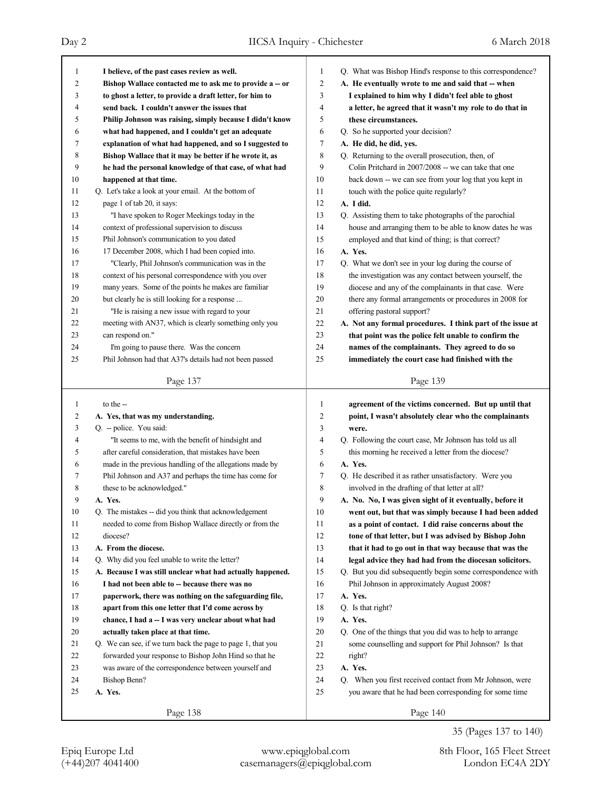| 1            | I believe, of the past cases review as well.                | $\mathbf{1}$ | Q. What was Bishop Hind's response to this correspondence?         |
|--------------|-------------------------------------------------------------|--------------|--------------------------------------------------------------------|
| 2            | Bishop Wallace contacted me to ask me to provide a -- or    | 2            | A. He eventually wrote to me and said that -- when                 |
| 3            | to ghost a letter, to provide a draft letter, for him to    | 3            | I explained to him why I didn't feel able to ghost                 |
| 4            | send back. I couldn't answer the issues that                | 4            | a letter, he agreed that it wasn't my role to do that in           |
| 5            | Philip Johnson was raising, simply because I didn't know    | 5            | these circumstances.                                               |
| 6            | what had happened, and I couldn't get an adequate           | 6            | Q. So he supported your decision?                                  |
| 7            | explanation of what had happened, and so I suggested to     | 7            | A. He did, he did, yes.                                            |
| 8            | Bishop Wallace that it may be better if he wrote it, as     | 8            | Q. Returning to the overall prosecution, then, of                  |
| 9            | he had the personal knowledge of that case, of what had     | 9            | Colin Pritchard in 2007/2008 -- we can take that one               |
| 10           | happened at that time.                                      | 10           | back down -- we can see from your log that you kept in             |
| 11           | Q. Let's take a look at your email. At the bottom of        | 11           | touch with the police quite regularly?                             |
| 12           | page 1 of tab 20, it says:                                  | 12           | A. I did.                                                          |
| 13           | "I have spoken to Roger Meekings today in the               | 13           | Q. Assisting them to take photographs of the parochial             |
| 14           | context of professional supervision to discuss              | 14           | house and arranging them to be able to know dates he was           |
| 15           | Phil Johnson's communication to you dated                   | 15           | employed and that kind of thing; is that correct?                  |
| 16           | 17 December 2008, which I had been copied into.             | 16           | A. Yes.                                                            |
| 17           | "Clearly, Phil Johnson's communication was in the           | 17           | Q. What we don't see in your log during the course of              |
| 18           | context of his personal correspondence with you over        | 18           | the investigation was any contact between yourself, the            |
| 19           | many years. Some of the points he makes are familiar        | 19           | diocese and any of the complainants in that case. Were             |
| 20           | but clearly he is still looking for a response              | 20           | there any formal arrangements or procedures in 2008 for            |
| 21           | "He is raising a new issue with regard to your              | 21           | offering pastoral support?                                         |
| 22           | meeting with AN37, which is clearly something only you      | 22           | A. Not any formal procedures. I think part of the issue at         |
| 23           | can respond on."                                            | 23           | that point was the police felt unable to confirm the               |
| 24           | I'm going to pause there. Was the concern                   | 24           | names of the complainants. They agreed to do so                    |
| 25           | Phil Johnson had that A37's details had not been passed     | 25           | immediately the court case had finished with the                   |
|              |                                                             |              |                                                                    |
|              | Page 137                                                    |              | Page 139                                                           |
|              |                                                             |              |                                                                    |
|              |                                                             |              |                                                                    |
| $\mathbf{1}$ | to the --                                                   | 1            | agreement of the victims concerned. But up until that              |
| 2            | A. Yes, that was my understanding.                          | 2            | point, I wasn't absolutely clear who the complainants              |
| 3            | Q. - police. You said:                                      | 3            | were.                                                              |
| 4            | "It seems to me, with the benefit of hindsight and          | 4            | Q. Following the court case, Mr Johnson has told us all            |
| 5            | after careful consideration, that mistakes have been        | 5            | this morning he received a letter from the diocese?                |
| 6            | made in the previous handling of the allegations made by    | 6            | A. Yes.                                                            |
| 7            | Phil Johnson and A37 and perhaps the time has come for      | 7            | Q. He described it as rather unsatisfactory. Were you              |
| 8            | these to be acknowledged."                                  | 8            | involved in the drafting of that letter at all?                    |
| 9            | A. Yes.                                                     | 9            | A. No. No, I was given sight of it eventually, before it           |
| $10\,$       | Q. The mistakes -- did you think that acknowledgement       | $10\,$       | went out, but that was simply because I had been added             |
| 11           | needed to come from Bishop Wallace directly or from the     | 11           | as a point of contact. I did raise concerns about the              |
| 12           | diocese?                                                    | 12           | tone of that letter, but I was advised by Bishop John              |
| 13           | A. From the diocese.                                        | 13           | that it had to go out in that way because that was the             |
| 14           | Q. Why did you feel unable to write the letter?             | 14           | legal advice they had had from the diocesan solicitors.            |
| 15           | A. Because I was still unclear what had actually happened.  | 15           | Q. But you did subsequently begin some correspondence with         |
| 16           | I had not been able to -- because there was no              | 16           | Phil Johnson in approximately August 2008?                         |
| 17           | paperwork, there was nothing on the safeguarding file,      | 17           | A. Yes.                                                            |
| 18           | apart from this one letter that I'd come across by          | 18           | Q. Is that right?                                                  |
| 19           | chance, I had a -- I was very unclear about what had        | 19           | A. Yes.                                                            |
| 20           | actually taken place at that time.                          | 20           | Q. One of the things that you did was to help to arrange           |
| 21           | Q. We can see, if we turn back the page to page 1, that you | 21           | some counselling and support for Phil Johnson? Is that             |
| 22           | forwarded your response to Bishop John Hind so that he      | 22           | right?                                                             |
| 23           |                                                             |              |                                                                    |
|              | was aware of the correspondence between yourself and        | 23           | A. Yes.                                                            |
| 24           | Bishop Benn?                                                | 24           | Q. When you first received contact from Mr Johnson, were           |
| 25           | A. Yes.<br>Page 138                                         | 25           | you aware that he had been corresponding for some time<br>Page 140 |

35 (Pages 137 to 140)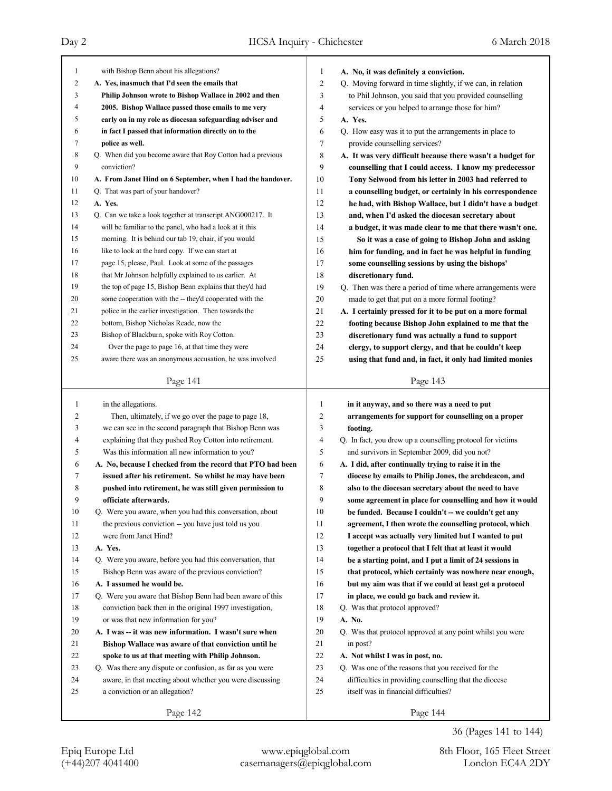| $\mathbf{1}$   | with Bishop Benn about his allegations?                     | 1              | A. No, it was definitely a conviction.                     |
|----------------|-------------------------------------------------------------|----------------|------------------------------------------------------------|
| $\overline{2}$ | A. Yes, inasmuch that I'd seen the emails that              | $\overline{c}$ | Q. Moving forward in time slightly, if we can, in relation |
| 3              | Philip Johnson wrote to Bishop Wallace in 2002 and then     | 3              | to Phil Johnson, you said that you provided counselling    |
| 4              | 2005. Bishop Wallace passed those emails to me very         | 4              | services or you helped to arrange those for him?           |
| 5              | early on in my role as diocesan safeguarding adviser and    | 5              | A. Yes.                                                    |
| 6              | in fact I passed that information directly on to the        | 6              | Q. How easy was it to put the arrangements in place to     |
| 7              | police as well.                                             | 7              | provide counselling services?                              |
| 8              | Q. When did you become aware that Roy Cotton had a previous | 8              | A. It was very difficult because there wasn't a budget for |
| 9              | conviction?                                                 | 9              | counselling that I could access. I know my predecessor     |
| 10             | A. From Janet Hind on 6 September, when I had the handover. | 10             | Tony Selwood from his letter in 2003 had referred to       |
| 11             | Q. That was part of your handover?                          | 11             | a counselling budget, or certainly in his correspondence   |
| 12             | A. Yes.                                                     | 12             | he had, with Bishop Wallace, but I didn't have a budget    |
| 13             | Q. Can we take a look together at transcript ANG000217. It  | 13             | and, when I'd asked the diocesan secretary about           |
| 14             | will be familiar to the panel, who had a look at it this    | 14             | a budget, it was made clear to me that there wasn't one.   |
| 15             | morning. It is behind our tab 19, chair, if you would       | 15             | So it was a case of going to Bishop John and asking        |
| 16             | like to look at the hard copy. If we can start at           | 16             | him for funding, and in fact he was helpful in funding     |
| 17             | page 15, please, Paul. Look at some of the passages         | 17             | some counselling sessions by using the bishops'            |
| 18             | that Mr Johnson helpfully explained to us earlier. At       | 18             | discretionary fund.                                        |
| 19             | the top of page 15, Bishop Benn explains that they'd had    | 19             | Q. Then was there a period of time where arrangements were |
| 20             | some cooperation with the -- they'd cooperated with the     | 20             | made to get that put on a more formal footing?             |
| 21             | police in the earlier investigation. Then towards the       | 21             | A. I certainly pressed for it to be put on a more formal   |
| 22             | bottom, Bishop Nicholas Reade, now the                      | 22             | footing because Bishop John explained to me that the       |
| 23             | Bishop of Blackburn, spoke with Roy Cotton.                 | 23             | discretionary fund was actually a fund to support          |
| 24             | Over the page to page 16, at that time they were            | 24             | clergy, to support clergy, and that he couldn't keep       |
| 25             | aware there was an anonymous accusation, he was involved    | 25             | using that fund and, in fact, it only had limited monies   |
|                |                                                             |                |                                                            |
|                | Page 141                                                    |                | Page 143                                                   |
|                |                                                             |                |                                                            |
|                |                                                             |                |                                                            |
| 1              | in the allegations.                                         | 1              | in it anyway, and so there was a need to put               |
| 2              | Then, ultimately, if we go over the page to page 18,        | 2              | arrangements for support for counselling on a proper       |
| 3              | we can see in the second paragraph that Bishop Benn was     | 3              | footing.                                                   |
| 4              | explaining that they pushed Roy Cotton into retirement.     | 4              | Q. In fact, you drew up a counselling protocol for victims |
| 5              | Was this information all new information to you?            | 5              | and survivors in September 2009, did you not?              |
| 6              | A. No, because I checked from the record that PTO had been  | 6              | A. I did, after continually trying to raise it in the      |
| 7              | issued after his retirement. So whilst he may have been     | 7              | diocese by emails to Philip Jones, the archdeacon, and     |
| 8              | pushed into retirement, he was still given permission to    | 8              | also to the diocesan secretary about the need to have      |
| 9              | officiate afterwards.                                       | 9              | some agreement in place for counselling and how it would   |
| 10             | Q. Were you aware, when you had this conversation, about    | 10             | be funded. Because I couldn't -- we couldn't get any       |
| 11             | the previous conviction -- you have just told us you        | 11             | agreement, I then wrote the counselling protocol, which    |
| 12             | were from Janet Hind?                                       | 12             | I accept was actually very limited but I wanted to put     |
| 13             | A. Yes.                                                     | 13             | together a protocol that I felt that at least it would     |
| 14             | Q. Were you aware, before you had this conversation, that   | 14             | be a starting point, and I put a limit of 24 sessions in   |
| 15             | Bishop Benn was aware of the previous conviction?           | 15             | that protocol, which certainly was nowhere near enough,    |
| 16             | A. I assumed he would be.                                   | 16             | but my aim was that if we could at least get a protocol    |
| 17             | Q. Were you aware that Bishop Benn had been aware of this   | 17             | in place, we could go back and review it.                  |
| 18             | conviction back then in the original 1997 investigation,    | 18             | Q. Was that protocol approved?                             |
| 19             | or was that new information for you?                        | 19             | A. No.                                                     |
| 20             | A. I was -- it was new information. I wasn't sure when      | 20             | Q. Was that protocol approved at any point whilst you were |
| 21             | Bishop Wallace was aware of that conviction until he        | 21             | in post?                                                   |
| 22             | spoke to us at that meeting with Philip Johnson.            | 22             | A. Not whilst I was in post, no.                           |
| 23             | Q. Was there any dispute or confusion, as far as you were   | 23             | Q. Was one of the reasons that you received for the        |
| 24             | aware, in that meeting about whether you were discussing    | 24             | difficulties in providing counselling that the diocese     |
| 25             | a conviction or an allegation?                              | 25             | itself was in financial difficulties?                      |
|                | Page 142                                                    |                | Page 144                                                   |

36 (Pages 141 to 144)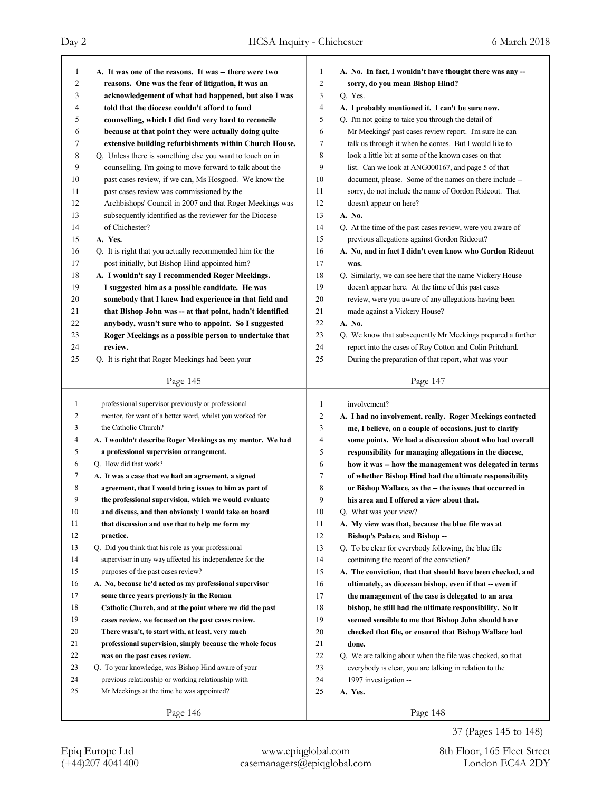Day 2 IICSA Inquiry - Chichester 6 March 2018 Т

| 1<br>2<br>3<br>4<br>5<br>6<br>7<br>8<br>9 | A. It was one of the reasons. It was -- there were two<br>reasons. One was the fear of litigation, it was an<br>acknowledgement of what had happened, but also I was<br>told that the diocese couldn't afford to fund<br>counselling, which I did find very hard to reconcile<br>because at that point they were actually doing quite<br>extensive building refurbishments within Church House.<br>Q. Unless there is something else you want to touch on in<br>counselling, I'm going to move forward to talk about the | 1<br>$\overline{c}$<br>3<br>4<br>5<br>6<br>7<br>8<br>9 | A. No. In fact, I wouldn't have thought there was any --<br>sorry, do you mean Bishop Hind?<br>Q. Yes.<br>A. I probably mentioned it. I can't be sure now.<br>Q. I'm not going to take you through the detail of<br>Mr Meekings' past cases review report. I'm sure he can<br>talk us through it when he comes. But I would like to<br>look a little bit at some of the known cases on that<br>list. Can we look at ANG000167, and page 5 of that |
|-------------------------------------------|--------------------------------------------------------------------------------------------------------------------------------------------------------------------------------------------------------------------------------------------------------------------------------------------------------------------------------------------------------------------------------------------------------------------------------------------------------------------------------------------------------------------------|--------------------------------------------------------|---------------------------------------------------------------------------------------------------------------------------------------------------------------------------------------------------------------------------------------------------------------------------------------------------------------------------------------------------------------------------------------------------------------------------------------------------|
| 10                                        | past cases review, if we can, Ms Hosgood. We know the                                                                                                                                                                                                                                                                                                                                                                                                                                                                    | 10                                                     | document, please. Some of the names on there include --                                                                                                                                                                                                                                                                                                                                                                                           |
| 11                                        | past cases review was commissioned by the                                                                                                                                                                                                                                                                                                                                                                                                                                                                                | 11                                                     | sorry, do not include the name of Gordon Rideout. That                                                                                                                                                                                                                                                                                                                                                                                            |
| 12                                        | Archbishops' Council in 2007 and that Roger Meekings was                                                                                                                                                                                                                                                                                                                                                                                                                                                                 | 12                                                     | doesn't appear on here?                                                                                                                                                                                                                                                                                                                                                                                                                           |
| 13                                        | subsequently identified as the reviewer for the Diocese                                                                                                                                                                                                                                                                                                                                                                                                                                                                  | 13                                                     | A. No.                                                                                                                                                                                                                                                                                                                                                                                                                                            |
| 14                                        | of Chichester?                                                                                                                                                                                                                                                                                                                                                                                                                                                                                                           | 14                                                     | Q. At the time of the past cases review, were you aware of                                                                                                                                                                                                                                                                                                                                                                                        |
| 15                                        | A. Yes.                                                                                                                                                                                                                                                                                                                                                                                                                                                                                                                  | 15                                                     | previous allegations against Gordon Rideout?                                                                                                                                                                                                                                                                                                                                                                                                      |
| 16                                        | Q. It is right that you actually recommended him for the                                                                                                                                                                                                                                                                                                                                                                                                                                                                 | 16                                                     | A. No, and in fact I didn't even know who Gordon Rideout                                                                                                                                                                                                                                                                                                                                                                                          |
| 17                                        | post initially, but Bishop Hind appointed him?                                                                                                                                                                                                                                                                                                                                                                                                                                                                           | 17                                                     | was.                                                                                                                                                                                                                                                                                                                                                                                                                                              |
| 18                                        | A. I wouldn't say I recommended Roger Meekings.                                                                                                                                                                                                                                                                                                                                                                                                                                                                          | 18                                                     | Q. Similarly, we can see here that the name Vickery House                                                                                                                                                                                                                                                                                                                                                                                         |
| 19                                        | I suggested him as a possible candidate. He was                                                                                                                                                                                                                                                                                                                                                                                                                                                                          | 19                                                     | doesn't appear here. At the time of this past cases                                                                                                                                                                                                                                                                                                                                                                                               |
| 20                                        | somebody that I knew had experience in that field and                                                                                                                                                                                                                                                                                                                                                                                                                                                                    | 20                                                     | review, were you aware of any allegations having been                                                                                                                                                                                                                                                                                                                                                                                             |
| 21                                        | that Bishop John was -- at that point, hadn't identified                                                                                                                                                                                                                                                                                                                                                                                                                                                                 | 21                                                     | made against a Vickery House?                                                                                                                                                                                                                                                                                                                                                                                                                     |
| 22                                        | anybody, wasn't sure who to appoint. So I suggested                                                                                                                                                                                                                                                                                                                                                                                                                                                                      | 22                                                     | A. No.                                                                                                                                                                                                                                                                                                                                                                                                                                            |
| 23                                        | Roger Meekings as a possible person to undertake that                                                                                                                                                                                                                                                                                                                                                                                                                                                                    | 23                                                     | Q. We know that subsequently Mr Meekings prepared a further                                                                                                                                                                                                                                                                                                                                                                                       |
| 24                                        | review.                                                                                                                                                                                                                                                                                                                                                                                                                                                                                                                  | 24                                                     | report into the cases of Roy Cotton and Colin Pritchard.                                                                                                                                                                                                                                                                                                                                                                                          |
| 25                                        | Q. It is right that Roger Meekings had been your                                                                                                                                                                                                                                                                                                                                                                                                                                                                         | 25                                                     | During the preparation of that report, what was your                                                                                                                                                                                                                                                                                                                                                                                              |
|                                           | Page 145                                                                                                                                                                                                                                                                                                                                                                                                                                                                                                                 |                                                        | Page 147                                                                                                                                                                                                                                                                                                                                                                                                                                          |
|                                           |                                                                                                                                                                                                                                                                                                                                                                                                                                                                                                                          |                                                        |                                                                                                                                                                                                                                                                                                                                                                                                                                                   |
|                                           |                                                                                                                                                                                                                                                                                                                                                                                                                                                                                                                          |                                                        |                                                                                                                                                                                                                                                                                                                                                                                                                                                   |
| $\mathbf{1}$                              | professional supervisor previously or professional                                                                                                                                                                                                                                                                                                                                                                                                                                                                       | 1                                                      | involvement?                                                                                                                                                                                                                                                                                                                                                                                                                                      |
| 2<br>3                                    | mentor, for want of a better word, whilst you worked for<br>the Catholic Church?                                                                                                                                                                                                                                                                                                                                                                                                                                         | $\overline{2}$                                         | A. I had no involvement, really. Roger Meekings contacted                                                                                                                                                                                                                                                                                                                                                                                         |
| 4                                         | A. I wouldn't describe Roger Meekings as my mentor. We had                                                                                                                                                                                                                                                                                                                                                                                                                                                               | 3<br>4                                                 | me, I believe, on a couple of occasions, just to clarify<br>some points. We had a discussion about who had overall                                                                                                                                                                                                                                                                                                                                |
| 5                                         | a professional supervision arrangement.                                                                                                                                                                                                                                                                                                                                                                                                                                                                                  | 5                                                      |                                                                                                                                                                                                                                                                                                                                                                                                                                                   |
| 6                                         | Q. How did that work?                                                                                                                                                                                                                                                                                                                                                                                                                                                                                                    | 6                                                      | responsibility for managing allegations in the diocese,<br>how it was -- how the management was delegated in terms                                                                                                                                                                                                                                                                                                                                |
| 7                                         | A. It was a case that we had an agreement, a signed                                                                                                                                                                                                                                                                                                                                                                                                                                                                      | $\overline{7}$                                         | of whether Bishop Hind had the ultimate responsibility                                                                                                                                                                                                                                                                                                                                                                                            |
| 8                                         | agreement, that I would bring issues to him as part of                                                                                                                                                                                                                                                                                                                                                                                                                                                                   | 8                                                      | or Bishop Wallace, as the -- the issues that occurred in                                                                                                                                                                                                                                                                                                                                                                                          |
| 9                                         | the professional supervision, which we would evaluate                                                                                                                                                                                                                                                                                                                                                                                                                                                                    | 9                                                      | his area and I offered a view about that.                                                                                                                                                                                                                                                                                                                                                                                                         |
| $10\,$                                    | and discuss, and then obviously I would take on board                                                                                                                                                                                                                                                                                                                                                                                                                                                                    | $10\,$                                                 | Q. What was your view?                                                                                                                                                                                                                                                                                                                                                                                                                            |
| 11                                        | that discussion and use that to help me form my                                                                                                                                                                                                                                                                                                                                                                                                                                                                          | 11                                                     | A. My view was that, because the blue file was at                                                                                                                                                                                                                                                                                                                                                                                                 |
| 12                                        | practice.                                                                                                                                                                                                                                                                                                                                                                                                                                                                                                                | $12\,$                                                 | Bishop's Palace, and Bishop-                                                                                                                                                                                                                                                                                                                                                                                                                      |
| 13                                        | Q. Did you think that his role as your professional                                                                                                                                                                                                                                                                                                                                                                                                                                                                      | 13                                                     | Q. To be clear for everybody following, the blue file                                                                                                                                                                                                                                                                                                                                                                                             |
| 14                                        | supervisor in any way affected his independence for the                                                                                                                                                                                                                                                                                                                                                                                                                                                                  | 14                                                     | containing the record of the conviction?                                                                                                                                                                                                                                                                                                                                                                                                          |
| 15                                        | purposes of the past cases review?                                                                                                                                                                                                                                                                                                                                                                                                                                                                                       | 15                                                     | A. The conviction, that that should have been checked, and                                                                                                                                                                                                                                                                                                                                                                                        |
| 16                                        | A. No, because he'd acted as my professional supervisor                                                                                                                                                                                                                                                                                                                                                                                                                                                                  | 16                                                     | ultimately, as diocesan bishop, even if that -- even if                                                                                                                                                                                                                                                                                                                                                                                           |
| 17                                        | some three years previously in the Roman                                                                                                                                                                                                                                                                                                                                                                                                                                                                                 | 17                                                     | the management of the case is delegated to an area                                                                                                                                                                                                                                                                                                                                                                                                |
| 18                                        | Catholic Church, and at the point where we did the past                                                                                                                                                                                                                                                                                                                                                                                                                                                                  | 18                                                     | bishop, he still had the ultimate responsibility. So it                                                                                                                                                                                                                                                                                                                                                                                           |
| 19                                        | cases review, we focused on the past cases review.                                                                                                                                                                                                                                                                                                                                                                                                                                                                       | 19                                                     | seemed sensible to me that Bishop John should have                                                                                                                                                                                                                                                                                                                                                                                                |
| 20                                        | There wasn't, to start with, at least, very much                                                                                                                                                                                                                                                                                                                                                                                                                                                                         | $20\,$                                                 | checked that file, or ensured that Bishop Wallace had                                                                                                                                                                                                                                                                                                                                                                                             |
| 21                                        | professional supervision, simply because the whole focus                                                                                                                                                                                                                                                                                                                                                                                                                                                                 | 21                                                     | done.                                                                                                                                                                                                                                                                                                                                                                                                                                             |
| 22                                        | was on the past cases review.                                                                                                                                                                                                                                                                                                                                                                                                                                                                                            | 22                                                     | Q. We are talking about when the file was checked, so that                                                                                                                                                                                                                                                                                                                                                                                        |
| 23                                        | Q. To your knowledge, was Bishop Hind aware of your                                                                                                                                                                                                                                                                                                                                                                                                                                                                      | 23                                                     | everybody is clear, you are talking in relation to the                                                                                                                                                                                                                                                                                                                                                                                            |
| 24                                        | previous relationship or working relationship with                                                                                                                                                                                                                                                                                                                                                                                                                                                                       | 24                                                     | 1997 investigation --                                                                                                                                                                                                                                                                                                                                                                                                                             |
| 25                                        | Mr Meekings at the time he was appointed?                                                                                                                                                                                                                                                                                                                                                                                                                                                                                | 25                                                     | A. Yes.                                                                                                                                                                                                                                                                                                                                                                                                                                           |

Г

37 (Pages 145 to 148)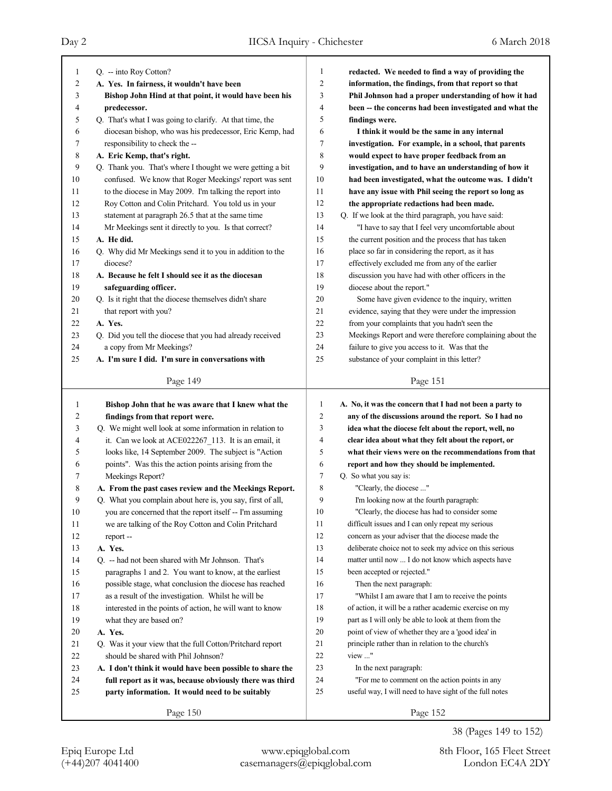| 1  | Q. -- into Roy Cotton?                                     | 1              | redacted. We needed to find a way of providing the       |
|----|------------------------------------------------------------|----------------|----------------------------------------------------------|
| 2  | A. Yes. In fairness, it wouldn't have been                 | $\overline{2}$ | information, the findings, from that report so that      |
| 3  | Bishop John Hind at that point, it would have been his     | 3              | Phil Johnson had a proper understanding of how it had    |
| 4  | predecessor.                                               | $\overline{4}$ | been -- the concerns had been investigated and what the  |
| 5  | Q. That's what I was going to clarify. At that time, the   | 5              | findings were.                                           |
| 6  | diocesan bishop, who was his predecessor, Eric Kemp, had   | 6              | I think it would be the same in any internal             |
| 7  | responsibility to check the --                             | 7              | investigation. For example, in a school, that parents    |
| 8  | A. Eric Kemp, that's right.                                | 8              | would expect to have proper feedback from an             |
| 9  | Q. Thank you. That's where I thought we were getting a bit | 9              | investigation, and to have an understanding of how it    |
| 10 | confused. We know that Roger Meekings' report was sent     | 10             | had been investigated, what the outcome was. I didn't    |
| 11 | to the diocese in May 2009. I'm talking the report into    | 11             | have any issue with Phil seeing the report so long as    |
| 12 | Roy Cotton and Colin Pritchard. You told us in your        | 12             | the appropriate redactions had been made.                |
| 13 | statement at paragraph 26.5 that at the same time          | 13             | Q. If we look at the third paragraph, you have said:     |
| 14 | Mr Meekings sent it directly to you. Is that correct?      | 14             | "I have to say that I feel very uncomfortable about      |
| 15 | A. He did.                                                 | 15             | the current position and the process that has taken      |
| 16 | Q. Why did Mr Meekings send it to you in addition to the   | 16             | place so far in considering the report, as it has        |
| 17 | diocese?                                                   | 17             | effectively excluded me from any of the earlier          |
| 18 | A. Because he felt I should see it as the diocesan         | 18             | discussion you have had with other officers in the       |
| 19 | safeguarding officer.                                      | 19             | diocese about the report."                               |
| 20 | Q. Is it right that the diocese themselves didn't share    | 20             | Some have given evidence to the inquiry, written         |
| 21 | that report with you?                                      | 21             | evidence, saying that they were under the impression     |
| 22 | A. Yes.                                                    | 22             | from your complaints that you hadn't seen the            |
| 23 | Q. Did you tell the diocese that you had already received  | 23             | Meekings Report and were therefore complaining about the |
| 24 | a copy from Mr Meekings?                                   | 24             | failure to give you access to it. Was that the           |
| 25 | A. I'm sure I did. I'm sure in conversations with          | 25             | substance of your complaint in this letter?              |
|    |                                                            |                |                                                          |
|    | Page 149                                                   |                | Page 151                                                 |
|    |                                                            |                |                                                          |
|    |                                                            |                |                                                          |
| 1  | Bishop John that he was aware that I knew what the         | $\mathbf{1}$   | A. No, it was the concern that I had not been a party to |
| 2  | findings from that report were.                            | $\overline{2}$ | any of the discussions around the report. So I had no    |
| 3  | Q. We might well look at some information in relation to   | 3              | idea what the diocese felt about the report, well, no    |
| 4  | it. Can we look at ACE022267_113. It is an email, it       | $\overline{4}$ | clear idea about what they felt about the report, or     |
| 5  | looks like, 14 September 2009. The subject is "Action      | 5              | what their views were on the recommendations from that   |
| 6  | points". Was this the action points arising from the       | 6              | report and how they should be implemented.               |
| 7  | Meekings Report?                                           | $\overline{7}$ | Q. So what you say is:                                   |
| 8  | A. From the past cases review and the Meekings Report.     | 8              | "Clearly, the diocese "                                  |
| 9  | Q. What you complain about here is, you say, first of all, | 9              | I'm looking now at the fourth paragraph:                 |
| 10 | you are concerned that the report itself -- I'm assuming   | 10             | "Clearly, the diocese has had to consider some           |
| 11 | we are talking of the Roy Cotton and Colin Pritchard       | 11             | difficult issues and I can only repeat my serious        |
| 12 | report-                                                    | 12             | concern as your adviser that the diocese made the        |
| 13 | A. Yes.                                                    | 13             | deliberate choice not to seek my advice on this serious  |
| 14 | Q. -- had not been shared with Mr Johnson. That's          | 14             | matter until now  I do not know which aspects have       |
| 15 | paragraphs 1 and 2. You want to know, at the earliest      | 15             | been accepted or rejected."                              |
| 16 | possible stage, what conclusion the diocese has reached    | 16             | Then the next paragraph:                                 |
| 17 | as a result of the investigation. Whilst he will be        | 17             | "Whilst I am aware that I am to receive the points       |
| 18 | interested in the points of action, he will want to know   | 18             | of action, it will be a rather academic exercise on my   |
| 19 | what they are based on?                                    | 19             | part as I will only be able to look at them from the     |
| 20 | A. Yes.                                                    | 20             | point of view of whether they are a 'good idea' in       |
| 21 | Q. Was it your view that the full Cotton/Pritchard report  | 21             | principle rather than in relation to the church's        |
| 22 | should be shared with Phil Johnson?                        | 22             | view "                                                   |
| 23 | A. I don't think it would have been possible to share the  | 23             | In the next paragraph:                                   |
| 24 | full report as it was, because obviously there was third   | 24             | "For me to comment on the action points in any           |
| 25 | party information. It would need to be suitably            | 25             | useful way, I will need to have sight of the full notes  |
|    | Page 150                                                   |                | Page 152                                                 |

38 (Pages 149 to 152)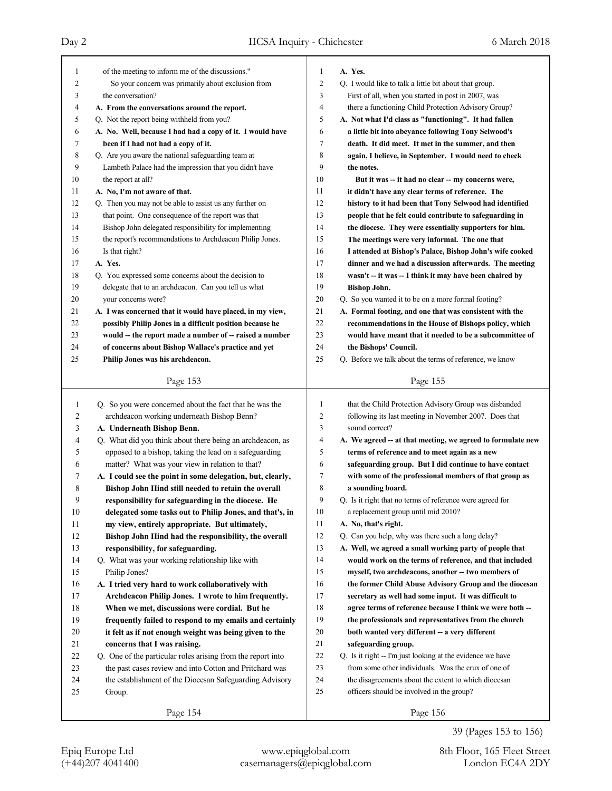| 1  | of the meeting to inform me of the discussions."            | 1  | A. Yes.                                                     |
|----|-------------------------------------------------------------|----|-------------------------------------------------------------|
| 2  | So your concern was primarily about exclusion from          | 2  | Q. I would like to talk a little bit about that group.      |
| 3  | the conversation?                                           | 3  | First of all, when you started in post in 2007, was         |
| 4  | A. From the conversations around the report.                | 4  | there a functioning Child Protection Advisory Group?        |
| 5  | Q. Not the report being withheld from you?                  | 5  | A. Not what I'd class as "functioning". It had fallen       |
| 6  | A. No. Well, because I had had a copy of it. I would have   | 6  | a little bit into abeyance following Tony Selwood's         |
| 7  | been if I had not had a copy of it.                         | 7  | death. It did meet. It met in the summer, and then          |
| 8  | Q. Are you aware the national safeguarding team at          | 8  | again, I believe, in September. I would need to check       |
| 9  | Lambeth Palace had the impression that you didn't have      | 9  | the notes.                                                  |
| 10 | the report at all?                                          | 10 | But it was -- it had no clear -- my concerns were,          |
| 11 | A. No, I'm not aware of that.                               | 11 | it didn't have any clear terms of reference. The            |
| 12 | Q. Then you may not be able to assist us any further on     | 12 | history to it had been that Tony Selwood had identified     |
| 13 | that point. One consequence of the report was that          | 13 | people that he felt could contribute to safeguarding in     |
| 14 | Bishop John delegated responsibility for implementing       | 14 | the diocese. They were essentially supporters for him.      |
| 15 | the report's recommendations to Archdeacon Philip Jones.    | 15 | The meetings were very informal. The one that               |
| 16 | Is that right?                                              | 16 | I attended at Bishop's Palace, Bishop John's wife cooked    |
| 17 | A. Yes.                                                     | 17 | dinner and we had a discussion afterwards. The meeting      |
| 18 | Q. You expressed some concerns about the decision to        | 18 | wasn't -- it was -- I think it may have been chaired by     |
| 19 | delegate that to an archdeacon. Can you tell us what        | 19 | <b>Bishop John.</b>                                         |
| 20 | your concerns were?                                         | 20 | Q. So you wanted it to be on a more formal footing?         |
| 21 | A. I was concerned that it would have placed, in my view,   | 21 | A. Formal footing, and one that was consistent with the     |
| 22 | possibly Philip Jones in a difficult position because he    | 22 | recommendations in the House of Bishops policy, which       |
| 23 | would -- the report made a number of -- raised a number     | 23 | would have meant that it needed to be a subcommittee of     |
| 24 | of concerns about Bishop Wallace's practice and yet         | 24 | the Bishops' Council.                                       |
| 25 | Philip Jones was his archdeacon.                            | 25 | Q. Before we talk about the terms of reference, we know     |
|    |                                                             |    |                                                             |
|    | Page 153                                                    |    | Page 155                                                    |
|    |                                                             |    |                                                             |
|    |                                                             |    |                                                             |
| 1  | Q. So you were concerned about the fact that he was the     | 1  | that the Child Protection Advisory Group was disbanded      |
| 2  | archdeacon working underneath Bishop Benn?                  | 2  | following its last meeting in November 2007. Does that      |
| 3  | A. Underneath Bishop Benn.                                  | 3  | sound correct?                                              |
| 4  | Q. What did you think about there being an archdeacon, as   | 4  | A. We agreed -- at that meeting, we agreed to formulate new |
| 5  | opposed to a bishop, taking the lead on a safeguarding      | 5  | terms of reference and to meet again as a new               |
| 6  | matter? What was your view in relation to that?             | 6  | safeguarding group. But I did continue to have contact      |
| 7  | A. I could see the point in some delegation, but, clearly,  | 7  | with some of the professional members of that group as      |
| 8  | Bishop John Hind still needed to retain the overall         | 8  | a sounding board.                                           |
| 9  | responsibility for safeguarding in the diocese. He          | 9  | Q. Is it right that no terms of reference were agreed for   |
| 10 | delegated some tasks out to Philip Jones, and that's, in    | 10 | a replacement group until mid 2010?                         |
| 11 | my view, entirely appropriate. But ultimately,              | 11 | A. No, that's right.                                        |
| 12 | Bishop John Hind had the responsibility, the overall        | 12 | Q. Can you help, why was there such a long delay?           |
| 13 | responsibility, for safeguarding.                           | 13 | A. Well, we agreed a small working party of people that     |
| 14 | Q. What was your working relationship like with             | 14 | would work on the terms of reference, and that included     |
| 15 | Philip Jones?                                               | 15 | myself, two archdeacons, another -- two members of          |
| 16 | A. I tried very hard to work collaboratively with           | 16 | the former Child Abuse Advisory Group and the diocesan      |
| 17 | Archdeacon Philip Jones. I wrote to him frequently.         | 17 | secretary as well had some input. It was difficult to       |
| 18 | When we met, discussions were cordial. But he               | 18 | agree terms of reference because I think we were both --    |
| 19 | frequently failed to respond to my emails and certainly     | 19 | the professionals and representatives from the church       |
| 20 | it felt as if not enough weight was being given to the      | 20 | both wanted very different -- a very different              |
| 21 | concerns that I was raising.                                | 21 | safeguarding group.                                         |
| 22 | Q. One of the particular roles arising from the report into | 22 | Q. Is it right -- I'm just looking at the evidence we have  |
| 23 | the past cases review and into Cotton and Pritchard was     | 23 | from some other individuals. Was the crux of one of         |
| 24 | the establishment of the Diocesan Safeguarding Advisory     | 24 | the disagreements about the extent to which diocesan        |
| 25 | Group.                                                      | 25 | officers should be involved in the group?                   |
|    | Page 154                                                    |    | Page 156                                                    |

39 (Pages 153 to 156)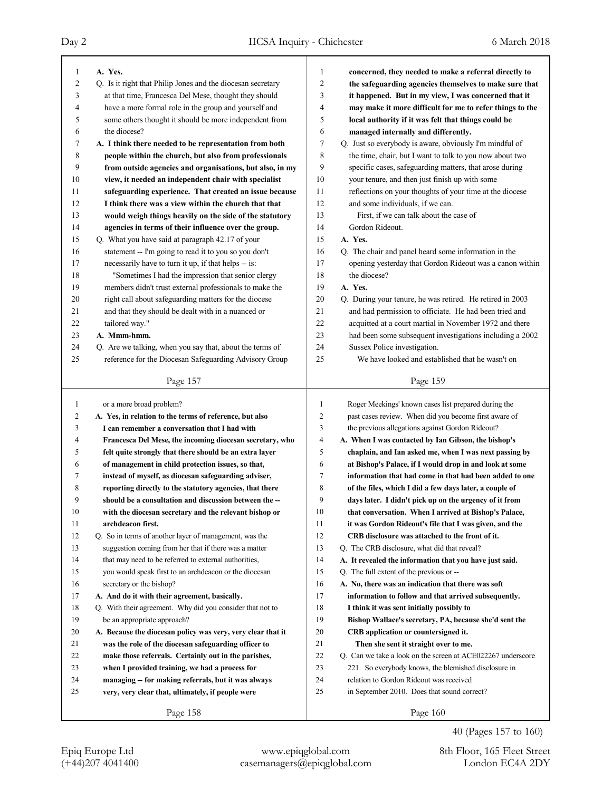| 1  | A. Yes.                                                     | $\mathbf{1}$   | concerned, they needed to make a referral directly to       |
|----|-------------------------------------------------------------|----------------|-------------------------------------------------------------|
| 2  | Q. Is it right that Philip Jones and the diocesan secretary | $\overline{2}$ | the safeguarding agencies themselves to make sure that      |
| 3  | at that time, Francesca Del Mese, thought they should       | 3              | it happened. But in my view, I was concerned that it        |
| 4  | have a more formal role in the group and yourself and       | $\overline{4}$ | may make it more difficult for me to refer things to the    |
| 5  | some others thought it should be more independent from      | 5              | local authority if it was felt that things could be         |
| 6  | the diocese?                                                | 6              | managed internally and differently.                         |
| 7  | A. I think there needed to be representation from both      | $\overline{7}$ | Q. Just so everybody is aware, obviously I'm mindful of     |
| 8  | people within the church, but also from professionals       | 8              | the time, chair, but I want to talk to you now about two    |
| 9  | from outside agencies and organisations, but also, in my    | 9              | specific cases, safeguarding matters, that arose during     |
| 10 | view, it needed an independent chair with specialist        | 10             | your tenure, and then just finish up with some              |
| 11 | safeguarding experience. That created an issue because      | 11             | reflections on your thoughts of your time at the diocese    |
| 12 | I think there was a view within the church that that        | 12             | and some individuals, if we can.                            |
| 13 | would weigh things heavily on the side of the statutory     | 13             | First, if we can talk about the case of                     |
| 14 | agencies in terms of their influence over the group.        | 14             | Gordon Rideout.                                             |
| 15 | Q. What you have said at paragraph 42.17 of your            | 15             | A. Yes.                                                     |
| 16 | statement -- I'm going to read it to you so you don't       | 16             | Q. The chair and panel heard some information in the        |
| 17 | necessarily have to turn it up, if that helps -- is:        | 17             | opening yesterday that Gordon Rideout was a canon within    |
| 18 | "Sometimes I had the impression that senior clergy          | 18             | the diocese?                                                |
| 19 | members didn't trust external professionals to make the     | 19             | A. Yes.                                                     |
| 20 | right call about safeguarding matters for the diocese       | 20             | Q. During your tenure, he was retired. He retired in 2003   |
| 21 | and that they should be dealt with in a nuanced or          | 21             | and had permission to officiate. He had been tried and      |
| 22 | tailored way."                                              | 22             | acquitted at a court martial in November 1972 and there     |
| 23 | A. Mmm-hmm.                                                 | 23             | had been some subsequent investigations including a 2002    |
| 24 | Q. Are we talking, when you say that, about the terms of    | 24             | Sussex Police investigation.                                |
| 25 | reference for the Diocesan Safeguarding Advisory Group      | 25             | We have looked and established that he wasn't on            |
|    |                                                             |                |                                                             |
|    | Page 157                                                    |                | Page 159                                                    |
|    |                                                             |                |                                                             |
|    |                                                             |                |                                                             |
| 1  | or a more broad problem?                                    | 1              | Roger Meekings' known cases list prepared during the        |
| 2  | A. Yes, in relation to the terms of reference, but also     | $\overline{c}$ | past cases review. When did you become first aware of       |
| 3  | I can remember a conversation that I had with               | 3              | the previous allegations against Gordon Rideout?            |
| 4  | Francesca Del Mese, the incoming diocesan secretary, who    | 4              | A. When I was contacted by Ian Gibson, the bishop's         |
| 5  | felt quite strongly that there should be an extra layer     | 5              | chaplain, and Ian asked me, when I was next passing by      |
| 6  | of management in child protection issues, so that,          | 6              | at Bishop's Palace, if I would drop in and look at some     |
| 7  | instead of myself, as diocesan safeguarding adviser,        | 7              | information that had come in that had been added to one     |
| 8  | reporting directly to the statutory agencies, that there    | 8              | of the files, which I did a few days later, a couple of     |
| 9  | should be a consultation and discussion between the --      | 9              | days later. I didn't pick up on the urgency of it from      |
| 10 | with the diocesan secretary and the relevant bishop or      | 10             | that conversation. When I arrived at Bishop's Palace,       |
| 11 | archdeacon first.                                           | 11             | it was Gordon Rideout's file that I was given, and the      |
| 12 | Q. So in terms of another layer of management, was the      | 12             | CRB disclosure was attached to the front of it.             |
| 13 | suggestion coming from her that if there was a matter       | 13             | Q. The CRB disclosure, what did that reveal?                |
| 14 | that may need to be referred to external authorities,       | 14             | A. It revealed the information that you have just said.     |
| 15 | you would speak first to an archdeacon or the diocesan      | 15             | Q. The full extent of the previous or --                    |
| 16 | secretary or the bishop?                                    | 16             | A. No, there was an indication that there was soft          |
| 17 | A. And do it with their agreement, basically.               | 17             | information to follow and that arrived subsequently.        |
| 18 | Q. With their agreement. Why did you consider that not to   | 18             | I think it was sent initially possibly to                   |
| 19 | be an appropriate approach?                                 | 19             | Bishop Wallace's secretary, PA, because she'd sent the      |
| 20 | A. Because the diocesan policy was very, very clear that it | $20\,$         | CRB application or countersigned it.                        |
| 21 | was the role of the diocesan safeguarding officer to        | 21             | Then she sent it straight over to me.                       |
| 22 | make those referrals. Certainly out in the parishes,        | 22             | Q. Can we take a look on the screen at ACE022267 underscore |
| 23 | when I provided training, we had a process for              | 23             | 221. So everybody knows, the blemished disclosure in        |
| 24 | managing -- for making referrals, but it was always         | 24             | relation to Gordon Rideout was received                     |
| 25 | very, very clear that, ultimately, if people were           | 25             | in September 2010. Does that sound correct?                 |
|    | Page 158                                                    |                | Page 160                                                    |

40 (Pages 157 to 160)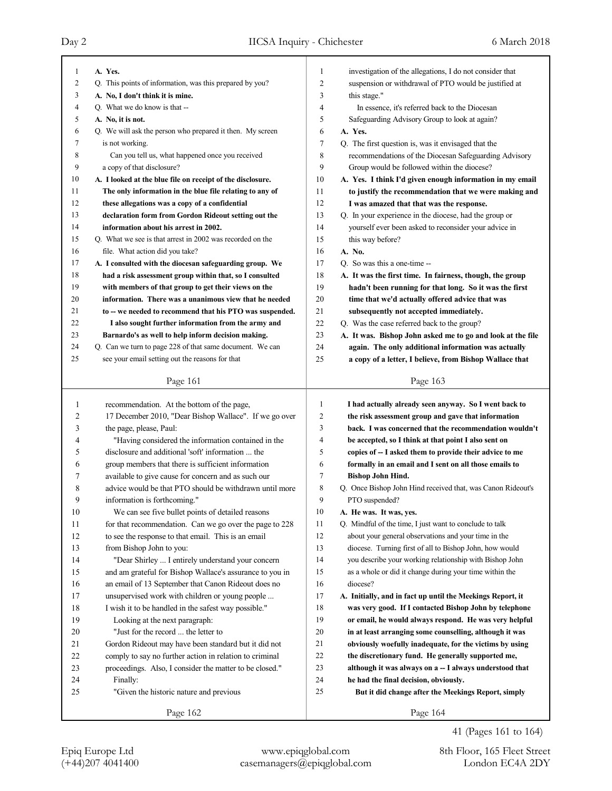| 1        | A. Yes.                                                                                                 | 1              | investigation of the allegations, I do not consider that                                                         |
|----------|---------------------------------------------------------------------------------------------------------|----------------|------------------------------------------------------------------------------------------------------------------|
| 2        | Q. This points of information, was this prepared by you?                                                | $\overline{2}$ | suspension or withdrawal of PTO would be justified at                                                            |
| 3        |                                                                                                         | 3              |                                                                                                                  |
| 4        | A. No, I don't think it is mine.                                                                        |                | this stage."                                                                                                     |
|          | Q. What we do know is that --                                                                           | 4<br>5         | In essence, it's referred back to the Diocesan                                                                   |
| 5        | A. No, it is not.<br>Q. We will ask the person who prepared it then. My screen                          |                | Safeguarding Advisory Group to look at again?                                                                    |
| 6        |                                                                                                         | 6              | A. Yes.                                                                                                          |
| 7        | is not working.                                                                                         | $\tau$         | Q. The first question is, was it envisaged that the                                                              |
| 8        | Can you tell us, what happened once you received                                                        | 8              | recommendations of the Diocesan Safeguarding Advisory                                                            |
| 9        | a copy of that disclosure?                                                                              | 9              | Group would be followed within the diocese?                                                                      |
| 10       | A. I looked at the blue file on receipt of the disclosure.                                              | 10             | A. Yes. I think I'd given enough information in my email                                                         |
| 11       | The only information in the blue file relating to any of                                                | 11             | to justify the recommendation that we were making and                                                            |
| 12       | these allegations was a copy of a confidential                                                          | 12             | I was amazed that that was the response.                                                                         |
| 13       | declaration form from Gordon Rideout setting out the                                                    | 13             | Q. In your experience in the diocese, had the group or                                                           |
| 14       | information about his arrest in 2002.                                                                   | 14             | yourself ever been asked to reconsider your advice in                                                            |
| 15       | Q. What we see is that arrest in 2002 was recorded on the                                               | 15             | this way before?                                                                                                 |
| 16       | file. What action did you take?                                                                         | 16             | A. No.                                                                                                           |
| 17       | A. I consulted with the diocesan safeguarding group. We                                                 | 17             | Q. So was this a one-time --                                                                                     |
| 18       | had a risk assessment group within that, so I consulted                                                 | 18             | A. It was the first time. In fairness, though, the group                                                         |
| 19       | with members of that group to get their views on the                                                    | 19             | hadn't been running for that long. So it was the first                                                           |
| 20       | information. There was a unanimous view that he needed                                                  | 20             | time that we'd actually offered advice that was                                                                  |
| 21       | to -- we needed to recommend that his PTO was suspended.                                                | 21             | subsequently not accepted immediately.                                                                           |
| 22       | I also sought further information from the army and                                                     | 22             | Q. Was the case referred back to the group?                                                                      |
| 23       | Barnardo's as well to help inform decision making.                                                      | 23             | A. It was. Bishop John asked me to go and look at the file                                                       |
| 24       | Q. Can we turn to page 228 of that same document. We can                                                | 24             | again. The only additional information was actually                                                              |
| 25       | see your email setting out the reasons for that                                                         | 25             | a copy of a letter, I believe, from Bishop Wallace that                                                          |
|          | Page 161                                                                                                |                | Page 163                                                                                                         |
|          |                                                                                                         |                |                                                                                                                  |
|          |                                                                                                         |                |                                                                                                                  |
| 1        | recommendation. At the bottom of the page,                                                              | 1              | I had actually already seen anyway. So I went back to                                                            |
| 2        | 17 December 2010, "Dear Bishop Wallace". If we go over                                                  | 2              | the risk assessment group and gave that information                                                              |
| 3        | the page, please, Paul:                                                                                 | 3              | back. I was concerned that the recommendation wouldn't                                                           |
| 4        | "Having considered the information contained in the                                                     | 4              | be accepted, so I think at that point I also sent on                                                             |
| 5        | disclosure and additional 'soft' information  the                                                       | 5              | copies of -- I asked them to provide their advice to me                                                          |
| 6        | group members that there is sufficient information                                                      | 6              | formally in an email and I sent on all those emails to                                                           |
| 7        | available to give cause for concern and as such our                                                     | 7              | <b>Bishop John Hind.</b>                                                                                         |
| 8        | advice would be that PTO should be withdrawn until more                                                 | 8              | Q. Once Bishop John Hind received that, was Canon Rideout's                                                      |
| 9        | information is forthcoming."                                                                            | 9              | PTO suspended?                                                                                                   |
| 10       | We can see five bullet points of detailed reasons                                                       | 10             | A. He was. It was, yes.                                                                                          |
| 11       | for that recommendation. Can we go over the page to 228                                                 | 11             | Q. Mindful of the time, I just want to conclude to talk                                                          |
| 12       | to see the response to that email. This is an email                                                     | 12             | about your general observations and your time in the                                                             |
| 13       | from Bishop John to you:                                                                                | 13             | diocese. Turning first of all to Bishop John, how would                                                          |
| 14       | "Dear Shirley  I entirely understand your concern                                                       | 14             | you describe your working relationship with Bishop John                                                          |
| 15       | and am grateful for Bishop Wallace's assurance to you in                                                | 15             | as a whole or did it change during your time within the                                                          |
|          |                                                                                                         | 16             | diocese?                                                                                                         |
| 16<br>17 | an email of 13 September that Canon Rideout does no                                                     | 17             |                                                                                                                  |
| 18       | unsupervised work with children or young people<br>I wish it to be handled in the safest way possible." | 18             | A. Initially, and in fact up until the Meekings Report, it                                                       |
| 19       |                                                                                                         | 19             | was very good. If I contacted Bishop John by telephone<br>or email, he would always respond. He was very helpful |
|          | Looking at the next paragraph:<br>"Just for the record  the letter to                                   | 20             | in at least arranging some counselling, although it was                                                          |
| 20<br>21 |                                                                                                         | 21             |                                                                                                                  |
|          | Gordon Rideout may have been standard but it did not                                                    | 22             | obviously woefully inadequate, for the victims by using                                                          |
| 22       | comply to say no further action in relation to criminal                                                 |                | the discretionary fund. He generally supported me,                                                               |
| 23       | proceedings. Also, I consider the matter to be closed."                                                 | 23             | although it was always on a -- I always understood that                                                          |
| 24       | Finally:                                                                                                | 24<br>25       | he had the final decision, obviously.                                                                            |
| 25       | "Given the historic nature and previous<br>Page 162                                                     |                | But it did change after the Meekings Report, simply<br>Page 164                                                  |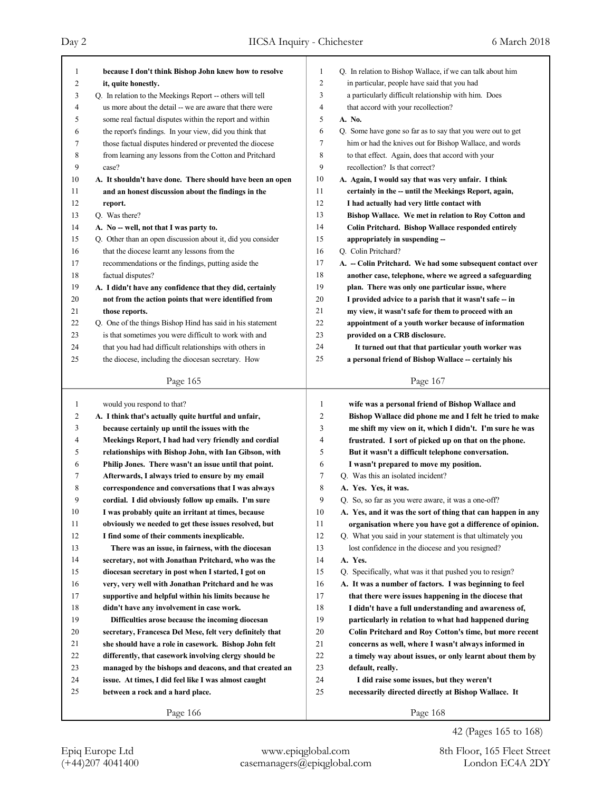## Day 2 IICSA Inquiry - Chichester 6 March 2018

| 1              | because I don't think Bishop John knew how to resolve                                                               | 1                   | Q. In relation to Bishop Wallace, if we can talk about him  |
|----------------|---------------------------------------------------------------------------------------------------------------------|---------------------|-------------------------------------------------------------|
| $\overline{c}$ | it, quite honestly.                                                                                                 | $\overline{c}$      | in particular, people have said that you had                |
| 3              | Q. In relation to the Meekings Report -- others will tell                                                           | 3<br>$\overline{4}$ | a particularly difficult relationship with him. Does        |
| 4              | us more about the detail -- we are aware that there were                                                            | 5                   | that accord with your recollection?<br>A. No.               |
| 5              | some real factual disputes within the report and within                                                             | 6                   | Q. Some have gone so far as to say that you were out to get |
| 6<br>7         | the report's findings. In your view, did you think that<br>those factual disputes hindered or prevented the diocese | 7                   | him or had the knives out for Bishop Wallace, and words     |
| 8              | from learning any lessons from the Cotton and Pritchard                                                             | 8                   | to that effect. Again, does that accord with your           |
| 9              | case?                                                                                                               | 9                   | recollection? Is that correct?                              |
| 10             | A. It shouldn't have done. There should have been an open                                                           | 10                  | A. Again, I would say that was very unfair. I think         |
| 11             | and an honest discussion about the findings in the                                                                  | 11                  | certainly in the -- until the Meekings Report, again,       |
| 12             | report.                                                                                                             | 12                  | I had actually had very little contact with                 |
| 13             | Q. Was there?                                                                                                       | 13                  | Bishop Wallace. We met in relation to Roy Cotton and        |
| 14             | A. No -- well, not that I was party to.                                                                             | 14                  | Colin Pritchard. Bishop Wallace responded entirely          |
| 15             | Q. Other than an open discussion about it, did you consider                                                         | 15                  | appropriately in suspending --                              |
| 16             | that the diocese learnt any lessons from the                                                                        | 16                  | Q. Colin Pritchard?                                         |
| 17             | recommendations or the findings, putting aside the                                                                  | 17                  | A. - Colin Pritchard. We had some subsequent contact over   |
| 18             | factual disputes?                                                                                                   | 18                  | another case, telephone, where we agreed a safeguarding     |
| 19             | A. I didn't have any confidence that they did, certainly                                                            | 19                  | plan. There was only one particular issue, where            |
| 20             | not from the action points that were identified from                                                                | 20                  | I provided advice to a parish that it wasn't safe -- in     |
| 21             | those reports.                                                                                                      | 21                  | my view, it wasn't safe for them to proceed with an         |
| 22             | Q. One of the things Bishop Hind has said in his statement                                                          | 22                  | appointment of a youth worker because of information        |
| 23             | is that sometimes you were difficult to work with and                                                               | 23                  | provided on a CRB disclosure.                               |
| 24             | that you had had difficult relationships with others in                                                             | 24                  | It turned out that that particular youth worker was         |
| 25             | the diocese, including the diocesan secretary. How                                                                  | 25                  | a personal friend of Bishop Wallace -- certainly his        |
|                |                                                                                                                     |                     |                                                             |
|                | Page 165                                                                                                            |                     | Page 167                                                    |
| 1              | would you respond to that?                                                                                          | $\mathbf{1}$        | wife was a personal friend of Bishop Wallace and            |
| $\overline{c}$ | A. I think that's actually quite hurtful and unfair,                                                                | $\overline{c}$      | Bishop Wallace did phone me and I felt he tried to make     |
| 3              | because certainly up until the issues with the                                                                      | 3                   | me shift my view on it, which I didn't. I'm sure he was     |
| 4              | Meekings Report, I had had very friendly and cordial                                                                | 4                   | frustrated. I sort of picked up on that on the phone.       |
| 5              | relationships with Bishop John, with Ian Gibson, with                                                               | 5                   | But it wasn't a difficult telephone conversation.           |
| 6              | Philip Jones. There wasn't an issue until that point.                                                               | 6                   | I wasn't prepared to move my position.                      |
| 7              | Afterwards, I always tried to ensure by my email                                                                    | 7                   | Q. Was this an isolated incident?                           |
| 8              | correspondence and conversations that I was always                                                                  | 8                   | A. Yes. Yes, it was.                                        |
| 9              | cordial. I did obviously follow up emails. I'm sure                                                                 | 9                   | Q. So, so far as you were aware, it was a one-off?          |
| 10             | I was probably quite an irritant at times, because                                                                  | 10                  | A. Yes, and it was the sort of thing that can happen in any |
| 11             |                                                                                                                     |                     |                                                             |
|                | obviously we needed to get these issues resolved, but                                                               | 11                  | organisation where you have got a difference of opinion.    |
| 12             | I find some of their comments in explicable.                                                                        | 12                  | Q. What you said in your statement is that ultimately you   |
| 13             | There was an issue, in fairness, with the diocesan                                                                  | 13                  | lost confidence in the diocese and you resigned?            |
| 14             | secretary, not with Jonathan Pritchard, who was the                                                                 | 14                  | A. Yes.                                                     |
| 15             | diocesan secretary in post when I started, I got on                                                                 | 15                  | Q. Specifically, what was it that pushed you to resign?     |
| 16             | very, very well with Jonathan Pritchard and he was                                                                  | 16                  | A. It was a number of factors. I was beginning to feel      |
| 17             | supportive and helpful within his limits because he                                                                 | 17                  | that there were issues happening in the diocese that        |
| 18             | didn't have any involvement in case work.                                                                           | 18                  | I didn't have a full understanding and awareness of,        |
| 19             | Difficulties arose because the incoming diocesan                                                                    | 19                  | particularly in relation to what had happened during        |
| 20             | secretary, Francesca Del Mese, felt very definitely that                                                            | 20                  | Colin Pritchard and Roy Cotton's time, but more recent      |
| 21             | she should have a role in casework. Bishop John felt                                                                | 21                  | concerns as well, where I wasn't always informed in         |
| 22             | differently, that casework involving clergy should be                                                               | 22                  | a timely way about issues, or only learnt about them by     |
| 23             | managed by the bishops and deacons, and that created an                                                             | 23                  | default, really.                                            |
| 24             | issue. At times, I did feel like I was almost caught                                                                | 24                  | I did raise some issues, but they weren't                   |
| 25             | between a rock and a hard place.                                                                                    | 25                  | necessarily directed directly at Bishop Wallace. It         |

42 (Pages 165 to 168)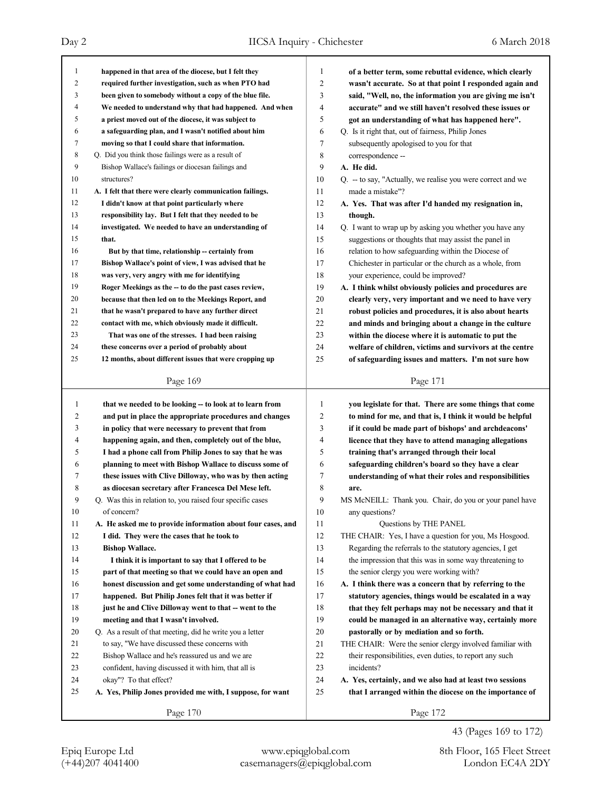| 1              | happened in that area of the diocese, but I felt they       | 1              | of a better term, some rebuttal evidence, which clearly     |
|----------------|-------------------------------------------------------------|----------------|-------------------------------------------------------------|
| $\overline{2}$ | required further investigation, such as when PTO had        | $\overline{2}$ | wasn't accurate. So at that point I responded again and     |
| 3              | been given to somebody without a copy of the blue file.     | 3              | said, "Well, no, the information you are giving me isn't    |
| $\overline{4}$ | We needed to understand why that had happened. And when     | 4              | accurate" and we still haven't resolved these issues or     |
| 5              | a priest moved out of the diocese, it was subject to        | 5              | got an understanding of what has happened here".            |
| 6              | a safeguarding plan, and I wasn't notified about him        | 6              | Q. Is it right that, out of fairness, Philip Jones          |
| 7              | moving so that I could share that information.              | 7              | subsequently apologised to you for that                     |
| 8              | Q. Did you think those failings were as a result of         | 8              | correspondence --                                           |
| 9              | Bishop Wallace's failings or diocesan failings and          | 9              | A. He did.                                                  |
| 10             | structures?                                                 | 10             | Q. -- to say, "Actually, we realise you were correct and we |
| 11             | A. I felt that there were clearly communication failings.   | 11             | made a mistake"?                                            |
| 12             | I didn't know at that point particularly where              | 12             | A. Yes. That was after I'd handed my resignation in,        |
| 13             | responsibility lay. But I felt that they needed to be       | 13             | though.                                                     |
| 14             | investigated. We needed to have an understanding of         | 14             | Q. I want to wrap up by asking you whether you have any     |
| 15             | that.                                                       | 15             | suggestions or thoughts that may assist the panel in        |
| 16             | But by that time, relationship -- certainly from            | 16             | relation to how safeguarding within the Diocese of          |
| 17             | Bishop Wallace's point of view, I was advised that he       | 17             | Chichester in particular or the church as a whole, from     |
| 18             | was very, very angry with me for identifying                | 18             | your experience, could be improved?                         |
| 19             | Roger Meekings as the -- to do the past cases review,       | 19             | A. I think whilst obviously policies and procedures are     |
| 20             | because that then led on to the Meekings Report, and        | 20             | clearly very, very important and we need to have very       |
| 21             | that he wasn't prepared to have any further direct          | 21             | robust policies and procedures, it is also about hearts     |
| 22             | contact with me, which obviously made it difficult.         | 22             | and minds and bringing about a change in the culture        |
| 23             | That was one of the stresses. I had been raising            | 23             | within the diocese where it is automatic to put the         |
| 24             | these concerns over a period of probably about              | 24             | welfare of children, victims and survivors at the centre    |
| 25             | 12 months, about different issues that were cropping up     | 25             | of safeguarding issues and matters. I'm not sure how        |
|                | Page 169                                                    |                | Page 171                                                    |
|                |                                                             |                |                                                             |
|                |                                                             |                |                                                             |
| $\mathbf{1}$   | that we needed to be looking -- to look at to learn from    | 1              | you legislate for that. There are some things that come     |
| 2              | and put in place the appropriate procedures and changes     | $\overline{c}$ | to mind for me, and that is, I think it would be helpful    |
| 3              | in policy that were necessary to prevent that from          | 3              | if it could be made part of bishops' and archdeacons'       |
| 4              | happening again, and then, completely out of the blue,      | $\overline{4}$ | licence that they have to attend managing allegations       |
| 5              | I had a phone call from Philip Jones to say that he was     | 5              | training that's arranged through their local                |
| 6              | planning to meet with Bishop Wallace to discuss some of     | 6              | safeguarding children's board so they have a clear          |
| 7              | these issues with Clive Dilloway, who was by then acting    | 7              | understanding of what their roles and responsibilities      |
| 8              | as diocesan secretary after Francesca Del Mese left.        | 8              | are.                                                        |
| 9              | Q. Was this in relation to, you raised four specific cases  | 9              | MS McNEILL: Thank you. Chair, do you or your panel have     |
| 10             | of concern?                                                 | 10             | any questions?                                              |
| 11             | A. He asked me to provide information about four cases, and | 11             | Questions by THE PANEL                                      |
| 12             | I did. They were the cases that he took to                  | 12             | THE CHAIR: Yes, I have a question for you, Ms Hosgood.      |
| 13             | <b>Bishop Wallace.</b>                                      | 13             | Regarding the referrals to the statutory agencies, I get    |
| 14             | I think it is important to say that I offered to be         | 14             | the impression that this was in some way threatening to     |
| 15             | part of that meeting so that we could have an open and      | 15             | the senior clergy you were working with?                    |
| 16             | honest discussion and get some understanding of what had    | 16             | A. I think there was a concern that by referring to the     |
| 17             | happened. But Philip Jones felt that it was better if       | 17             | statutory agencies, things would be escalated in a way      |
| 18             | just he and Clive Dilloway went to that -- went to the      | 18             | that they felt perhaps may not be necessary and that it     |
| 19             | meeting and that I wasn't involved.                         | 19             | could be managed in an alternative way, certainly more      |
| 20             | Q. As a result of that meeting, did he write you a letter   | 20             | pastorally or by mediation and so forth.                    |
| 21             | to say, "We have discussed these concerns with              | 21             | THE CHAIR: Were the senior clergy involved familiar with    |
| 22             | Bishop Wallace and he's reassured us and we are             | 22             | their responsibilities, even duties, to report any such     |
| 23             | confident, having discussed it with him, that all is        | 23             | incidents?                                                  |
| 24             | okay"? To that effect?                                      | 24             | A. Yes, certainly, and we also had at least two sessions    |
| 25             | A. Yes, Philip Jones provided me with, I suppose, for want  | 25             | that I arranged within the diocese on the importance of     |
|                | Page 170                                                    |                | Page 172                                                    |

43 (Pages 169 to 172)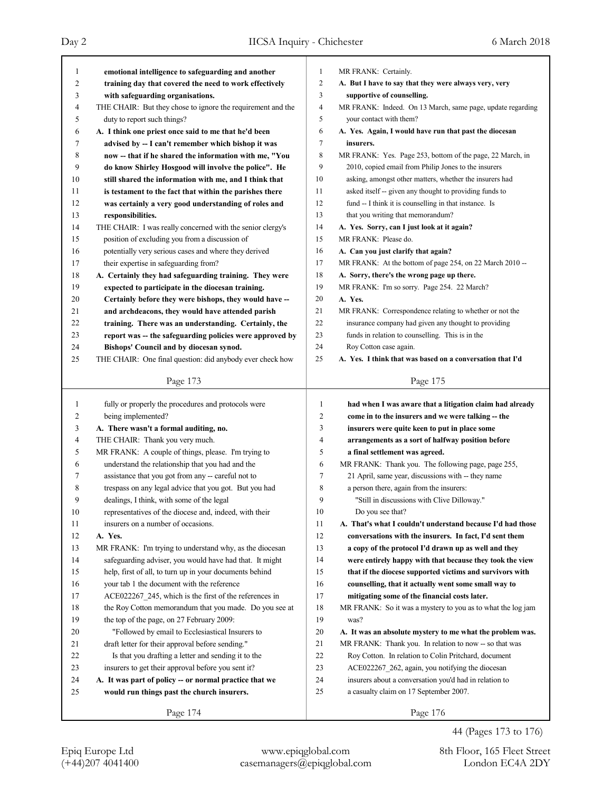| 1      | emotional intelligence to safeguarding and another          | 1      | MR FRANK: Certainly.                                        |
|--------|-------------------------------------------------------------|--------|-------------------------------------------------------------|
| 2      | training day that covered the need to work effectively      | 2      | A. But I have to say that they were always very, very       |
| 3      | with safeguarding organisations.                            | 3      | supportive of counselling.                                  |
| 4      | THE CHAIR: But they chose to ignore the requirement and the | 4      | MR FRANK: Indeed. On 13 March, same page, update regarding  |
| 5      | duty to report such things?                                 | 5      | your contact with them?                                     |
| 6      | A. I think one priest once said to me that he'd been        | 6      | A. Yes. Again, I would have run that past the diocesan      |
| 7      | advised by -- I can't remember which bishop it was          | 7      | insurers.                                                   |
| 8      | now -- that if he shared the information with me, "You      | 8      | MR FRANK: Yes. Page 253, bottom of the page, 22 March, in   |
| 9      | do know Shirley Hosgood will involve the police". He        | 9      | 2010, copied email from Philip Jones to the insurers        |
| 10     | still shared the information with me, and I think that      | 10     | asking, amongst other matters, whether the insurers had     |
| 11     | is testament to the fact that within the parishes there     | 11     | asked itself -- given any thought to providing funds to     |
| 12     | was certainly a very good understanding of roles and        | 12     | fund -- I think it is counselling in that instance. Is      |
| 13     | responsibilities.                                           | 13     | that you writing that memorandum?                           |
| 14     | THE CHAIR: I was really concerned with the senior clergy's  | 14     | A. Yes. Sorry, can I just look at it again?                 |
| 15     | position of excluding you from a discussion of              | 15     | MR FRANK: Please do.                                        |
| 16     | potentially very serious cases and where they derived       | 16     | A. Can you just clarify that again?                         |
| 17     | their expertise in safeguarding from?                       | 17     | MR FRANK: At the bottom of page 254, on 22 March 2010 --    |
| 18     | A. Certainly they had safeguarding training. They were      | 18     | A. Sorry, there's the wrong page up there.                  |
| 19     | expected to participate in the diocesan training.           | 19     | MR FRANK: I'm so sorry. Page 254. 22 March?                 |
| 20     | Certainly before they were bishops, they would have --      | 20     | A. Yes.                                                     |
| 21     | and archdeacons, they would have attended parish            | 21     | MR FRANK: Correspondence relating to whether or not the     |
| 22     | training. There was an understanding. Certainly, the        | 22     | insurance company had given any thought to providing        |
| 23     | report was -- the safeguarding policies were approved by    | 23     | funds in relation to counselling. This is in the            |
| 24     | Bishops' Council and by diocesan synod.                     | 24     | Roy Cotton case again.                                      |
| 25     | THE CHAIR: One final question: did anybody ever check how   | 25     | A. Yes. I think that was based on a conversation that I'd   |
|        |                                                             |        |                                                             |
|        | Page 173                                                    |        | Page 175                                                    |
|        | fully or properly the procedures and protocols were         |        |                                                             |
| 1      |                                                             |        |                                                             |
|        |                                                             | 1      | had when I was aware that a litigation claim had already    |
| 2      | being implemented?                                          | 2      | come in to the insurers and we were talking -- the          |
| 3      | A. There wasn't a formal auditing, no.                      | 3      | insurers were quite keen to put in place some               |
| 4      | THE CHAIR: Thank you very much.                             | 4      | arrangements as a sort of halfway position before           |
| 5      | MR FRANK: A couple of things, please. I'm trying to         | 5      | a final settlement was agreed.                              |
| 6      | understand the relationship that you had and the            | 6      | MR FRANK: Thank you. The following page, page 255,          |
| 7      | assistance that you got from any -- careful not to          | 7      | 21 April, same year, discussions with -- they name          |
| 8      | trespass on any legal advice that you got. But you had      | 8      | a person there, again from the insurers:                    |
| 9      | dealings, I think, with some of the legal                   | 9      | "Still in discussions with Clive Dilloway."                 |
| $10\,$ | representatives of the diocese and, indeed, with their      | $10\,$ | Do you see that?                                            |
| 11     | insurers on a number of occasions.                          | 11     | A. That's what I couldn't understand because I'd had those  |
| 12     | A. Yes.                                                     | 12     | conversations with the insurers. In fact, I'd sent them     |
| 13     | MR FRANK: I'm trying to understand why, as the diocesan     | 13     | a copy of the protocol I'd drawn up as well and they        |
| 14     | safeguarding adviser, you would have had that. It might     | 14     | were entirely happy with that because they took the view    |
| 15     | help, first of all, to turn up in your documents behind     | 15     | that if the diocese supported victims and survivors with    |
| 16     | your tab 1 the document with the reference                  | 16     | counselling, that it actually went some small way to        |
| 17     | ACE022267_245, which is the first of the references in      | 17     | mitigating some of the financial costs later.               |
| 18     | the Roy Cotton memorandum that you made. Do you see at      | 18     | MR FRANK: So it was a mystery to you as to what the log jam |
| 19     | the top of the page, on 27 February 2009:                   | 19     | was?                                                        |
| 20     | "Followed by email to Ecclesiastical Insurers to            | 20     | A. It was an absolute mystery to me what the problem was.   |
| 21     | draft letter for their approval before sending."            | 21     | MR FRANK: Thank you. In relation to now -- so that was      |
| 22     | Is that you drafting a letter and sending it to the         | 22     | Roy Cotton. In relation to Colin Pritchard, document        |
| 23     | insurers to get their approval before you sent it?          | 23     | ACE022267_262, again, you notifying the diocesan            |
| 24     | A. It was part of policy -- or normal practice that we      | 24     | insurers about a conversation you'd had in relation to      |
| 25     | would run things past the church insurers.                  | 25     | a casualty claim on 17 September 2007.                      |
|        | Page 174                                                    |        | Page 176                                                    |

44 (Pages 173 to 176)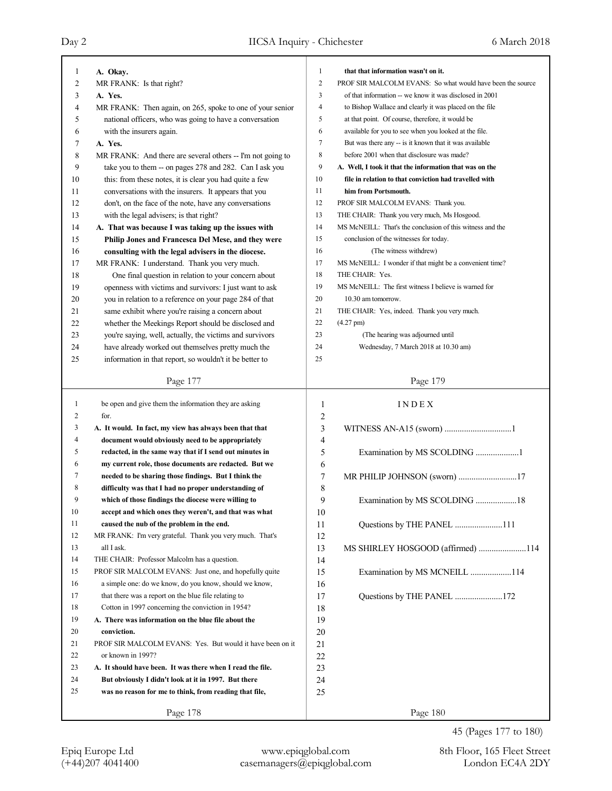| 1  | A. Okay.                                                   | 1              | that that information wasn't on it.                        |
|----|------------------------------------------------------------|----------------|------------------------------------------------------------|
| 2  | MR FRANK: Is that right?                                   | $\overline{2}$ | PROF SIR MALCOLM EVANS: So what would have been the source |
| 3  | A. Yes.                                                    | 3              | of that information -- we know it was disclosed in 2001    |
| 4  | MR FRANK: Then again, on 265, spoke to one of your senior  | $\overline{4}$ | to Bishop Wallace and clearly it was placed on the file    |
| 5  | national officers, who was going to have a conversation    | 5              | at that point. Of course, therefore, it would be           |
| 6  | with the insurers again.                                   | 6              | available for you to see when you looked at the file.      |
| 7  | A. Yes.                                                    | $\overline{7}$ | But was there any -- is it known that it was available     |
| 8  | MR FRANK: And there are several others -- I'm not going to | 8              | before 2001 when that disclosure was made?                 |
| 9  | take you to them -- on pages 278 and 282. Can I ask you    | 9              | A. Well, I took it that the information that was on the    |
| 10 | this: from these notes, it is clear you had quite a few    | 10             | file in relation to that conviction had travelled with     |
| 11 | conversations with the insurers. It appears that you       | 11             | him from Portsmouth.                                       |
| 12 | don't, on the face of the note, have any conversations     | 12             | PROF SIR MALCOLM EVANS: Thank you.                         |
| 13 | with the legal advisers; is that right?                    | 13             | THE CHAIR: Thank you very much, Ms Hosgood.                |
| 14 | A. That was because I was taking up the issues with        | 14             | MS McNEILL: That's the conclusion of this witness and the  |
| 15 | Philip Jones and Francesca Del Mese, and they were         | 15             | conclusion of the witnesses for today.                     |
| 16 | consulting with the legal advisers in the diocese.         | 16             | (The witness withdrew)                                     |
| 17 | MR FRANK: I understand. Thank you very much.               | 17             | MS McNEILL: I wonder if that might be a convenient time?   |
| 18 | One final question in relation to your concern about       | 18             | THE CHAIR: Yes.                                            |
| 19 | openness with victims and survivors: I just want to ask    | 19             | MS McNEILL: The first witness I believe is warned for      |
| 20 | you in relation to a reference on your page 284 of that    | 20             | 10.30 am tomorrow.                                         |
| 21 | same exhibit where you're raising a concern about          | 21             | THE CHAIR: Yes, indeed. Thank you very much.               |
| 22 | whether the Meekings Report should be disclosed and        | 22             | $(4.27 \text{ pm})$                                        |
| 23 | you're saying, well, actually, the victims and survivors   | 23             | (The hearing was adjourned until                           |
| 24 | have already worked out themselves pretty much the         | 24             | Wednesday, 7 March 2018 at 10.30 am)                       |
| 25 | information in that report, so wouldn't it be better to    | 25             |                                                            |
|    | Page 177                                                   |                | Page 179                                                   |
| 1  | be open and give them the information they are asking      | 1              | INDEX                                                      |
| 2  | for.                                                       | 2              |                                                            |
| 3  | A. It would. In fact, my view has always been that that    | 3              | WITNESS AN-A15 (sworn) 1                                   |
| 4  | document would obviously need to be appropriately          | $\overline{4}$ |                                                            |
|    |                                                            |                |                                                            |

6

8

10

12

14

16

| 5  | redacted, in the same way that if I send out minutes in |
|----|---------------------------------------------------------|
| 6  | my current role, those documents are redacted. But we   |
| 7  | needed to be sharing those findings. But I think the    |
| 8  | difficulty was that I had no proper understanding of    |
| 9  | which of those findings the diocese were willing to     |
| 10 | accept and which ones they weren't, and that was what   |
| 11 | caused the nub of the problem in the end.               |

12 MR FRANK: I'm very grateful. Thank you very much. That's 13 all I ask. 14 THE CHAIR: Professor Malcolm has a question. 15 PROF SIR MALCOLM EVANS: Just one, and hopefully quite 16 a simple one: do we know, do you know, should we know, 17 that there was a report on the blue file relating to

18 Cotton in 1997 concerning the conviction in 1954?

 **A. There was information on the blue file about the conviction.** 21 PROF SIR MALCOLM EVANS: Yes. But would it have been on it 22 or known in 1997? **A. It should have been. It was there when I read the file. But obviously I didn't look at it in 1997. But there was no reason for me to think, from reading that file,**

Page 178

5 Examination by MS SCOLDING ....................1 7 MR PHILIP JOHNSON (sworn) ...........................17 9 Examination by MS SCOLDING ...................18 11 Questions by THE PANEL ......................111 13 MS SHIRLEY HOSGOOD (affirmed) ......................114 15 Examination by MS MCNEILL ...................114 17 Questions by THE PANEL ......................172

Page 180

45 (Pages 177 to 180)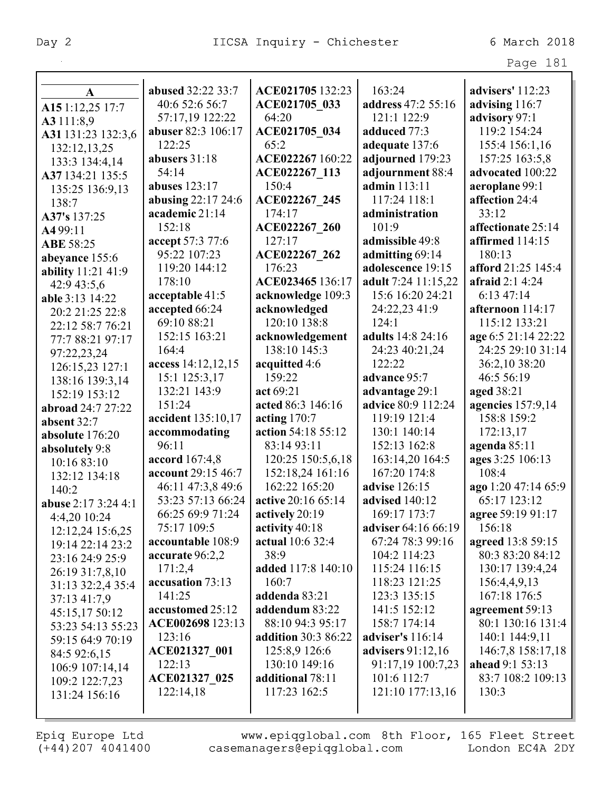|                     |                    |                     |                          | Page 181                 |
|---------------------|--------------------|---------------------|--------------------------|--------------------------|
|                     |                    |                     |                          |                          |
| $\mathbf{A}$        | abused 32:22 33:7  | ACE021705 132:23    | 163:24                   | advisers' 112:23         |
| A15 1:12,25 17:7    | 40:6 52:6 56:7     | ACE021705_033       | address 47:2 55:16       | advising 116:7           |
| A3 111:8,9          | 57:17,19 122:22    | 64:20               | 121:1 122:9              | advisory 97:1            |
| A31 131:23 132:3,6  | abuser 82:3 106:17 | ACE021705 034       | adduced 77:3             | 119:2 154:24             |
| 132:12,13,25        | 122:25             | 65:2                | adequate 137:6           | 155:4 156:1,16           |
| 133:3 134:4,14      | abusers 31:18      | ACE022267 160:22    | adjourned 179:23         | 157:25 163:5,8           |
| A37 134:21 135:5    | 54:14              | ACE022267 113       | adjournment 88:4         | advocated 100:22         |
| 135:25 136:9,13     | abuses 123:17      | 150:4               | admin 113:11             | aeroplane 99:1           |
| 138:7               | abusing 22:17 24:6 | ACE022267 245       | 117:24 118:1             | affection 24:4           |
| A37's 137:25        | academic 21:14     | 174:17              | administration           | 33:12                    |
| A4 99:11            | 152:18             | ACE022267 260       | 101:9                    | affectionate 25:14       |
| <b>ABE 58:25</b>    | accept 57:3 77:6   | 127:17              | admissible 49:8          | affirmed 114:15          |
| abeyance 155:6      | 95:22 107:23       | ACE022267 262       | admitting 69:14          | 180:13                   |
| ability 11:21 41:9  | 119:20 144:12      | 176:23              | adolescence 19:15        | afford 21:25 145:4       |
| 42:9 43:5,6         | 178:10             | ACE023465 136:17    | adult 7:24 11:15,22      | afraid $2:14:24$         |
| able 3:13 14:22     | acceptable 41:5    | acknowledge 109:3   | 15:6 16:20 24:21         | 6:1347:14                |
| 20:2 21:25 22:8     | accepted 66:24     | acknowledged        | 24:22,23 41:9            | afternoon 114:17         |
| 22:12 58:7 76:21    | 69:10 88:21        | 120:10 138:8        | 124:1                    | 115:12 133:21            |
| 77:7 88:21 97:17    | 152:15 163:21      | acknowledgement     | adults 14:8 24:16        | age 6:5 21:14 22:22      |
| 97:22,23,24         | 164:4              | 138:10 145:3        | 24:23 40:21,24           | 24:25 29:10 31:14        |
| 126:15,23 127:1     | access 14:12,12,15 | acquitted 4:6       | 122:22                   | 36:2,10 38:20            |
| 138:16 139:3,14     | 15:1 125:3,17      | 159:22              | advance 95:7             | 46:5 56:19               |
| 152:19 153:12       | 132:21 143:9       | act 69:21           | advantage 29:1           | aged 38:21               |
| abroad 24:7 27:22   | 151:24             | acted 86:3 146:16   | advice 80:9 112:24       | <b>agencies</b> 157:9,14 |
| absent 32:7         | accident 135:10,17 | acting $170:7$      | 119:19 121:4             | 158:8 159:2              |
| absolute 176:20     | accommodating      | action 54:18 55:12  | 130:1 140:14             | 172:13,17                |
| absolutely 9:8      | 96:11              | 83:14 93:11         | 152:13 162:8             | agenda 85:11             |
| 10:16 83:10         | accord 167:4,8     | 120:25 150:5,6,18   | 163:14,20 164:5          | ages 3:25 106:13         |
| 132:12 134:18       | account 29:15 46:7 | 152:18,24 161:16    | 167:20 174:8             | 108:4                    |
| 140:2               | 46:11 47:3,8 49:6  | 162:22 165:20       | advise 126:15            | ago 1:20 47:14 65:9      |
| abuse 2:17 3:24 4:1 | 53:23 57:13 66:24  | active 20:16 65:14  | <b>advised</b> 140:12    | 65:17 123:12             |
| 4:4.20 10:24        | 66:25 69:9 71:24   | actively 20:19      | 169:17 173:7             | agree 59:19 91:17        |
| 12:12,24 15:6,25    | 75:17 109:5        | activity 40:18      | adviser 64:16 66:19      | 156:18                   |
| 19:14 22:14 23:2    | accountable 108:9  | actual 10:6 32:4    | 67:24 78:3 99:16         | agreed 13:8 59:15        |
| 23:16 24:9 25:9     | accurate 96:2,2    | 38:9                | 104:2 114:23             | 80:3 83:20 84:12         |
| 26:19 31:7,8,10     | 171:2,4            | added 117:8 140:10  | 115:24 116:15            | 130:17 139:4,24          |
| 31:13 32:2,4 35:4   | accusation 73:13   | 160:7               | 118:23 121:25            | 156:4,4,9,13             |
| 37:13 41:7,9        | 141:25             | addenda 83:21       | 123:3 135:15             | 167:18 176:5             |
| 45:15,17 50:12      | accustomed 25:12   | addendum 83:22      | 141:5 152:12             | agreement 59:13          |
| 53:23 54:13 55:23   | ACE002698 123:13   | 88:10 94:3 95:17    | 158:7 174:14             | 80:1 130:16 131:4        |
| 59:15 64:9 70:19    | 123:16             | addition 30:3 86:22 | adviser's 116:14         | 140:1 144:9,11           |
| 84:5 92:6,15        | ACE021327 001      | 125:8,9 126:6       | <b>advisers</b> 91:12,16 | 146:7,8 158:17,18        |
| 106:9 107:14,14     | 122:13             | 130:10 149:16       | 91:17,19 100:7,23        | <b>ahead</b> 9:1 53:13   |
| 109:2 122:7,23      | ACE021327 025      | additional 78:11    | 101:6 112:7              | 83:7 108:2 109:13        |
| 131:24 156:16       | 122:14,18          | 117:23 162:5        | 121:10 177:13,16         | 130:3                    |
|                     |                    |                     |                          |                          |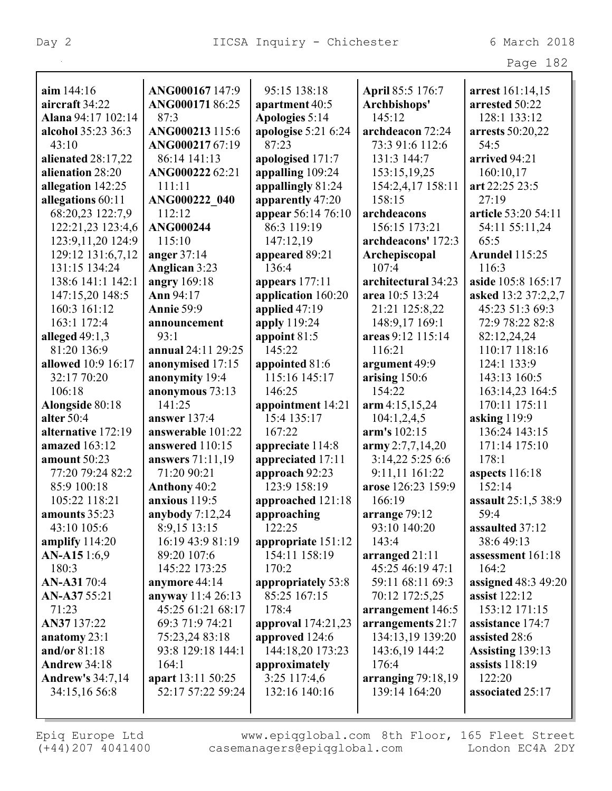|                              |                    |                      |                                  | Page 182                           |
|------------------------------|--------------------|----------------------|----------------------------------|------------------------------------|
|                              | ANG000167 147:9    | 95:15 138:18         |                                  |                                    |
| aim 144:16<br>aircraft 34:22 | ANG00017186:25     | apartment 40:5       | April 85:5 176:7<br>Archbishops' | arrest 161:14,15<br>arrested 50:22 |
| <b>Alana</b> 94:17 102:14    | 87:3               | Apologies 5:14       | 145:12                           | 128:1 133:12                       |
| alcohol 35:23 36:3           | ANG000213 115:6    | apologise $5:216:24$ | archdeacon 72:24                 | arrests 50:20,22                   |
| 43:10                        | ANG00021767:19     | 87:23                | 73:3 91:6 112:6                  | 54:5                               |
| alienated 28:17,22           | 86:14 141:13       | apologised 171:7     | 131:3 144:7                      | arrived 94:21                      |
| alienation 28:20             | ANG00022262:21     | appalling 109:24     | 153:15,19,25                     | 160:10,17                          |
| allegation 142:25            | 111:11             | appallingly 81:24    | 154:2,4,17 158:11                | art 22:25 23:5                     |
| allegations 60:11            | ANG000222 040      | apparently 47:20     | 158:15                           | 27:19                              |
| 68:20,23 122:7,9             | 112:12             | appear 56:14 76:10   | archdeacons                      | article 53:20 54:11                |
| 122:21,23 123:4,6            | <b>ANG000244</b>   | 86:3 119:19          | 156:15 173:21                    | 54:11 55:11,24                     |
| 123:9,11,20 124:9            | 115:10             | 147:12,19            | archdeacons' 172:3               | 65:5                               |
| 129:12 131:6,7,12            | anger $37:14$      | appeared 89:21       | Archepiscopal                    | <b>Arundel 115:25</b>              |
| 131:15 134:24                | Anglican 3:23      | 136:4                | 107:4                            | 116:3                              |
| 138:6 141:1 142:1            | angry 169:18       | appears 177:11       | architectural 34:23              | aside 105:8 165:17                 |
| 147:15,20 148:5              | Ann 94:17          | application 160:20   | area 10:5 13:24                  | asked 13:2 37:2,2,7                |
| 160:3 161:12                 | <b>Annie 59:9</b>  | applied 47:19        | 21:21 125:8,22                   | 45:23 51:3 69:3                    |
| 163:1 172:4                  | announcement       | apply 119:24         | 148:9,17 169:1                   | 72:9 78:22 82:8                    |
| alleged $49:1,3$             | 93:1               | appoint 81:5         | areas 9:12 115:14                | 82:12,24,24                        |
| 81:20 136:9                  | annual 24:11 29:25 | 145:22               | 116:21                           | 110:17 118:16                      |
| allowed 10:9 16:17           | anonymised 17:15   | appointed 81:6       | argument 49:9                    | 124:1 133:9                        |
| 32:17 70:20                  | anonymity 19:4     | 115:16 145:17        | arising 150:6                    | 143:13 160:5                       |
| 106:18                       | anonymous 73:13    | 146:25               | 154:22                           | 163:14,23 164:5                    |
| Alongside 80:18              | 141:25             | appointment 14:21    | arm 4:15,15,24                   | 170:11 175:11                      |
| alter 50:4                   | answer 137:4       | 15:4 135:17          | 104:1,2,4,5                      | asking $119:9$                     |
| alternative 172:19           | answerable 101:22  | 167:22               | arm's 102:15                     | 136:24 143:15                      |
| amazed 163:12                | answered 110:15    | appreciate 114:8     | $\text{army } 2:7,7,14,20$       | 171:14 175:10                      |
| amount 50:23                 | answers 71:11,19   | appreciated 17:11    | 3:14,22 5:25 6:6                 | 178:1                              |
| 77:20 79:24 82:2             | 71:20 90:21        | approach 92:23       | 9:11,11 161:22                   | aspects 116:18                     |
| 85:9 100:18                  | Anthony 40:2       | 123:9 158:19         | arose 126:23 159:9               | 152:14                             |
| 105:22 118:21                | anxious 119:5      | approached 121:18    | 166:19                           | assault 25:1,5 38:9                |
| amounts 35:23                | anybody $7:12,24$  | approaching          | arrange $79:12$                  | 59:4                               |
| 43:10 105:6                  | 8:9,15 13:15       | 122:25               | 93:10 140:20                     | assaulted 37:12                    |
| amplify $114:20$             | 16:19 43:9 81:19   | appropriate 151:12   | 143:4                            | 38:6 49:13                         |
| <b>AN-A15</b> 1:6,9          | 89:20 107:6        | 154:11 158:19        | arranged $21:11$                 | assessment 161:18                  |
| 180:3                        | 145:22 173:25      | 170:2                | 45:25 46:19 47:1                 | 164:2                              |
| <b>AN-A31</b> 70:4           | anymore 44:14      | appropriately 53:8   | 59:11 68:11 69:3                 | assigned 48:3 49:20                |
| AN-A37 55:21                 | anyway 11:4 26:13  | 85:25 167:15         | 70:12 172:5,25                   | assist 122:12                      |
| 71:23                        | 45:25 61:21 68:17  | 178:4                | arrangement 146:5                | 153:12 171:15                      |
| AN37 137:22                  | 69:3 71:9 74:21    | approval 174:21,23   | arrangements 21:7                | assistance 174:7                   |
| anatomy 23:1                 | 75:23,24 83:18     | approved 124:6       | 134:13,19 139:20                 | assisted 28:6                      |
| and/or 81:18                 | 93:8 129:18 144:1  | 144:18,20 173:23     | 143:6,19 144:2                   | Assisting 139:13                   |
| <b>Andrew 34:18</b>          | 164:1              | approximately        | 176:4                            | assists 118:19                     |
| <b>Andrew's 34:7,14</b>      | apart 13:11 50:25  | $3:25$ 117:4,6       | arranging $79:18,19$             | 122:20                             |
| 34:15,16 56:8                | 52:17 57:22 59:24  | 132:16 140:16        | 139:14 164:20                    | associated 25:17                   |
|                              |                    |                      |                                  |                                    |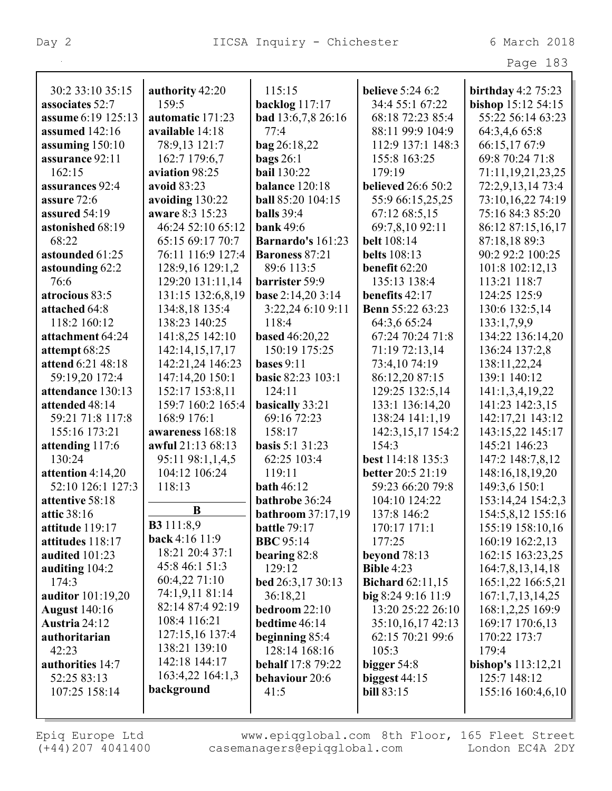| rage | 83 |
|------|----|
|      |    |

| 30:2 33:10 35:15     | authority 42:20   | 115:15                    | <b>believe</b> 5:24 6:2   | birthday $4:2$ 75:23  |
|----------------------|-------------------|---------------------------|---------------------------|-----------------------|
| associates 52:7      | 159.5             | backlog 117:17            | 34:4 55:1 67:22           | bishop 15:12 54:15    |
| assume 6:19 125:13   | automatic 171:23  | <b>bad</b> 13:6,7,8 26:16 | 68:18 72:23 85:4          | 55:22 56:14 63:23     |
| assumed 142:16       | available 14:18   | 77:4                      | 88:11 99:9 104:9          | 64:3,4,6 65:8         |
| assuming 150:10      | 78:9,13 121:7     | <b>bag</b> 26:18,22       | 112:9 137:1 148:3         | 66:15,1767:9          |
| assurance 92:11      | 162:7 179:6,7     | bags $26:1$               | 155:8 163:25              | 69:8 70:24 71:8       |
| 162:15               | aviation 98:25    | <b>bail</b> 130:22        | 179:19                    | 71:11, 19, 21, 23, 25 |
| assurances 92:4      | avoid 83:23       | balance 120:18            | <b>believed</b> 26:6 50:2 | 72:2,9,13,14 73:4     |
| assure 72:6          | avoiding 130:22   | <b>ball</b> 85:20 104:15  | 55:9 66:15,25,25          | 73:10,16,22 74:19     |
| assured 54:19        | aware 8:3 15:23   | <b>balls</b> 39:4         | 67:12 68:5,15             | 75:16 84:3 85:20      |
| astonished 68:19     | 46:24 52:10 65:12 | <b>bank</b> 49:6          | 69:7,8,10 92:11           | 86:12 87:15,16,17     |
| 68:22                | 65:15 69:17 70:7  | Barnardo's 161:23         | <b>belt</b> 108:14        | 87:18,18 89:3         |
| astounded 61:25      | 76:11 116:9 127:4 | <b>Baroness 87:21</b>     | <b>belts</b> 108:13       | 90:2 92:2 100:25      |
| astounding 62:2      | 128:9,16 129:1,2  | 89:6 113:5                | benefit 62:20             | 101:8 102:12,13       |
| 76:6                 | 129:20 131:11,14  | barrister 59:9            | 135:13 138:4              | 113:21 118:7          |
| atrocious 83:5       | 131:15 132:6,8,19 | base 2:14,20 3:14         | benefits 42:17            | 124:25 125:9          |
| attached 64:8        | 134:8,18 135:4    | 3:22,24 6:10 9:11         | <b>Benn</b> 55:22 63:23   | 130:6 132:5,14        |
| 118:2 160:12         | 138:23 140:25     | 118:4                     | 64:3,6 65:24              | 133:1,7,9,9           |
| attachment 64:24     | 141:8,25 142:10   | <b>based</b> 46:20,22     | 67:24 70:24 71:8          | 134:22 136:14,20      |
| attempt 68:25        | 142:14,15,17,17   | 150:19 175:25             | 71:19 72:13,14            | 136:24 137:2,8        |
| attend 6:21 48:18    | 142:21,24 146:23  | bases $9:11$              | 73:4,10 74:19             | 138:11,22,24          |
| 59:19,20 172:4       | 147:14,20 150:1   | <b>basic 82:23 103:1</b>  | 86:12,20 87:15            | 139:1 140:12          |
| attendance 130:13    | 152:17 153:8,11   | 124:11                    | 129:25 132:5,14           | 141:1,3,4,19,22       |
| attended 48:14       | 159:7 160:2 165:4 | basically 33:21           | 133:1 136:14,20           | 141:23 142:3,15       |
| 59:21 71:8 117:8     | 168:9 176:1       | 69:16 72:23               | 138:24 141:1,19           | 142:17,21 143:12      |
| 155:16 173:21        | awareness 168:18  | 158:17                    | 142:3,15,17 154:2         | 143:15,22 145:17      |
| attending 117:6      | awful 21:13 68:13 | <b>basis</b> 5:1 31:23    | 154:3                     | 145:21 146:23         |
| 130:24               | 95:11 98:1,1,4,5  | 62:25 103:4               | best 114:18 135:3         | 147:2 148:7,8,12      |
| attention 4:14,20    | 104:12 106:24     | 119:11                    | better 20:5 21:19         | 148:16,18,19,20       |
| 52:10 126:1 127:3    | 118:13            | <b>bath</b> 46:12         | 59:23 66:20 79:8          | 149:3,6 150:1         |
| attentive 58:18      |                   | bathrobe 36:24            | 104:10 124:22             | 153:14,24 154:2,3     |
| attic 38:16          | B                 | bathroom 37:17,19         | 137:8 146:2               | 154:5,8,12 155:16     |
| attitude 119:17      | <b>B3</b> 111:8,9 | <b>battle</b> 79:17       | 170:17 171:1              | 155:19 158:10,16      |
| attitudes 118:17     | back 4:16 11:9    | <b>BBC</b> 95:14          | 177:25                    | 160:19 162:2,13       |
| audited 101:23       | 18:21 20:4 37:1   | bearing 82:8              | beyond $78:13$            | 162:15 163:23,25      |
| auditing 104:2       | 45:8 46:1 51:3    | 129:12                    | <b>Bible 4:23</b>         | 164:7,8,13,14,18      |
| 174:3                | 60:4,22 71:10     | bed 26:3,17 30:13         | <b>Bichard</b> 62:11,15   | 165:1,22 166:5,21     |
| auditor 101:19,20    | 74:1,9,11 81:14   | 36:18,21                  | big $8:249:1611:9$        | 167:1,7,13,14,25      |
| <b>August</b> 140:16 | 82:14 87:4 92:19  | bedroom 22:10             | 13:20 25:22 26:10         | 168:1,2,25 169:9      |
| Austria 24:12        | 108:4 116:21      | bedtime 46:14             | 35:10,16,17 42:13         | 169:17 170:6,13       |
| authoritarian        | 127:15,16 137:4   | beginning 85:4            | 62:15 70:21 99:6          | 170:22 173:7          |
| 42:23                | 138:21 139:10     | 128:14 168:16             | 105:3                     | 179:4                 |
| authorities 14:7     | 142:18 144:17     | <b>behalf</b> 17:8 79:22  | bigger $54:8$             | bishop's $113:12,21$  |
| 52:25 83:13          | 163:4,22 164:1,3  | behaviour 20:6            | biggest $44:15$           | 125:7 148:12          |
| 107:25 158:14        | background        | 41:5                      | <b>bill 83:15</b>         | 155:16 160:4,6,10     |
|                      |                   |                           |                           |                       |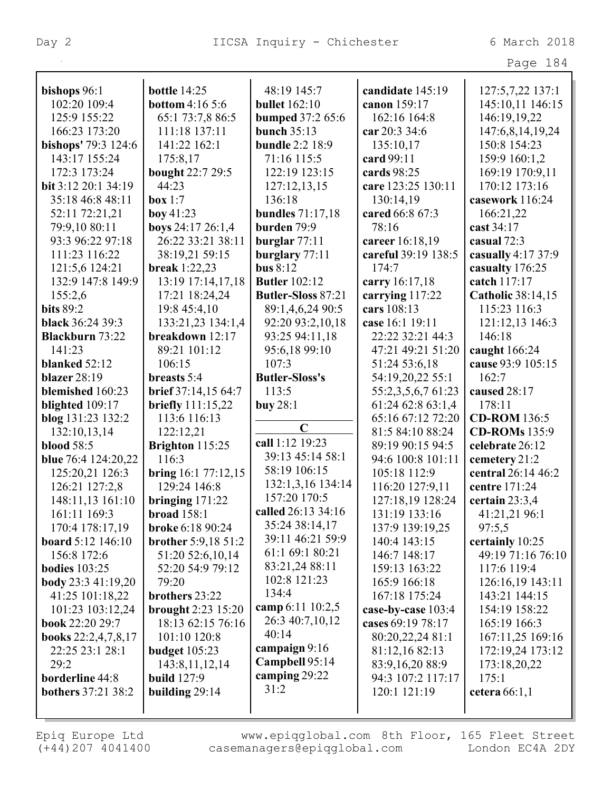| 8.<br>'age | Λ |
|------------|---|
|------------|---|

| bishops 96:1                     | <b>bottle</b> 14:25                     | 48:19 145:7               | candidate 145:19                  | 127:5,7,22 137:1                     |
|----------------------------------|-----------------------------------------|---------------------------|-----------------------------------|--------------------------------------|
| 102:20 109:4                     | <b>bottom</b> 4:16 5:6                  | <b>bullet</b> 162:10      | canon 159:17                      | 145:10,11 146:15                     |
| 125:9 155:22                     | 65:1 73:7,8 86:5                        | <b>bumped 37:2 65:6</b>   | 162:16 164:8                      | 146:19,19,22                         |
| 166:23 173:20                    | 111:18 137:11                           | <b>bunch 35:13</b>        | car 20:3 34:6                     | 147:6,8,14,19,24                     |
| bishops' 79:3 124:6              | 141:22 162:1                            | <b>bundle</b> 2:2 18:9    | 135:10,17                         | 150:8 154:23                         |
| 143:17 155:24                    | 175:8,17                                | 71:16 115:5               | card 99:11                        | 159:9 160:1,2                        |
| 172:3 173:24                     | bought 22:7 29:5                        | 122:19 123:15             | cards 98:25                       | 169:19 170:9,11                      |
| bit 3:12 20:1 34:19              | 44:23                                   | 127:12,13,15              | care 123:25 130:11                | 170:12 173:16                        |
| 35:18 46:8 48:11                 | box 1:7                                 | 136:18                    | 130:14,19                         | casework 116:24                      |
| 52:11 72:21,21                   | boy 41:23                               | <b>bundles</b> 71:17,18   | cared 66:8 67:3                   | 166:21,22                            |
| 79:9,10 80:11                    | boys 24:17 26:1,4                       | burden 79:9               | 78:16                             | cast 34:17                           |
| 93:3 96:22 97:18                 | 26:22 33:21 38:11                       | burglar $77:11$           | career 16:18,19                   | casual 72:3                          |
| 111:23 116:22                    | 38:19,21 59:15                          | burglary 77:11            | careful 39:19 138:5               | casually 4:17 37:9                   |
| 121:5,6 124:21                   | <b>break</b> 1:22,23                    | bus $8:12$                | 174:7                             | casualty 176:25                      |
| 132:9 147:8 149:9                | 13:19 17:14,17,18                       | <b>Butler</b> 102:12      | carry 16:17,18                    | catch 117:17                         |
| 155:2,6                          | 17:21 18:24,24                          | <b>Butler-Sloss 87:21</b> | carrying 117:22                   | <b>Catholic 38:14,15</b>             |
| <b>bits 89:2</b>                 | 19:8 45:4,10                            | 89:1,4,6,24 90:5          | cars 108:13                       | 115:23 116:3                         |
| <b>black</b> 36:24 39:3          | 133:21,23 134:1,4                       | 92:20 93:2,10,18          | case 16:1 19:11                   | 121:12,13 146:3                      |
| <b>Blackburn</b> 73:22           | breakdown 12:17                         | 93:25 94:11,18            | 22:22 32:21 44:3                  | 146:18                               |
| 141:23                           | 89:21 101:12                            | 95:6,18 99:10             | 47:21 49:21 51:20                 | caught 166:24                        |
| blanked $52:12$                  | 106:15                                  | 107:3                     | 51:24 53:6,18                     | cause 93:9 105:15                    |
| <b>blazer</b> 28:19              | breasts 5:4                             | <b>Butler-Sloss's</b>     | 54:19,20,22 55:1                  | 162:7                                |
| blemished 160:23                 | brief 37:14,15 64:7                     | 113:5                     | 55:2,3,5,6,7 61:23                | caused 28:17                         |
| blighted 109:17                  | briefly 111:15,22                       | buy $28:1$                | 61:24 62:8 63:1,4                 | 178:11                               |
| blog 131:23 132:2                | 113:6 116:13                            |                           | 65:16 67:12 72:20                 | <b>CD-ROM</b> 136:5                  |
| 132:10,13,14                     | 122:12,21                               | $\mathbf C$               | 81:5 84:10 88:24                  | <b>CD-ROMs</b> 135:9                 |
| <b>blood</b> 58:5                |                                         | call 1:12 19:23           | 89:19 90:15 94:5                  | celebrate 26:12                      |
| blue 76:4 124:20,22              | Brighton 115:25<br>116:3                | 39:13 45:14 58:1          | 94:6 100:8 101:11                 |                                      |
|                                  |                                         | 58:19 106:15              |                                   | cemetery 21:2                        |
| 125:20,21 126:3                  | bring 16:1 77:12,15<br>129:24 146:8     | 132:1,3,16 134:14         | 105:18 112:9                      | central 26:14 46:2<br>centre 171:24  |
| 126:21 127:2,8                   |                                         | 157:20 170:5              | 116:20 127:9,11                   |                                      |
| 148:11,13 161:10                 | bringing $171:22$                       | called 26:13 34:16        | 127:18,19 128:24<br>131:19 133:16 | certain $23:3,4$                     |
| 161:11 169:3                     | broad 158:1                             | 35:24 38:14,17            |                                   | 41:21,21 96:1                        |
| 170:4 178:17,19                  | broke 6:18 90:24                        | 39:11 46:21 59:9          | 137:9 139:19,25                   | 97:5,5                               |
| board 5:12 146:10<br>156:8 172:6 | brother 5:9,18 51:2<br>51:20 52:6,10,14 | 61:1 69:1 80:21           | 140:4 143:15<br>146:7 148:17      | certainly 10:25<br>49:19 71:16 76:10 |
|                                  |                                         | 83:21,24 88:11            |                                   |                                      |
| <b>bodies</b> 103:25             | 52:20 54:9 79:12                        | 102:8 121:23              | 159:13 163:22                     | 117:6 119:4                          |
| <b>body</b> 23:3 41:19,20        | 79:20                                   | 134:4                     | 165:9 166:18                      | 126:16,19 143:11                     |
| 41:25 101:18,22                  | brothers 23:22                          | camp 6:11 10:2,5          | 167:18 175:24                     | 143:21 144:15                        |
| 101:23 103:12,24                 | brought 2:23 15:20                      | 26:3 40:7,10,12           | case-by-case 103:4                | 154:19 158:22                        |
| book 22:20 29:7                  | 18:13 62:15 76:16                       | 40:14                     | cases 69:19 78:17                 | 165:19 166:3                         |
| books 22:2,4,7,8,17              | 101:10 120:8                            | campaign 9:16             | 80:20,22,24 81:1                  | 167:11,25 169:16                     |
| 22:25 23:1 28:1                  | <b>budget</b> 105:23                    | Campbell 95:14            | 81:12,16 82:13                    | 172:19,24 173:12                     |
| 29:2                             | 143:8, 11, 12, 14                       | camping 29:22             | 83:9,16,20 88:9                   | 173:18,20,22                         |
| borderline 44:8                  | <b>build</b> 127:9                      | 31:2                      | 94:3 107:2 117:17                 | 175:1                                |
| <b>bothers</b> 37:21 38:2        | building 29:14                          |                           | 120:1 121:19                      | cetera $66:1,1$                      |
|                                  |                                         |                           |                                   |                                      |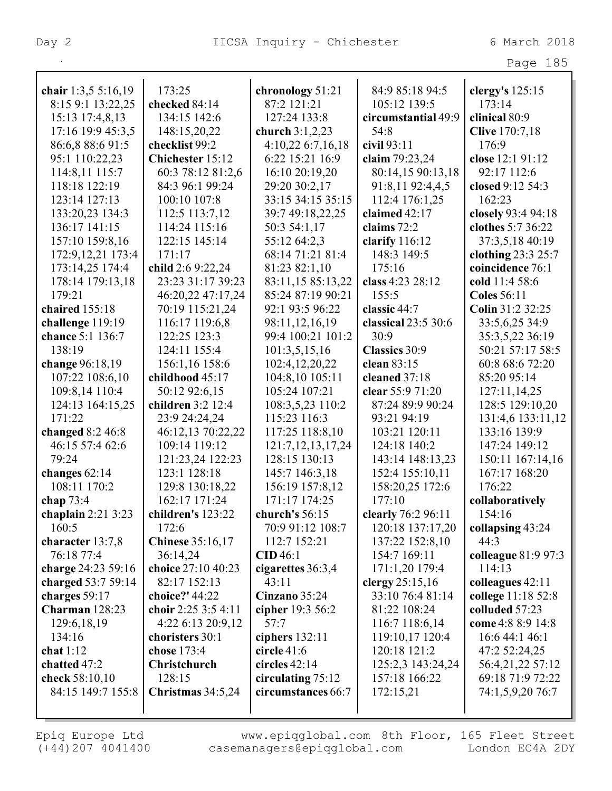| chair 1:3,5 5:16,19     | 173:25                               | chronology 51:21      | 84:9 85:18 94:5     | clergy's 125:15       |
|-------------------------|--------------------------------------|-----------------------|---------------------|-----------------------|
| 8:15 9:1 13:22,25       | checked 84:14                        | 87:2 121:21           | 105:12 139:5        | 173:14                |
| 15:13 17:4,8,13         | 134:15 142:6                         | 127:24 133:8          | circumstantial 49:9 | clinical 80:9         |
| 17:16 19:9 45:3,5       | 148:15,20,22                         | church 3:1,2,23       | 54:8                | <b>Clive</b> 170:7,18 |
| 86:6,8 88:6 91:5        | checklist 99:2                       | 4:10,22 6:7,16,18     | civil 93:11         | 176:9                 |
| 95:1 110:22,23          | Chichester 15:12                     | 6:22 15:21 16:9       | claim 79:23,24      | close 12:1 91:12      |
| 114:8,11 115:7          | 60:3 78:12 81:2,6                    | 16:10 20:19,20        | 80:14,15 90:13,18   | 92:17 112:6           |
| 118:18 122:19           | 84:3 96:1 99:24                      | 29:20 30:2,17         | 91:8,11 92:4,4,5    | closed 9:12 54:3      |
| 123:14 127:13           | 100:10 107:8                         | 33:15 34:15 35:15     | 112:4 176:1,25      | 162:23                |
| 133:20,23 134:3         | 112:5 113:7,12                       | 39:7 49:18,22,25      | claimed 42:17       | closely 93:4 94:18    |
| 136:17 141:15           | 114:24 115:16                        | 50:3 54:1,17          | claims 72:2         | clothes 5:7 36:22     |
| 157:10 159:8,16         | 122:15 145:14                        | 55:12 64:2,3          | clarify $116:12$    | 37:3,5,18 40:19       |
| 172:9, 12, 21 173: 4    | 171:17                               | 68:14 71:21 81:4      | 148:3 149:5         | clothing 23:3 25:7    |
| 173:14,25 174:4         | child 2:6 9:22,24                    | 81:23 82:1,10         | 175:16              | coincidence 76:1      |
| 178:14 179:13,18        | 23:23 31:17 39:23                    | 83:11,15 85:13,22     | class 4:23 28:12    | cold 11:4 58:6        |
| 179:21                  | 46:20,22 47:17,24                    | 85:24 87:19 90:21     | 155:5               | <b>Coles</b> 56:11    |
| chaired 155:18          | 70:19 115:21,24                      | 92:1 93:5 96:22       | classic 44:7        | Colin 31:2 32:25      |
| challenge 119:19        | 116:17 119:6,8                       | 98:11,12,16,19        | classical 23:5 30:6 | 33:5,6,25 34:9        |
| chance 5:1 136:7        | 122:25 123:3                         | 99:4 100:21 101:2     | 30:9                | 35:3,5,22 36:19       |
| 138:19                  | 124:11 155:4                         | 101:3,5,15,16         | Classics 30:9       | 50:21 57:17 58:5      |
| change 96:18,19         | 156:1,16 158:6                       | 102:4,12,20,22        | clean 83:15         | 60:8 68:6 72:20       |
| 107:22 108:6,10         | childhood 45:17                      | 104:8,10 105:11       | cleaned 37:18       | 85:20 95:14           |
| 109:8,14 110:4          | 50:12 92:6,15                        | 105:24 107:21         | clear 55:9 71:20    | 127:11,14,25          |
| 124:13 164:15,25        | children 3:2 12:4                    | 108:3,5,23 110:2      | 87:24 89:9 90:24    | 128:5 129:10,20       |
| 171:22                  | 23:9 24:24,24                        | 115:23 116:3          | 93:21 94:19         | 131:4,6 133:11,12     |
| changed $8:246:8$       | 46:12,13 70:22,22                    | 117:25 118:8,10       | 103:21 120:11       | 133:16 139:9          |
| 46:15 57:4 62:6         | 109:14 119:12                        | 121:7, 12, 13, 17, 24 | 124:18 140:2        | 147:24 149:12         |
| 79:24                   | 121:23,24 122:23                     | 128:15 130:13         | 143:14 148:13,23    | 150:11 167:14,16      |
| changes $62:14$         | 123:1 128:18                         | 145:7 146:3,18        | 152:4 155:10,11     | 167:17 168:20         |
| 108:11 170:2            | 129:8 130:18,22                      | 156:19 157:8,12       | 158:20,25 172:6     | 176:22                |
| chap $73:4$             | 162:17 171:24                        | 171:17 174:25         | 177:10              | collaboratively       |
| chaplain $2:21$ 3:23    | children's 123:22                    | church's 56:15        | clearly 76:2 96:11  | 154:16                |
| 160:5                   | 172:6                                | 70:9 91:12 108:7      | 120:18 137:17,20    | collapsing 43:24      |
| character 13:7,8        | <b>Chinese</b> 35:16,17              | 112:7 152:21          | 137:22 152:8,10     | 44:3                  |
| 76:18 77:4              | 36:14,24                             | CID46:1               | 154:7 169:11        | colleague 81:9 97:3   |
| charge 24:23 59:16      | choice 27:10 40:23                   | cigarettes 36:3,4     | 171:1,20 179:4      | 114:13                |
| charged 53:7 59:14      | 82:17 152:13                         | 43:11                 | clergy 25:15,16     | colleagues 42:11      |
| charges 59:17           | choice?' 44:22                       | Cinzano 35:24         | 33:10 76:4 81:14    | college 11:18 52:8    |
| Charman 128:23          | choir 2:25 3:5 4:11                  | cipher 19:3 56:2      | 81:22 108:24        | colluded 57:23        |
|                         |                                      |                       |                     |                       |
| 129:6, 18, 19<br>134:16 | 4:22 6:13 20:9,12<br>choristers 30:1 | 57:7                  | 116:7 118:6,14      | come 4:8 8:9 14:8     |
|                         |                                      | ciphers $132:11$      | 119:10,17 120:4     | 16:6 44:1 46:1        |
| chat $1:12$             | chose 173:4                          | circle $41:6$         | 120:18 121:2        | 47:2 52:24,25         |
| chatted 47:2            | Christchurch                         | circles $42:14$       | 125:2,3 143:24,24   | 56:4,21,22 57:12      |
| check 58:10,10          | 128:15                               | circulating 75:12     | 157:18 166:22       | 69:18 71:9 72:22      |
| 84:15 149:7 155:8       | Christmas $34:5,24$                  | circumstances 66:7    | 172:15,21           | 74:1,5,9,20 76:7      |
|                         |                                      |                       |                     |                       |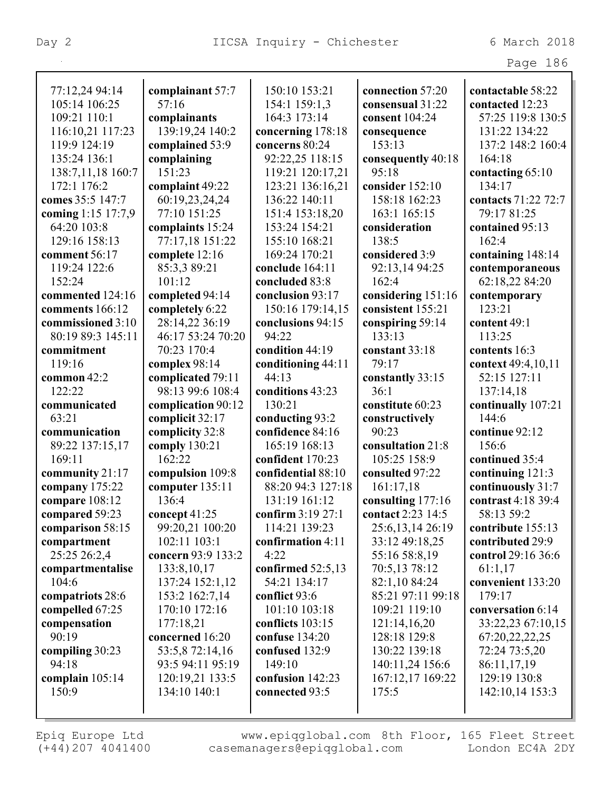|                    |                    |                      |                    | Page 186            |
|--------------------|--------------------|----------------------|--------------------|---------------------|
|                    |                    |                      |                    |                     |
| 77:12,24 94:14     | complainant 57:7   | 150:10 153:21        | connection 57:20   | contactable 58:22   |
| 105:14 106:25      | 57:16              | 154:1 159:1,3        | consensual 31:22   | contacted 12:23     |
| 109:21 110:1       | complainants       | 164:3 173:14         | consent 104:24     | 57:25 119:8 130:5   |
| 116:10,21 117:23   | 139:19,24 140:2    | concerning 178:18    | consequence        | 131:22 134:22       |
| 119:9 124:19       | complained 53:9    | concerns 80:24       | 153:13             | 137:2 148:2 160:4   |
| 135:24 136:1       | complaining        | 92:22,25 118:15      | consequently 40:18 | 164:18              |
| 138:7,11,18 160:7  | 151:23             | 119:21 120:17,21     | 95:18              | contacting 65:10    |
| 172:1 176:2        | complaint 49:22    | 123:21 136:16,21     | consider 152:10    | 134:17              |
| comes 35:5 147:7   | 60:19,23,24,24     | 136:22 140:11        | 158:18 162:23      | contacts 71:22 72:7 |
| coming 1:15 17:7,9 | 77:10 151:25       | 151:4 153:18,20      | 163:1 165:15       | 79:17 81:25         |
| 64:20 103:8        | complaints 15:24   | 153:24 154:21        | consideration      | contained 95:13     |
| 129:16 158:13      | 77:17,18 151:22    | 155:10 168:21        | 138:5              | 162:4               |
| comment 56:17      | complete 12:16     | 169:24 170:21        | considered 3:9     | containing 148:14   |
| 119:24 122:6       | 85:3,3 89:21       | conclude 164:11      | 92:13,14 94:25     | contemporaneous     |
| 152:24             | 101:12             | concluded 83:8       | 162:4              | 62:18,22 84:20      |
| commented 124:16   | completed 94:14    | conclusion 93:17     | considering 151:16 | contemporary        |
| comments 166:12    | completely 6:22    | 150:16 179:14,15     | consistent 155:21  | 123:21              |
| commissioned 3:10  | 28:14,22 36:19     | conclusions 94:15    | conspiring 59:14   | content 49:1        |
| 80:19 89:3 145:11  | 46:17 53:24 70:20  | 94:22                | 133:13             | 113:25              |
| commitment         | 70:23 170:4        | condition 44:19      | constant 33:18     | contents 16:3       |
| 119:16             | complex 98:14      | conditioning 44:11   | 79:17              | context 49:4,10,11  |
| common $42:2$      | complicated 79:11  | 44:13                | constantly 33:15   | 52:15 127:11        |
| 122:22             | 98:13 99:6 108:4   | conditions 43:23     | 36:1               | 137:14,18           |
| communicated       | complication 90:12 | 130:21               | constitute 60:23   | continually 107:21  |
| 63:21              | complicit 32:17    | conducting 93:2      | constructively     | 144:6               |
| communication      | complicity 32:8    | confidence 84:16     | 90:23              | continue 92:12      |
| 89:22 137:15,17    | comply 130:21      | 165:19 168:13        | consultation 21:8  | 156:6               |
| 169:11             | 162:22             | confident 170:23     | 105:25 158:9       | continued 35:4      |
| community 21:17    | compulsion 109:8   | confidential 88:10   | consulted 97:22    | continuing 121:3    |
| company 175:22     | computer 135:11    | 88:20 94:3 127:18    | 161:17,18          | continuously 31:7   |
| compare 108:12     | 136:4              | 131:19 161:12        | consulting 177:16  | contrast 4:18 39:4  |
| compared 59:23     | concept $41:25$    | confirm $3:19\,27:1$ | contact 2:23 14:5  | 58:13 59:2          |
| comparison 58:15   | 99:20,21 100:20    | 114:21 139:23        | 25:6, 13, 14 26:19 | contribute 155:13   |
| compartment        | 102:11 103:1       | confirmation $4:11$  | 33:12 49:18,25     | contributed 29:9    |
| 25:25 26:2,4       | concern 93:9 133:2 | 4:22                 | 55:16 58:8,19      | control 29:16 36:6  |
| compartmentalise   | 133:8, 10, 17      | confirmed $52:5,13$  | 70:5,13 78:12      | 61:1,17             |
| 104:6              | 137:24 152:1,12    | 54:21 134:17         | 82:1,10 84:24      | convenient 133:20   |
| compatriots 28:6   | 153:2 162:7,14     | conflict 93:6        | 85:21 97:11 99:18  | 179:17              |
| compelled 67:25    | 170:10 172:16      | 101:10 103:18        | 109:21 119:10      | conversation 6:14   |
| compensation       | 177:18,21          | conflicts 103:15     | 121:14,16,20       | 33:22,23 67:10,15   |
| 90:19              | concerned 16:20    | confuse $134:20$     | 128:18 129:8       | 67:20,22,22,25      |
| compiling 30:23    | 53:5,8 72:14,16    | confused 132:9       | 130:22 139:18      | 72:24 73:5,20       |
| 94:18              | 93:5 94:11 95:19   | 149:10               | 140:11,24 156:6    | 86:11,17,19         |
| complain $105:14$  | 120:19,21 133:5    | confusion 142:23     | 167:12,17 169:22   | 129:19 130:8        |
| 150:9              | 134:10 140:1       | connected 93:5       | 175:5              | 142:10,14 153:3     |
|                    |                    |                      |                    |                     |
|                    |                    |                      |                    |                     |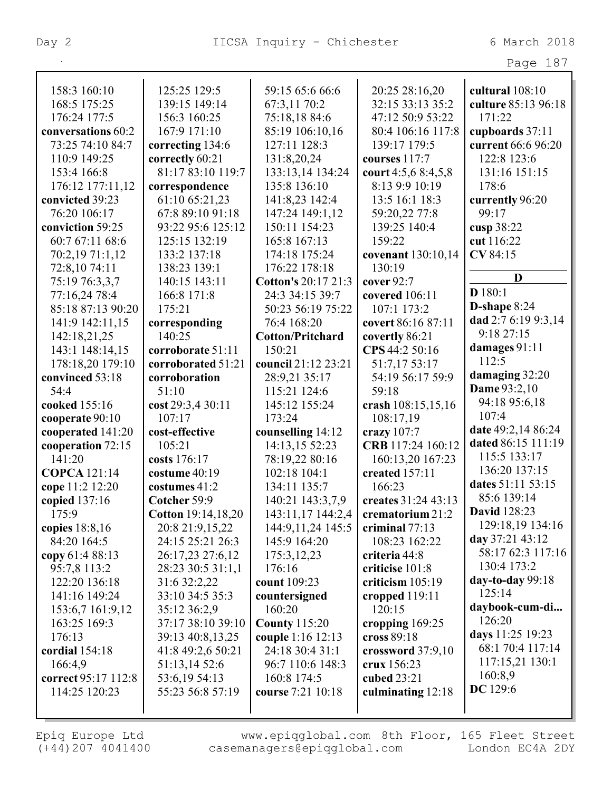|                     |                    |                         |                      | Page 187            |
|---------------------|--------------------|-------------------------|----------------------|---------------------|
|                     |                    |                         |                      |                     |
| 158:3 160:10        | 125:25 129:5       | 59:15 65:6 66:6         | 20:25 28:16,20       | cultural 108:10     |
| 168:5 175:25        | 139:15 149:14      | 67:3,11 70:2            | 32:15 33:13 35:2     | culture 85:13 96:18 |
| 176:24 177:5        | 156:3 160:25       | 75:18,18 84:6           | 47:12 50:9 53:22     | 171:22              |
| conversations 60:2  | 167:9 171:10       | 85:19 106:10,16         | 80:4 106:16 117:8    | cupboards 37:11     |
| 73:25 74:10 84:7    | correcting 134:6   | 127:11 128:3            | 139:17 179:5         | current 66:6 96:20  |
| 110:9 149:25        | correctly 60:21    | 131:8,20,24             | courses 117:7        | 122:8 123:6         |
| 153:4 166:8         | 81:17 83:10 119:7  | 133:13,14 134:24        | court $4:5,68:4,5,8$ | 131:16 151:15       |
| 176:12 177:11,12    | correspondence     | 135:8 136:10            | 8:13 9:9 10:19       | 178:6               |
| convicted 39:23     | 61:10 65:21,23     | 141:8,23 142:4          | 13:5 16:1 18:3       | currently 96:20     |
| 76:20 106:17        | 67:8 89:10 91:18   | 147:24 149:1,12         | 59:20,22 77:8        | 99:17               |
| conviction 59:25    | 93:22 95:6 125:12  | 150:11 154:23           | 139:25 140:4         | cusp 38:22          |
| 60:7 67:11 68:6     | 125:15 132:19      | 165:8 167:13            | 159:22               | cut 116:22          |
| 70:2,19 71:1,12     | 133:2 137:18       | 174:18 175:24           | covenant 130:10,14   | CV 84:15            |
| 72:8,10 74:11       | 138:23 139:1       | 176:22 178:18           | 130:19               |                     |
| 75:19 76:3,3,7      | 140:15 143:11      | Cotton's 20:17 21:3     | cover 92:7           | D                   |
| 77:16,24 78:4       | 166:8 171:8        | 24:3 34:15 39:7         | covered 106:11       | D180:1              |
| 85:18 87:13 90:20   | 175:21             | 50:23 56:19 75:22       | 107:1 173:2          | D-shape $8:24$      |
| 141:9 142:11,15     | corresponding      | 76:4 168:20             | covert 86:16 87:11   | dad 2:7 6:19 9:3,14 |
| 142:18,21,25        | 140:25             | <b>Cotton/Pritchard</b> | covertly 86:21       | 9:1827:15           |
| 143:1 148:14,15     | corroborate 51:11  | 150:21                  | CPS 44:2 50:16       | damages $91:11$     |
| 178:18,20 179:10    | corroborated 51:21 | council 21:12 23:21     | 51:7,17 53:17        | 112:5               |
| convinced 53:18     | corroboration      | 28:9,21 35:17           | 54:19 56:17 59:9     | damaging 32:20      |
| 54:4                | 51:10              | 115:21 124:6            | 59:18                | <b>Dame</b> 93:2,10 |
| cooked 155:16       | cost 29:3,4 30:11  | 145:12 155:24           | crash 108:15,15,16   | 94:18 95:6,18       |
| cooperate 90:10     | 107:17             | 173:24                  | 108:17,19            | 107:4               |
| cooperated 141:20   | cost-effective     | counselling 14:12       | crazy 107:7          | date 49:2,14 86:24  |
| cooperation 72:15   | 105:21             | 14:13,15 52:23          | CRB 117:24 160:12    | dated 86:15 111:19  |
| 141:20              | costs 176:17       | 78:19,22 80:16          | 160:13,20 167:23     | 115:5 133:17        |
| <b>COPCA</b> 121:14 | costume 40:19      | 102:18 104:1            | created 157:11       | 136:20 137:15       |
| cope 11:2 12:20     | costumes 41:2      | 134:11 135:7            | 166:23               | dates 51:11 53:15   |
| copied 137:16       | Cotcher 59:9       | 140:21 143:3,7,9        | creates 31:24 43:13  | 85:6 139:14         |
| 175:9               | Cotton 19:14,18,20 | 143:11,17 144:2,4       | crematorium 21:2     | <b>David</b> 128:23 |
| copies 18:8,16      | 20:8 21:9,15,22    | 144:9,11,24 145:5       | criminal $77:13$     | 129:18,19 134:16    |
| 84:20 164:5         | 24:15 25:21 26:3   | 145:9 164:20            | 108:23 162:22        | day 37:21 43:12     |
| copy 61:4 88:13     | 26:17,23 27:6,12   | 175:3,12,23             | criteria 44:8        | 58:17 62:3 117:16   |
| 95:7,8 113:2        | 28:23 30:5 31:1,1  | 176:16                  | criticise 101:8      | 130:4 173:2         |
| 122:20 136:18       | 31:6 32:2,22       | count 109:23            | criticism $105:19$   | day-to-day 99:18    |
| 141:16 149:24       | 33:10 34:5 35:3    | countersigned           | cropped $119:11$     | 125:14              |
| 153:6,7 161:9,12    | 35:12 36:2,9       | 160:20                  | 120:15               | daybook-cum-di      |
| 163:25 169:3        | 37:17 38:10 39:10  | <b>County 115:20</b>    | cropping 169:25      | 126:20              |
| 176:13              | 39:13 40:8,13,25   | couple 1:16 12:13       | cross $89:18$        | days 11:25 19:23    |
| cordial $154:18$    | 41:8 49:2,6 50:21  | 24:18 30:4 31:1         | crossword $37:9,10$  | 68:1 70:4 117:14    |
| 166:4,9             | 51:13,14 52:6      | 96:7 110:6 148:3        | crux 156:23          | 117:15,21 130:1     |
| correct 95:17 112:8 | 53:6,19 54:13      | 160:8 174:5             | cubed 23:21          | 160:8,9             |
| 114:25 120:23       | 55:23 56:8 57:19   | course 7:21 10:18       | culminating $12:18$  | DC 129:6            |
|                     |                    |                         |                      |                     |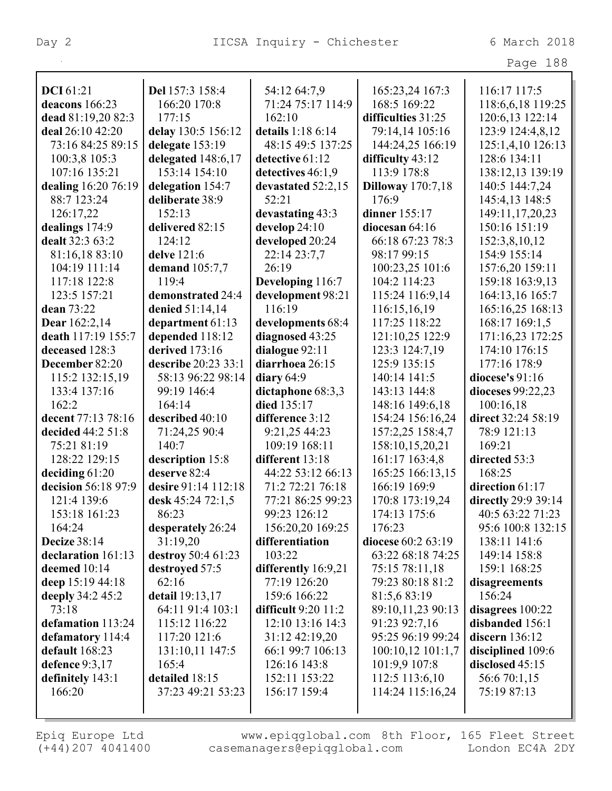| rage | 188 |
|------|-----|
|      |     |

| <b>DCI</b> 61:21    | Del 157:3 158:4     | 54:12 64:7,9            | 165:23,24 167:3          | 116:17 117:5        |
|---------------------|---------------------|-------------------------|--------------------------|---------------------|
| deacons 166:23      | 166:20 170:8        | 71:24 75:17 114:9       | 168:5 169:22             | 118:6,6,18 119:25   |
| dead 81:19,20 82:3  | 177:15              | 162:10                  | difficulties 31:25       | 120:6,13 122:14     |
| deal 26:10 42:20    | delay 130:5 156:12  | details 1:18 6:14       | 79:14,14 105:16          | 123:9 124:4,8,12    |
| 73:16 84:25 89:15   | delegate 153:19     | 48:15 49:5 137:25       | 144:24,25 166:19         | 125:1,4,10 126:13   |
| 100:3,8 105:3       | delegated 148:6,17  | detective 61:12         | difficulty 43:12         | 128:6 134:11        |
| 107:16 135:21       | 153:14 154:10       | detectives 46:1,9       | 113:9 178:8              | 138:12,13 139:19    |
| dealing 16:20 76:19 | delegation 154:7    | devastated 52:2,15      | <b>Dilloway</b> 170:7,18 | 140:5 144:7,24      |
| 88:7 123:24         | deliberate 38:9     | 52:21                   | 176:9                    | 145:4,13 148:5      |
| 126:17,22           | 152:13              | devastating 43:3        | dinner 155:17            | 149:11,17,20,23     |
| dealings 174:9      | delivered 82:15     | develop 24:10           | diocesan $64:16$         | 150:16 151:19       |
| dealt 32:3 63:2     | 124:12              | developed 20:24         | 66:18 67:23 78:3         | 152:3,8,10,12       |
| 81:16,18 83:10      | delve 121:6         | 22:14 23:7,7            | 98:17 99:15              | 154:9 155:14        |
| 104:19 111:14       | demand $105:7,7$    | 26:19                   | 100:23,25 101:6          | 157:6,20 159:11     |
| 117:18 122:8        | 119:4               | Developing 116:7        | 104:2 114:23             | 159:18 163:9,13     |
| 123:5 157:21        | demonstrated 24:4   | development 98:21       | 115:24 116:9,14          | 164:13,16 165:7     |
| dean 73:22          | denied 51:14,14     | 116:19                  | 116:15,16,19             | 165:16,25 168:13    |
| Dear 162:2,14       | department 61:13    | developments 68:4       | 117:25 118:22            | 168:17 169:1,5      |
| death 117:19 155:7  | depended 118:12     | diagnosed 43:25         | 121:10,25 122:9          | 171:16,23 172:25    |
| deceased 128:3      | derived 173:16      | dialogue 92:11          | 123:3 124:7,19           | 174:10 176:15       |
| December 82:20      | describe 20:23 33:1 | diarrhoea 26:15         | 125:9 135:15             | 177:16 178:9        |
| 115:2 132:15,19     | 58:13 96:22 98:14   | diary $64:9$            | 140:14 141:5             | diocese's 91:16     |
| 133:4 137:16        | 99:19 146:4         | dictaphone 68:3,3       | 143:13 144:8             | dioceses 99:22,23   |
| 162:2               | 164:14              | died 135:17             | 148:16 149:6,18          | 100:16,18           |
| decent 77:13 78:16  | described 40:10     | difference 3:12         | 154:24 156:16,24         | direct 32:24 58:19  |
| decided 44:2 51:8   | 71:24,25 90:4       | 9:21,25 44:23           | 157:2,25 158:4,7         | 78:9 121:13         |
| 75:21 81:19         | 140:7               | 109:19 168:11           | 158:10,15,20,21          | 169:21              |
| 128:22 129:15       | description 15:8    | different 13:18         | 161:17 163:4,8           | directed 53:3       |
| deciding $61:20$    | deserve 82:4        | 44:22 53:12 66:13       | 165:25 166:13,15         | 168:25              |
| decision 56:18 97:9 | desire 91:14 112:18 | 71:2 72:21 76:18        | 166:19 169:9             | direction 61:17     |
| 121:4 139:6         | desk 45:24 72:1,5   | 77:21 86:25 99:23       | 170:8 173:19,24          | directly 29:9 39:14 |
| 153:18 161:23       | 86:23               | 99:23 126:12            | 174:13 175:6             | 40:5 63:22 71:23    |
| 164:24              | desperately 26:24   | 156:20,20 169:25        | 176:23                   | 95:6 100:8 132:15   |
| <b>Decize 38:14</b> | 31:19,20            | differentiation         | diocese 60:2 63:19       | 138:11 141:6        |
| declaration 161:13  | destroy 50:4 61:23  | 103:22                  | 63:22 68:18 74:25        | 149:14 158:8        |
| deemed 10:14        | destroyed 57:5      | differently 16:9,21     | 75:15 78:11,18           | 159:1 168:25        |
| deep 15:19 44:18    | 62:16               | 77:19 126:20            | 79:23 80:18 81:2         | disagreements       |
| deeply 34:2 45:2    | detail 19:13,17     | 159:6 166:22            | 81:5,6 83:19             | 156:24              |
| 73:18               | 64:11 91:4 103:1    | difficult $9:20$ $11:2$ | 89:10,11,23 90:13        | disagrees $100:22$  |
| defamation 113:24   | 115:12 116:22       | 12:10 13:16 14:3        | 91:23 92:7,16            | disbanded 156:1     |
| defamatory 114:4    | 117:20 121:6        | 31:12 42:19,20          | 95:25 96:19 99:24        | discern 136:12      |
| default 168:23      | 131:10,11 147:5     | 66:1 99:7 106:13        | $100:10,12$ $101:1,7$    | disciplined 109:6   |
| defence 9:3,17      | 165:4               | 126:16 143:8            | 101:9,9 107:8            | disclosed 45:15     |
| definitely 143:1    | detailed 18:15      | 152:11 153:22           | 112:5 113:6,10           | 56:6 70:1,15        |
| 166:20              | 37:23 49:21 53:23   | 156:17 159:4            | 114:24 115:16,24         | 75:19 87:13         |
|                     |                     |                         |                          |                     |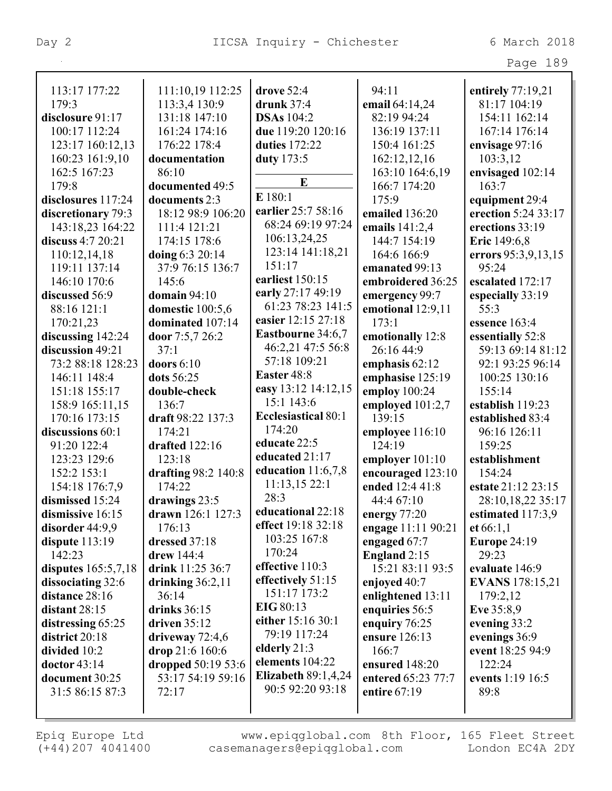Page 189

| 113:17 177:22       | 111:10,19 112:25    | drove 52:4                 | 94:11              | entirely 77:19,21      |
|---------------------|---------------------|----------------------------|--------------------|------------------------|
| 179:3               | 113:3,4 130:9       | drunk $37:4$               | email 64:14,24     | 81:17 104:19           |
| disclosure 91:17    | 131:18 147:10       | <b>DSAs</b> 104:2          | 82:19 94:24        | 154:11 162:14          |
| 100:17 112:24       | 161:24 174:16       | due 119:20 120:16          | 136:19 137:11      | 167:14 176:14          |
| 123:17 160:12,13    | 176:22 178:4        | duties 172:22              | 150:4 161:25       | envisage 97:16         |
| 160:23 161:9,10     | documentation       | duty 173:5                 | 162:12,12,16       | 103:3,12               |
| 162:5 167:23        | 86:10               |                            | 163:10 164:6,19    | envisaged 102:14       |
| 179:8               | documented 49:5     | $\bf{E}$                   | 166:7 174:20       | 163:7                  |
| disclosures 117:24  | documents 2:3       | E 180:1                    | 175:9              | equipment 29:4         |
| discretionary 79:3  | 18:12 98:9 106:20   | earlier 25:7 58:16         | emailed 136:20     | erection 5:24 33:17    |
| 143:18,23 164:22    | 111:4 121:21        | 68:24 69:19 97:24          | emails $141:2,4$   | erections 33:19        |
| discuss 4:7 20:21   | 174:15 178:6        | 106:13,24,25               | 144:7 154:19       | Eric 149:6,8           |
| 110:12,14,18        | doing 6:3 20:14     | 123:14 141:18,21           | 164:6 166:9        | errors 95:3,9,13,15    |
| 119:11 137:14       | 37:9 76:15 136:7    | 151:17                     | emanated 99:13     | 95:24                  |
| 146:10 170:6        | 145:6               | earliest 150:15            | embroidered 36:25  | escalated 172:17       |
| discussed 56:9      | domain $94:10$      | early 27:17 49:19          | emergency 99:7     | especially 33:19       |
| 88:16 121:1         | domestic 100:5,6    | 61:23 78:23 141:5          | emotional 12:9,11  | 55:3                   |
| 170:21,23           | dominated 107:14    | easier 12:15 27:18         | 173:1              | essence 163:4          |
| discussing 142:24   | door 7:5,7 26:2     | <b>Eastbourne</b> 34:6,7   | emotionally 12:8   | essentially 52:8       |
| discussion 49:21    | 37:1                | 46:2,21 47:5 56:8          | 26:16 44:9         | 59:13 69:14 81:12      |
| 73:2 88:18 128:23   | doors $6:10$        | 57:18 109:21               | emphasis $62:12$   | 92:1 93:25 96:14       |
| 146:11 148:4        | dots 56:25          | Easter 48:8                | emphasise 125:19   | 100:25 130:16          |
| 151:18 155:17       | double-check        | easy 13:12 14:12,15        | employ 100:24      | 155:14                 |
| 158:9 165:11,15     | 136:7               | 15:1 143:6                 | employed 101:2,7   | establish 119:23       |
| 170:16 173:15       | draft 98:22 137:3   | <b>Ecclesiastical 80:1</b> | 139:15             | established 83:4       |
| discussions 60:1    | 174:21              | 174:20                     | employee 116:10    | 96:16 126:11           |
| 91:20 122:4         | drafted 122:16      | educate 22:5               | 124:19             | 159:25                 |
| 123:23 129:6        | 123:18              | educated 21:17             | employer 101:10    | establishment          |
| 152:2 153:1         | drafting 98:2 140:8 | education $11:6,7,8$       | encouraged 123:10  | 154:24                 |
| 154:18 176:7,9      | 174:22              | 11:13,1522:1               | ended 12:4 41:8    | estate 21:12 23:15     |
| dismissed 15:24     | drawings 23:5       | 28:3                       | 44:4 67:10         | 28:10,18,22 35:17      |
| dismissive 16:15    | drawn 126:1 127:3   | educational 22:18          | energy 77:20       | estimated 117:3,9      |
| disorder 44:9,9     | 176:13              | effect 19:18 32:18         | engage 11:11 90:21 | et $66:1,1$            |
| dispute 113:19      | dressed 37:18       | 103:25 167:8               | engaged 67:7       | Europe 24:19           |
| 142:23              | drew 144:4          | 170:24                     | England 2:15       | 29:23                  |
| disputes 165:5,7,18 | drink 11:25 36:7    | effective 110:3            | 15:21 83:11 93:5   | evaluate 146:9         |
| dissociating 32:6   | drinking $36:2,11$  | effectively 51:15          | enjoyed 40:7       | <b>EVANS</b> 178:15,21 |
| distance 28:16      | 36:14               | 151:17 173:2               | enlightened 13:11  | 179:2,12               |
| distant $28:15$     | drinks $36:15$      | EIG 80:13                  | enquiries 56:5     | Eve 35:8,9             |
| distressing 65:25   | driven $35:12$      | either 15:16 30:1          | enquiry 76:25      | evening 33:2           |
| district 20:18      | driveway $72:4,6$   | 79:19 117:24               | ensure 126:13      | evenings 36:9          |
| divided 10:2        | drop 21:6 160:6     | elderly $21:3$             | 166:7              | event 18:25 94:9       |
| doctor 43:14        | dropped 50:19 53:6  | elements 104:22            | ensured 148:20     | 122:24                 |
| document 30:25      | 53:17 54:19 59:16   | <b>Elizabeth 89:1,4,24</b> | entered 65:23 77:7 | events 1:19 16:5       |
| 31:5 86:15 87:3     | 72:17               | 90:5 92:20 93:18           | entire 67:19       | 89:8                   |
|                     |                     |                            |                    |                        |
|                     |                     |                            |                    |                        |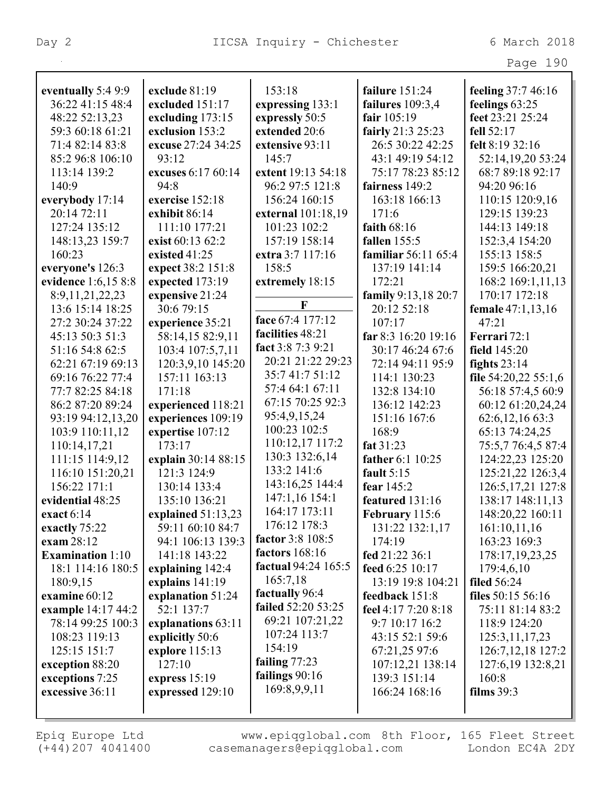| Page 190 |
|----------|
|----------|

| eventually 5:4 9:9      | exclude 81:19       | 153:18              | failure 151:24             | feeling 37:7 46:16   |
|-------------------------|---------------------|---------------------|----------------------------|----------------------|
| 36:22 41:15 48:4        | excluded 151:17     | expressing 133:1    | failures 109:3,4           | feelings 63:25       |
| 48:22 52:13,23          | excluding 173:15    | expressly 50:5      | fair 105:19                | feet 23:21 25:24     |
| 59:3 60:18 61:21        | exclusion 153:2     | extended 20:6       | fairly 21:3 25:23          | fell 52:17           |
| 71:4 82:14 83:8         | excuse 27:24 34:25  | extensive 93:11     | 26:5 30:22 42:25           | felt 8:19 32:16      |
| 85:2 96:8 106:10        | 93:12               | 145:7               | 43:1 49:19 54:12           | 52:14,19,20 53:24    |
| 113:14 139:2            | excuses 6:17 60:14  | extent 19:13 54:18  | 75:17 78:23 85:12          | 68:7 89:18 92:17     |
| 140:9                   | 94:8                | 96:2 97:5 121:8     | fairness 149:2             | 94:20 96:16          |
| everybody 17:14         | exercise 152:18     | 156:24 160:15       | 163:18 166:13              | 110:15 120:9,16      |
| 20:14 72:11             | exhibit 86:14       | external 101:18,19  | 171:6                      | 129:15 139:23        |
| 127:24 135:12           | 111:10 177:21       | 101:23 102:2        | faith $68:16$              | 144:13 149:18        |
| 148:13,23 159:7         | exist 60:13 62:2    | 157:19 158:14       | fallen 155:5               | 152:3,4 154:20       |
| 160:23                  | existed 41:25       | extra 3:7 117:16    | <b>familiar</b> 56:11 65:4 | 155:13 158:5         |
| everyone's 126:3        | expect 38:2 151:8   | 158:5               | 137:19 141:14              | 159:5 166:20,21      |
| evidence 1:6,15 8:8     | expected 173:19     | extremely 18:15     | 172:21                     | 168:2 169:1,11,13    |
| 8:9, 11, 21, 22, 23     | expensive 21:24     |                     | family 9:13,18 20:7        | 170:17 172:18        |
| 13:6 15:14 18:25        | 30:6 79:15          | F                   | 20:12 52:18                | female 47:1,13,16    |
| 27:2 30:24 37:22        | experience 35:21    | face 67:4 177:12    | 107:17                     | 47:21                |
| 45:13 50:3 51:3         | 58:14,15 82:9,11    | facilities 48:21    | far 8:3 16:20 19:16        | Ferrari 72:1         |
| 51:16 54:8 62:5         | 103:4 107:5,7,11    | fact 3:8 7:3 9:21   | 30:17 46:24 67:6           | field 145:20         |
| 62:21 67:19 69:13       | 120:3,9,10 145:20   | 20:21 21:22 29:23   | 72:14 94:11 95:9           | fights $23:14$       |
| 69:16 76:22 77:4        | 157:11 163:13       | 35:741:751:12       | 114:1 130:23               | file 54:20,22 55:1,6 |
| 77:7 82:25 84:18        | 171:18              | 57:4 64:1 67:11     | 132:8 134:10               | 56:18 57:4,5 60:9    |
| 86:2 87:20 89:24        | experienced 118:21  | 67:15 70:25 92:3    | 136:12 142:23              | 60:12 61:20,24,24    |
| 93:19 94:12,13,20       | experiences 109:19  | 95:4,9,15,24        | 151:16 167:6               | 62:6,12,16 63:3      |
| 103:9 110:11,12         | expertise 107:12    | 100:23 102:5        | 168:9                      | 65:13 74:24,25       |
| 110:14,17,21            | 173:17              | 110:12,17 117:2     | fat 31:23                  | 75:5,7 76:4,5 87:4   |
| 111:15 114:9,12         | explain 30:14 88:15 | 130:3 132:6,14      | father 6:1 10:25           | 124:22,23 125:20     |
| 116:10 151:20,21        | 121:3 124:9         | 133:2 141:6         | fault $5:15$               | 125:21,22 126:3,4    |
| 156:22 171:1            | 130:14 133:4        | 143:16,25 144:4     | fear 145:2                 | 126:5, 17, 21 127:8  |
| evidential 48:25        | 135:10 136:21       | 147:1,16 154:1      | featured 131:16            | 138:17 148:11,13     |
| exact $6:14$            | explained 51:13,23  | 164:17 173:11       | February 115:6             | 148:20,22 160:11     |
| exactly 75:22           | 59:11 60:10 84:7    | 176:12 178:3        | 131:22 132:1,17            | 161:10,11,16         |
| exam 28:12              | 94:1 106:13 139:3   | factor 3:8 108:5    | 174:19                     | 163:23 169:3         |
| <b>Examination</b> 1:10 | 141:18 143:22       | factors $168:16$    | fed 21:22 36:1             | 178:17,19,23,25      |
| 18:1 114:16 180:5       | explaining 142:4    | factual 94:24 165:5 | feed 6:25 10:17            | 179:4,6,10           |
| 180:9,15                | explains $141:19$   | 165:7,18            | 13:19 19:8 104:21          | <b>filed</b> 56:24   |
| examine $60:12$         | explanation 51:24   | factually 96:4      | feedback 151:8             | files 50:15 56:16    |
| example 14:17 44:2      | 52:1 137:7          | failed 52:20 53:25  | feel 4:17 7:20 8:18        | 75:11 81:14 83:2     |
| 78:14 99:25 100:3       | explanations 63:11  | 69:21 107:21,22     | 9:7 10:17 16:2             | 118:9 124:20         |
| 108:23 119:13           | explicitly 50:6     | 107:24 113:7        | 43:15 52:1 59:6            | 125:3, 11, 17, 23    |
| 125:15 151:7            | explore 115:13      | 154:19              | 67:21,25 97:6              | 126:7, 12, 18 127:2  |
| exception 88:20         | 127:10              | failing $77:23$     | 107:12,21 138:14           | 127:6,19 132:8,21    |
| exceptions 7:25         | express $15:19$     | failings 90:16      | 139:3 151:14               | 160:8                |
| excessive 36:11         | expressed 129:10    | 169:8,9,9,11        | 166:24 168:16              | films $39:3$         |
|                         |                     |                     |                            |                      |
|                         |                     |                     |                            |                      |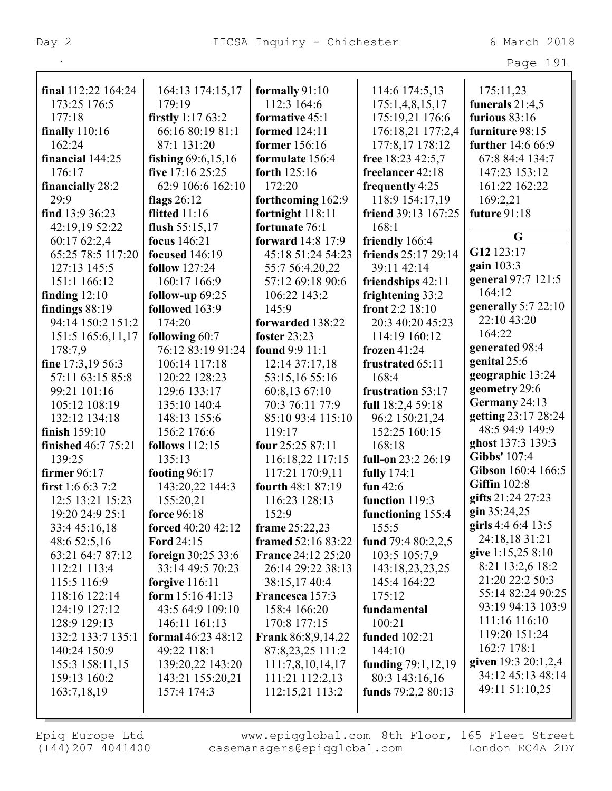|                            |                       |                           |                                       | Page 191                           |
|----------------------------|-----------------------|---------------------------|---------------------------------------|------------------------------------|
| final 112:22 164:24        | 164:13 174:15,17      | formally 91:10            | 114:6 174:5,13                        | 175:11,23                          |
| 173:25 176:5               | 179:19                | 112:3 164:6               |                                       |                                    |
| 177:18                     | firstly $1:1763:2$    | formative 45:1            | 175:1,4,8,15,17<br>175:19,21 176:6    | funerals $21:4,5$<br>furious 83:16 |
|                            | 66:16 80:19 81:1      | formed 124:11             |                                       | furniture 98:15                    |
| finally $110:16$<br>162:24 | 87:1 131:20           | former 156:16             | 176:18,21 177:2,4<br>177:8,17 178:12  | further 14:6 66:9                  |
|                            |                       |                           |                                       |                                    |
| financial 144:25           | fishing $69:6,15,16$  | formulate 156:4           | free 18:23 42:5,7<br>freelancer 42:18 | 67:8 84:4 134:7                    |
| 176:17                     | five 17:16 25:25      | forth 125:16              |                                       | 147:23 153:12                      |
| financially 28:2           | 62:9 106:6 162:10     | 172:20                    | frequently 4:25                       | 161:22 162:22                      |
| 29:9                       | flags $26:12$         | forthcoming 162:9         | 118:9 154:17,19                       | 169:2,21                           |
| find $13:936:23$           | flitted $11:16$       | fortnight 118:11          | friend 39:13 167:25                   | future 91:18                       |
| 42:19,19 52:22             | flush $55:15,17$      | fortunate 76:1            | 168:1                                 | G                                  |
| 60:17 62:2,4               | focus 146:21          | <b>forward</b> 14:8 17:9  | friendly 166:4                        | G12 123:17                         |
| 65:25 78:5 117:20          | focused 146:19        | 45:18 51:24 54:23         | friends 25:17 29:14                   |                                    |
| 127:13 145:5               | <b>follow</b> 127:24  | 55:7 56:4,20,22           | 39:11 42:14                           | gain $103:3$                       |
| 151:1 166:12               | 160:17 166:9          | 57:12 69:18 90:6          | friendships 42:11                     | general 97:7 121:5                 |
| finding $12:10$            | follow-up $69:25$     | 106:22 143:2              | frightening 33:2                      | 164:12                             |
| findings 88:19             | followed 163:9        | 145:9                     | front 2:2 18:10                       | generally $5:722:10$               |
| 94:14 150:2 151:2          | 174:20                | forwarded 138:22          | 20:3 40:20 45:23                      | 22:10 43:20                        |
| 151:5 165:6,11,17          | following 60:7        | foster 23:23              | 114:19 160:12                         | 164:22                             |
| 178:7,9                    | 76:12 83:19 91:24     | <b>found</b> 9:9 11:1     | frozen $41:24$                        | generated 98:4                     |
| fine 17:3,19 56:3          | 106:14 117:18         | 12:14 37:17,18            | frustrated 65:11                      | genital 25:6                       |
| 57:11 63:15 85:8           | 120:22 128:23         | 53:15,16 55:16            | 168:4                                 | geographic 13:24                   |
| 99:21 101:16               | 129:6 133:17          | 60:8,13 67:10             | frustration 53:17                     | geometry 29:6                      |
| 105:12 108:19              | 135:10 140:4          | 70:3 76:11 77:9           | full 18:2,4 59:18                     | Germany 24:13                      |
| 132:12 134:18              | 148:13 155:6          | 85:10 93:4 115:10         | 96:2 150:21,24                        | getting 23:17 28:24                |
| finish 159:10              | 156:2 176:6           | 119:17                    | 152:25 160:15                         | 48:5 94:9 149:9                    |
| <b>finished</b> 46:7 75:21 | <b>follows</b> 112:15 | four 25:25 87:11          | 168:18                                | ghost 137:3 139:3                  |
| 139:25                     | 135:13                | 116:18,22 117:15          | full-on 23:2 26:19                    | Gibbs' 107:4                       |
| firmer 96:17               | footing $96:17$       | 117:21 170:9,11           | <b>fully</b> 174:1                    | Gibson 160:4 166:5                 |
| first 1:6 6:3 7:2          | 143:20,22 144:3       | fourth 48:1 87:19         | fun $42:6$                            | <b>Giffin</b> 102:8                |
| 12:5 13:21 15:23           | 155:20,21             | 116:23 128:13             | function 119:3                        | gifts 21:24 27:23                  |
| 19:20 24:9 25:1            | force 96:18           | 152:9                     | functioning 155:4                     | $\sin 35:24,25$                    |
| 33:4 45:16,18              | forced 40:20 42:12    | frame 25:22,23            | 155:5                                 | girls 4:4 6:4 13:5                 |
| 48:6 52:5,16               | <b>Ford 24:15</b>     | framed 52:16 83:22        | fund $79:480:2,2,5$                   | 24:18,18 31:21                     |
| 63:21 64:7 87:12           | foreign $30:25\,33:6$ | <b>France 24:12 25:20</b> | 103:5 105:7,9                         | give 1:15,25 8:10                  |
| 112:21 113:4               | 33:14 49:5 70:23      | 26:14 29:22 38:13         | 143:18,23,23,25                       | 8:21 13:2,6 18:2                   |
| 115:5 116:9                | forgive $116:11$      | 38:15,17 40:4             | 145:4 164:22                          | 21:20 22:2 50:3                    |
| 118:16 122:14              | form $15:1641:13$     | Francesca 157:3           | 175:12                                | 55:14 82:24 90:25                  |
| 124:19 127:12              | 43:5 64:9 109:10      | 158:4 166:20              | fundamental                           | 93:19 94:13 103:9                  |
| 128:9 129:13               | 146:11 161:13         | 170:8 177:15              | 100:21                                | 111:16 116:10                      |
| 132:2 133:7 135:1          | formal 46:23 48:12    | <b>Frank</b> 86:8,9,14,22 | funded 102:21                         | 119:20 151:24                      |
| 140:24 150:9               | 49:22 118:1           | 87:8,23,25 111:2          | 144:10                                | 162:7 178:1                        |
| 155:3 158:11,15            | 139:20,22 143:20      | 111:7,8,10,14,17          | funding $79:1,12,19$                  | given 19:3 20:1,2,4                |
| 159:13 160:2               | 143:21 155:20,21      | 111:21 112:2,13           | 80:3 143:16,16                        | 34:12 45:13 48:14                  |
| 163:7,18,19                | 157:4 174:3           | 112:15,21 113:2           | funds $79:2,280:13$                   | 49:11 51:10,25                     |
|                            |                       |                           |                                       |                                    |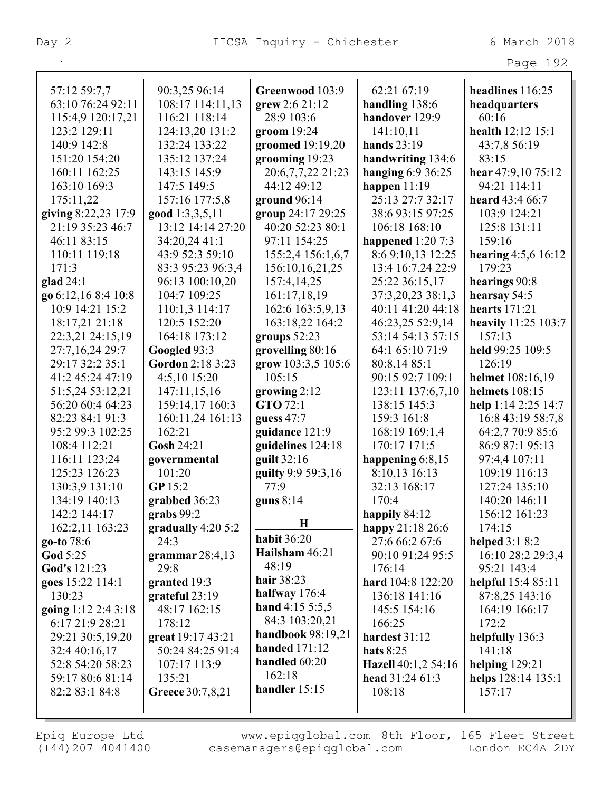|                     |                     |                                  |                     | Page 192                   |
|---------------------|---------------------|----------------------------------|---------------------|----------------------------|
| 57:12 59:7,7        | 90:3,25 96:14       | Greenwood 103:9                  | 62:21 67:19         | headlines 116:25           |
| 63:10 76:24 92:11   | 108:17 114:11,13    | grew 2:6 21:12                   | handling 138:6      | headquarters               |
| 115:4,9 120:17,21   | 116:21 118:14       | 28:9 103:6                       | handover 129:9      | 60:16                      |
| 123:2 129:11        | 124:13,20 131:2     | groom $19:24$                    | 141:10,11           | health 12:12 15:1          |
| 140:9 142:8         | 132:24 133:22       | groomed $19:19,20$               | hands $23:19$       | 43:7,8 56:19               |
| 151:20 154:20       | 135:12 137:24       | grooming 19:23                   | handwriting 134:6   | 83:15                      |
| 160:11 162:25       | 143:15 145:9        | 20:6,7,7,22 21:23                | hanging $6:936:25$  | hear 47:9,10 75:12         |
| 163:10 169:3        | 147:5 149:5         | 44:12 49:12                      | happen $11:19$      | 94:21 114:11               |
| 175:11,22           | 157:16 177:5,8      | ground $96:14$                   | 25:13 27:7 32:17    | heard 43:4 66:7            |
| giving 8:22,23 17:9 | good 1:3,3,5,11     | group 24:17 29:25                | 38:6 93:15 97:25    | 103:9 124:21               |
| 21:19 35:23 46:7    | 13:12 14:14 27:20   | 40:20 52:23 80:1                 | 106:18 168:10       | 125:8 131:11               |
| 46:11 83:15         | 34:20,24 41:1       | 97:11 154:25                     | happened $1:207:3$  | 159:16                     |
| 110:11 119:18       | 43:9 52:3 59:10     | 155:2,4 156:1,6,7                | 8:6 9:10,13 12:25   | hearing $4:5,6$ 16:12      |
| 171:3               | 83:3 95:23 96:3,4   | 156:10,16,21,25                  | 13:4 16:7,24 22:9   | 179:23                     |
| glad $24:1$         | 96:13 100:10,20     | 157:4,14,25                      | 25:22 36:15,17      | hearings 90:8              |
| go 6:12,16 8:4 10:8 | 104:7 109:25        | 161:17,18,19                     | 37:3,20,23 38:1,3   | hearsay 54:5               |
| 10:9 14:21 15:2     | 110:1,3 114:17      | 162:6 163:5,9,13                 | 40:11 41:20 44:18   | <b>hearts</b> 171:21       |
| 18:17,21 21:18      | 120:5 152:20        | 163:18,22 164:2                  | 46:23,25 52:9,14    | <b>heavily</b> 11:25 103:7 |
| 22:3,21 24:15,19    | 164:18 173:12       | groups $52:23$                   | 53:14 54:13 57:15   | 157:13                     |
| 27:7,16,24 29:7     | Googled 93:3        | grovelling 80:16                 | 64:1 65:10 71:9     | held 99:25 109:5           |
| 29:17 32:2 35:1     | Gordon 2:18 3:23    | grow 103:3,5 105:6               | 80:8,14 85:1        | 126:19                     |
| 41:2 45:24 47:19    | 4:5,10 15:20        | 105:15                           | 90:15 92:7 109:1    | helmet 108:16,19           |
| 51:5,24 53:12,21    | 147:11,15,16        | growing $2:12$                   | 123:11 137:6,7,10   | helmets $108:15$           |
| 56:20 60:4 64:23    | 159:14,17 160:3     | GTO 72:1                         | 138:15 145:3        | help 1:14 2:25 14:7        |
| 82:23 84:1 91:3     | 160:11,24 161:13    | guess $47:7$                     | 159:3 161:8         | 16:8 43:19 58:7,8          |
| 95:2 99:3 102:25    | 162:21              | guidance 121:9                   | 168:19 169:1,4      | 64:2,7 70:9 85:6           |
| 108:4 112:21        | Gosh 24:21          | guidelines 124:18                | 170:17 171:5        | 86:9 87:1 95:13            |
| 116:11 123:24       | governmental        | guilt 32:16                      | happening 6:8,15    | 97:4,4 107:11              |
| 125:23 126:23       | 101:20              | guilty 9:9 59:3,16               | 8:10,13 16:13       | 109:19 116:13              |
| 130:3,9 131:10      | GP 15:2             | 77:9                             | 32:13 168:17        | 127:24 135:10              |
| 134:19 140:13       | grabbed 36:23       | guns $8:14$                      | 170:4               | 140:20 146:11              |
| 142:2 144:17        | grabs $99:2$        |                                  | happily 84:12       | 156:12 161:23              |
| 162:2,11 163:23     | gradually $4:205:2$ | $\mathbf H$                      | happy 21:18 26:6    | 174:15                     |
| go-to 78:6          | 24:3                | <b>habit 36:20</b>               | 27:6 66:2 67:6      | helped $3:18:2$            |
| <b>God</b> 5:25     | grammar $28:4,13$   | Hailsham 46:21                   | 90:10 91:24 95:5    | 16:10 28:2 29:3,4          |
| God's 121:23        | 29:8                | 48:19                            | 176:14              | 95:21 143:4                |
| goes 15:22 114:1    | granted 19:3        | hair $38:23$                     | hard 104:8 122:20   | helpful $15:485:11$        |
| 130:23              | grateful 23:19      | halfway $176:4$                  | 136:18 141:16       | 87:8,25 143:16             |
| going 1:12 2:4 3:18 | 48:17 162:15        | hand $4:15\,5:5,5$               | 145:5 154:16        | 164:19 166:17              |
| 6:17 21:9 28:21     | 178:12              | 84:3 103:20,21                   | 166:25              | 172:2                      |
| 29:21 30:5,19,20    | great 19:17 43:21   | handbook 98:19,21                | hardest $31:12$     | helpfully 136:3            |
| 32:4 40:16,17       | 50:24 84:25 91:4    | handed $171:12$<br>handled 60:20 | hats $8:25$         | 141:18                     |
| 52:8 54:20 58:23    | 107:17 113:9        | 162:18                           | Hazell 40:1,2 54:16 | helping $129:21$           |
| 59:17 80:6 81:14    | 135:21              | handler $15:15$                  | head 31:24 61:3     | helps 128:14 135:1         |
| 82:2 83:1 84:8      | Greece 30:7,8,21    |                                  | 108:18              | 157:17                     |
|                     |                     |                                  |                     |                            |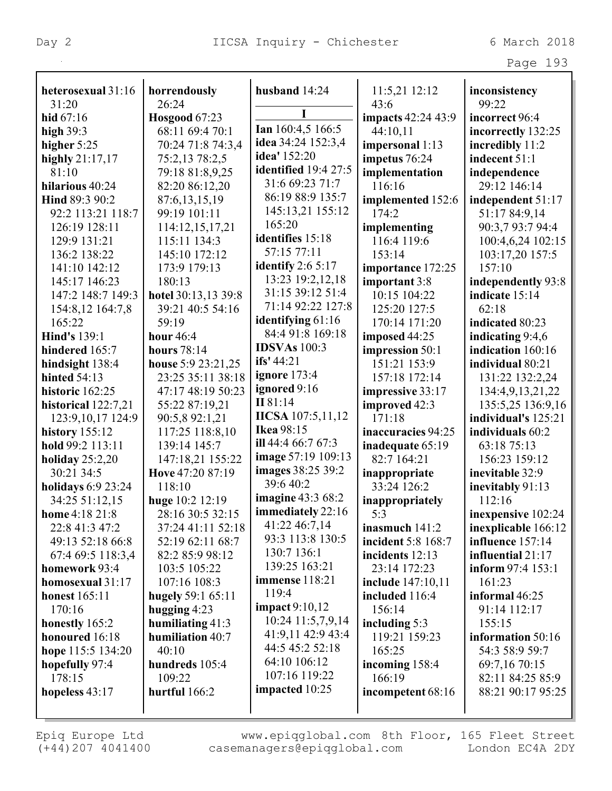| aа<br>⊖ |  |  |
|---------|--|--|
|---------|--|--|

| heterosexual 31:16        | horrendously         | husband 14:24             | 11:5,21 12:12      | inconsistency       |
|---------------------------|----------------------|---------------------------|--------------------|---------------------|
| 31:20                     | 26:24                |                           | 43:6               | 99:22               |
| hid $67:16$               | <b>Hosgood</b> 67:23 |                           | impacts 42:24 43:9 | incorrect 96:4      |
| high $39:3$               | 68:11 69:4 70:1      | Ian 160:4,5 166:5         | 44:10,11           | incorrectly 132:25  |
| higher $5:25$             | 70:24 71:8 74:3,4    | idea 34:24 152:3,4        | impersonal 1:13    | incredibly 11:2     |
| highly 21:17,17           | 75:2,13 78:2,5       | idea' 152:20              | impetus 76:24      | indecent 51:1       |
| 81:10                     | 79:18 81:8,9,25      | identified 19:4 27:5      | implementation     | independence        |
| hilarious 40:24           | 82:20 86:12,20       | 31:6 69:23 71:7           | 116:16             | 29:12 146:14        |
| Hind 89:3 90:2            | 87:6,13,15,19        | 86:19 88:9 135:7          | implemented 152:6  | independent 51:17   |
| 92:2 113:21 118:7         | 99:19 101:11         | 145:13,21 155:12          | 174:2              | 51:17 84:9,14       |
| 126:19 128:11             | 114:12,15,17,21      | 165:20                    | implementing       | 90:3,7 93:7 94:4    |
| 129:9 131:21              | 115:11 134:3         | identifies 15:18          | 116:4 119:6        | 100:4,6,24 102:15   |
| 136:2 138:22              | 145:10 172:12        | 57:15 77:11               | 153:14             | 103:17,20 157:5     |
| 141:10 142:12             | 173:9 179:13         | identify $2:65:17$        | importance 172:25  | 157:10              |
| 145:17 146:23             | 180:13               | 13:23 19:2,12,18          | important 3:8      | independently 93:8  |
| 147:2 148:7 149:3         | hotel 30:13,13 39:8  | 31:15 39:12 51:4          | 10:15 104:22       | indicate 15:14      |
| 154:8,12 164:7,8          | 39:21 40:5 54:16     | 71:14 92:22 127:8         | 125:20 127:5       | 62:18               |
| 165:22                    | 59:19                | identifying 61:16         | 170:14 171:20      | indicated 80:23     |
| <b>Hind's 139:1</b>       | hour $46:4$          | 84:4 91:8 169:18          | imposed 44:25      | indicating 9:4,6    |
| hindered 165:7            | <b>hours</b> 78:14   | <b>IDSVAs</b> 100:3       | impression 50:1    | indication 160:16   |
| hindsight 138:4           | house 5:9 23:21,25   | ifs' $44:21$              | 151:21 153:9       | individual 80:21    |
| hinted $54:13$            | 23:25 35:11 38:18    | ignore $173:4$            | 157:18 172:14      | 131:22 132:2,24     |
| historic 162:25           | 47:17 48:19 50:23    | ignored 9:16              | impressive 33:17   | 134:4,9,13,21,22    |
| historical $122:7,21$     | 55:22 87:19,21       | II 81:14                  | improved 42:3      | 135:5,25 136:9,16   |
| 123:9, 10, 17 124: 9      | 90:5,8 92:1,21       | <b>IICSA</b> 107:5,11,12  | 171:18             | individual's 125:21 |
| history $155:12$          | 117:25 118:8,10      | <b>Ikea</b> 98:15         | inaccuracies 94:25 | individuals 60:2    |
| hold 99:2 113:11          | 139:14 145:7         | ill 44:4 66:7 67:3        | inadequate 65:19   | 63:18 75:13         |
| holiday $25:2,20$         | 147:18,21 155:22     | <b>image</b> 57:19 109:13 | 82:7 164:21        | 156:23 159:12       |
| 30:21 34:5                | Hove 47:20 87:19     | images 38:25 39:2         | inappropriate      | inevitable 32:9     |
| <b>holidays</b> 6:9 23:24 | 118:10               | 39:640:2                  | $33:24$ 126:2      | inevitably 91:13    |
| 34:25 51:12,15            | huge 10:2 12:19      | <b>imagine 43:3 68:2</b>  | inappropriately    | 112:16              |
| home 4:18 21:8            | 28:16 30:5 32:15     | immediately 22:16         | 5:3                | inexpensive 102:24  |
| 22:8 41:3 47:2            | 37:24 41:11 52:18    | 41:22 46:7,14             | inasmuch $141:2$   | inexplicable 166:12 |
| 49:13 52:18 66:8          | 52:19 62:11 68:7     | 93:3 113:8 130:5          | incident 5:8 168:7 | influence 157:14    |
| 67:4 69:5 118:3,4         | 82:2 85:9 98:12      | 130:7 136:1               | incidents 12:13    | influential 21:17   |
| homework 93:4             | 103:5 105:22         | 139:25 163:21             | 23:14 172:23       | inform 97:4 153:1   |
| homosexual 31:17          | 107:16 108:3         | <b>immense</b> 118:21     | include 147:10,11  | 161:23              |
| <b>honest</b> 165:11      | hugely 59:1 65:11    | 119:4                     | included 116:4     | informal $46:25$    |
| 170:16                    | hugging 4:23         | impact $9:10,12$          | 156:14             | 91:14 112:17        |
| honestly 165:2            | humiliating 41:3     | 10:24 11:5,7,9,14         | including $5:3$    | 155:15              |
| honoured 16:18            | humiliation 40:7     | 41:9,11 42:9 43:4         | 119:21 159:23      | information 50:16   |
| hope 115:5 134:20         | 40:10                | 44:5 45:2 52:18           | 165:25             | 54:3 58:9 59:7      |
| hopefully 97:4            | hundreds 105:4       | 64:10 106:12              | incoming 158:4     | 69:7,16 70:15       |
| 178:15                    | 109:22               | 107:16 119:22             | 166:19             | 82:11 84:25 85:9    |
| hopeless 43:17            | hurtful 166:2        | impacted 10:25            | incompetent 68:16  | 88:21 90:17 95:25   |
|                           |                      |                           |                    |                     |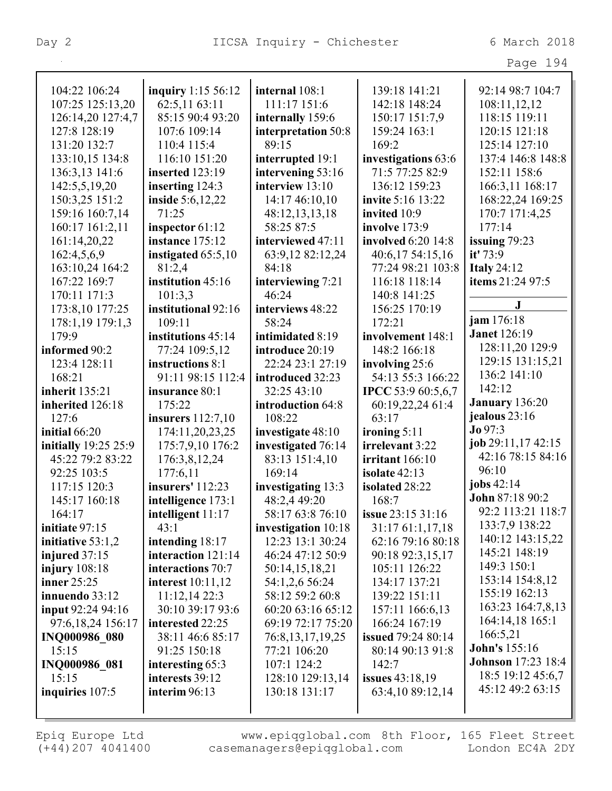| ≏<br>аđ | л |
|---------|---|
|---------|---|

| 104:22 106:24         | inquiry 1:15 56:12       | internal 108:1       | 139:18 141:21             | 92:14 98:7 104:7          |
|-----------------------|--------------------------|----------------------|---------------------------|---------------------------|
| 107:25 125:13,20      | 62:5,11 63:11            | 111:17 151:6         | 142:18 148:24             | 108:11,12,12              |
| 126:14,20 127:4,7     | 85:15 90:4 93:20         | internally 159:6     | 150:17 151:7,9            | 118:15 119:11             |
| 127:8 128:19          | 107:6 109:14             | interpretation 50:8  | 159:24 163:1              | 120:15 121:18             |
| 131:20 132:7          | 110:4 115:4              | 89:15                | 169:2                     | 125:14 127:10             |
| 133:10,15 134:8       | 116:10 151:20            | interrupted 19:1     | investigations 63:6       | 137:4 146:8 148:8         |
| 136:3,13 141:6        | inserted 123:19          | intervening 53:16    | 71:5 77:25 82:9           | 152:11 158:6              |
| 142:5,5,19,20         | inserting 124:3          | interview 13:10      | 136:12 159:23             | 166:3,11 168:17           |
| 150:3,25 151:2        | <b>inside</b> 5:6,12,22  | 14:17 46:10,10       | invite 5:16 13:22         | 168:22,24 169:25          |
| 159:16 160:7,14       | 71:25                    | 48:12,13,13,18       | invited 10:9              | 170:7 171:4,25            |
| 160:17 161:2,11       | inspector 61:12          | 58:25 87:5           | involve 173:9             | 177:14                    |
| 161:14,20,22          | instance 175:12          | interviewed 47:11    | involved 6:20 14:8        | issuing $79:23$           |
| 162:4,5,6,9           | instigated 65:5,10       | 63:9,12 82:12,24     | 40:6,17 54:15,16          | it' $73:9$                |
| 163:10,24 164:2       | 81:2,4                   | 84:18                | 77:24 98:21 103:8         | <b>Italy 24:12</b>        |
| 167:22 169:7          | institution 45:16        | interviewing 7:21    | 116:18 118:14             | items 21:24 97:5          |
| 170:11 171:3          | 101:3,3                  | 46:24                | 140:8 141:25              |                           |
| 173:8,10 177:25       | institutional 92:16      | interviews 48:22     | 156:25 170:19             | $\bf J$                   |
| 178:1,19 179:1,3      | 109:11                   | 58:24                | 172:21                    | jam 176:18                |
| 179:9                 | institutions 45:14       | intimidated 8:19     | involvement 148:1         | <b>Janet</b> 126:19       |
| informed 90:2         | 77:24 109:5,12           | introduce 20:19      | 148:2 166:18              | 128:11,20 129:9           |
| 123:4 128:11          | instructions 8:1         | 22:24 23:1 27:19     | involving 25:6            | 129:15 131:15,21          |
| 168:21                | 91:11 98:15 112:4        | introduced 32:23     | 54:13 55:3 166:22         | 136:2 141:10              |
| <b>inherit</b> 135:21 | insurance 80:1           | 32:25 43:10          | <b>IPCC</b> 53:9 60:5,6,7 | 142:12                    |
|                       |                          |                      |                           |                           |
| inherited 126:18      | 175:22                   | introduction 64:8    | 60:19,22,24 61:4          | <b>January</b> 136:20     |
| 127:6                 | insurers $112:7,10$      | 108:22               | 63:17                     | jealous 23:16             |
| initial $66:20$       | 174:11,20,23,25          | investigate 48:10    | ironing $5:11$            | Jo 97:3                   |
| initially 19:25 25:9  | 175:7,9,10 176:2         | investigated 76:14   | irrelevant 3:22           | job 29:11,17 42:15        |
| 45:22 79:2 83:22      | 176:3,8,12,24            | 83:13 151:4,10       | irritant $166:10$         | 42:16 78:15 84:16         |
| 92:25 103:5           | 177:6,11                 | 169:14               | isolate 42:13             | 96:10                     |
| 117:15 120:3          | insurers' 112:23         | investigating 13:3   | isolated 28:22            | jobs $42:14$              |
| 145:17 160:18         | intelligence 173:1       | 48:2,4 49:20         | 168:7                     | John 87:18 90:2           |
| 164:17                | intelligent $11:17$      | 58:17 63:8 76:10     | <b>issue</b> 23:15 31:16  | 92:2 113:21 118:7         |
| initiate 97:15        | 43:1                     | investigation 10:18  | 31:17 61:1,17,18          | 133:7,9 138:22            |
| initiative 53:1,2     | intending 18:17          | 12:23 13:1 30:24     | 62:16 79:16 80:18         | 140:12 143:15,22          |
| injured 37:15         | interaction 121:14       | 46:24 47:12 50:9     | 90:18 92:3,15,17          | 145:21 148:19             |
| injury $108:18$       | interactions 70:7        | 50:14,15,18,21       | 105:11 126:22             | 149:3 150:1               |
| inner $25:25$         | <b>interest</b> 10:11,12 | 54:1,2,6 56:24       | 134:17 137:21             | 153:14 154:8,12           |
| innuendo 33:12        | 11:12,1422:3             | 58:12 59:2 60:8      | 139:22 151:11             | 155:19 162:13             |
| input 92:24 94:16     | 30:10 39:17 93:6         | 60:20 63:16 65:12    | 157:11 166:6,13           | 163:23 164:7,8,13         |
| 97:6,18,24 156:17     | interested 22:25         | 69:19 72:17 75:20    | 166:24 167:19             | 164:14,18 165:1           |
| <b>INQ000986 080</b>  | 38:11 46:6 85:17         | 76:8, 13, 17, 19, 25 | <b>issued</b> 79:24 80:14 | 166:5,21                  |
| 15:15                 | 91:25 150:18             | 77:21 106:20         | 80:14 90:13 91:8          | <b>John's</b> 155:16      |
| INQ000986 081         | interesting 65:3         | 107:1 124:2          | 142:7                     | <b>Johnson</b> 17:23 18:4 |
| 15:15                 | interests 39:12          | 128:10 129:13,14     | issues 43:18,19           | 18:5 19:12 45:6,7         |
| inquiries $107:5$     | interim $96:13$          | 130:18 131:17        | 63:4,10 89:12,14          | 45:12 49:2 63:15          |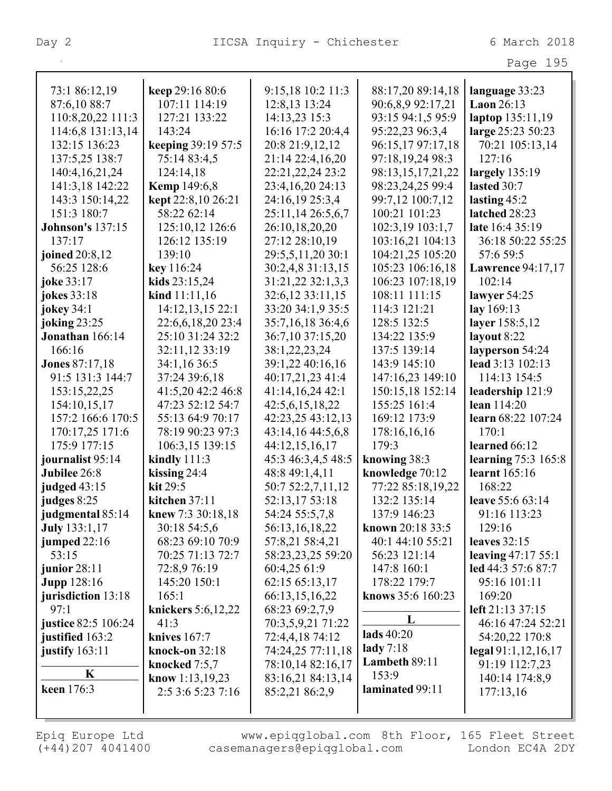|                         |                           |                    |                   | Page 195              |
|-------------------------|---------------------------|--------------------|-------------------|-----------------------|
|                         |                           |                    |                   |                       |
| 73:1 86:12,19           | keep 29:16 80:6           | 9:15,18 10:2 11:3  | 88:17,20 89:14,18 | language 33:23        |
| 87:6,10 88:7            | 107:11 114:19             | 12:8,13 13:24      | 90:6,8,9 92:17,21 | <b>Laon 26:13</b>     |
| 110:8,20,22 111:3       | 127:21 133:22             | 14:13,23 15:3      | 93:15 94:1,5 95:9 | laptop 135:11,19      |
| 114:6,8 131:13,14       | 143:24                    | 16:16 17:2 20:4,4  | 95:22,23 96:3,4   | large 25:23 50:23     |
| 132:15 136:23           | <b>keeping 39:19 57:5</b> | 20:8 21:9,12,12    | 96:15,17 97:17,18 | 70:21 105:13,14       |
| 137:5,25 138:7          | 75:14 83:4,5              | 21:14 22:4,16,20   | 97:18,19,24 98:3  | 127:16                |
| 140:4, 16, 21, 24       | 124:14,18                 | 22:21,22,24 23:2   | 98:13,15,17,21,22 | largely $135:19$      |
| 141:3,18 142:22         | <b>Kemp</b> 149:6,8       | 23:4,16,20 24:13   | 98:23,24,25 99:4  | lasted 30:7           |
| 143:3 150:14,22         | kept 22:8,10 26:21        | 24:16,19 25:3,4    | 99:7,12 100:7,12  | lasting $45:2$        |
| 151:3 180:7             | 58:22 62:14               | 25:11,14 26:5,6,7  | 100:21 101:23     | latched 28:23         |
| <b>Johnson's 137:15</b> | 125:10,12 126:6           | 26:10,18,20,20     | 102:3,19 103:1,7  | late 16:4 35:19       |
| 137:17                  | 126:12 135:19             | 27:12 28:10,19     | 103:16,21 104:13  | 36:18 50:22 55:25     |
| joined 20:8,12          | 139:10                    | 29:5,5,11,20 30:1  | 104:21,25 105:20  | 57:6 59:5             |
| 56:25 128:6             | key 116:24                | 30:2,4,8 31:13,15  | 105:23 106:16,18  | Lawrence 94:17,17     |
| joke 33:17              | kids 23:15,24             | 31:21,22 32:1,3,3  | 106:23 107:18,19  | 102:14                |
| jokes 33:18             | kind 11:11,16             | 32:6,12 33:11,15   | 108:11 111:15     | lawyer $54:25$        |
| jokey 34:1              | 14:12,13,15 22:1          | 33:20 34:1,9 35:5  | 114:3 121:21      | lay 169:13            |
| joking 23:25            | 22:6,6,18,20 23:4         | 35:7,16,18 36:4,6  | 128:5 132:5       | layer 158:5,12        |
| Jonathan 166:14         | 25:10 31:24 32:2          | 36:7,10 37:15,20   | 134:22 135:9      | layout 8:22           |
| 166:16                  | 32:11,12 33:19            | 38:1,22,23,24      | 137:5 139:14      | layperson 54:24       |
| <b>Jones</b> 87:17,18   | 34:1,16 36:5              | 39:1,22 40:16,16   | 143:9 145:10      | lead 3:13 102:13      |
| 91:5 131:3 144:7        | 37:24 39:6,18             | 40:17,21,23 41:4   | 147:16,23 149:10  | 114:13 154:5          |
| 153:15,22,25            | 41:5,20 42:2 46:8         | 41:14,16,24 42:1   | 150:15,18 152:14  | leadership 121:9      |
| 154:10,15,17            | 47:23 52:12 54:7          | 42:5,6,15,18,22    | 155:25 161:4      | lean 114:20           |
| 157:2 166:6 170:5       | 55:13 64:9 70:17          | 42:23,25 43:12,13  | 169:12 173:9      | learn 68:22 107:24    |
| 170:17,25 171:6         | 78:19 90:23 97:3          | 43:14,16 44:5,6,8  | 178:16,16,16      | 170:1                 |
| 175:9 177:15            | 106:3,15 139:15           | 44:12,15,16,17     | 179:3             | learned 66:12         |
| journalist 95:14        | kindly $111:3$            | 45:3 46:3,4,5 48:5 | knowing 38:3      | learning $75:3$ 165:8 |
| Jubilee 26:8            | kissing $24:4$            | 48:8 49:1,4,11     | knowledge 70:12   | learnt 165:16         |
| judged $43:15$          | kit 29:5                  | 50:7 52:2,7,11,12  | 77:22 85:18,19,22 | 168:22                |
| judges 8:25             | kitchen $37:11$           | 52:13,17 53:18     | 132:2 135:14      | leave 55:6 63:14      |
| judgmental 85:14        | knew 7:3 30:18,18         | 54:24 55:5,7,8     | 137:9 146:23      | 91:16 113:23          |
| <b>July</b> 133:1,17    | 30:18 54:5,6              | 56:13,16,18,22     | known 20:18 33:5  | 129:16                |
| jumped 22:16            | 68:23 69:10 70:9          | 57:8,21 58:4,21    | 40:1 44:10 55:21  | leaves 32:15          |
| 53:15                   | 70:25 71:13 72:7          | 58:23,23,25 59:20  | 56:23 121:14      | leaving 47:17 55:1    |
| junior $28:11$          | 72:8,9 76:19              | 60:4,25 61:9       | 147:8 160:1       | led 44:3 57:6 87:7    |
| <b>Jupp</b> 128:16      | 145:20 150:1              | 62:15 65:13,17     | 178:22 179:7      | 95:16 101:11          |
| jurisdiction 13:18      | 165:1                     | 66:13,15,16,22     | knows 35:6 160:23 | 169:20                |
| 97:1                    | knickers 5:6,12,22        | 68:23 69:2,7,9     |                   | left 21:13 37:15      |
| justice 82:5 106:24     | 41:3                      | 70:3,5,9,21 71:22  | L                 | 46:16 47:24 52:21     |
| justified 163:2         | knives 167:7              | 72:4,4,18 74:12    | lads $40:20$      | 54:20,22 170:8        |
| justify 163:11          | knock-on 32:18            | 74:24,25 77:11,18  | lady $7:18$       | legal 91:1,12,16,17   |
|                         | knocked 7:5,7             | 78:10,14 82:16,17  | Lambeth 89:11     | 91:19 112:7,23        |
| K                       | know $1:13,19,23$         | 83:16,21 84:13,14  | 153:9             | 140:14 174:8,9        |
| keen 176:3              | 2:5 3:6 5:23 7:16         | 85:2,21 86:2,9     | laminated 99:11   | 177:13,16             |
|                         |                           |                    |                   |                       |
|                         |                           |                    |                   |                       |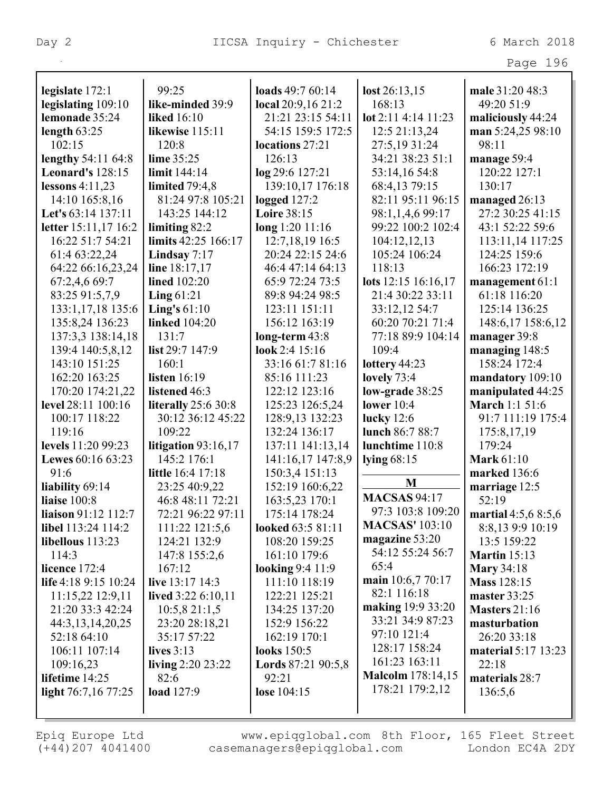| Page | 196 |
|------|-----|
|      |     |

| legislate 172:1                      | 99:25                              | loads $49:760:14$              | $\text{lost } 26:13,15$  | male 31:20 48:3                         |
|--------------------------------------|------------------------------------|--------------------------------|--------------------------|-----------------------------------------|
| legislating 109:10                   | like-minded 39:9                   | local 20:9,16 21:2             | 168:13                   | 49:20 51:9                              |
| lemonade 35:24                       | <b>liked</b> 16:10                 | 21:21 23:15 54:11              | lot 2:11 4:14 11:23      | maliciously 44:24                       |
| length $63:25$                       | likewise 115:11                    | 54:15 159:5 172:5              | 12:5 21:13,24            | man 5:24,25 98:10                       |
| 102:15                               | 120:8                              | locations 27:21                | 27:5,19 31:24            | 98:11                                   |
| lengthy 54:11 64:8                   | lime 35:25                         | 126:13                         | 34:21 38:23 51:1         | manage 59:4                             |
| <b>Leonard's 128:15</b>              | limit 144:14                       | log 29:6 127:21                | 53:14,16 54:8            | 120:22 127:1                            |
| lessons $4:11,23$                    | limited $79:4,8$                   | 139:10,17 176:18               | 68:4,13 79:15            | 130:17                                  |
| 14:10 165:8,16                       | 81:24 97:8 105:21                  | logged $127:2$                 | 82:11 95:11 96:15        | managed 26:13                           |
| Let's 63:14 137:11                   | 143:25 144:12                      | <b>Loire 38:15</b>             | 98:1,1,4,6 99:17         | 27:2 30:25 41:15                        |
| letter 15:11,17 16:2                 | limiting $82:2$                    | long 1:20 11:16                | 99:22 100:2 102:4        | 43:1 52:22 59:6                         |
| 16:22 51:7 54:21                     | limits 42:25 166:17                | 12:7, 18, 19 16:5              | 104:12,12,13             | 113:11,14 117:25                        |
| 61:4 63:22,24                        | Lindsay $7:17$                     | 20:24 22:15 24:6               | 105:24 106:24            | 124:25 159:6                            |
| 64:22 66:16,23,24                    | line 18:17,17                      | 46:4 47:14 64:13               | 118:13                   | 166:23 172:19                           |
| 67:2,4,6 69:7                        | <b>lined</b> 102:20                | 65:9 72:24 73:5                | lots 12:15 16:16,17      | management $61:1$                       |
| 83:25 91:5,7,9                       | Ling $61:21$                       | 89:8 94:24 98:5                | 21:4 30:22 33:11         | 61:18 116:20                            |
| 133:1,17,18 135:6                    | Ling's $61:10$                     | 123:11 151:11                  | 33:12,12 54:7            | 125:14 136:25                           |
| 135:8,24 136:23                      | <b>linked</b> 104:20               | 156:12 163:19                  | 60:20 70:21 71:4         | 148:6,17 158:6,12                       |
| 137:3,3 138:14,18                    | 131:7                              | $long-term 43:8$               | 77:18 89:9 104:14        | manager 39:8                            |
| 139:4 140:5,8,12                     | list 29:7 147:9                    | look 2:4 15:16                 | 109:4                    | managing 148:5                          |
| 143:10 151:25                        | 160:1                              | 33:16 61:7 81:16               | lottery 44:23            | 158:24 172:4                            |
| 162:20 163:25                        | listen $16:19$                     | 85:16 111:23                   | lovely $73:4$            | mandatory 109:10                        |
| 170:20 174:21,22                     | listened 46:3                      | 122:12 123:16                  | low-grade 38:25          | manipulated 44:25                       |
| level 28:11 100:16                   | <b>literally</b> 25:6 30:8         | 125:23 126:5,24                | lower $10:4$             | <b>March 1:1 51:6</b>                   |
| 100:17 118:22                        | 30:12 36:12 45:22                  | 128:9,13 132:23                | lucky $12:6$             | 91:7 111:19 175:4                       |
| 119:16                               | 109:22                             | 132:24 136:17                  | lunch 86:7 88:7          | 175:8,17,19                             |
| levels 11:20 99:23                   | litigation $93:16,17$              | 137:11 141:13,14               | lunchtime 110:8          | 179:24                                  |
| Lewes 60:16 63:23                    | 145:2 176:1                        | 141:16,17 147:8,9              | lying $68:15$            | <b>Mark 61:10</b>                       |
| 91:6                                 | <b>little</b> 16:4 17:18           | 150:3,4 151:13                 | M                        | marked 136:6                            |
| liability 69:14                      | 23:25 40:9,22                      | 152:19 160:6,22                | <b>MACSAS 94:17</b>      | marriage 12:5                           |
| liaise 100:8                         | 46:8 48:11 72:21                   | 163:5,23 170:1                 | 97:3 103:8 109:20        | 52:19                                   |
| liaison 91:12 112:7                  | 72:21 96:22 97:11                  | 175:14 178:24                  | <b>MACSAS' 103:10</b>    | martial $4:5,68:5,6$                    |
| libel 113:24 114:2                   | 111:22 121:5,6                     | looked 63:5 81:11              | magazine 53:20           | 8:8,13 9:9 10:19                        |
| libellous $113:23$<br>114:3          | 124:21 132:9                       | 108:20 159:25<br>161:10 179:6  | 54:12 55:24 56:7         | 13:5 159:22<br><b>Martin</b> 15:13      |
| licence 172:4                        | 147:8 155:2,6<br>167:12            |                                | 65:4                     |                                         |
| life 4:18 9:15 10:24                 | live 13:17 14:3                    | looking 9:4 11:9               | main 10:6,7 70:17        | <b>Mary 34:18</b><br><b>Mass</b> 128:15 |
|                                      |                                    | 111:10 118:19<br>122:21 125:21 | 82:1 116:18              | master 33:25                            |
| 11:15,22 12:9,11<br>21:20 33:3 42:24 | lived 3:22 6:10,11<br>10:5,821:1,5 | 134:25 137:20                  | making 19:9 33:20        | Masters 21:16                           |
| 44:3, 13, 14, 20, 25                 | 23:20 28:18,21                     | 152:9 156:22                   | 33:21 34:9 87:23         | masturbation                            |
| 52:18 64:10                          | 35:17 57:22                        | 162:19 170:1                   | 97:10 121:4              | 26:20 33:18                             |
| 106:11 107:14                        | lives $3:13$                       | looks 150:5                    | 128:17 158:24            | <b>material 5:17 13:23</b>              |
| 109:16,23                            | living 2:20 23:22                  | Lords 87:21 90:5,8             | 161:23 163:11            | 22:18                                   |
| lifetime 14:25                       | 82:6                               | 92:21                          | <b>Malcolm</b> 178:14,15 | materials 28:7                          |
| light 76:7,16 77:25                  | <b>load</b> 127:9                  | lose $104:15$                  | 178:21 179:2,12          | 136:5,6                                 |
|                                      |                                    |                                |                          |                                         |
|                                      |                                    |                                |                          |                                         |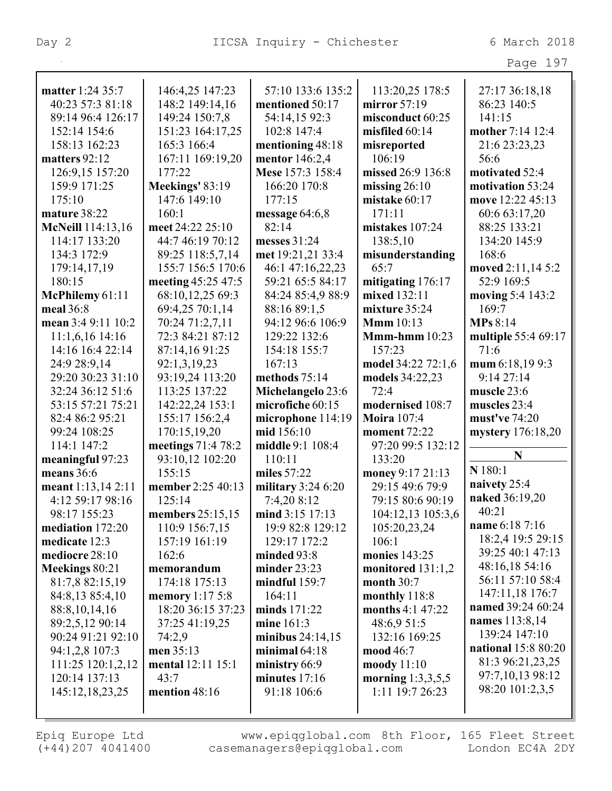|                    |                          |                     |                      | Page 197                   |
|--------------------|--------------------------|---------------------|----------------------|----------------------------|
| matter 1:24 35:7   | 146:4,25 147:23          | 57:10 133:6 135:2   | 113:20,25 178:5      | 27:17 36:18,18             |
| 40:23 57:3 81:18   | 148:2 149:14,16          | mentioned 50:17     | mirror $57:19$       | 86:23 140:5                |
| 89:14 96:4 126:17  | 149:24 150:7,8           | 54:14,15 92:3       | misconduct 60:25     | 141:15                     |
| 152:14 154:6       | 151:23 164:17,25         | 102:8 147:4         | misfiled $60:14$     | mother 7:14 12:4           |
| 158:13 162:23      | 165:3 166:4              | mentioning 48:18    | misreported          | 21:6 23:23,23              |
| matters 92:12      | 167:11 169:19,20         | mentor 146:2,4      | 106:19               | 56:6                       |
| 126:9,15 157:20    | 177:22                   | Mese 157:3 158:4    | missed 26:9 136:8    | motivated 52:4             |
| 159:9 171:25       | Meekings' 83:19          | 166:20 170:8        | missing $26:10$      | motivation 53:24           |
| 175:10             | 147:6 149:10             | 177:15              | mistake 60:17        | move 12:22 45:13           |
| mature 38:22       | 160:1                    | message $64:6,8$    | 171:11               | 60:6 63:17,20              |
| McNeill 114:13,16  | meet 24:22 25:10         | 82:14               | mistakes 107:24      | 88:25 133:21               |
| 114:17 133:20      | 44:7 46:19 70:12         | messes 31:24        | 138:5,10             | 134:20 145:9               |
| 134:3 172:9        | 89:25 118:5,7,14         | met 19:21,21 33:4   | misunderstanding     | 168:6                      |
| 179:14,17,19       | 155:7 156:5 170:6        | 46:1 47:16,22,23    | 65:7                 | moved 2:11,14 5:2          |
| 180:15             | meeting 45:25 47:5       | 59:21 65:5 84:17    | mitigating $176:17$  | 52:9 169:5                 |
| McPhilemy 61:11    | 68:10,12,25 69:3         | 84:24 85:4,9 88:9   | mixed 132:11         | moving 5:4 143:2           |
| meal 36:8          | 69:4,25 70:1,14          | 88:16 89:1,5        | mixture $35:24$      | 169:7                      |
| mean 3:4 9:11 10:2 | 70:24 71:2,7,11          | 94:12 96:6 106:9    | <b>Mmm</b> 10:13     | <b>MPs 8:14</b>            |
| $11:1,6,16$ 14:16  | 72:3 84:21 87:12         | 129:22 132:6        | $Mmm-hmm$ 10:23      | multiple 55:4 69:17        |
| 14:16 16:4 22:14   | 87:14,16 91:25           | 154:18 155:7        | 157:23               | 71:6                       |
| 24:9 28:9,14       | 92:1,3,19,23             | 167:13              | model 34:22 72:1,6   | mum 6:18,19 9:3            |
| 29:20 30:23 31:10  | 93:19,24 113:20          | methods 75:14       | models 34:22,23      | 9:1427:14                  |
| 32:24 36:12 51:6   | 113:25 137:22            | Michelangelo 23:6   | 72:4                 | muscle 23:6                |
| 53:15 57:21 75:21  | 142:22,24 153:1          | microfiche 60:15    | modernised 108:7     | muscles 23:4               |
| 82:4 86:2 95:21    | 155:17 156:2,4           | microphone 114:19   | <b>Moira</b> 107:4   | must've 74:20              |
| 99:24 108:25       | 170:15,19,20             | mid 156:10          | moment $72:22$       | mystery 176:18,20          |
| 114:1 147:2        | meetings 71:4 78:2       | middle 9:1 108:4    | 97:20 99:5 132:12    |                            |
| meaningful 97:23   | 93:10,12 102:20          | 110:11              | 133:20               | N                          |
| means 36:6         | 155:15                   | miles 57:22         | money 9:17 21:13     | N 180:1                    |
| meant 1:13,14 2:11 | member 2:25 40:13        | military $3:246:20$ | 29:15 49:6 79:9      | naivety 25:4               |
| 4:12 59:17 98:16   | 125:14                   | 7:4,20 8:12         | 79:15 80:6 90:19     | <b>naked</b> 36:19,20      |
| 98:17 155:23       | members $25:15,15$       | mind 3:15 17:13     | 104:12,13 105:3,6    | 40:21                      |
| mediation 172:20   | 110:9 156:7,15           | 19:9 82:8 129:12    | 105:20,23,24         | name 6:18 7:16             |
| medicate 12:3      | 157:19 161:19            | 129:17 172:2        | 106:1                | 18:2,4 19:5 29:15          |
| mediocre 28:10     | 162:6                    | minded 93:8         | <b>monies</b> 143:25 | 39:25 40:1 47:13           |
| Meekings 80:21     | memorandum               | minder $23:23$      | monitored $131:1,2$  | 48:16,18 54:16             |
| 81:7,8 82:15,19    | 174:18 175:13            | mindful $159:7$     | month $30:7$         | 56:11 57:10 58:4           |
| 84:8,13 85:4,10    | memory 1:17 5:8          | 164:11              | monthly 118:8        | 147:11,18 176:7            |
| 88:8, 10, 14, 16   | 18:20 36:15 37:23        | minds 171:22        | months 4:1 47:22     | named 39:24 60:24          |
| 89:2,5,12 90:14    | 37:25 41:19,25           | mine 161:3          | 48:6,9 51:5          | names 113:8,14             |
| 90:24 91:21 92:10  | 74:2,9                   | minibus $24:14,15$  | 132:16 169:25        | 139:24 147:10              |
| 94:1,2,8 107:3     | men $35:13$              | minimal $64:18$     | mood 46:7            | <b>national</b> 15:8 80:20 |
| 111:25 120:1,2,12  | <b>mental</b> 12:11 15:1 | ministry $66:9$     | moody $11:10$        | 81:3 96:21,23,25           |
| 120:14 137:13      | 43:7                     | minutes $17:16$     | morning $1:3,3,5,5$  | 97:7,10,13 98:12           |
| 145:12,18,23,25    | mention 48:16            | 91:18 106:6         | 1:11 19:7 26:23      | 98:20 101:2,3,5            |
|                    |                          |                     |                      |                            |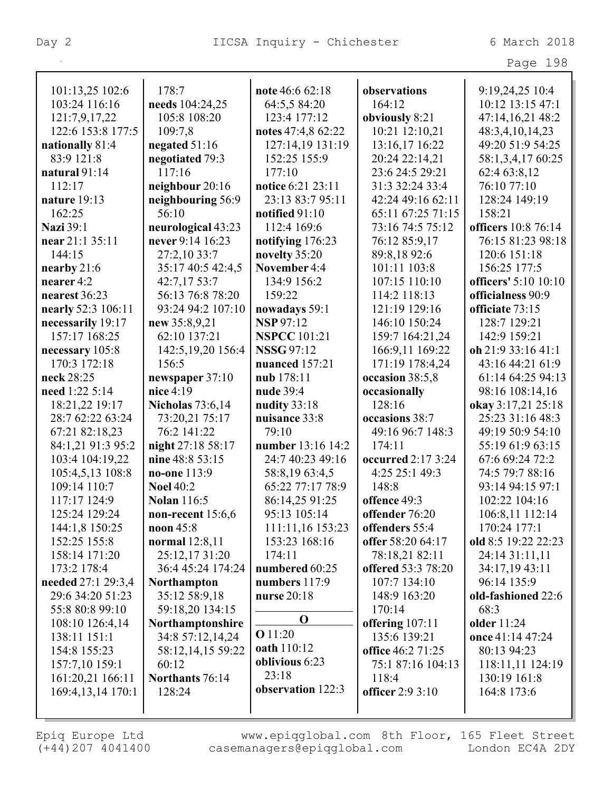| 'a a e | 98 |  |
|--------|----|--|
|--------|----|--|

| 101:13,25 102:6                     | 178:7                                | note 46:6 62:18          | observations              | 9:19,24,25 10:4            |
|-------------------------------------|--------------------------------------|--------------------------|---------------------------|----------------------------|
| 103:24 116:16                       | needs 104:24,25                      | 64:5,5 84:20             | 164:12                    | 10:12 13:15 47:1           |
| 121:7,9,17,22                       | 105:8 108:20                         | 123:4 177:12             | obviously 8:21            | 47:14,16,21 48:2           |
| 122:6 153:8 177:5                   | 109:7,8                              | notes 47:4,8 62:22       | 10:21 12:10,21            | 48:3,4,10,14,23            |
| nationally 81:4                     | negated $51:16$                      | 127:14,19 131:19         | 13:16,17 16:22            | 49:20 51:9 54:25           |
| 83:9 121:8                          | negotiated 79:3                      | 152:25 155:9             | 20:24 22:14,21            | 58:1,3,4,17 60:25          |
| natural $91:14$                     | 117:16                               | 177:10                   | 23:6 24:5 29:21           | 62:4 63:8,12               |
| 112:17                              | neighbour 20:16                      | notice 6:21 23:11        | 31:3 32:24 33:4           | 76:10 77:10                |
| nature 19:13                        | neighbouring 56:9                    | 23:13 83:7 95:11         | 42:24 49:16 62:11         | 128:24 149:19              |
| 162:25                              | 56:10                                | notified 91:10           | 65:11 67:25 71:15         | 158:21                     |
| <b>Nazi</b> 39:1                    | neurological 43:23                   | 112:4 169:6              | 73:16 74:5 75:12          | officers 10:8 76:14        |
| near 21:1 35:11                     | never 9:14 16:23                     | notifying 176:23         | 76:12 85:9,17             | 76:15 81:23 98:18          |
| 144:15                              | 27:2,10 33:7                         | novelty 35:20            | 89:8,1892:6               | 120:6 151:18               |
| nearby $21:6$                       | 35:17 40:5 42:4,5                    | November 4:4             | 101:11 103:8              | 156:25 177:5               |
| nearer 4:2                          | 42:7,17 53:7                         | 134:9 156:2              | 107:15 110:10             | officers' 5:10 10:10       |
| nearest 36:23                       | 56:13 76:8 78:20                     | 159:22                   | 114:2 118:13              | officialness 90:9          |
| nearly 52:3 106:11                  | 93:24 94:2 107:10                    | nowadays 59:1            | 121:19 129:16             | officiate 73:15            |
| necessarily 19:17                   | new 35:8,9,21                        | <b>NSP</b> 97:12         | 146:10 150:24             | 128:7 129:21               |
| 157:17 168:25                       | 62:10 137:21                         | <b>NSPCC</b> 101:21      | 159:7 164:21,24           | 142:9 159:21               |
| necessary 105:8                     | 142:5, 19, 20 156: 4                 | <b>NSSG 97:12</b>        | 166:9,11 169:22           | oh 21:9 33:16 41:1         |
| 170:3 172:18                        | 156:5                                | nuanced 157:21           | 171:19 178:4,24           | 43:16 44:21 61:9           |
| neck 28:25                          | newspaper 37:10                      | nub 178:11               | occasion 38:5,8           | 61:14 64:25 94:13          |
| need 1:22 5:14                      | nice 4:19                            | nude 39:4                | occasionally              | 98:16 108:14,16            |
| 18:21,22 19:17                      | <b>Nicholas</b> 73:6,14              | nudity 33:18             | 128:16                    | okay 3:17,21 25:18         |
| 28:7 62:22 63:24                    | 73:20,21 75:17                       | nuisance 33:8            | occasions 38:7            | 25:23 31:16 48:3           |
| 67:21 82:18,23                      | 76:2 141:22                          | 79:10                    | 49:16 96:7 148:3          | 49:19 50:9 54:10           |
| 84:1,21 91:3 95:2                   | night 27:18 58:17                    | number 13:16 14:2        | 174:11                    | 55:19 61:9 63:15           |
| 103:4 104:19,22                     | nine 48:8 53:15                      | 24:7 40:23 49:16         | occurred 2:17 3:24        | 67:6 69:24 72:2            |
| 105:4,5,13 108:8                    | no-one 113:9                         | 58:8,1963:4,5            | 4:25 25:1 49:3            | 74:5 79:7 88:16            |
| 109:14 110:7                        | <b>Noel 40:2</b>                     | 65:22 77:17 78:9         | 148:8                     | 93:14 94:15 97:1           |
| 117:17 124:9                        | <b>Nolan</b> 116:5                   | 86:14,25 91:25           | offence 49:3              | 102:22 104:16              |
| 125:24 129:24                       | non-recent $15:6,6$                  | 95:13 105:14             | offender 76:20            | 106:8,11 112:14            |
| 144:1,8 150:25                      | noon $45:8$                          | 111:11,16 153:23         | offenders 55:4            | 170:24 177:1               |
| 152:25 155:8                        | normal 12:8,11                       | 153:23 168:16            | offer 58:20 64:17         | old 8:5 19:22 22:23        |
| 158:14 171:20                       | 25:12,1731:20                        | 174:11<br>numbered 60:25 | 78:18,21 82:11            | 24:14 31:11,11             |
| 173:2 178:4                         | 36:4 45:24 174:24                    |                          | <b>offered</b> 53:3 78:20 | 34:17,19 43:11             |
| needed 27:1 29:3,4                  | <b>Northampton</b>                   | numbers $117:9$          | 107:7 134:10              | 96:14 135:9                |
| 29:6 34:20 51:23<br>55:8 80:8 99:10 | 35:12 58:9,18<br>59:18,20 134:15     | nurse 20:18              | 148:9 163:20<br>170:14    | old-fashioned 22:6<br>68:3 |
|                                     |                                      | $\mathbf 0$              | offering 107:11           | older 11:24                |
| 108:10 126:4,14<br>138:11 151:1     | Northamptonshire<br>34:8 57:12,14,24 | <b>O</b> 11:20           | 135:6 139:21              | once 41:14 47:24           |
| 154:8 155:23                        | 58:12,14,15 59:22                    | oath 110:12              | office 46:2 71:25         | 80:13 94:23                |
| 157:7,10 159:1                      | 60:12                                | oblivious 6:23           | 75:1 87:16 104:13         | 118:11,11 124:19           |
| 161:20,21 166:11                    | Northants 76:14                      | 23:18                    | 118:4                     | 130:19 161:8               |
| 169:4, 13, 14 170:1                 | 128:24                               | observation 122:3        | officer 2:9 3:10          | 164:8 173:6                |
|                                     |                                      |                          |                           |                            |
|                                     |                                      |                          |                           |                            |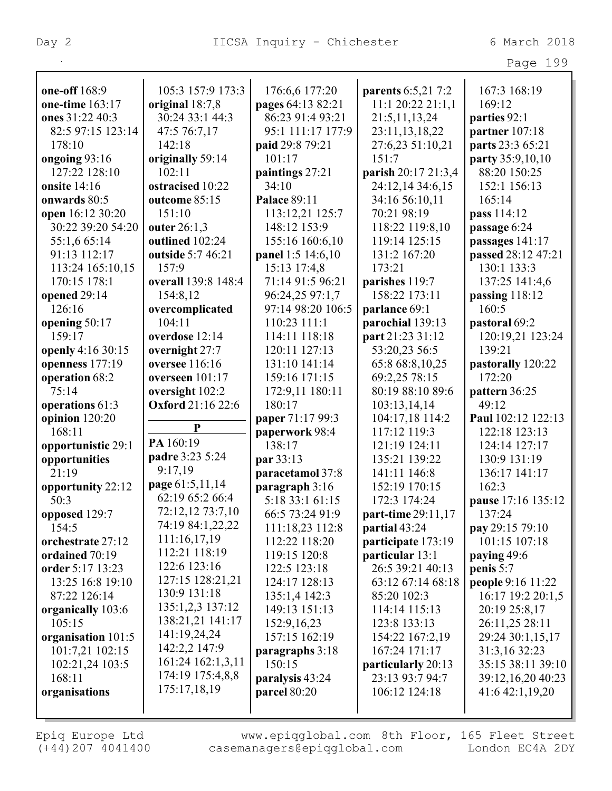|                    |                          |                     |                     | Page 199           |
|--------------------|--------------------------|---------------------|---------------------|--------------------|
|                    |                          |                     |                     |                    |
| one-off 168:9      | 105:3 157:9 173:3        | 176:6,6 177:20      | parents 6:5,21 7:2  | 167:3 168:19       |
| one-time 163:17    | original 18:7,8          | pages 64:13 82:21   | 11:1 20:22 21:1,1   | 169:12             |
| ones 31:22 40:3    | 30:24 33:1 44:3          | 86:23 91:4 93:21    | 21:5,11,13,24       | parties 92:1       |
| 82:5 97:15 123:14  | 47:5 76:7,17             | 95:1 111:17 177:9   | 23:11,13,18,22      | partner 107:18     |
| 178:10             | 142:18                   | paid 29:8 79:21     | 27:6,23 51:10,21    | parts 23:3 65:21   |
| ongoing 93:16      | originally 59:14         | 101:17              | 151:7               | party 35:9,10,10   |
| 127:22 128:10      | 102:11                   | paintings 27:21     | parish 20:17 21:3,4 | 88:20 150:25       |
| onsite 14:16       | ostracised 10:22         | 34:10               | 24:12,14 34:6,15    | 152:1 156:13       |
| onwards 80:5       | outcome 85:15            | <b>Palace 89:11</b> | 34:16 56:10,11      | 165:14             |
| open 16:12 30:20   | 151:10                   | 113:12,21 125:7     | 70:21 98:19         | pass 114:12        |
| 30:22 39:20 54:20  | outer 26:1,3             | 148:12 153:9        | 118:22 119:8,10     | passage 6:24       |
| 55:1,6 65:14       | outlined 102:24          | 155:16 160:6,10     | 119:14 125:15       | passages 141:17    |
| 91:13 112:17       | outside 5:7 46:21        | panel 1:5 14:6,10   | 131:2 167:20        | passed 28:12 47:21 |
| 113:24 165:10,15   | 157:9                    | 15:13 17:4,8        | 173:21              | 130:1 133:3        |
| 170:15 178:1       | overall 139:8 148:4      | 71:14 91:5 96:21    | parishes 119:7      | 137:25 141:4,6     |
| opened 29:14       | 154:8,12                 | 96:24,25 97:1,7     | 158:22 173:11       | passing 118:12     |
| 126:16             | overcomplicated          | 97:14 98:20 106:5   | parlance 69:1       | 160:5              |
| opening 50:17      | 104:11                   | 110:23 111:1        | parochial 139:13    | pastoral 69:2      |
| 159:17             | overdose 12:14           | 114:11 118:18       | part 21:23 31:12    | 120:19,21 123:24   |
| openly 4:16 30:15  | overnight 27:7           | 120:11 127:13       | 53:20,23 56:5       | 139:21             |
| openness 177:19    | oversee 116:16           | 131:10 141:14       | 65:8 68:8,10,25     | pastorally 120:22  |
| operation 68:2     | overseen $101:17$        | 159:16 171:15       | 69:2,25 78:15       | 172:20             |
| 75:14              | oversight 102:2          | 172:9,11 180:11     | 80:19 88:10 89:6    | pattern 36:25      |
| operations 61:3    | <b>Oxford</b> 21:16 22:6 | 180:17              | 103:13,14,14        | 49:12              |
| opinion 120:20     |                          | paper 71:17 99:3    | 104:17,18 114:2     | Paul 102:12 122:13 |
| 168:11             | P                        | paperwork 98:4      | 117:12 119:3        | 122:18 123:13      |
| opportunistic 29:1 | PA 160:19                | 138:17              | 121:19 124:11       | 124:14 127:17      |
| opportunities      | padre 3:23 5:24          | par 33:13           | 135:21 139:22       | 130:9 131:19       |
| 21:19              | 9:17,19                  | paracetamol 37:8    | 141:11 146:8        | 136:17 141:17      |
| opportunity 22:12  | page 61:5,11,14          | paragraph 3:16      | 152:19 170:15       | 162:3              |
| 50:3               | 62:19 65:2 66:4          | 5:18 33:1 61:15     | 172:3 174:24        | pause 17:16 135:12 |
| opposed 129:7      | 72:12,12 73:7,10         | 66:5 73:24 91:9     | part-time 29:11,17  | 137:24             |
| 154:5              | 74:19 84:1,22,22         | 111:18,23 112:8     | partial 43:24       | pay 29:15 79:10    |
| orchestrate 27:12  | 111:16,17,19             | 112:22 118:20       | participate 173:19  | 101:15 107:18      |
| ordained 70:19     | 112:21 118:19            | 119:15 120:8        | particular 13:1     | paying 49:6        |
| order 5:17 13:23   | 122:6 123:16             | 122:5 123:18        | 26:5 39:21 40:13    | penis 5:7          |
| 13:25 16:8 19:10   | 127:15 128:21,21         | 124:17 128:13       | 63:12 67:14 68:18   | people 9:16 11:22  |
| 87:22 126:14       | 130:9 131:18             | 135:1,4 142:3       | 85:20 102:3         | 16:17 19:2 20:1,5  |
| organically 103:6  | 135:1,2,3 137:12         | 149:13 151:13       | 114:14 115:13       | 20:19 25:8,17      |
| 105:15             | 138:21,21 141:17         | 152:9,16,23         | 123:8 133:13        | 26:11,25 28:11     |
| organisation 101:5 | 141:19,24,24             | 157:15 162:19       | 154:22 167:2,19     | 29:24 30:1,15,17   |
| 101:7,21 102:15    | 142:2,2 147:9            | paragraphs $3:18$   | 167:24 171:17       | 31:3,16 32:23      |
| 102:21,24 103:5    | 161:24 162:1,3,11        | 150:15              | particularly 20:13  | 35:15 38:11 39:10  |
| 168:11             | 174:19 175:4,8,8         | paralysis 43:24     | 23:13 93:7 94:7     | 39:12,16,20 40:23  |
| organisations      | 175:17,18,19             | parcel 80:20        | 106:12 124:18       | 41:6 42:1,19,20    |
|                    |                          |                     |                     |                    |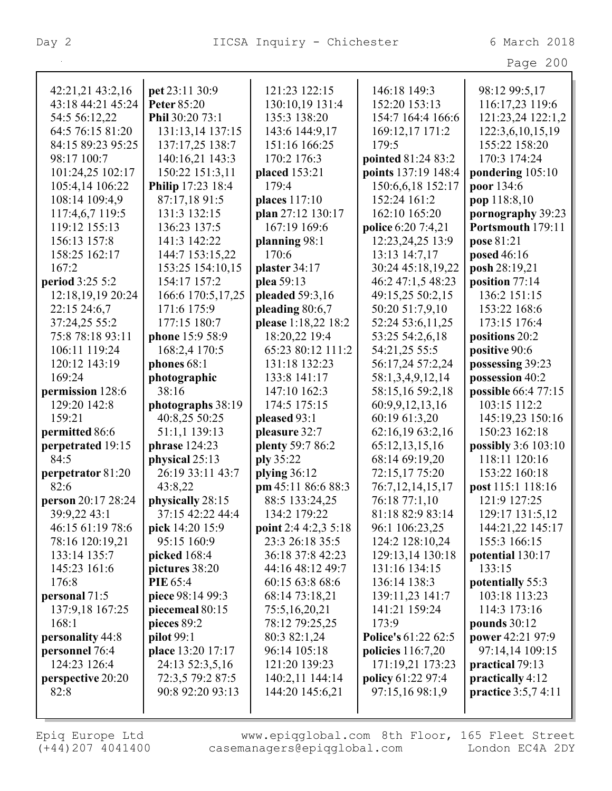Page 200

| 42:21,21 43:2,16       | pet 23:11 30:9     | 121:23 122:15          | 146:18 149:3                      | 98:12 99:5,17                          |
|------------------------|--------------------|------------------------|-----------------------------------|----------------------------------------|
| 43:18 44:21 45:24      | <b>Peter 85:20</b> | 130:10,19 131:4        | 152:20 153:13                     | 116:17,23 119:6                        |
| 54:5 56:12,22          | Phil 30:20 73:1    | 135:3 138:20           | 154:7 164:4 166:6                 | 121:23,24 122:1,2                      |
| 64:5 76:15 81:20       | 131:13,14 137:15   | 143:6 144:9,17         | 169:12,17 171:2                   | 122:3,6,10,15,19                       |
| 84:15 89:23 95:25      | 137:17,25 138:7    | 151:16 166:25          | 179:5                             | 155:22 158:20                          |
| 98:17 100:7            | 140:16,21 143:3    | 170:2 176:3            | pointed 81:24 83:2                | 170:3 174:24                           |
| 101:24,25 102:17       | 150:22 151:3,11    | placed 153:21          | points 137:19 148:4               | pondering 105:10                       |
| 105:4,14 106:22        | Philip 17:23 18:4  | 179:4                  |                                   | poor 134:6                             |
| 108:14 109:4,9         | 87:17,18 91:5      | places 117:10          | 150:6,6,18 152:17<br>152:24 161:2 | pop 118:8,10                           |
| 117:4,6,7 119:5        | 131:3 132:15       | plan 27:12 130:17      | 162:10 165:20                     |                                        |
| 119:12 155:13          | 136:23 137:5       | 167:19 169:6           | police 6:20 7:4,21                | pornography 39:23<br>Portsmouth 179:11 |
| 156:13 157:8           | 141:3 142:22       |                        |                                   |                                        |
|                        |                    | planning 98:1<br>170:6 | 12:23,24,25 13:9                  | pose 81:21                             |
| 158:25 162:17<br>167:2 | 144:7 153:15,22    | plaster 34:17          | 13:13 14:7,17                     | posed 46:16<br>posh 28:19,21           |
|                        | 153:25 154:10,15   |                        | 30:24 45:18,19,22                 |                                        |
| period 3:25 5:2        | 154:17 157:2       | plea 59:13             | 46:2 47:1,5 48:23                 | position 77:14                         |
| 12:18,19,19 20:24      | 166:6 170:5,17,25  | pleaded 59:3,16        | 49:15,25 50:2,15                  | 136:2 151:15                           |
| 22:15 24:6,7           | 171:6 175:9        | pleading 80:6,7        | 50:20 51:7,9,10                   | 153:22 168:6                           |
| 37:24,25 55:2          | 177:15 180:7       | please 1:18,22 18:2    | 52:24 53:6,11,25                  | 173:15 176:4                           |
| 75:8 78:18 93:11       | phone 15:9 58:9    | 18:20,22 19:4          | 53:25 54:2,6,18                   | positions 20:2                         |
| 106:11 119:24          | 168:2,4 170:5      | 65:23 80:12 111:2      | 54:21,25 55:5                     | positive 90:6                          |
| 120:12 143:19          | phones 68:1        | 131:18 132:23          | 56:17,24 57:2,24                  | possessing 39:23                       |
| 169:24                 | photographic       | 133:8 141:17           | 58:1,3,4,9,12,14                  | possession 40:2                        |
| permission 128:6       | 38:16              | 147:10 162:3           | 58:15,16 59:2,18                  | possible 66:4 77:15                    |
| 129:20 142:8           | photographs 38:19  | 174:5 175:15           | 60:9,9,12,13,16                   | 103:15 112:2                           |
| 159:21                 | 40:8,25 50:25      | pleased 93:1           | 60:19 61:3,20                     | 145:19,23 150:16                       |
| permitted 86:6         | 51:1,1 139:13      | pleasure 32:7          | 62:16,19 63:2,16                  | 150:23 162:18                          |
| perpetrated 19:15      | phrase 124:23      | plenty 59:7 86:2       | 65:12,13,15,16                    | possibly 3:6 103:10                    |
| 84:5                   | physical 25:13     | ply 35:22              | 68:14 69:19,20                    | 118:11 120:16                          |
| perpetrator 81:20      | 26:19 33:11 43:7   | plying $36:12$         | 72:15,17 75:20                    | 153:22 160:18                          |
| 82:6                   | 43:8,22            | pm 45:11 86:6 88:3     | 76:7,12,14,15,17                  | post 115:1 118:16                      |
| person 20:17 28:24     | physically 28:15   | 88:5 133:24,25         | 76:18 77:1,10                     | 121:9 127:25                           |
| 39:9,22 43:1           | 37:15 42:22 44:4   | 134:2 179:22           | 81:18 82:9 83:14                  | 129:17 131:5,12                        |
| 46:15 61:19 78:6       | pick 14:20 15:9    | point 2:4 4:2,3 5:18   | 96:1 106:23,25                    | 144:21,22 145:17                       |
| 78:16 120:19,21        | 95:15 160:9        | 23:3 26:18 35:5        | 124:2 128:10,24                   | 155:3 166:15                           |
| 133:14 135:7           | picked $168:4$     | 36:18 37:8 42:23       | 129:13,14 130:18                  | potential 130:17                       |
| 145:23 161:6           | pictures 38:20     | 44:16 48:12 49:7       | 131:16 134:15                     | 133:15                                 |
| 176:8                  | <b>PIE 65:4</b>    | 60:15 63:8 68:6        | 136:14 138:3                      | potentially 55:3                       |
| personal 71:5          | piece 98:14 99:3   | 68:14 73:18,21         | 139:11,23 141:7                   | 103:18 113:23                          |
| 137:9,18 167:25        | piecemeal 80:15    | 75:5,16,20,21          | 141:21 159:24                     | 114:3 173:16                           |
| 168:1                  | pieces 89:2        | 78:12 79:25,25         | 173:9                             | pounds $30:12$                         |
| personality 44:8       | <b>pilot</b> 99:1  | 80:3 82:1,24           | Police's 61:22 62:5               | power 42:21 97:9                       |
| personnel 76:4         | place 13:20 17:17  | 96:14 105:18           | policies 116:7,20                 | 97:14,14 109:15                        |
| 124:23 126:4           | 24:13 52:3,5,16    | 121:20 139:23          | 171:19,21 173:23                  | practical 79:13                        |
| perspective 20:20      | 72:3,5 79:2 87:5   | 140:2,11 144:14        | policy 61:22 97:4                 | practically 4:12                       |
| 82:8                   | 90:8 92:20 93:13   | 144:20 145:6,21        | 97:15,16 98:1,9                   | practice 3:5,7 4:11                    |
|                        |                    |                        |                                   |                                        |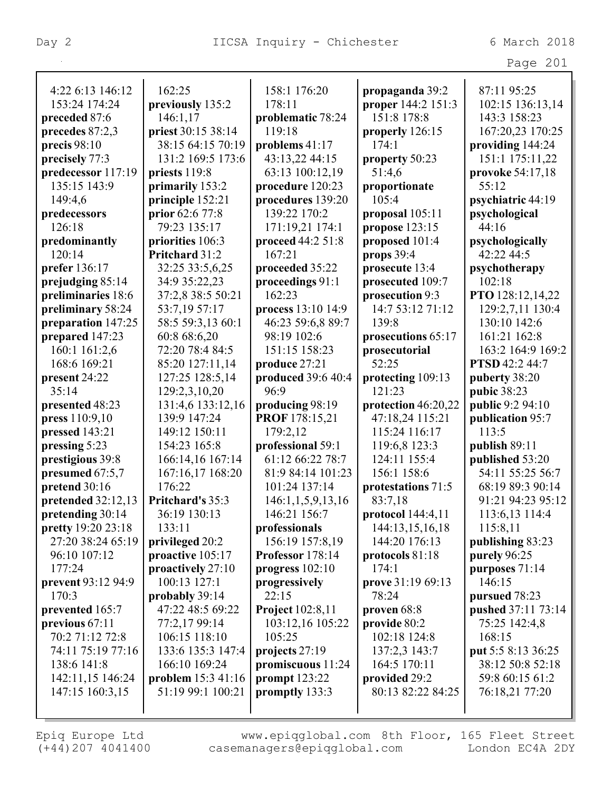|                                     |                            |                                       |                               | Page 201           |
|-------------------------------------|----------------------------|---------------------------------------|-------------------------------|--------------------|
| 4:22 6:13 146:12                    | 162:25                     | 158:1 176:20                          | propaganda 39:2               | 87:11 95:25        |
| 153:24 174:24                       | previously 135:2           | 178:11                                | proper 144:2 151:3            | 102:15 136:13,14   |
| preceded 87:6                       | 146:1,17                   | problematic 78:24                     | 151:8 178:8                   | 143:3 158:23       |
| precedes 87:2,3                     | priest 30:15 38:14         | 119:18                                | properly 126:15               | 167:20,23 170:25   |
| precis $98:10$                      | 38:15 64:15 70:19          | problems 41:17                        | 174:1                         | providing 144:24   |
| precisely 77:3                      | 131:2 169:5 173:6          | 43:13,22 44:15                        | property 50:23                | 151:1 175:11,22    |
| predecessor 117:19                  | priests 119:8              | 63:13 100:12,19                       | 51:4,6                        | provoke 54:17,18   |
| 135:15 143:9                        | primarily 153:2            | procedure 120:23                      | proportionate                 | 55:12              |
| 149:4,6                             | principle 152:21           | procedures 139:20                     | 105:4                         | psychiatric 44:19  |
| predecessors                        | prior 62:6 77:8            | 139:22 170:2                          | proposal $105:11$             | psychological      |
| 126:18                              | 79:23 135:17               | 171:19,21 174:1                       | propose 123:15                | 44:16              |
| predominantly                       | priorities 106:3           | proceed 44:2 51:8                     | proposed 101:4                | psychologically    |
| 120:14                              | Pritchard 31:2             | 167:21                                | props $39:4$                  | 42:22 44:5         |
| prefer 136:17                       | 32:25 33:5,6,25            | proceeded 35:22                       | prosecute 13:4                | psychotherapy      |
| prejudging 85:14                    | 34:9 35:22,23              | proceedings 91:1                      | prosecuted 109:7              | 102:18             |
| preliminaries 18:6                  | 37:2,8 38:5 50:21          | 162:23                                | prosecution 9:3               | PTO 128:12,14,22   |
| preliminary 58:24                   | 53:7,19 57:17              | process 13:10 14:9                    | 14:7 53:12 71:12              | 129:2,7,11 130:4   |
| preparation 147:25                  | 58:5 59:3,13 60:1          | 46:23 59:6,8 89:7                     | 139:8                         | 130:10 142:6       |
| prepared 147:23                     | 60:8 68:6,20               | 98:19 102:6                           | prosecutions 65:17            | 161:21 162:8       |
| 160:1 161:2,6                       | 72:20 78:4 84:5            | 151:15 158:23                         | prosecutorial                 | 163:2 164:9 169:2  |
| 168:6 169:21                        | 85:20 127:11,14            | produce 27:21                         | 52:25                         | PTSD 42:2 44:7     |
| present 24:22                       | 127:25 128:5,14            | produced 39:6 40:4                    | protecting 109:13             | puberty 38:20      |
| 35:14                               | 129:2,3,10,20              | 96:9                                  | 121:23                        | pubic 38:23        |
| presented 48:23                     | 131:4,6 133:12,16          | producing 98:19                       | protection 46:20,22           | public 9:2 94:10   |
| press 110:9,10                      | 139:9 147:24               | PROF 178:15,21                        | 47:18,24 115:21               | publication 95:7   |
| pressed 143:21                      | 149:12 150:11              |                                       | 115:24 116:17                 | 113:5              |
|                                     | 154:23 165:8               | 179:2,12                              |                               | publish 89:11      |
| pressing 5:23                       |                            | professional 59:1<br>61:12 66:22 78:7 | 119:6,8 123:3<br>124:11 155:4 | published 53:20    |
| prestigious 39:8<br>presumed 67:5,7 | 166:14,16 167:14           | 81:9 84:14 101:23                     | 156:1 158:6                   | 54:11 55:25 56:7   |
|                                     | 167:16,17 168:20<br>176:22 | 101:24 137:14                         |                               | 68:19 89:3 90:14   |
| pretend 30:16                       |                            |                                       | protestations 71:5            |                    |
| pretended $32:12,13$                | Pritchard's 35:3           | 146:1,1,5,9,13,16                     | 83:7,18                       | 91:21 94:23 95:12  |
| pretending 30:14                    | 36:19 130:13               | 146:21 156:7                          | protocol $144:4,11$           | 113:6,13 114:4     |
| pretty 19:20 23:18                  | 133:11                     | professionals                         | 144:13,15,16,18               | 115:8,11           |
| 27:20 38:24 65:19                   | privileged 20:2            | 156:19 157:8,19                       | 144:20 176:13                 | publishing 83:23   |
| 96:10 107:12                        | proactive 105:17           | Professor 178:14                      | protocols 81:18               | purely 96:25       |
| 177:24                              | proactively 27:10          | progress $102:10$                     | 174:1                         | purposes 71:14     |
| prevent 93:12 94:9                  | 100:13 127:1               | progressively                         | prove 31:19 69:13             | 146:15             |
| 170:3                               | probably 39:14             | 22:15                                 | 78:24                         | pursued 78:23      |
| prevented 165:7                     | 47:22 48:5 69:22           | <b>Project</b> 102:8,11               | proven 68:8                   | pushed 37:11 73:14 |
| previous $67:11$                    | 77:2,17 99:14              | 103:12,16 105:22                      | provide 80:2                  | 75:25 142:4,8      |
| 70:2 71:12 72:8                     | 106:15 118:10              | 105:25                                | 102:18 124:8                  | 168:15             |
| 74:11 75:19 77:16                   | 133:6 135:3 147:4          | projects 27:19                        | 137:2,3 143:7                 | put 5:5 8:13 36:25 |
| 138:6 141:8                         | 166:10 169:24              | promiscuous 11:24                     | 164:5 170:11                  | 38:12 50:8 52:18   |
| 142:11,15 146:24                    | problem 15:3 41:16         | prompt $123:22$                       | provided 29:2                 | 59:8 60:15 61:2    |
| 147:15 160:3,15                     | 51:19 99:1 100:21          | promptly 133:3                        | 80:13 82:22 84:25             | 76:18,21 77:20     |
|                                     |                            |                                       |                               |                    |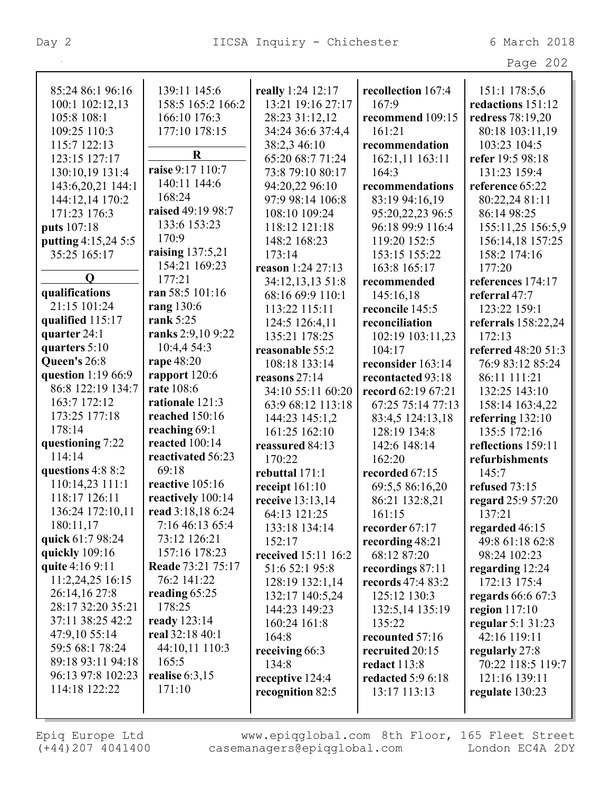|                                   |                                        |                                  |                           | Page 202                          |
|-----------------------------------|----------------------------------------|----------------------------------|---------------------------|-----------------------------------|
| 85:24 86:1 96:16                  | 139:11 145:6                           | really 1:24 12:17                | recollection 167:4        | 151:1 178:5,6                     |
| 100:1 102:12,13                   | 158:5 165:2 166:2                      | 13:21 19:16 27:17                | 167:9                     | redactions 151:12                 |
| 105:8 108:1                       | 166:10 176:3                           | 28:23 31:12,12                   | recommend 109:15          | redress 78:19,20                  |
| 109:25 110:3                      | 177:10 178:15                          | 34:24 36:6 37:4,4                | 161:21                    | 80:18 103:11,19                   |
| 115:7 122:13                      |                                        | 38:2,3 46:10                     | recommendation            | 103:23 104:5                      |
| 123:15 127:17                     | $\mathbf R$                            | 65:20 68:7 71:24                 | 162:1,11 163:11           | refer 19:5 98:18                  |
| 130:10,19 131:4                   | raise 9:17 110:7                       | 73:8 79:10 80:17                 | 164:3                     | 131:23 159:4                      |
| 143:6,20,21 144:1                 | 140:11 144:6                           | 94:20,22 96:10                   | recommendations           | reference 65:22                   |
| 144:12,14 170:2                   | 168:24                                 | 97:9 98:14 106:8                 | 83:19 94:16,19            | 80:22,24 81:11                    |
| 171:23 176:3                      | raised 49:19 98:7                      | 108:10 109:24                    | 95:20,22,23 96:5          | 86:14 98:25                       |
| puts 107:18                       | 133:6 153:23                           | 118:12 121:18                    | 96:18 99:9 116:4          | 155:11,25 156:5,9                 |
| putting 4:15,24 5:5               | 170:9                                  | 148:2 168:23                     | 119:20 152:5              | 156:14,18 157:25                  |
| 35:25 165:17                      | raising 137:5,21                       | 173:14                           | 153:15 155:22             | 158:2 174:16                      |
|                                   | 154:21 169:23                          | reason 1:24 27:13                | 163:8 165:17              | 177:20                            |
| $\mathbf 0$                       | 177:21                                 | 34:12,13,13 51:8                 | recommended               | references 174:17                 |
| qualifications                    | ran 58:5 101:16                        | 68:16 69:9 110:1                 | 145:16,18                 | referral 47:7                     |
| 21:15 101:24                      | rang 130:6                             | 113:22 115:11                    | reconcile 145:5           | 123:22 159:1                      |
| qualified 115:17                  | rank $5:25$                            | 124:5 126:4,11                   | reconciliation            | referrals 158:22,24               |
| quarter 24:1                      | ranks 2:9,10 9:22                      | 135:21 178:25                    | 102:19 103:11,23          | 172:13                            |
| quarters 5:10                     | 10:4,4 54:3                            | reasonable 55:2                  | 104:17                    | referred 48:20 51:3               |
| Queen's 26:8                      | rape 48:20                             | 108:18 133:14                    | reconsider 163:14         | 76:9 83:12 85:24                  |
| question 1:19 66:9                | rapport 120:6                          | reasons 27:14                    | recontacted 93:18         | 86:11 111:21                      |
| 86:8 122:19 134:7                 | rate 108:6                             | 34:10 55:11 60:20                | record 62:19 67:21        | 132:25 143:10                     |
| 163:7 172:12                      | rationale 121:3                        | 63:9 68:12 113:18                | 67:25 75:14 77:13         | 158:14 163:4,22                   |
| 173:25 177:18                     | reached 150:16                         | 144:23 145:1,2                   | 83:4,5 124:13,18          | referring $132:10$                |
| 178:14                            | reaching 69:1                          | 161:25 162:10                    | 128:19 134:8              | 135:5 172:16                      |
| questioning 7:22                  | reacted 100:14                         | reassured 84:13                  | 142:6 148:14              | reflections 159:11                |
| 114:14                            | reactivated 56:23                      | 170:22                           | 162:20                    | refurbishments                    |
| questions 4:8 8:2                 | 69:18<br>reactive 105:16               | rebuttal 171:1                   | recorded 67:15            | 145:7                             |
| 110:14,23 111:1                   |                                        | receipt $161:10$                 | 69:5,5 86:16,20           | refused 73:15                     |
| 118:17 126:11<br>136:24 172:10,11 | reactively 100:14<br>read 3:18,18 6:24 | receive 13:13,14                 | 86:21 132:8,21            | regard 25:9 57:20                 |
| 180:11,17                         | 7:16 46:13 65:4                        | 64:13 121:25                     | 161:15                    | 137:21                            |
| quick 61:7 98:24                  | 73:12 126:21                           | 133:18 134:14                    | recorder 67:17            | regarded 46:15                    |
| quickly 109:16                    | 157:16 178:23                          | 152:17                           | recording $48:21$         | 49:8 61:18 62:8                   |
| quite 4:16 9:11                   | Reade 73:21 75:17                      | received 15:11 16:2              | 68:12 87:20               | 98:24 102:23                      |
| 11:2,24,25 16:15                  | 76:2 141:22                            | 51:6 52:1 95:8                   | recordings 87:11          | regarding $12:24$                 |
| 26:14,16 27:8                     | reading $65:25$                        | 128:19 132:1,14                  | records 47:4 83:2         | 172:13 175:4                      |
| 28:17 32:20 35:21                 | 178:25                                 | 132:17 140:5,24<br>144:23 149:23 | 125:12 130:3              | regards 66:6 67:3                 |
| 37:11 38:25 42:2                  | ready 123:14                           | 160:24 161:8                     | 132:5,14 135:19<br>135:22 | region $117:10$                   |
| 47:9,10 55:14                     | real 32:18 40:1                        | 164:8                            | recounted 57:16           | regular 5:1 31:23<br>42:16 119:11 |
| 59:5 68:1 78:24                   | 44:10,11 110:3                         | receiving 66:3                   | recruited 20:15           | regularly 27:8                    |
| 89:18 93:11 94:18                 | 165:5                                  | 134:8                            | <b>redact</b> 113:8       | 70:22 118:5 119:7                 |
| 96:13 97:8 102:23                 | realise $6:3,15$                       | receptive 124:4                  | <b>redacted</b> 5:9 6:18  | 121:16 139:11                     |
| 114:18 122:22                     | 171:10                                 | recognition 82:5                 | 13:17 113:13              | regulate 130:23                   |
|                                   |                                        |                                  |                           |                                   |
|                                   |                                        |                                  |                           |                                   |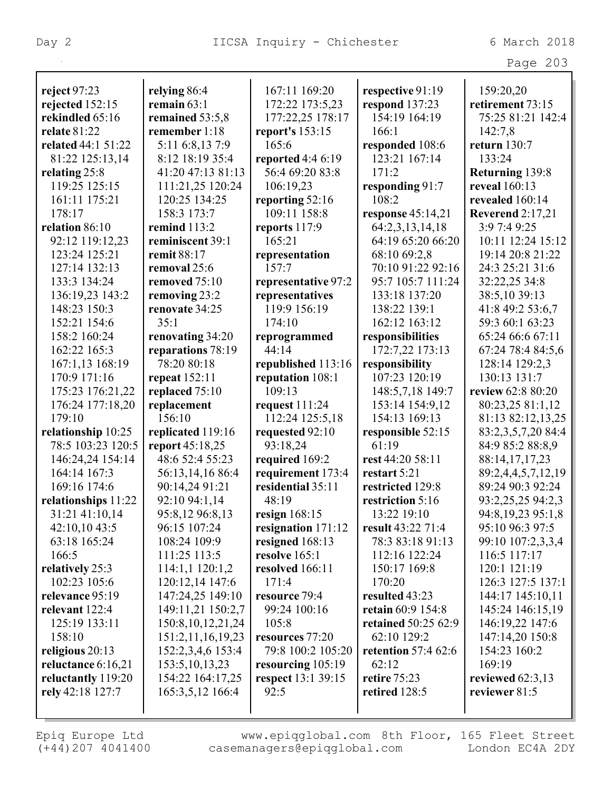|                           |                       |                           |                            | Page 203             |
|---------------------------|-----------------------|---------------------------|----------------------------|----------------------|
|                           |                       |                           |                            |                      |
| reject $97:23$            | relying 86:4          | 167:11 169:20             | respective 91:19           | 159:20,20            |
| rejected 152:15           | remain $63:1$         | 172:22 173:5,23           | respond $137:23$           | retirement 73:15     |
| rekindled 65:16           | remained 53:5,8       | 177:22,25 178:17          | 154:19 164:19              | 75:25 81:21 142:4    |
| <b>relate 81:22</b>       | remember 1:18         | report's 153:15           | 166:1                      | 142:7,8              |
| <b>related</b> 44:1 51:22 | 5:11 6:8,13 7:9       | 165:6                     | responded 108:6            | return $130:7$       |
| 81:22 125:13,14           | 8:12 18:19 35:4       | reported 4:4 6:19         | 123:21 167:14              | 133:24               |
| relating 25:8             | 41:20 47:13 81:13     | 56:4 69:20 83:8           | 171:2                      | Returning 139:8      |
| 119:25 125:15             | 111:21,25 120:24      | 106:19,23                 | responding 91:7            | reveal 160:13        |
| 161:11 175:21             | 120:25 134:25         | reporting 52:16           | 108:2                      | revealed 160:14      |
| 178:17                    | 158:3 173:7           | 109:11 158:8              | response $45:14,21$        | Reverend $2:17,21$   |
| relation 86:10            | remind 113:2          | reports $117:9$           | 64:2,3,13,14,18            | 3:9 7:4 9:25         |
| 92:12 119:12,23           | reminiscent 39:1      | 165:21                    | 64:19 65:20 66:20          | 10:11 12:24 15:12    |
| 123:24 125:21             | remit 88:17           | representation            | 68:10 69:2,8               | 19:14 20:8 21:22     |
| 127:14 132:13             | removal 25:6          | 157:7                     | 70:10 91:22 92:16          | 24:3 25:21 31:6      |
| 133:3 134:24              | removed 75:10         | representative 97:2       | 95:7 105:7 111:24          | 32:22,25 34:8        |
| 136:19,23 143:2           | removing 23:2         | representatives           | 133:18 137:20              | 38:5,10 39:13        |
| 148:23 150:3              | renovate 34:25        | 119:9 156:19              | 138:22 139:1               | 41:8 49:2 53:6,7     |
| 152:21 154:6              | 35:1                  | 174:10                    | 162:12 163:12              | 59:3 60:1 63:23      |
| 158:2 160:24              | renovating 34:20      | reprogrammed              | responsibilities           | 65:24 66:6 67:11     |
| 162:22 165:3              | reparations 78:19     | 44:14                     | 172:7,22 173:13            | 67:24 78:4 84:5,6    |
| 167:1,13 168:19           | 78:20 80:18           | republished 113:16        | responsibility             | 128:14 129:2,3       |
| 170:9 171:16              | repeat $152:11$       | reputation 108:1          | 107:23 120:19              | 130:13 131:7         |
| 175:23 176:21,22          | replaced 75:10        | 109:13                    | 148:5,7,18 149:7           | review 62:8 80:20    |
| 176:24 177:18,20          | replacement           | request $111:24$          | 153:14 154:9,12            | 80:23,25 81:1,12     |
| 179:10                    | 156:10                | 112:24 125:5,18           | 154:13 169:13              | 81:13 82:12,13,25    |
| relationship 10:25        | replicated 119:16     | requested 92:10           | responsible 52:15          | 83:2,3,5,7,20 84:4   |
| 78:5 103:23 120:5         | report 45:18,25       | 93:18,24                  | 61:19                      | 84:9 85:2 88:8,9     |
| 146:24,24 154:14          | 48:6 52:4 55:23       | required 169:2            | rest 44:20 58:11           | 88:14,17,17,23       |
| 164:14 167:3              | 56:13,14,16 86:4      | requirement 173:4         | restart 5:21               | 89:2,4,4,5,7,12,19   |
| 169:16 174:6              | 90:14,24 91:21        | residential 35:11         | restricted 129:8           | 89:24 90:3 92:24     |
| relationships 11:22       | 92:10 94:1,14         | 48:19                     | restriction 5:16           | 93:2,25,25 94:2,3    |
| 31:21 41:10,14            | 95:8,12 96:8,13       | resign $168:15$           | 13:22 19:10                | 94:8, 19, 23 95:1, 8 |
| 42:10,10 43:5             | 96:15 107:24          | resignation 171:12        | result 43:22 71:4          | 95:10 96:3 97:5      |
| 63:18 165:24              | 108:24 109:9          | resigned 168:13           | 78:3 83:18 91:13           | 99:10 107:2,3,3,4    |
| 166:5                     | 111:25 113:5          | resolve $165:1$           | 112:16 122:24              | 116:5 117:17         |
| relatively 25:3           | 114:1,1 120:1,2       | resolved 166:11           | 150:17 169:8               | 120:1 121:19         |
| 102:23 105:6              | 120:12,14 147:6       | 171:4                     | 170:20                     | 126:3 127:5 137:1    |
| relevance 95:19           | 147:24,25 149:10      | resource 79:4             | resulted 43:23             | 144:17 145:10,11     |
| relevant 122:4            | 149:11,21 150:2,7     | 99:24 100:16              | retain 60:9 154:8          | 145:24 146:15,19     |
| 125:19 133:11             | 150:8, 10, 12, 21, 24 | 105:8                     | <b>retained</b> 50:25 62:9 | 146:19,22 147:6      |
| 158:10                    | 151:2,11,16,19,23     | resources 77:20           | 62:10 129:2                | 147:14,20 150:8      |
| religious 20:13           | 152:2,3,4,6 153:4     | 79:8 100:2 105:20         | retention $57:462:6$       | 154:23 160:2         |
| reluctance 6:16,21        | 153:5, 10, 13, 23     | resourcing 105:19         | 62:12                      | 169:19               |
| reluctantly 119:20        | 154:22 164:17,25      | <b>respect</b> 13:1 39:15 | <b>retire</b> 75:23        | reviewed $62:3,13$   |
| rely 42:18 127:7          | 165:3,5,12 166:4      | 92:5                      | retired 128:5              | reviewer 81:5        |
|                           |                       |                           |                            |                      |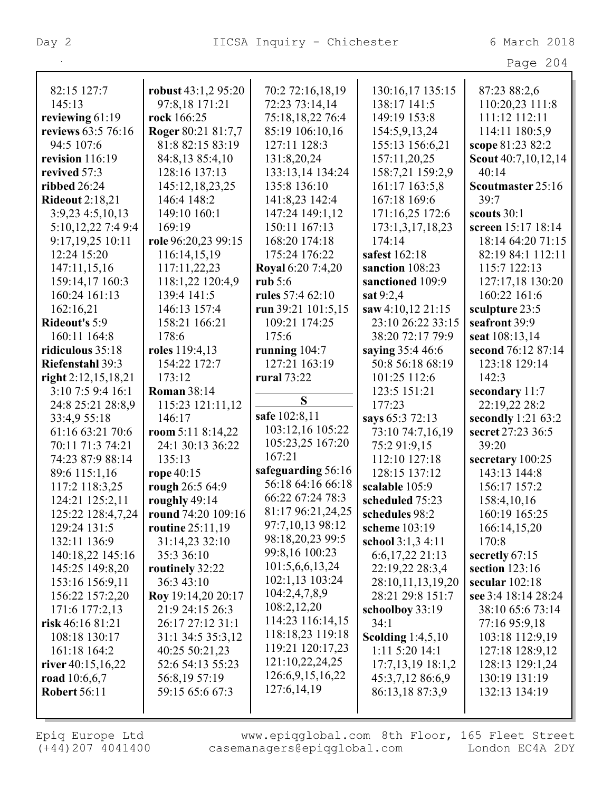|                         |                      |                          |                     | Page 204              |
|-------------------------|----------------------|--------------------------|---------------------|-----------------------|
|                         |                      |                          |                     |                       |
| 82:15 127:7             | robust $43:1,295:20$ | 70:2 72:16,18,19         | 130:16,17 135:15    | 87:23 88:2,6          |
| 145:13                  | 97:8,18 171:21       | 72:23 73:14,14           | 138:17 141:5        | 110:20,23 111:8       |
| reviewing $61:19$       | rock 166:25          | 75:18,18,22 76:4         | 149:19 153:8        | 111:12 112:11         |
| reviews 63:5 76:16      | Roger 80:21 81:7,7   | 85:19 106:10,16          | 154:5,9,13,24       | 114:11 180:5,9        |
| 94:5 107:6              | 81:8 82:15 83:19     | 127:11 128:3             | 155:13 156:6,21     | scope 81:23 82:2      |
| revision 116:19         | 84:8,13 85:4,10      | 131:8,20,24              | 157:11,20,25        | Scout 40:7,10,12,14   |
| revived 57:3            | 128:16 137:13        | 133:13,14 134:24         | 158:7,21 159:2,9    | 40:14                 |
| <b>ribbed</b> 26:24     | 145:12,18,23,25      | 135:8 136:10             | 161:17 163:5,8      | Scoutmaster 25:16     |
| <b>Rideout 2:18,21</b>  | 146:4 148:2          | 141:8,23 142:4           | 167:18 169:6        | 39:7                  |
| $3:9,23$ 4:5,10,13      | 149:10 160:1         | 147:24 149:1,12          | 171:16,25 172:6     | scouts 30:1           |
| 5:10,12,22 7:4 9:4      | 169:19               | 150:11 167:13            | 173:1,3,17,18,23    | screen 15:17 18:14    |
| 9:17,19,25 10:11        | role 96:20,23 99:15  | 168:20 174:18            | 174:14              | 18:14 64:20 71:15     |
| 12:24 15:20             | 116:14,15,19         | 175:24 176:22            | safest 162:18       | 82:19 84:1 112:11     |
| 147:11,15,16            | 117:11,22,23         | <b>Royal 6:20 7:4,20</b> | sanction 108:23     | 115:7 122:13          |
| 159:14,17 160:3         | 118:1,22 120:4,9     | rub $5:6$                | sanctioned 109:9    | 127:17,18 130:20      |
| 160:24 161:13           | 139:4 141:5          | rules 57:4 62:10         | sat 9:2,4           | 160:22 161:6          |
| 162:16,21               | 146:13 157:4         | run 39:21 101:5,15       | saw 4:10,12 21:15   | sculpture 23:5        |
| <b>Rideout's 5:9</b>    | 158:21 166:21        | 109:21 174:25            | 23:10 26:22 33:15   | seafront 39:9         |
| 160:11 164:8            | 178:6                | 175:6                    | 38:20 72:17 79:9    | seat 108:13,14        |
| ridiculous 35:18        | roles 119:4,13       | running $104:7$          | saying 35:4 46:6    | second 76:12 87:14    |
| <b>Riefenstahl 39:3</b> | 154:22 172:7         | 127:21 163:19            | 50:8 56:18 68:19    | 123:18 129:14         |
| right $2:12,15,18,21$   | 173:12               | <b>rural</b> 73:22       | 101:25 112:6        | 142:3                 |
| 3:10 7:5 9:4 16:1       | <b>Roman 38:14</b>   |                          | 123:5 151:21        | secondary 11:7        |
| 24:8 25:21 28:8,9       | 115:23 121:11,12     | S                        | 177:23              | 22:19,22 28:2         |
| 33:4,9 55:18            | 146:17               | safe 102:8,11            | says 65:3 72:13     | secondly $1:21\,63:2$ |
| 61:16 63:21 70:6        | room $5:118:14,22$   | 103:12,16 105:22         | 73:10 74:7,16,19    | secret 27:23 36:5     |
| 70:11 71:3 74:21        | 24:1 30:13 36:22     | 105:23,25 167:20         | 75:2 91:9,15        | 39:20                 |
| 74:23 87:9 88:14        | 135:13               | 167:21                   | 112:10 127:18       | secretary 100:25      |
| 89:6 115:1,16           | rope 40:15           | safeguarding 56:16       | 128:15 137:12       | 143:13 144:8          |
| 117:2 118:3,25          | rough 26:5 64:9      | 56:18 64:16 66:18        | scalable 105:9      | 156:17 157:2          |
| 124:21 125:2,11         | roughly 49:14        | 66:22 67:24 78:3         | scheduled 75:23     | 158:4,10,16           |
| 125:22 128:4,7,24       | round 74:20 109:16   | 81:17 96:21,24,25        | schedules 98:2      | 160:19 165:25         |
| 129:24 131:5            | routine 25:11,19     | 97:7,10,13 98:12         | scheme 103:19       | 166:14,15,20          |
| 132:11 136:9            | 31:14,23 32:10       | 98:18,20,23 99:5         | school 3:1,3 4:11   | 170:8                 |
| 140:18,22 145:16        | 35:3 36:10           | 99:8,16 100:23           | $6:6,17,22$ 21:13   | secretly 67:15        |
| 145:25 149:8,20         | routinely 32:22      | 101:5,6,6,13,24          | 22:19,22 28:3,4     | section $123:16$      |
| 153:16 156:9,11         | 36:3 43:10           | 102:1,13 103:24          | 28:10,11,13,19,20   | secular $102:18$      |
| 156:22 157:2,20         | Roy 19:14,20 20:17   | 104:2,4,7,8,9            | 28:21 29:8 151:7    | see 3:4 18:14 28:24   |
| 171:6 177:2,13          | 21:9 24:15 26:3      | 108:2,12,20              | schoolboy 33:19     | 38:10 65:6 73:14      |
| risk $46:1681:21$       | 26:17 27:12 31:1     | 114:23 116:14,15         | 34:1                | 77:16 95:9,18         |
| 108:18 130:17           | 31:1 34:5 35:3,12    | 118:18,23 119:18         | Scolding $1:4,5,10$ | 103:18 112:9,19       |
| 161:18 164:2            | 40:25 50:21,23       | 119:21 120:17,23         | 1:11 5:20 14:1      | 127:18 128:9,12       |
| river $40:15,16,22$     | 52:6 54:13 55:23     | 121:10,22,24,25          | $17:7,13,19$ 18:1,2 | 128:13 129:1,24       |
| road 10:6,6,7           | 56:8,19 57:19        | 126:6,9,15,16,22         | 45:3,7,12 86:6,9    | 130:19 131:19         |
| <b>Robert 56:11</b>     | 59:15 65:6 67:3      | 127:6,14,19              | 86:13,18 87:3,9     | 132:13 134:19         |
|                         |                      |                          |                     |                       |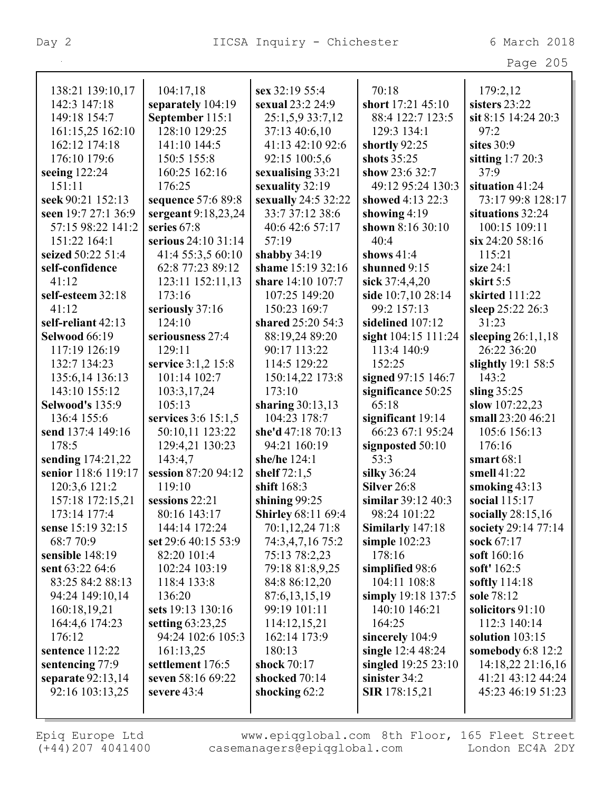| Page $205$ |  |
|------------|--|

| 138:21 139:10,17       | 104:17,18           | sex 32:19 55:4            | 70:18                  | 179:2,12             |
|------------------------|---------------------|---------------------------|------------------------|----------------------|
| 142:3 147:18           | separately 104:19   | <b>sexual</b> 23:2 24:9   | short 17:21 45:10      | sisters 23:22        |
| 149:18 154:7           | September 115:1     | 25:1,5,9 33:7,12          | 88:4 122:7 123:5       | sit 8:15 14:24 20:3  |
| 161:15,25 162:10       | 128:10 129:25       | 37:13 40:6,10             | 129:3 134:1            | 97:2                 |
| 162:12 174:18          | 141:10 144:5        | 41:13 42:10 92:6          | shortly 92:25          | sites 30:9           |
| 176:10 179:6           | 150:5 155:8         | 92:15 100:5,6             | shots 35:25            | sitting $1:720:3$    |
| seeing $122:24$        | 160:25 162:16       | sexualising 33:21         | show 23:6 32:7         | 37:9                 |
| 151:11                 | 176:25              | sexuality 32:19           | 49:12 95:24 130:3      | situation 41:24      |
| seek 90:21 152:13      | sequence 57:6 89:8  | sexually 24:5 32:22       | showed 4:13 22:3       | 73:17 99:8 128:17    |
| seen 19:7 27:1 36:9    | sergeant 9:18,23,24 | 33:7 37:12 38:6           | showing $4:19$         | situations 32:24     |
| 57:15 98:22 141:2      | series 67:8         | 40:6 42:6 57:17           | shown 8:16 30:10       | 100:15 109:11        |
| 151:22 164:1           | serious 24:10 31:14 | 57:19                     | 40:4                   | $\sin 24:2058:16$    |
| seized 50:22 51:4      | 41:4 55:3,5 60:10   | shabby $34:19$            | shows $41:4$           | 115:21               |
| self-confidence        | 62:8 77:23 89:12    | shame 15:19 32:16         | shunned 9:15           | size $24:1$          |
| 41:12                  | 123:11 152:11,13    | share 14:10 107:7         | sick 37:4,4,20         | skirt $5:5$          |
| self-esteem 32:18      | 173:16              | 107:25 149:20             | side 10:7,10 28:14     | skirted 111:22       |
| 41:12                  | seriously 37:16     | 150:23 169:7              | 99:2 157:13            | sleep 25:22 26:3     |
| self-reliant 42:13     | 124:10              | shared 25:20 54:3         | sidelined 107:12       | 31:23                |
| <b>Selwood 66:19</b>   | seriousness 27:4    | 88:19,24 89:20            | sight 104:15 111:24    | sleeping $26:1,1,18$ |
| 117:19 126:19          | 129:11              | 90:17 113:22              | 113:4 140:9            | 26:22 36:20          |
| 132:7 134:23           | service 3:1,2 15:8  | 114:5 129:22              | 152:25                 | slightly $19:158:5$  |
| 135:6,14 136:13        | 101:14 102:7        | 150:14,22 173:8           | signed 97:15 146:7     | 143:2                |
| 143:10 155:12          | 103:3,17,24         | 173:10                    | significance 50:25     | sling $35:25$        |
| <b>Selwood's 135:9</b> | 105:13              | sharing 30:13,13          | 65:18                  | slow 107:22,23       |
| 136:4 155:6            | services 3:6 15:1,5 | 104:23 178:7              | significant 19:14      | small 23:20 46:21    |
| send 137:4 149:16      | 50:10,11 123:22     | she'd 47:18 70:13         | 66:23 67:1 95:24       | 105:6 156:13         |
| 178:5                  | 129:4,21 130:23     | 94:21 160:19              | signposted 50:10       | 176:16               |
| sending 174:21,22      | 143:4,7             | she/he 124:1              | 53:3                   | smart $68:1$         |
| senior 118:6 119:17    | session 87:20 94:12 | shelf $72:1,5$            | silky 36:24            | smell 41:22          |
| 120:3,6 121:2          | 119:10              | shift 168:3               | Silver 26:8            | smoking $43:13$      |
| 157:18 172:15,21       | sessions 22:21      | shining $99:25$           | similar 39:12 40:3     | social 115:17        |
| 173:14 177:4           | 80:16 143:17        | <b>Shirley 68:11 69:4</b> | 98:24 101:22           | socially $28:15,16$  |
| sense 15:19 32:15      | 144:14 172:24       | 70:1,12,24 71:8           | Similarly 147:18       | society 29:14 77:14  |
| 68:7 70:9              | set 29:6 40:15 53:9 | 74:3,4,7,16 75:2          | simple $102:23$        | sock 67:17           |
| sensible 148:19        | 82:20 101:4         | 75:13 78:2,23             | 178:16                 | soft 160:16          |
| sent 63:22 64:6        | 102:24 103:19       | 79:18 81:8,9,25           | simplified 98:6        | soft' 162:5          |
| 83:25 84:2 88:13       | 118:4 133:8         | 84:8 86:12,20             | 104:11 108:8           | softly 114:18        |
| 94:24 149:10,14        | 136:20              | 87:6,13,15,19             | simply 19:18 137:5     | sole 78:12           |
| 160:18,19,21           | sets 19:13 130:16   | 99:19 101:11              | 140:10 146:21          | solicitors 91:10     |
| 164:4,6 174:23         | setting $63:23,25$  | 114:12,15,21              | 164:25                 | 112:3 140:14         |
| 176:12                 | 94:24 102:6 105:3   | 162:14 173:9              | sincerely 104:9        | solution $103:15$    |
| sentence 112:22        | 161:13,25           | 180:13                    | single 12:4 48:24      | somebody 6:8 12:2    |
| sentencing 77:9        | settlement 176:5    | shock 70:17               | singled $19:25\,23:10$ | 14:18,22 21:16,16    |
| separate 92:13,14      | seven 58:16 69:22   | shocked 70:14             | sinister 34:2          | 41:21 43:12 44:24    |
| 92:16 103:13,25        | severe $43:4$       | shocking $62:2$           | <b>SIR</b> 178:15,21   | 45:23 46:19 51:23    |
|                        |                     |                           |                        |                      |
|                        |                     |                           |                        |                      |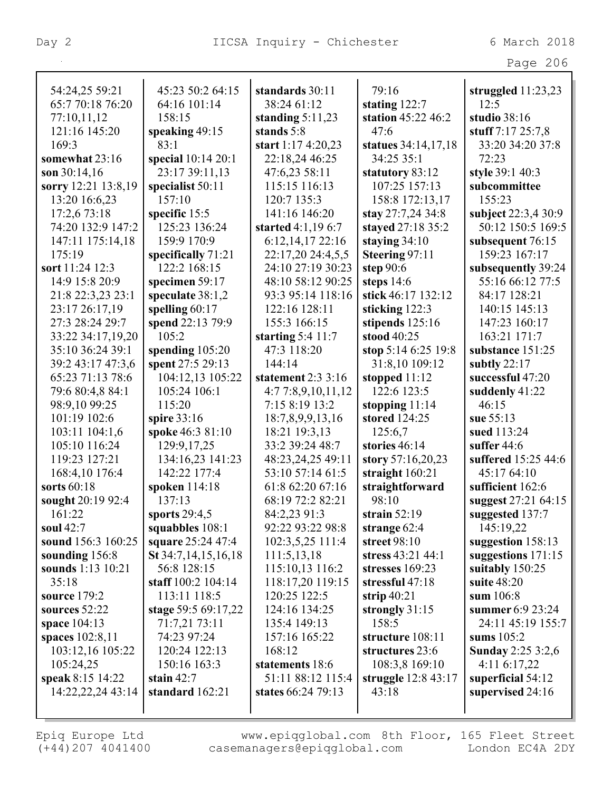| 54:24,25 59:21      | 45:23 50:2 64:15        | standards 30:11     | 79:16               | struggled $11:23,23$     |
|---------------------|-------------------------|---------------------|---------------------|--------------------------|
| 65:7 70:18 76:20    | 64:16 101:14            | 38:24 61:12         | stating 122:7       | 12:5                     |
| 77:10,11,12         | 158:15                  | standing $5:11,23$  | station 45:22 46:2  | studio 38:16             |
| 121:16 145:20       | speaking 49:15          | stands 5:8          | 47:6                | stuff 7:17 25:7,8        |
| 169:3               | 83:1                    | start 1:17 4:20,23  | statues 34:14,17,18 | 33:20 34:20 37:8         |
| somewhat 23:16      | special 10:14 20:1      | 22:18,24 46:25      | 34:25 35:1          | 72:23                    |
| son $30:14.16$      | 23:17 39:11,13          | 47:6,23 58:11       | statutory 83:12     | style 39:1 40:3          |
| sorry 12:21 13:8,19 | specialist 50:11        | 115:15 116:13       | 107:25 157:13       | subcommittee             |
| 13:20 16:6,23       | 157:10                  | 120:7 135:3         | 158:8 172:13,17     | 155:23                   |
| 17:2,6 73:18        | specific 15:5           | 141:16 146:20       | stay 27:7,24 34:8   | subject 22:3,4 30:9      |
| 74:20 132:9 147:2   | 125:23 136:24           | started 4:1,19 6:7  | stayed 27:18 35:2   | 50:12 150:5 169:5        |
| 147:11 175:14,18    | 159:9 170:9             | 6:12,14,17 22:16    | staying $34:10$     | subsequent 76:15         |
| 175:19              | specifically 71:21      | 22:17,20 24:4,5,5   | Steering 97:11      | 159:23 167:17            |
| sort 11:24 12:3     | 122:2 168:15            | 24:10 27:19 30:23   | step $90:6$         | subsequently 39:24       |
| 14:9 15:8 20:9      | specimen 59:17          | 48:10 58:12 90:25   | steps $14:6$        | 55:16 66:12 77:5         |
| 21:8 22:3,23 23:1   | speculate 38:1,2        | 93:3 95:14 118:16   | stick 46:17 132:12  | 84:17 128:21             |
| 23:17 26:17,19      | spelling 60:17          | 122:16 128:11       | sticking 122:3      | 140:15 145:13            |
| 27:3 28:24 29:7     | spend 22:13 79:9        | 155:3 166:15        | stipends 125:16     | 147:23 160:17            |
| 33:22 34:17,19,20   | 105:2                   | starting $5:4$ 11:7 | stood 40:25         | 163:21 171:7             |
| 35:10 36:24 39:1    | spending 105:20         | 47:3 118:20         | stop 5:14 6:25 19:8 | substance 151:25         |
| 39:2 43:17 47:3,6   | spent 27:5 29:13        | 144:14              | 31:8,10 109:12      | subtly $22:17$           |
| 65:23 71:13 78:6    | 104:12,13 105:22        | statement 2:3 3:16  | stopped 11:12       | successful 47:20         |
| 79:6 80:4,8 84:1    | 105:24 106:1            | 4:77:8,9,10,11,12   | 122:6 123:5         | suddenly 41:22           |
| 98:9,10 99:25       | 115:20                  | 7:15 8:19 13:2      | stopping $11:14$    | 46:15                    |
| 101:19 102:6        | spire 33:16             | 18:7,8,9,9,13,16    | stored 124:25       | sue 55:13                |
| 103:11 104:1,6      | spoke 46:3 81:10        | 18:21 19:3,13       | 125:6,7             | sued 113:24              |
| 105:10 116:24       | 129:9, 17, 25           | 33:2 39:24 48:7     | stories 46:14       | suffer $44:6$            |
| 119:23 127:21       | 134:16,23 141:23        | 48:23,24,25 49:11   | story $57:16,20,23$ | suffered 15:25 44:6      |
| 168:4,10 176:4      | 142:22 177:4            | 53:10 57:14 61:5    | straight $160:21$   | 45:17 64:10              |
| sorts 60:18         | spoken 114:18           | 61:8 62:20 67:16    | straightforward     | sufficient 162:6         |
| sought 20:19 92:4   | 137:13                  | 68:19 72:2 82:21    | 98:10               | suggest 27:21 64:15      |
| 161:22              | sports $29:4,5$         | 84:2,23 91:3        | strain $52:19$      | suggested 137:7          |
| soul 42:7           | squabbles 108:1         | 92:22 93:22 98:8    | strange $62:4$      | 145:19,22                |
| sound 156:3 160:25  | square 25:24 47:4       | 102:3,5,25 111:4    | street 98:10        | suggestion 158:13        |
| sounding 156:8      | St 34:7, 14, 15, 16, 18 | 111:5,13,18         | stress 43:21 44:1   | suggestions 171:15       |
| sounds 1:13 10:21   | 56:8 128:15             | 115:10,13 116:2     | stresses 169:23     | suitably 150:25          |
| 35:18               | staff $100:2$ $104:14$  | 118:17,20 119:15    | stressful 47:18     | suite 48:20              |
| source $179:2$      | 113:11 118:5            | 120:25 122:5        | strip $40:21$       | sum 106:8                |
| sources $52:22$     | stage 59:5 69:17,22     | 124:16 134:25       | strongly $31:15$    | summer 6:9 23:24         |
| space 104:13        | 71:7,21 73:11           | 135:4 149:13        | 158:5               | 24:11 45:19 155:7        |
| spaces 102:8,11     | 74:23 97:24             | 157:16 165:22       | structure 108:11    | sums $105:2$             |
| 103:12,16 105:22    | 120:24 122:13           | 168:12              | structures 23:6     | <b>Sunday 2:25 3:2,6</b> |
| 105:24,25           | 150:16 163:3            | statements 18:6     | 108:3,8 169:10      | 4:11 6:17,22             |
| speak 8:15 14:22    | stain $42:7$            | 51:11 88:12 115:4   | struggle 12:8 43:17 | superficial 54:12        |
| 14:22,22,24 43:14   | standard 162:21         | states 66:24 79:13  | 43:18               | supervised 24:16         |
|                     |                         |                     |                     |                          |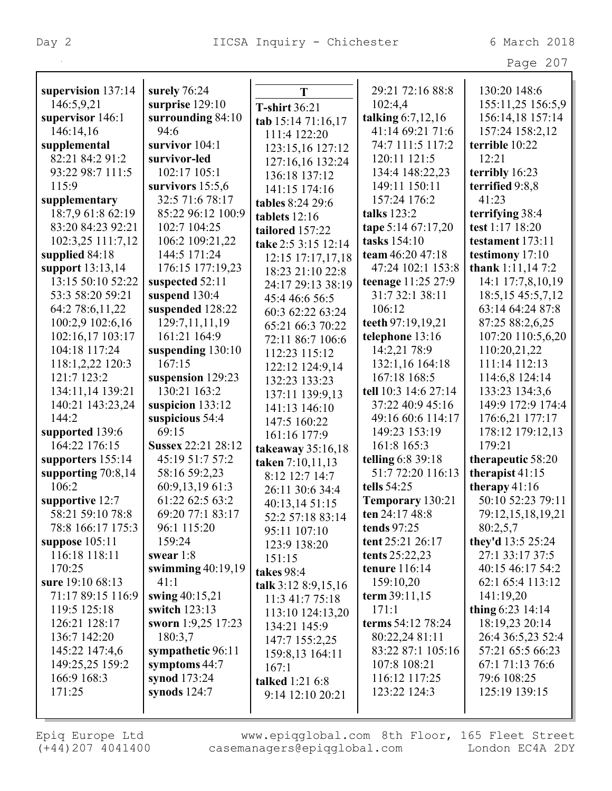Page 207

| supervision 137:14   | surely 76:24        | T                   | 29:21 72:16 88:8     | 130:20 148:6         |
|----------------------|---------------------|---------------------|----------------------|----------------------|
| 146:5,9,21           | surprise 129:10     | T-shirt 36:21       | 102:4,4              | 155:11,25 156:5,9    |
| supervisor 146:1     | surrounding 84:10   | tab 15:14 71:16,17  | talking $6:7,12,16$  | 156:14,18 157:14     |
| 146:14,16            | 94:6                | 111:4 122:20        | 41:14 69:21 71:6     | 157:24 158:2,12      |
| supplemental         | survivor $104:1$    | 123:15,16 127:12    | 74:7 111:5 117:2     | terrible 10:22       |
| 82:21 84:2 91:2      | survivor-led        | 127:16,16 132:24    | 120:11 121:5         | 12:21                |
| 93:22 98:7 111:5     | 102:17 105:1        | 136:18 137:12       | 134:4 148:22,23      | terribly 16:23       |
| 115:9                | survivors $15:5,6$  | 141:15 174:16       | 149:11 150:11        | terrified 9:8,8      |
| supplementary        | 32:5 71:6 78:17     | tables 8:24 29:6    | 157:24 176:2         | 41:23                |
| 18:7,9 61:8 62:19    | 85:22 96:12 100:9   | tablets 12:16       | talks 123:2          | terrifying 38:4      |
| 83:20 84:23 92:21    | 102:7 104:25        | tailored 157:22     | tape 5:14 67:17,20   | test 1:17 18:20      |
| 102:3,25 111:7,12    | 106:2 109:21,22     | take 2:5 3:15 12:14 | tasks 154:10         | testament 173:11     |
| supplied 84:18       | 144:5 171:24        | 12:15 17:17,17,18   | team 46:20 47:18     | testimony 17:10      |
| support 13:13,14     | 176:15 177:19,23    | 18:23 21:10 22:8    | 47:24 102:1 153:8    | thank 1:11,147:2     |
| 13:15 50:10 52:22    | suspected 52:11     | 24:17 29:13 38:19   | teenage 11:25 27:9   | 14:1 17:7,8,10,19    |
| 53:3 58:20 59:21     | suspend 130:4       | 45:4 46:6 56:5      | 31:7 32:1 38:11      | 18:5, 15 45:5, 7, 12 |
| 64:2 78:6,11,22      | suspended 128:22    | 60:3 62:22 63:24    | 106:12               | 63:14 64:24 87:8     |
| 100:2,9 102:6,16     | 129:7,11,11,19      | 65:21 66:3 70:22    | teeth 97:19,19,21    | 87:25 88:2,6,25      |
| 102:16,17 103:17     | 161:21 164:9        | 72:11 86:7 106:6    | telephone 13:16      | 107:20 110:5,6,20    |
| 104:18 117:24        | suspending 130:10   | 112:23 115:12       | 14:2,21 78:9         | 110:20,21,22         |
| 118:1,2,22 120:3     | 167:15              | 122:12 124:9,14     | 132:1,16 164:18      | 111:14 112:13        |
| 121:7 123:2          | suspension 129:23   | 132:23 133:23       | 167:18 168:5         | 114:6,8 124:14       |
| 134:11,14 139:21     | 130:21 163:2        | 137:11 139:9,13     | tell 10:3 14:6 27:14 | 133:23 134:3,6       |
| 140:21 143:23,24     | suspicion $133:12$  | 141:13 146:10       | 37:22 40:9 45:16     | 149:9 172:9 174:4    |
| 144:2                | suspicious 54:4     | 147:5 160:22        | 49:16 60:6 114:17    | 176:6,21 177:17      |
| supported 139:6      | 69:15               | 161:16 177:9        | 149:23 153:19        | 178:12 179:12,13     |
| 164:22 176:15        | Sussex 22:21 28:12  | takeaway 35:16,18   | 161:8 165:3          | 179:21               |
| supporters 155:14    | 45:19 51:7 57:2     | taken 7:10,11,13    | telling 6:8 39:18    | therapeutic 58:20    |
| supporting $70:8,14$ | 58:16 59:2,23       | 8:12 12:7 14:7      | 51:7 72:20 116:13    | therapist $41:15$    |
| 106:2                | 60:9,13,19 61:3     | 26:11 30:6 34:4     | tells 54:25          | therapy $41:16$      |
| supportive 12:7      | 61:22 62:5 63:2     | 40:13,14 51:15      | Temporary 130:21     | 50:10 52:23 79:11    |
| 58:21 59:10 78:8     | 69:20 77:1 83:17    | 52:2 57:18 83:14    | ten 24:17 48:8       | 79:12,15,18,19,21    |
| 78:8 166:17 175:3    | 96:1 115:20         | 95:11 107:10        | tends 97:25          | 80:2,5,7             |
| suppose $105:11$     | 159:24              | 123:9 138:20        | tent 25:21 26:17     | they'd 13:5 25:24    |
| 116:18 118:11        | swear $1:8$         | 151:15              | tents $25:22,23$     | 27:1 33:17 37:5      |
| 170:25               | swimming $40:19,19$ | takes 98:4          | tenure 116:14        | 40:15 46:17 54:2     |
| sure 19:10 68:13     | 41:1                | talk 3:12 8:9,15,16 | 159:10,20            | 62:1 65:4 113:12     |
| 71:17 89:15 116:9    | swing 40:15,21      | 11:3 41:7 75:18     | term 39:11,15        | 141:19,20            |
| 119:5 125:18         | switch 123:13       | 113:10 124:13,20    | 171:1                | thing $6:23$ 14:14   |
| 126:21 128:17        | sworn 1:9,25 17:23  | 134:21 145:9        | terms 54:12 78:24    | 18:19,23 20:14       |
| 136:7 142:20         | 180:3,7             | 147:7 155:2,25      | 80:22,24 81:11       | 26:4 36:5,23 52:4    |
| 145:22 147:4,6       | sympathetic 96:11   | 159:8,13 164:11     | 83:22 87:1 105:16    | 57:21 65:5 66:23     |
| 149:25,25 159:2      | symptoms $44:7$     | 167:1               | 107:8 108:21         | 67:1 71:13 76:6      |
| 166:9 168:3          | synod 173:24        | talked 1:21 6:8     | 116:12 117:25        | 79:6 108:25          |
| 171:25               | synods $124:7$      | 9:14 12:10 20:21    | 123:22 124:3         | 125:19 139:15        |
|                      |                     |                     |                      |                      |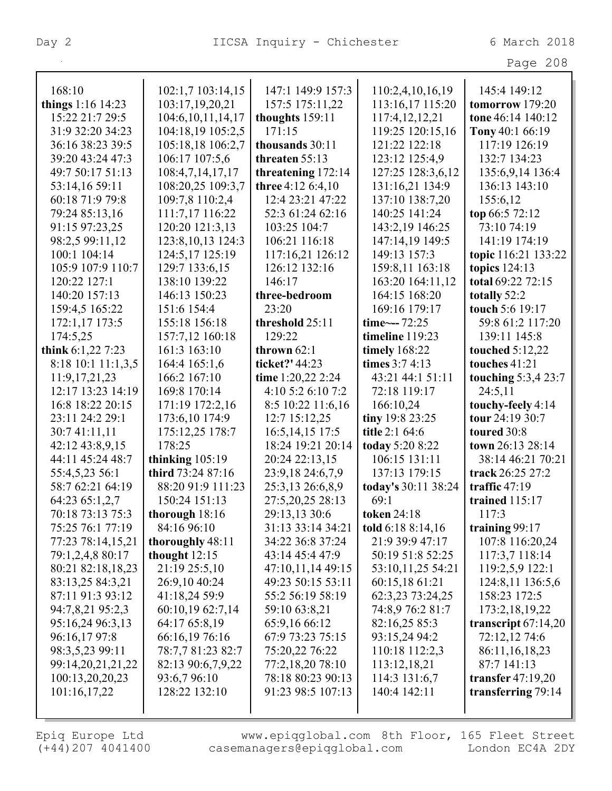| rage | 208 |  |  |
|------|-----|--|--|
|------|-----|--|--|

| 168:10             | 102:1,7 103:14,15     | 147:1 149:9 157:3  | 110:2,4,10,16,19          | 145:4 149:12          |
|--------------------|-----------------------|--------------------|---------------------------|-----------------------|
| things 1:16 14:23  | 103:17,19,20,21       | 157:5 175:11,22    | 113:16,17 115:20          | tomorrow 179:20       |
| 15:22 21:7 29:5    | 104:6, 10, 11, 14, 17 | thoughts 159:11    | 117:4,12,12,21            | tone 46:14 140:12     |
| 31:9 32:20 34:23   | 104:18,19 105:2,5     | 171:15             | 119:25 120:15,16          | Tony 40:1 66:19       |
| 36:16 38:23 39:5   | 105:18,18 106:2,7     | thousands 30:11    | 121:22 122:18             | 117:19 126:19         |
| 39:20 43:24 47:3   | 106:17 107:5,6        | threaten 55:13     | 123:12 125:4,9            | 132:7 134:23          |
| 49:7 50:17 51:13   | 108:4,7,14,17,17      | threatening 172:14 | 127:25 128:3,6,12         | 135:6,9,14 136:4      |
| 53:14,16 59:11     | 108:20,25 109:3,7     | three 4:12 6:4,10  | 131:16,21 134:9           | 136:13 143:10         |
| 60:18 71:9 79:8    | 109:7,8 110:2,4       | 12:4 23:21 47:22   | 137:10 138:7,20           | 155:6,12              |
| 79:24 85:13,16     | 111:7,17 116:22       | 52:3 61:24 62:16   | 140:25 141:24             | top 66:5 72:12        |
| 91:15 97:23,25     | 120:20 121:3,13       | 103:25 104:7       | 143:2,19 146:25           | 73:10 74:19           |
| 98:2,5 99:11,12    | 123:8, 10, 13 124:3   | 106:21 116:18      | 147:14,19 149:5           | 141:19 174:19         |
| 100:1 104:14       | 124:5,17 125:19       | 117:16,21 126:12   | 149:13 157:3              | topic 116:21 133:22   |
| 105:9 107:9 110:7  | 129:7 133:6,15        | 126:12 132:16      | 159:8,11 163:18           | topics 124:13         |
| 120:22 127:1       | 138:10 139:22         | 146:17             | 163:20 164:11,12          | total 69:22 72:15     |
| 140:20 157:13      | 146:13 150:23         | three-bedroom      | 164:15 168:20             | totally 52:2          |
| 159:4,5 165:22     | 151:6 154:4           | 23:20              | 169:16 179:17             | touch 5:6 19:17       |
| 172:1,17 173:5     | 155:18 156:18         | threshold 25:11    | time $\leftarrow$ --72:25 | 59:8 61:2 117:20      |
| 174:5,25           | 157:7,12 160:18       | 129:22             | timeline 119:23           | 139:11 145:8          |
| think 6:1,22 7:23  | 161:3 163:10          | thrown $62:1$      | <b>timely</b> 168:22      | touched $5:12,22$     |
| 8:18 10:1 11:1,3,5 | 164:4 165:1,6         | ticket?' 44:23     | times 3:7 4:13            | touches 41:21         |
| 11:9, 17, 21, 23   | 166:2 167:10          | time 1:20,22 2:24  | 43:21 44:1 51:11          | touching 5:3,4 23:7   |
| 12:17 13:23 14:19  | 169:8 170:14          | 4:10 5:2 6:10 7:2  | 72:18 119:17              | 24:5,11               |
| 16:8 18:22 20:15   | 171:19 172:2,16       | 8:5 10:22 11:6,16  | 166:10,24                 | touchy-feely 4:14     |
| 23:11 24:2 29:1    | 173:6,10 174:9        | 12:7 15:12,25      | tiny 19:8 23:25           | tour 24:19 30:7       |
| 30:7 41:11,11      | 175:12,25 178:7       | 16:5, 14, 15 17:5  | title 2:1 64:6            | toured 30:8           |
| 42:12 43:8,9,15    | 178:25                | 18:24 19:21 20:14  | today 5:20 8:22           | town 26:13 28:14      |
| 44:11 45:24 48:7   | thinking $105:19$     | 20:24 22:13,15     | 106:15 131:11             | 38:14 46:21 70:21     |
| 55:4,5,23 56:1     | third 73:24 87:16     | 23:9,18 24:6,7,9   | 137:13 179:15             | track 26:25 27:2      |
| 58:7 62:21 64:19   | 88:20 91:9 111:23     | 25:3,13 26:6,8,9   | today's 30:11 38:24       | traffic $47:19$       |
| 64:23 65:1,2,7     | 150:24 151:13         | 27:5,20,25 28:13   | 69:1                      | trained $115:17$      |
| 70:18 73:13 75:3   | thorough 18:16        | 29:13,13 30:6      | <b>token</b> 24:18        | 117:3                 |
| 75:25 76:1 77:19   | 84:16 96:10           | 31:13 33:14 34:21  | told 6:18 8:14,16         | training $99:17$      |
| 77:23 78:14,15,21  | thoroughly 48:11      | 34:22 36:8 37:24   | 21:9 39:9 47:17           | 107:8 116:20,24       |
| 79:1,2,4,8 80:17   | thought $12:15$       | 43:14 45:4 47:9    | 50:19 51:8 52:25          | 117:3,7 118:14        |
| 80:21 82:18,18,23  | 21:19 25:5,10         | 47:10,11,14 49:15  | 53:10,11,25 54:21         | 119:2,5,9 122:1       |
| 83:13,25 84:3,21   | 26:9,10 40:24         | 49:23 50:15 53:11  | 60:15,18 61:21            | 124:8,11 136:5,6      |
| 87:11 91:3 93:12   | 41:18,24 59:9         | 55:2 56:19 58:19   | 62:3,23 73:24,25          | 158:23 172:5          |
| 94:7,8,21 95:2,3   | 60:10,19 62:7,14      | 59:10 63:8,21      | 74:8,9 76:2 81:7          | 173:2, 18, 19, 22     |
| 95:16,24 96:3,13   | 64:17 65:8,19         | 65:9,16 66:12      | 82:16,25 85:3             | transcript $67:14,20$ |
| 96:16,17 97:8      | 66:16,19 76:16        | 67:9 73:23 75:15   | 93:15,24 94:2             | 72:12,12 74:6         |
| 98:3,5,23 99:11    | 78:7,7 81:23 82:7     | 75:20,22 76:22     | 110:18 112:2,3            | 86:11,16,18,23        |
| 99:14,20,21,21,22  | 82:13 90:6,7,9,22     | 77:2,18,20 78:10   | 113:12,18,21              | 87:7 141:13           |
| 100:13,20,20,23    | 93:6,7 96:10          | 78:18 80:23 90:13  | 114:3 131:6,7             | transfer $47:19,20$   |
| 101:16,17,22       | 128:22 132:10         | 91:23 98:5 107:13  | 140:4 142:11              | transferring 79:14    |
|                    |                       |                    |                           |                       |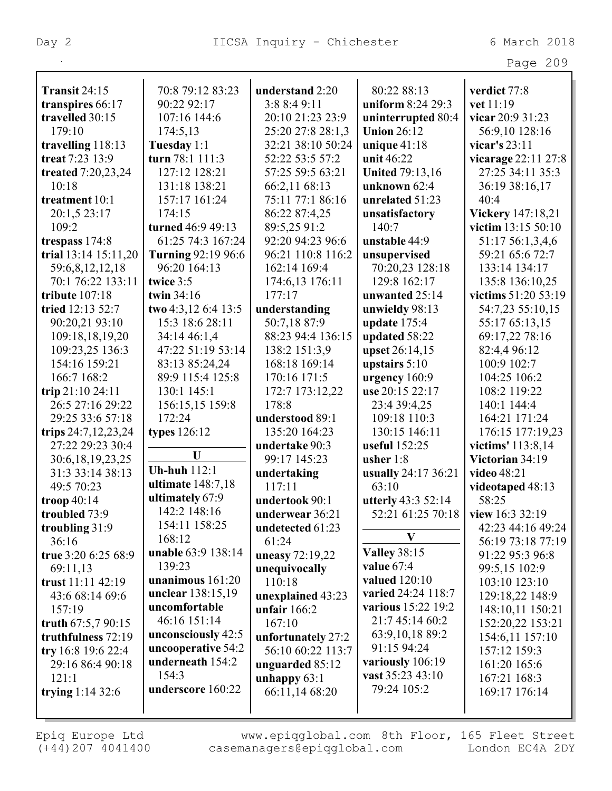|                      |                          |                    |                                  | Page 209            |
|----------------------|--------------------------|--------------------|----------------------------------|---------------------|
| <b>Transit 24:15</b> | 70:8 79:12 83:23         | understand 2:20    | 80:22 88:13                      | verdict 77:8        |
| transpires 66:17     | 90:22 92:17              | 3:8 8:4 9:11       | uniform 8:24 29:3                | vet 11:19           |
| travelled 30:15      | 107:16 144:6             | 20:10 21:23 23:9   | uninterrupted 80:4               | vicar 20:9 31:23    |
| 179:10               | 174:5,13                 | 25:20 27:8 28:1,3  | <b>Union 26:12</b>               | 56:9,10 128:16      |
| travelling 118:13    | Tuesday 1:1              | 32:21 38:10 50:24  | unique $41:18$                   | vicar's 23:11       |
| treat 7:23 13:9      | turn 78:1 111:3          | 52:22 53:5 57:2    | unit 46:22                       | vicarage 22:11 27:8 |
| treated 7:20,23,24   | 127:12 128:21            | 57:25 59:5 63:21   | <b>United 79:13,16</b>           | 27:25 34:11 35:3    |
| 10:18                | 131:18 138:21            | 66:2,11 68:13      | unknown $62:4$                   | 36:19 38:16,17      |
| treatment 10:1       | 157:17 161:24            | 75:11 77:1 86:16   | unrelated 51:23                  | 40:4                |
| 20:1,5 23:17         | 174:15                   | 86:22 87:4,25      | unsatisfactory                   | Vickery 147:18,21   |
| 109:2                | turned 46:9 49:13        | 89:5,25 91:2       | 140:7                            | victim 13:15 50:10  |
| trespass 174:8       | 61:25 74:3 167:24        | 92:20 94:23 96:6   | unstable 44:9                    | 51:17 56:1,3,4,6    |
| trial 13:14 15:11,20 | Turning 92:19 96:6       | 96:21 110:8 116:2  | unsupervised                     | 59:21 65:6 72:7     |
| 59:6,8,12,12,18      | 96:20 164:13             | 162:14 169:4       | 70:20,23 128:18                  | 133:14 134:17       |
| 70:1 76:22 133:11    | twice 3:5                | 174:6,13 176:11    | 129:8 162:17                     | 135:8 136:10,25     |
| tribute 107:18       | twin $34:16$             | 177:17             | unwanted 25:14                   | victims 51:20 53:19 |
| tried 12:13 52:7     | two 4:3,12 6:4 13:5      | understanding      | unwieldy 98:13                   | 54:7,23 55:10,15    |
| 90:20,21 93:10       | 15:3 18:6 28:11          | 50:7,18 87:9       | update 175:4                     | 55:17 65:13,15      |
| 109:18,18,19,20      | 34:14 46:1,4             | 88:23 94:4 136:15  | updated 58:22                    | 69:17,22 78:16      |
| 109:23,25 136:3      | 47:22 51:19 53:14        | 138:2 151:3,9      | upset 26:14,15                   | 82:4,4 96:12        |
| 154:16 159:21        | 83:13 85:24,24           | 168:18 169:14      | upstairs $5:10$                  | 100:9 102:7         |
| 166:7 168:2          | 89:9 115:4 125:8         | 170:16 171:5       | urgency 160:9                    | 104:25 106:2        |
| trip 21:10 24:11     | 130:1 145:1              | 172:7 173:12,22    | use 20:15 22:17                  | 108:2 119:22        |
| 26:5 27:16 29:22     | 156:15,15 159:8          | 178:8              | 23:4 39:4,25                     | 140:1 144:4         |
| 29:25 33:6 57:18     | 172:24                   | understood 89:1    | 109:18 110:3                     | 164:21 171:24       |
| trips 24:7,12,23,24  | types 126:12             | 135:20 164:23      | 130:15 146:11                    | 176:15 177:19,23    |
| 27:22 29:23 30:4     |                          | undertake 90:3     | useful 152:25                    | victims' 113:8,14   |
| 30:6,18,19,23,25     | U                        | 99:17 145:23       | usher $1:8$                      | Victorian 34:19     |
| 31:3 33:14 38:13     | <b>Uh-huh</b> 112:1      | undertaking        | usually 24:17 36:21              | video 48:21         |
| 49:5 70:23           | ultimate 148:7,18        | 117:11             | 63:10<br>videotaped 48:13        |                     |
| troop 40:14          | ultimately 67:9          | undertook 90:1     | utterly 43:3 52:14               | 58:25               |
| troubled 73:9        | 142:2 148:16             | underwear 36:21    | 52:21 61:25 70:18                | view 16:3 32:19     |
| troubling 31:9       | 154:11 158:25            | undetected 61:23   |                                  | 42:23 44:16 49:24   |
| 36:16                | 168:12                   | 61:24              | V                                | 56:19 73:18 77:19   |
| true 3:20 6:25 68:9  | unable 63:9 138:14       | uneasy 72:19,22    | <b>Valley 38:15</b>              | 91:22 95:3 96:8     |
| 69:11,13             | 139:23                   | unequivocally      | value 67:4                       | 99:5,15 102:9       |
| trust 11:11 42:19    | unanimous 161:20         | 110:18             | valued 120:10                    | 103:10 123:10       |
| 43:6 68:14 69:6      | <b>unclear</b> 138:15,19 | unexplained 43:23  | varied 24:24 118:7               | 129:18,22 148:9     |
| 157:19               | uncomfortable            | unfair $166:2$     | various 15:22 19:2               | 148:10,11 150:21    |
| truth 67:5,7 90:15   | 46:16 151:14             | 167:10             | 21:7 45:14 60:2                  | 152:20,22 153:21    |
| truthfulness 72:19   | unconsciously 42:5       | unfortunately 27:2 | 63:9, 10, 18 89:2                | 154:6,11 157:10     |
| try 16:8 19:6 22:4   | uncooperative 54:2       | 56:10 60:22 113:7  | 91:15 94:24                      | 157:12 159:3        |
| 29:16 86:4 90:18     | underneath 154:2         | unguarded 85:12    | variously 106:19                 | 161:20 165:6        |
| 121:1                | 154:3                    | unhappy $63:1$     | vast 35:23 43:10<br>167:21 168:3 |                     |
| trying $1:14\,32:6$  | underscore 160:22        | 66:11,14 68:20     | 79:24 105:2                      | 169:17 176:14       |
|                      |                          |                    |                                  |                     |
|                      |                          |                    |                                  |                     |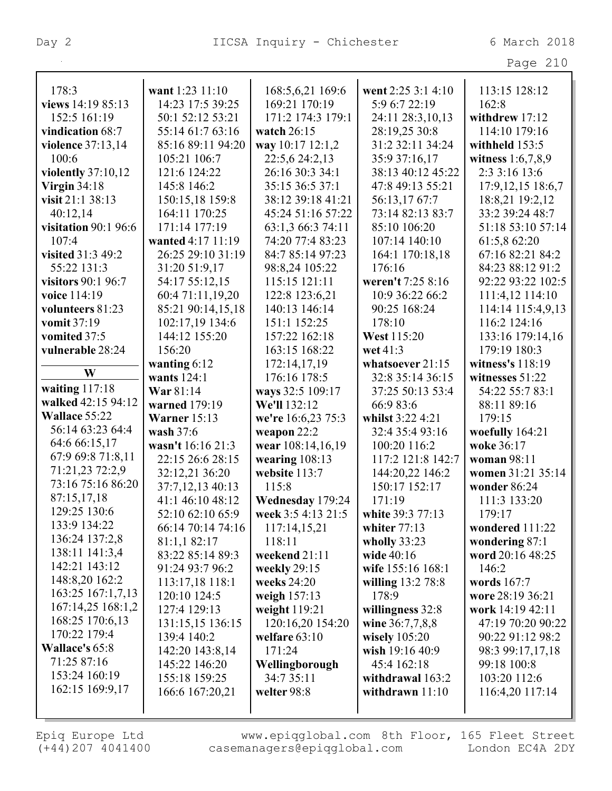|                             |                                      |                                        |                                     | Page 210                             |
|-----------------------------|--------------------------------------|----------------------------------------|-------------------------------------|--------------------------------------|
| 178:3                       | want 1:23 11:10                      | 168:5,6,21 169:6                       | went 2:25 3:1 4:10                  | 113:15 128:12                        |
| views 14:19 85:13           | 14:23 17:5 39:25                     | 169:21 170:19                          | 5:9 6:7 22:19                       | 162:8                                |
| 152:5 161:19                | 50:1 52:12 53:21                     | 171:2 174:3 179:1                      | 24:11 28:3,10,13                    | withdrew 17:12                       |
| vindication 68:7            | 55:14 61:7 63:16                     | watch $26:15$                          | 28:19,25 30:8                       | 114:10 179:16                        |
| <b>violence</b> 37:13,14    | 85:16 89:11 94:20                    | way 10:17 12:1,2                       | 31:2 32:11 34:24                    | withheld $153:5$                     |
| 100:6                       | 105:21 106:7                         | 22:5,6 24:2,13                         | 35:9 37:16,17                       | witness $1:6,7,8,9$                  |
| violently 37:10,12          | 121:6 124:22                         | 26:16 30:3 34:1                        | 38:13 40:12 45:22                   | 2:3 3:16 13:6                        |
| Virgin $34:18$              | 145:8 146:2                          | 35:15 36:5 37:1                        | 47:8 49:13 55:21                    | 17:9, 12, 15 18:6, 7                 |
| visit 21:1 38:13            | 150:15,18 159:8                      | 38:12 39:18 41:21                      | 56:13,1767:7                        | 18:8,21 19:2,12                      |
| 40:12,14                    | 164:11 170:25                        | 45:24 51:16 57:22                      | 73:14 82:13 83:7                    | 33:2 39:24 48:7                      |
| <b>visitation</b> 90:1 96:6 | 171:14 177:19                        | 63:1,3 66:3 74:11                      | 85:10 106:20                        | 51:18 53:10 57:14                    |
| 107:4                       | wanted 4:17 11:19                    | 74:20 77:4 83:23                       | 107:14 140:10                       | 61:5,8 62:20                         |
| visited 31:3 49:2           | 26:25 29:10 31:19                    | 84:7 85:14 97:23                       | 164:1 170:18,18                     | 67:16 82:21 84:2                     |
| 55:22 131:3                 | 31:20 51:9,17                        | 98:8,24 105:22                         | 176:16                              | 84:23 88:12 91:2                     |
| <b>visitors 90:1 96:7</b>   | 54:17 55:12,15                       | 115:15 121:11                          | weren't 7:25 8:16                   | 92:22 93:22 102:5                    |
| voice 114:19                | 60:4 71:11,19,20                     | 122:8 123:6,21                         | 10:9 36:22 66:2                     | 111:4,12 114:10                      |
| volunteers 81:23            | 85:21 90:14,15,18                    | 140:13 146:14                          | 90:25 168:24                        | 114:14 115:4,9,13                    |
| vomit 37:19                 | 102:17,19 134:6                      | 151:1 152:25                           | 178:10                              | 116:2 124:16                         |
| vomited 37:5                | 144:12 155:20                        | 157:22 162:18                          | <b>West 115:20</b>                  | 133:16 179:14,16                     |
| vulnerable 28:24            | 156:20                               | 163:15 168:22                          | wet 41:3                            | 179:19 180:3                         |
|                             |                                      |                                        | whatsoever 21:15                    | witness's 118:19                     |
| W                           | wanting $6:12$<br>wants 124:1        | 172:14,17,19                           | 32:8 35:14 36:15                    |                                      |
| waiting $117:18$            | War 81:14                            | 176:16 178:5                           | 37:25 50:13 53:4                    | witnesses $51:22$<br>54:22 55:7 83:1 |
| walked 42:15 94:12          | warned 179:19                        | ways 32:5 109:17<br>We'll 132:12       | 66:9 83:6                           |                                      |
| Wallace 55:22               |                                      |                                        |                                     | 88:11 89:16<br>179:15                |
| 56:14 63:23 64:4            | Warner $15:13$<br>wash $37:6$        | we're 16:6,23 75:3                     | whilst 3:22 4:21<br>32:4 35:4 93:16 |                                      |
| 64:6 66:15,17               | wasn't 16:16 21:3                    | weapon 22:2                            | 100:20 116:2                        | woefully 164:21<br>woke 36:17        |
| 67:9 69:8 71:8,11           | 22:15 26:6 28:15                     | wear 108:14,16,19                      | 117:2 121:8 142:7                   | woman 98:11                          |
| 71:21,23 72:2,9             |                                      | wearing $108:13$<br>website 113:7      | 144:20,22 146:2                     | women 31:21 35:14                    |
| 73:16 75:16 86:20           | 32:12,21 36:20                       | 115:8                                  | 150:17 152:17                       | wonder 86:24                         |
| 87:15,17,18                 | 37:7,12,13 40:13<br>41:1 46:10 48:12 |                                        | 171:19                              | 111:3 133:20                         |
| 129:25 130:6                | 52:10 62:10 65:9                     | Wednesday 179:24<br>week 3:5 4:13 21:5 | white 39:3 77:13                    | 179:17                               |
| 133:9 134:22                | 66:14 70:14 74:16                    |                                        |                                     | wondered 111:22                      |
| 136:24 137:2,8              | 81:1,1 82:17                         | 117:14,15,21                           | whiter $77:13$<br>wholly $33:23$    |                                      |
| 138:11 141:3,4              | 83:22 85:14 89:3                     | 118:11<br>weekend 21:11                | wide 40:16                          | wondering 87:1<br>word 20:16 48:25   |
| 142:21 143:12               | 91:24 93:7 96:2                      |                                        | wife 155:16 168:1                   | 146:2                                |
| 148:8,20 162:2              | 113:17,18 118:1                      | weekly $29:15$<br>weeks $24:20$        |                                     | words 167:7                          |
| 163:25 167:1,7,13           | 120:10 124:5                         | weigh 157:13                           | willing 13:2 78:8<br>178:9          |                                      |
| 167:14,25 168:1,2           | 127:4 129:13                         |                                        |                                     | wore 28:19 36:21<br>work 14:19 42:11 |
| 168:25 170:6,13             | 131:15,15 136:15                     | weight 119:21<br>120:16,20 154:20      | willingness 32:8<br>wine 36:7,7,8,8 | 47:19 70:20 90:22                    |
| 170:22 179:4                | 139:4 140:2                          | welfare $63:10$                        | wisely $105:20$                     | 90:22 91:12 98:2                     |
| <b>Wallace's 65:8</b>       |                                      | 171:24                                 |                                     |                                      |
| 71:25 87:16                 | 142:20 143:8,14<br>145:22 146:20     |                                        | wish 19:16 40:9<br>45:4 162:18      | 98:3 99:17,17,18<br>99:18 100:8      |
| 153:24 160:19               |                                      | Wellingborough                         |                                     |                                      |
| 162:15 169:9,17             | 155:18 159:25                        | 34:7 35:11                             | withdrawal 163:2                    | 103:20 112:6                         |
|                             | 166:6 167:20,21                      | welter 98:8                            | withdrawn 11:10                     | 116:4,20 117:14                      |
|                             |                                      |                                        |                                     |                                      |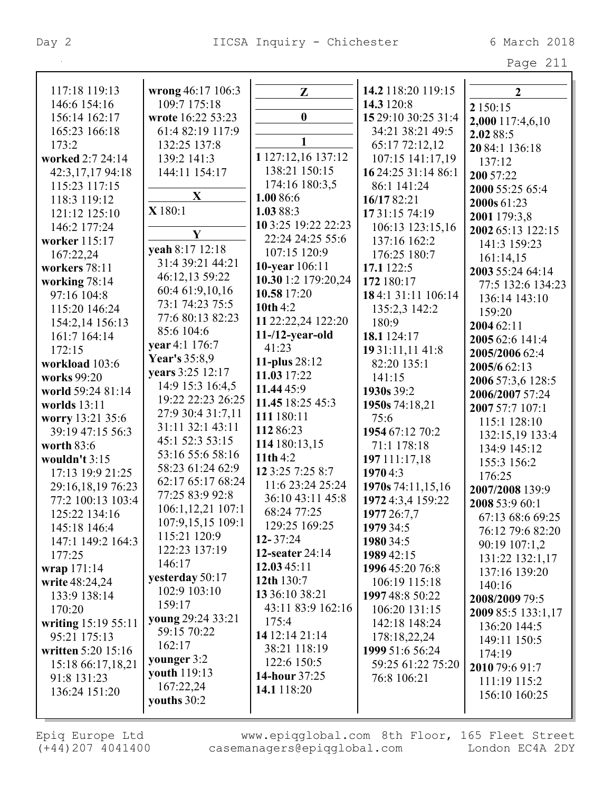| 117:18 119:13       | wrong 46:17 106:3 | Z                       | 14.2 118:20 119:15  | $\overline{2}$     |
|---------------------|-------------------|-------------------------|---------------------|--------------------|
| 146:6 154:16        | 109:7 175:18      |                         | 14.3 120:8          | 2 150:15           |
| 156:14 162:17       | wrote 16:22 53:23 | $\boldsymbol{0}$        | 15 29:10 30:25 31:4 | 2,000 117:4,6,10   |
| 165:23 166:18       | 61:4 82:19 117:9  |                         | 34:21 38:21 49:5    | 2.02 88:5          |
| 173:2               | 132:25 137:8      | $\mathbf{1}$            | 65:17 72:12,12      | 20 84:1 136:18     |
| worked 2:7 24:14    | 139:2 141:3       | 1 127:12,16 137:12      | 107:15 141:17,19    | 137:12             |
| 42:3,17,17 94:18    | 144:11 154:17     | 138:21 150:15           | 16 24:25 31:14 86:1 | 200 57:22          |
| 115:23 117:15       |                   | 174:16 180:3,5          | 86:1 141:24         | 2000 55:25 65:4    |
| 118:3 119:12        | X                 | 1.00 86:6               | 16/17 82:21         | 2000s 61:23        |
| 121:12 125:10       | X180:1            | 1.03 88:3               | 17 31:15 74:19      | 2001 179:3,8       |
| 146:2 177:24        |                   | 10 3:25 19:22 22:23     | 106:13 123:15,16    | 2002 65:13 122:15  |
| worker 115:17       | Y                 | 22:24 24:25 55:6        | 137:16 162:2        | 141:3 159:23       |
| 167:22,24           | yeah 8:17 12:18   | 107:15 120:9            | 176:25 180:7        | 161:14,15          |
| workers 78:11       | 31:4 39:21 44:21  | 10-year 106:11          | 17.1 122:5          | 2003 55:24 64:14   |
| working 78:14       | 46:12,13 59:22    | 10.30 1:2 179:20,24     | 172 180:17          | 77:5 132:6 134:23  |
| 97:16 104:8         | 60:4 61:9,10,16   | 10.58 17:20             | 18 4:1 31:11 106:14 | 136:14 143:10      |
| 115:20 146:24       | 73:1 74:23 75:5   | 10th $4:2$              | 135:2,3 142:2       | 159:20             |
| 154:2,14 156:13     | 77:6 80:13 82:23  | 11 22:22,24 122:20      | 180:9               | 2004 62:11         |
| 161:7 164:14        | 85:6 104:6        | $11 - 12$ -year-old     | 18.1 124:17         | 2005 62:6 141:4    |
| 172:15              | year 4:1 176:7    | 41:23                   | 19 31:11,11 41:8    | 2005/2006 62:4     |
| workload 103:6      | Year's 35:8,9     | 11-plus 28:12           | 82:20 135:1         | 2005/6 62:13       |
| works 99:20         | years 3:25 12:17  | 11.03 17:22             | 141:15              |                    |
| world 59:24 81:14   | 14:9 15:3 16:4,5  | 11.44 45:9              | 1930s 39:2          | 2006 57:3,6 128:5  |
| worlds 13:11        | 19:22 22:23 26:25 | 11.45 18:25 45:3        | 1950s 74:18,21      | 2006/2007 57:24    |
| worry 13:21 35:6    | 27:9 30:4 31:7,11 | 111 180:11              | 75:6                | 2007 57:7 107:1    |
| 39:19 47:15 56:3    | 31:11 32:1 43:11  | 112 86:23               | 1954 67:12 70:2     | 115:1 128:10       |
| worth $83:6$        | 45:1 52:3 53:15   | 114 180:13,15           | 71:1 178:18         | 132:15,19 133:4    |
| wouldn't 3:15       | 53:16 55:6 58:16  | 11th $4:2$              | 197 111:17,18       | 134:9 145:12       |
| 17:13 19:9 21:25    | 58:23 61:24 62:9  | 12 3:25 7:25 8:7        | 1970 4:3            | 155:3 156:2        |
| 29:16,18,19 76:23   | 62:17 65:17 68:24 | 11:6 23:24 25:24        | 1970s 74:11,15,16   | 176:25             |
| 77:2 100:13 103:4   | 77:25 83:9 92:8   | 36:10 43:11 45:8        | 1972 4:3,4 159:22   | 2007/2008 139:9    |
| 125:22 134:16       | 106:1,12,21 107:1 | 68:24 77:25             | 1977 26:7,7         | 2008 53:9 60:1     |
| 145:18 146:4        | 107:9,15,15 109:1 | 129:25 169:25           | 1979 34:5           | 67:13 68:6 69:25   |
| 147:1 149:2 164:3   | 115:21 120:9      | $12 - 37:24$            | 1980 34:5           | 76:12 79:6 82:20   |
|                     | 122:23 137:19     | 12-seater 24:14         |                     | 90:19 107:1,2      |
| 177:25              | 146:17            | 12.03 45:11             | 1989 42:15          | 131:22 132:1,17    |
| wrap 171:14         | yesterday 50:17   | 12th 130:7              | 1996 45:20 76:8     | 137:16 139:20      |
| write 48:24,24      | 102:9 103:10      | 13 36:10 38:21          | 106:19 115:18       | 140:16             |
| 133:9 138:14        | 159:17            | 43:11 83:9 162:16       | 1997 48:8 50:22     | 2008/2009 79:5     |
| 170:20              | young 29:24 33:21 |                         | 106:20 131:15       | 2009 85:5 133:1,17 |
| writing 15:19 55:11 | 59:15 70:22       | 175:4<br>14 12:14 21:14 | 142:18 148:24       | 136:20 144:5       |
| 95:21 175:13        | 162:17            |                         | 178:18,22,24        | 149:11 150:5       |
| written 5:20 15:16  | younger 3:2       | 38:21 118:19            | 1999 51:6 56:24     | 174:19             |
| 15:18 66:17,18,21   | youth 119:13      | 122:6 150:5             | 59:25 61:22 75:20   | 2010 79:6 91:7     |
| 91:8 131:23         | 167:22,24         | <b>14-hour</b> 37:25    | 76:8 106:21         | 111:19 115:2       |
| 136:24 151:20       | youths 30:2       | 14.1 118:20             |                     | 156:10 160:25      |
|                     |                   |                         |                     |                    |